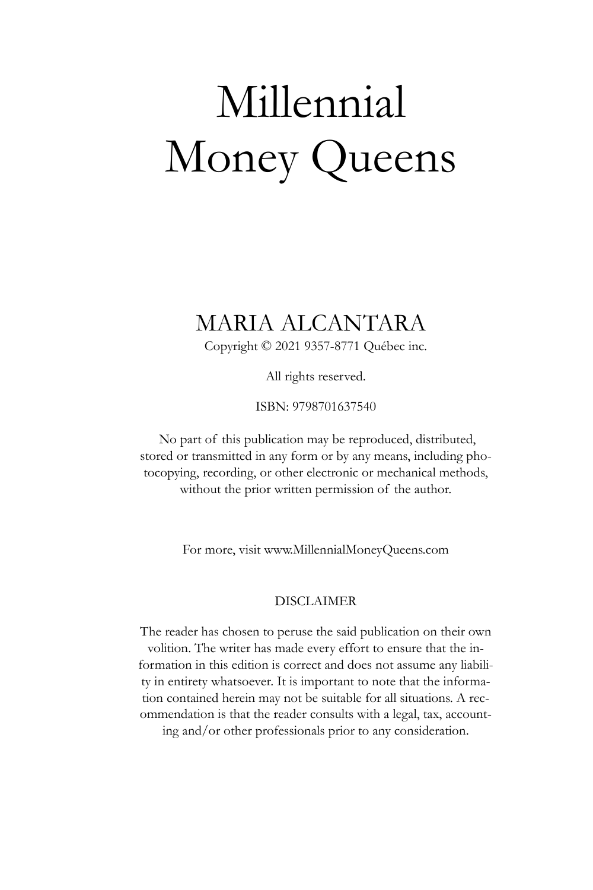# Millennial Money Queens

# MARIA ALCANTARA

Copyright © 2021 9357-8771 Québec inc.

All rights reserved.

ISBN: 9798701637540

No part of this publication may be reproduced, distributed, stored or transmitted in any form or by any means, including photocopying, recording, or other electronic or mechanical methods, without the prior written permission of the author.

For more, visit [www.MillennialMoneyQueens.com](http://www.millennialmoneyqueens.com/)

#### DISCLAIMER

The reader has chosen to peruse the said publication on their own volition. The writer has made every effort to ensure that the information in this edition is correct and does not assume any liability in entirety whatsoever. It is important to note that the information contained herein may not be suitable for all situations. A recommendation is that the reader consults with a legal, tax, accounting and/or other professionals prior to any consideration.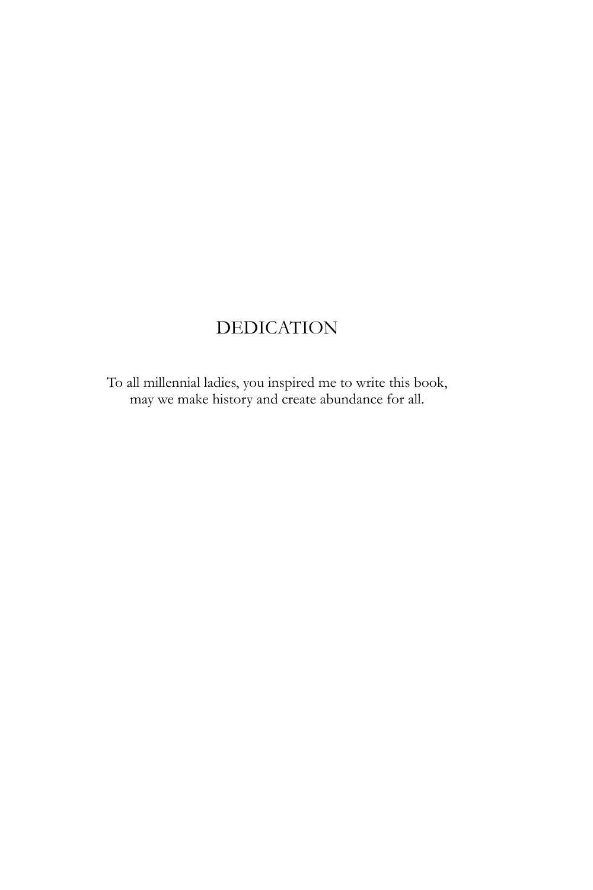# DEDICATION

To all millennial ladies, you inspired me to write this book, may we make history and create abundance for all.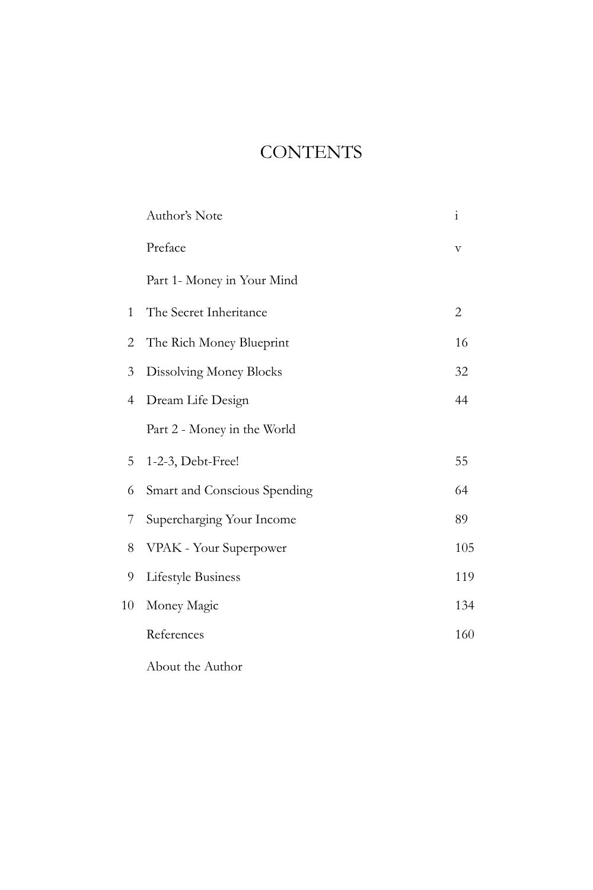# **CONTENTS**

|    | Author's Note                | $\mathbf{i}$          |
|----|------------------------------|-----------------------|
|    | Preface                      | $\boldsymbol{\nabla}$ |
|    | Part 1- Money in Your Mind   |                       |
| 1  | The Secret Inheritance       | $\overline{2}$        |
| 2  | The Rich Money Blueprint     | 16                    |
| 3  | Dissolving Money Blocks      | 32                    |
| 4  | Dream Life Design            | 44                    |
|    | Part 2 - Money in the World  |                       |
| 5  | 1-2-3, Debt-Free!            | 55                    |
| 6  | Smart and Conscious Spending | 64                    |
| 7  | Supercharging Your Income    | 89                    |
| 8  | VPAK - Your Superpower       | 105                   |
| 9  | Lifestyle Business           | 119                   |
| 10 | Money Magic                  | 134                   |
|    | References                   | 160                   |
|    |                              |                       |

About the Author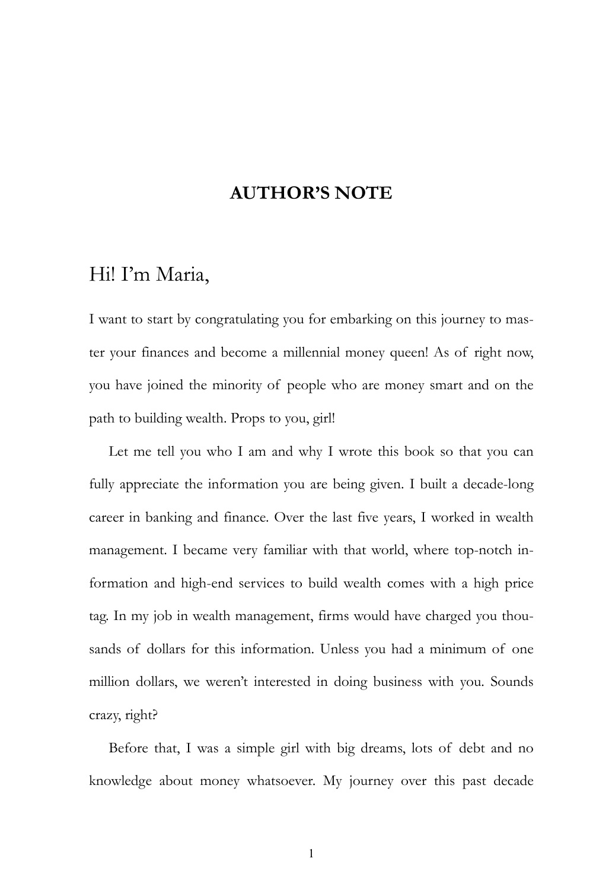### **AUTHOR'S NOTE**

### Hi! I'm Maria,

I want to start by congratulating you for embarking on this journey to master your finances and become a millennial money queen! As of right now, you have joined the minority of people who are money smart and on the path to building wealth. Props to you, girl!

Let me tell you who I am and why I wrote this book so that you can fully appreciate the information you are being given. I built a decade-long career in banking and finance. Over the last five years, I worked in wealth management. I became very familiar with that world, where top-notch information and high-end services to build wealth comes with a high price tag. In my job in wealth management, firms would have charged you thousands of dollars for this information. Unless you had a minimum of one million dollars, we weren't interested in doing business with you. Sounds crazy, right?

Before that, I was a simple girl with big dreams, lots of debt and no knowledge about money whatsoever. My journey over this past decade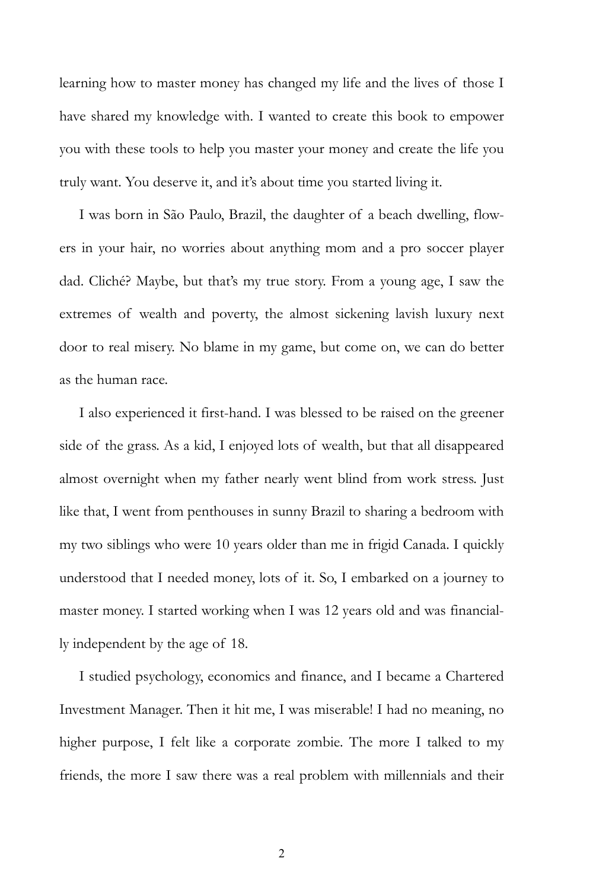learning how to master money has changed my life and the lives of those I have shared my knowledge with. I wanted to create this book to empower you with these tools to help you master your money and create the life you truly want. You deserve it, and it's about time you started living it.

I was born in São Paulo, Brazil, the daughter of a beach dwelling, flowers in your hair, no worries about anything mom and a pro soccer player dad. Cliché? Maybe, but that's my true story. From a young age, I saw the extremes of wealth and poverty, the almost sickening lavish luxury next door to real misery. No blame in my game, but come on, we can do better as the human race.

I also experienced it first-hand. I was blessed to be raised on the greener side of the grass. As a kid, I enjoyed lots of wealth, but that all disappeared almost overnight when my father nearly went blind from work stress. Just like that, I went from penthouses in sunny Brazil to sharing a bedroom with my two siblings who were 10 years older than me in frigid Canada. I quickly understood that I needed money, lots of it. So, I embarked on a journey to master money. I started working when I was 12 years old and was financially independent by the age of 18.

I studied psychology, economics and finance, and I became a Chartered Investment Manager. Then it hit me, I was miserable! I had no meaning, no higher purpose, I felt like a corporate zombie. The more I talked to my friends, the more I saw there was a real problem with millennials and their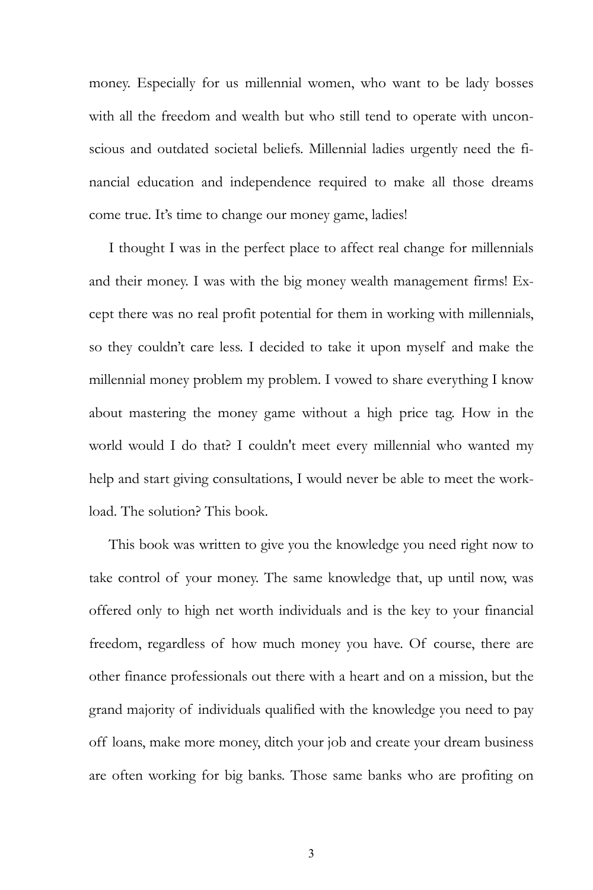money. Especially for us millennial women, who want to be lady bosses with all the freedom and wealth but who still tend to operate with unconscious and outdated societal beliefs. Millennial ladies urgently need the financial education and independence required to make all those dreams come true. It's time to change our money game, ladies!

I thought I was in the perfect place to affect real change for millennials and their money. I was with the big money wealth management firms! Except there was no real profit potential for them in working with millennials, so they couldn't care less. I decided to take it upon myself and make the millennial money problem my problem. I vowed to share everything I know about mastering the money game without a high price tag. How in the world would I do that? I couldn't meet every millennial who wanted my help and start giving consultations, I would never be able to meet the workload. The solution? This book.

This book was written to give you the knowledge you need right now to take control of your money. The same knowledge that, up until now, was offered only to high net worth individuals and is the key to your financial freedom, regardless of how much money you have. Of course, there are other finance professionals out there with a heart and on a mission, but the grand majority of individuals qualified with the knowledge you need to pay off loans, make more money, ditch your job and create your dream business are often working for big banks. Those same banks who are profiting on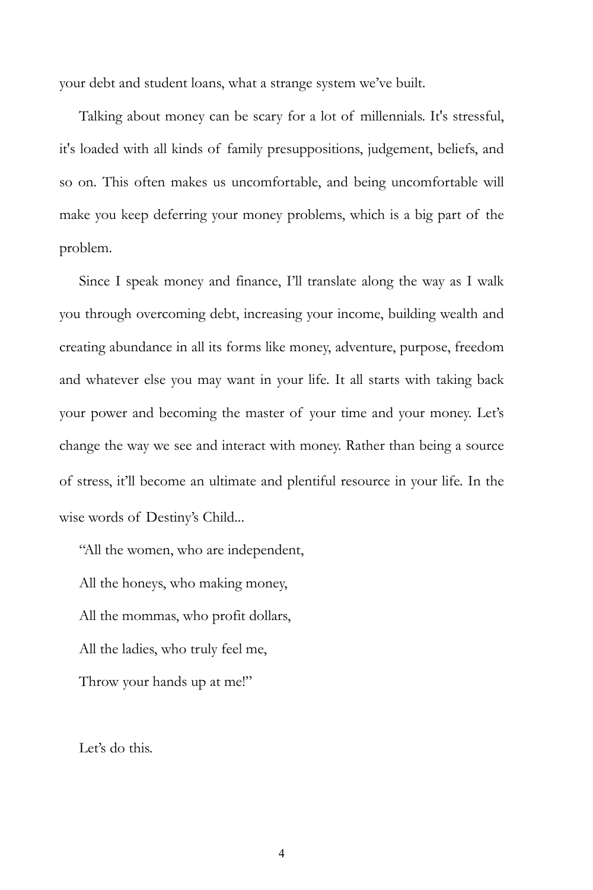your debt and student loans, what a strange system we've built.

Talking about money can be scary for a lot of millennials. It's stressful, it's loaded with all kinds of family presuppositions, judgement, beliefs, and so on. This often makes us uncomfortable, and being uncomfortable will make you keep deferring your money problems, which is a big part of the problem.

Since I speak money and finance, I'll translate along the way as I walk you through overcoming debt, increasing your income, building wealth and creating abundance in all its forms like money, adventure, purpose, freedom and whatever else you may want in your life. It all starts with taking back your power and becoming the master of your time and your money. Let's change the way we see and interact with money. Rather than being a source of stress, it'll become an ultimate and plentiful resource in your life. In the wise words of Destiny's Child...

"All the women, who are independent, All the honeys, who making money, All the mommas, who profit dollars, All the ladies, who truly feel me, Throw your hands up at me!"

Let's do this.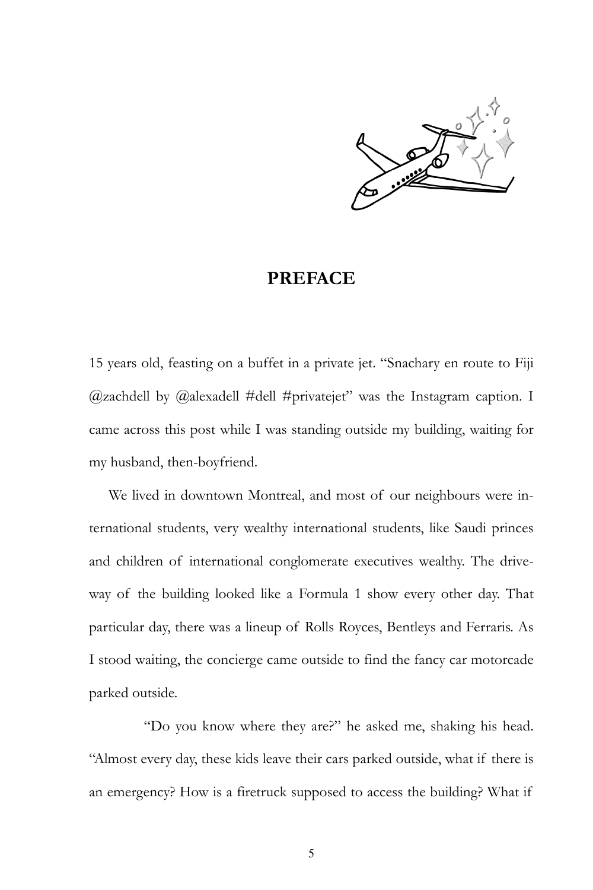

#### **PREFACE**

15 years old, feasting on a buffet in a private jet. "Snachary en route to Fiji @zachdell by @alexadell #dell #privatejet" was the Instagram caption. I came across this post while I was standing outside my building, waiting for my husband, then-boyfriend.

We lived in downtown Montreal, and most of our neighbours were international students, very wealthy international students, like Saudi princes and children of international conglomerate executives wealthy. The driveway of the building looked like a Formula 1 show every other day. That particular day, there was a lineup of Rolls Royces, Bentleys and Ferraris. As I stood waiting, the concierge came outside to find the fancy car motorcade parked outside.

"Do you know where they are?" he asked me, shaking his head. "Almost every day, these kids leave their cars parked outside, what if there is an emergency? How is a firetruck supposed to access the building? What if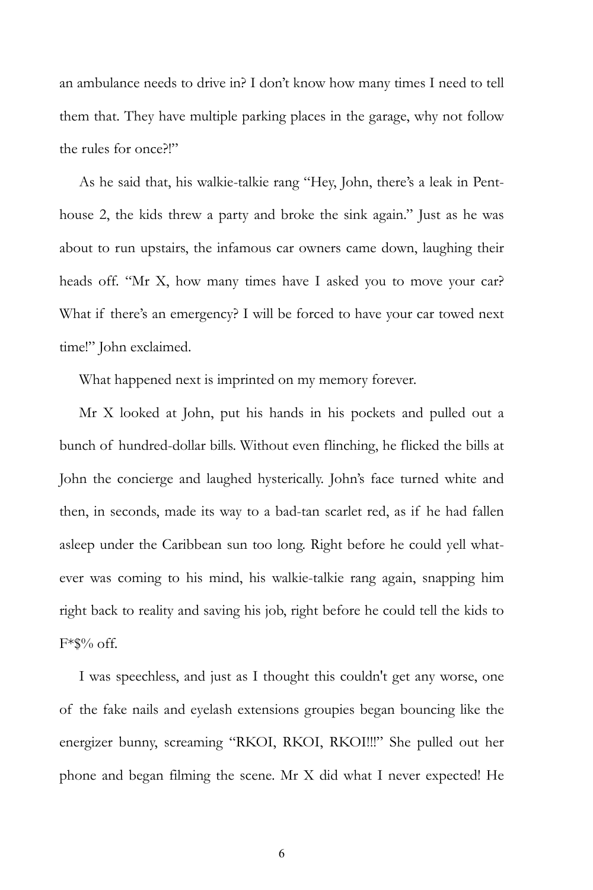an ambulance needs to drive in? I don't know how many times I need to tell them that. They have multiple parking places in the garage, why not follow the rules for once?!"

As he said that, his walkie-talkie rang "Hey, John, there's a leak in Penthouse 2, the kids threw a party and broke the sink again." Just as he was about to run upstairs, the infamous car owners came down, laughing their heads off. "Mr X, how many times have I asked you to move your car? What if there's an emergency? I will be forced to have your car towed next time!" John exclaimed.

What happened next is imprinted on my memory forever.

Mr X looked at John, put his hands in his pockets and pulled out a bunch of hundred-dollar bills. Without even flinching, he flicked the bills at John the concierge and laughed hysterically. John's face turned white and then, in seconds, made its way to a bad-tan scarlet red, as if he had fallen asleep under the Caribbean sun too long. Right before he could yell whatever was coming to his mind, his walkie-talkie rang again, snapping him right back to reality and saving his job, right before he could tell the kids to  $F*\$%$  off.

I was speechless, and just as I thought this couldn't get any worse, one of the fake nails and eyelash extensions groupies began bouncing like the energizer bunny, screaming "RKOI, RKOI, RKOI!!!" She pulled out her phone and began filming the scene. Mr X did what I never expected! He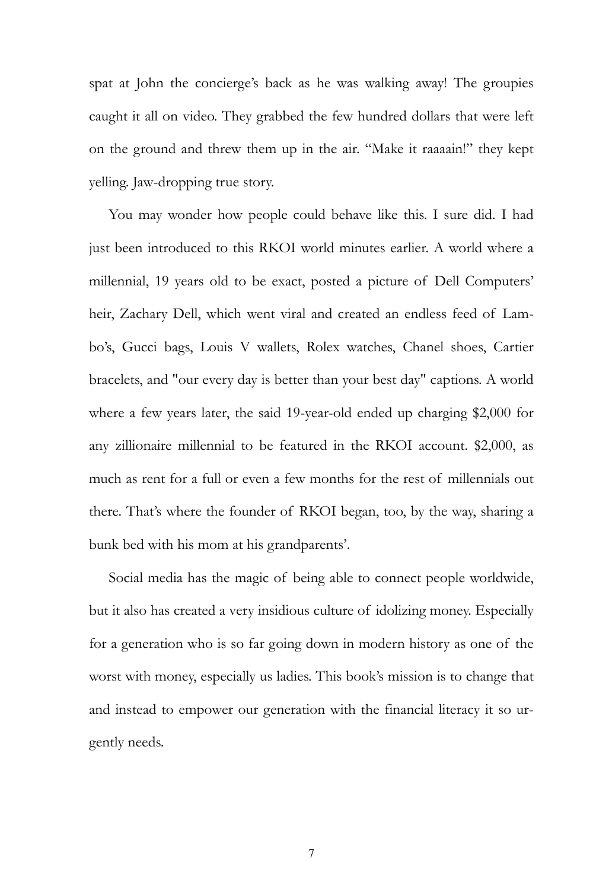spat at John the concierge's back as he was walking away! The groupies caught it all on video. They grabbed the few hundred dollars that were left on the ground and threw them up in the air. "Make it raaaain!" they kept yelling. Jaw-dropping true story.

You may wonder how people could behave like this. I sure did. I had just been introduced to this RKOI world minutes earlier. A world where a millennial, 19 years old to be exact, posted a picture of Dell Computers' heir, Zachary Dell, which went viral and created an endless feed of Lambo's, Gucci bags, Louis V wallets, Rolex watches, Chanel shoes, Cartier bracelets, and "our every day is better than your best day" captions. A world where a few years later, the said 19-year-old ended up charging \$2,000 for any zillionaire millennial to be featured in the RKOI account. \$2,000, as much as rent for a full or even a few months for the rest of millennials out there. That's where the founder of RKOI began, too, by the way, sharing a bunk bed with his mom at his grandparents'.

Social media has the magic of being able to connect people worldwide, but it also has created a very insidious culture of idolizing money. Especially for a generation who is so far going down in modern history as one of the worst with money, especially us ladies. This book's mission is to change that and instead to empower our generation with the financial literacy it so urgently needs.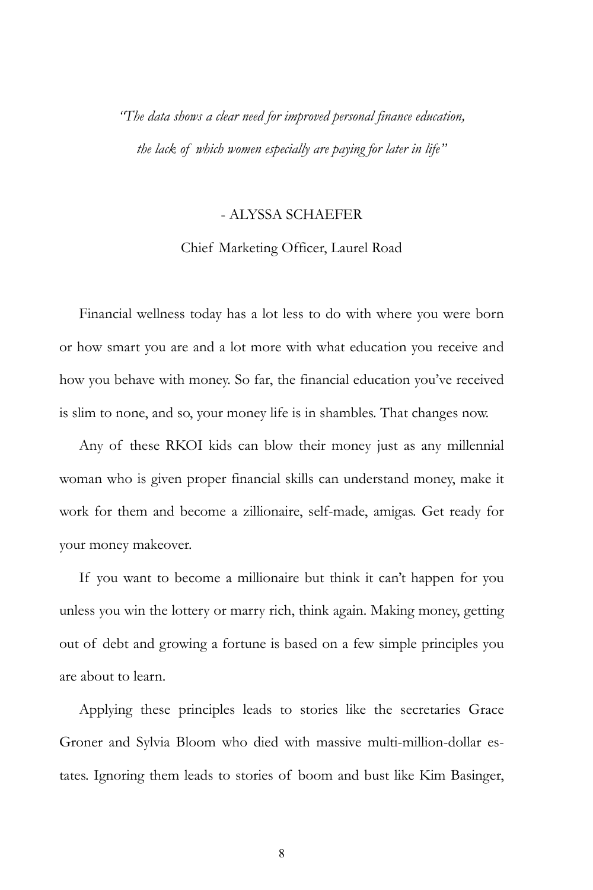*"The data shows a clear need for improved personal finance education, the lack of which women especially are paying for later in life"*

#### - ALYSSA SCHAEFER

#### Chief Marketing Officer, Laurel Road

Financial wellness today has a lot less to do with where you were born or how smart you are and a lot more with what education you receive and how you behave with money. So far, the financial education you've received is slim to none, and so, your money life is in shambles. That changes now.

Any of these RKOI kids can blow their money just as any millennial woman who is given proper financial skills can understand money, make it work for them and become a zillionaire, self-made, amigas. Get ready for your money makeover.

If you want to become a millionaire but think it can't happen for you unless you win the lottery or marry rich, think again. Making money, getting out of debt and growing a fortune is based on a few simple principles you are about to learn.

Applying these principles leads to stories like the secretaries Grace Groner and Sylvia Bloom who died with massive multi-million-dollar estates. Ignoring them leads to stories of boom and bust like Kim Basinger,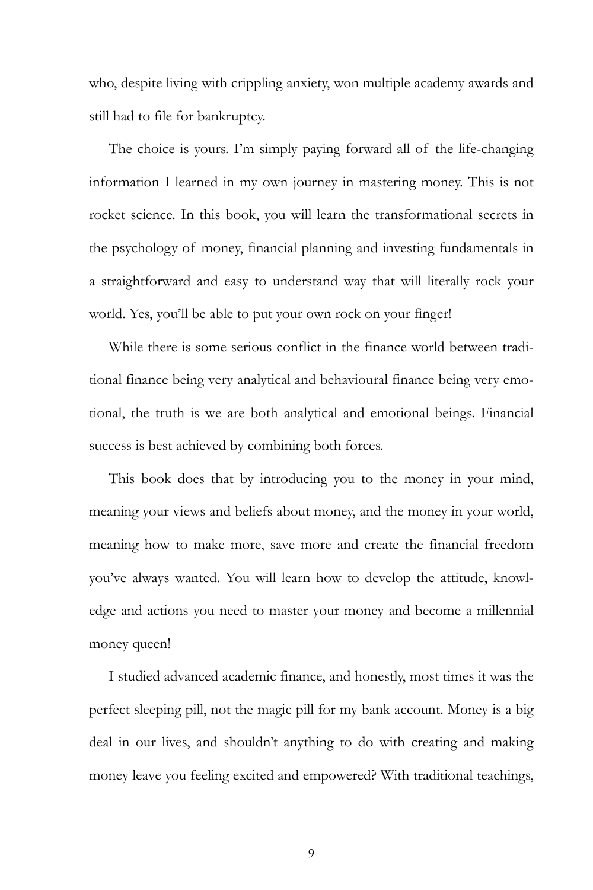who, despite living with crippling anxiety, won multiple academy awards and still had to file for bankruptcy.

The choice is yours. I'm simply paying forward all of the life-changing information I learned in my own journey in mastering money. This is not rocket science. In this book, you will learn the transformational secrets in the psychology of money, financial planning and investing fundamentals in a straightforward and easy to understand way that will literally rock your world. Yes, you'll be able to put your own rock on your finger!

While there is some serious conflict in the finance world between traditional finance being very analytical and behavioural finance being very emotional, the truth is we are both analytical and emotional beings. Financial success is best achieved by combining both forces.

This book does that by introducing you to the money in your mind, meaning your views and beliefs about money, and the money in your world, meaning how to make more, save more and create the financial freedom you've always wanted. You will learn how to develop the attitude, knowledge and actions you need to master your money and become a millennial money queen!

I studied advanced academic finance, and honestly, most times it was the perfect sleeping pill, not the magic pill for my bank account. Money is a big deal in our lives, and shouldn't anything to do with creating and making money leave you feeling excited and empowered? With traditional teachings,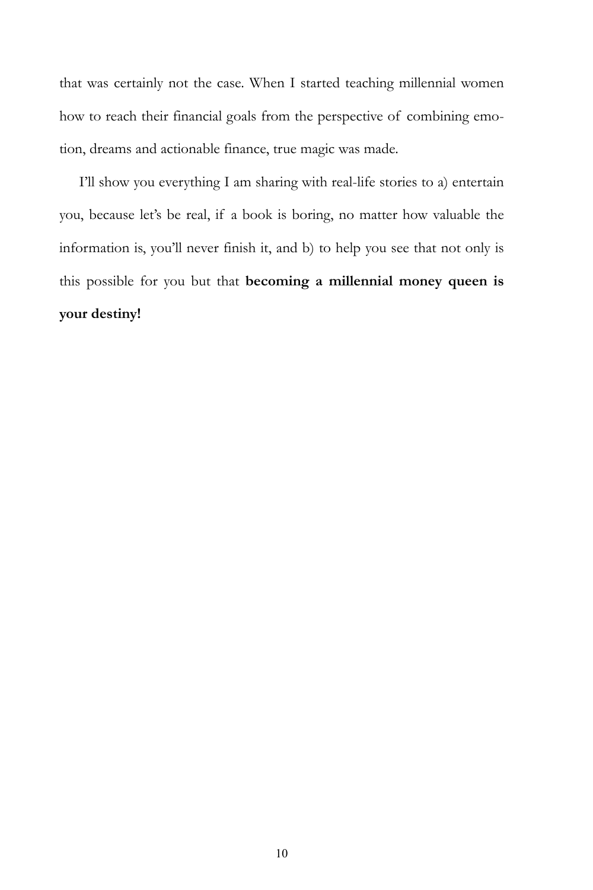that was certainly not the case. When I started teaching millennial women how to reach their financial goals from the perspective of combining emotion, dreams and actionable finance, true magic was made.

I'll show you everything I am sharing with real-life stories to a) entertain you, because let's be real, if a book is boring, no matter how valuable the information is, you'll never finish it, and b) to help you see that not only is this possible for you but that **becoming a millennial money queen is your destiny!**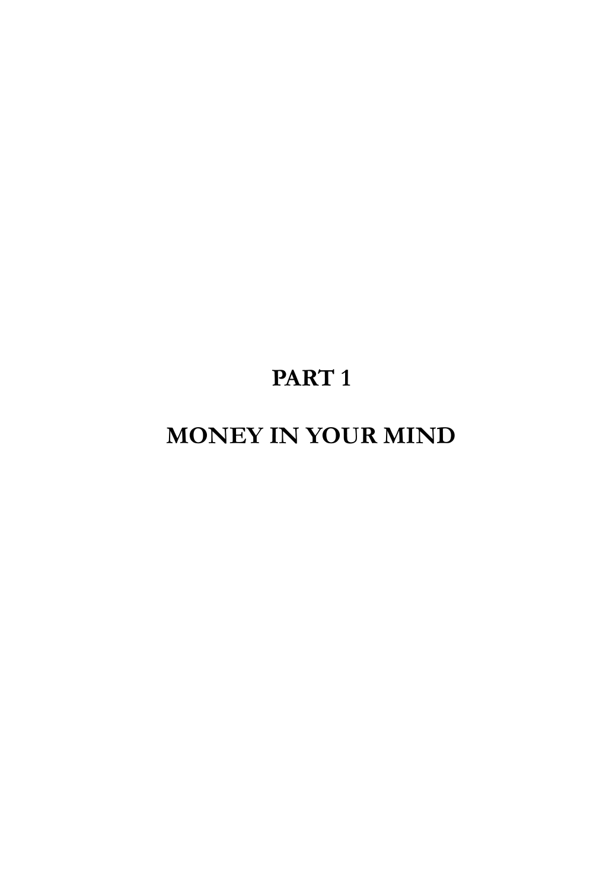# **PART 1**

# **MONEY IN YOUR MIND**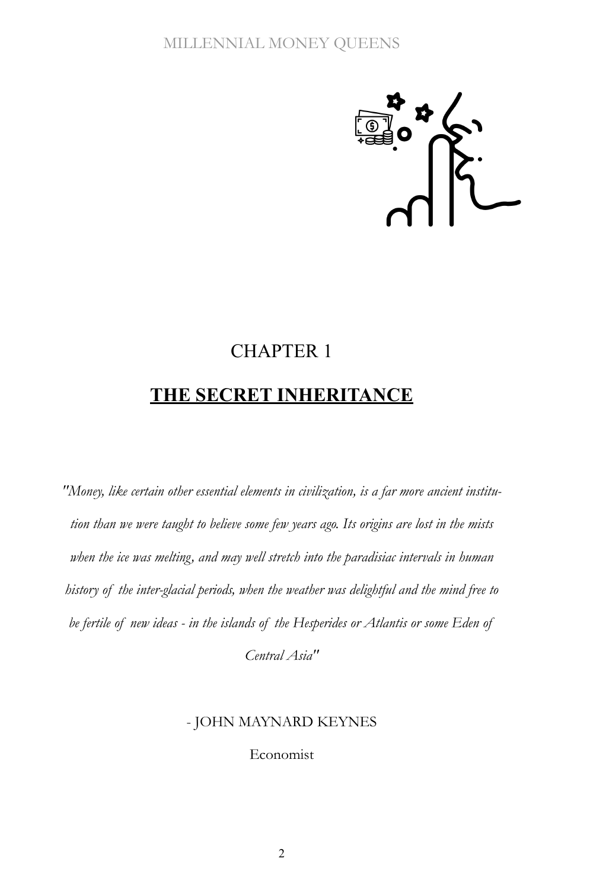

# CHAPTER 1 **THE SECRET INHERITANCE**

*"Money, like certain other essential elements in civilization, is a far more ancient institution than we were taught to believe some few years ago. Its origins are lost in the mists when the ice was melting, and may well stretch into the paradisiac intervals in human history of the inter-glacial periods, when the weather was delightful and the mind free to be fertile of new ideas - in the islands of the Hesperides or Atlantis or some Eden of* 

*Central Asia"*

#### - JOHN MAYNARD KEYNES

Economist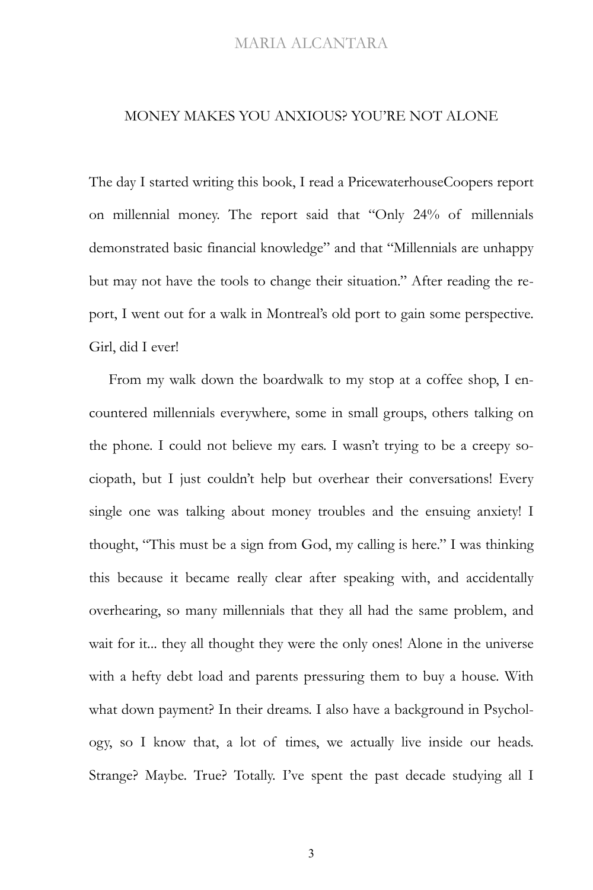#### MONEY MAKES YOU ANXIOUS? YOU'RE NOT ALONE

The day I started writing this book, I read a PricewaterhouseCoopers report on millennial money. The report said that "Only 24% of millennials demonstrated basic financial knowledge" and that "Millennials are unhappy but may not have the tools to change their situation." After reading the report, I went out for a walk in Montreal's old port to gain some perspective. Girl, did I ever!

From my walk down the boardwalk to my stop at a coffee shop, I encountered millennials everywhere, some in small groups, others talking on the phone. I could not believe my ears. I wasn't trying to be a creepy sociopath, but I just couldn't help but overhear their conversations! Every single one was talking about money troubles and the ensuing anxiety! I thought, "This must be a sign from God, my calling is here." I was thinking this because it became really clear after speaking with, and accidentally overhearing, so many millennials that they all had the same problem, and wait for it... they all thought they were the only ones! Alone in the universe with a hefty debt load and parents pressuring them to buy a house. With what down payment? In their dreams. I also have a background in Psychology, so I know that, a lot of times, we actually live inside our heads. Strange? Maybe. True? Totally. I've spent the past decade studying all I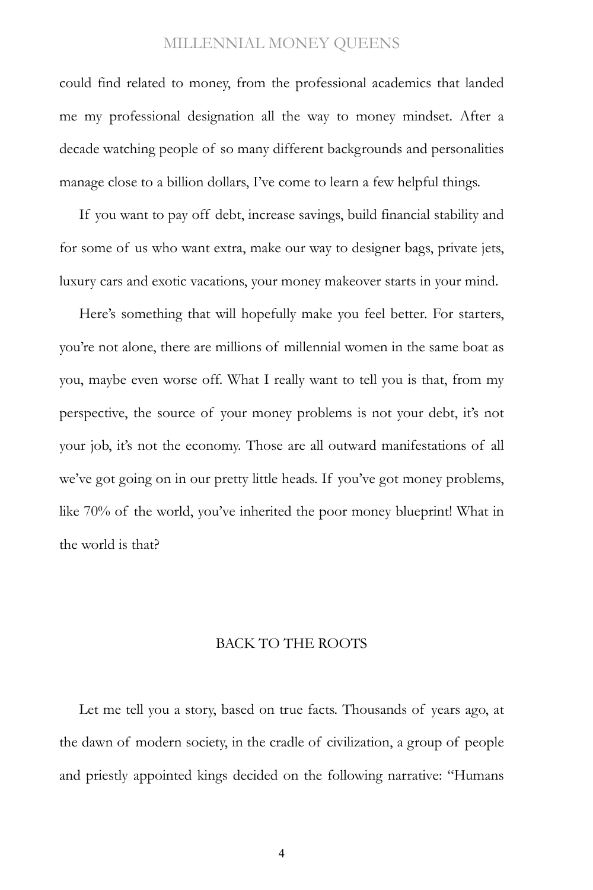could find related to money, from the professional academics that landed me my professional designation all the way to money mindset. After a decade watching people of so many different backgrounds and personalities manage close to a billion dollars, I've come to learn a few helpful things.

If you want to pay off debt, increase savings, build financial stability and for some of us who want extra, make our way to designer bags, private jets, luxury cars and exotic vacations, your money makeover starts in your mind.

Here's something that will hopefully make you feel better. For starters, you're not alone, there are millions of millennial women in the same boat as you, maybe even worse off. What I really want to tell you is that, from my perspective, the source of your money problems is not your debt, it's not your job, it's not the economy. Those are all outward manifestations of all we've got going on in our pretty little heads. If you've got money problems, like 70% of the world, you've inherited the poor money blueprint! What in the world is that?

#### BACK TO THE ROOTS

Let me tell you a story, based on true facts. Thousands of years ago, at the dawn of modern society, in the cradle of civilization, a group of people and priestly appointed kings decided on the following narrative: "Humans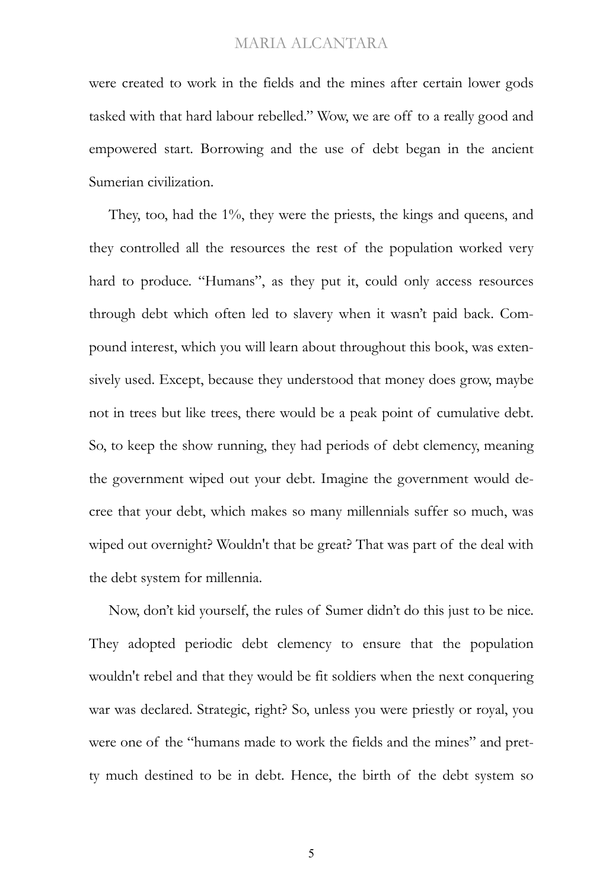were created to work in the fields and the mines after certain lower gods tasked with that hard labour rebelled." Wow, we are off to a really good and empowered start. Borrowing and the use of debt began in the ancient Sumerian civilization.

They, too, had the 1%, they were the priests, the kings and queens, and they controlled all the resources the rest of the population worked very hard to produce. "Humans", as they put it, could only access resources through debt which often led to slavery when it wasn't paid back. Compound interest, which you will learn about throughout this book, was extensively used. Except, because they understood that money does grow, maybe not in trees but like trees, there would be a peak point of cumulative debt. So, to keep the show running, they had periods of debt clemency, meaning the government wiped out your debt. Imagine the government would decree that your debt, which makes so many millennials suffer so much, was wiped out overnight? Wouldn't that be great? That was part of the deal with the debt system for millennia.

Now, don't kid yourself, the rules of Sumer didn't do this just to be nice. They adopted periodic debt clemency to ensure that the population wouldn't rebel and that they would be fit soldiers when the next conquering war was declared. Strategic, right? So, unless you were priestly or royal, you were one of the "humans made to work the fields and the mines" and pretty much destined to be in debt. Hence, the birth of the debt system so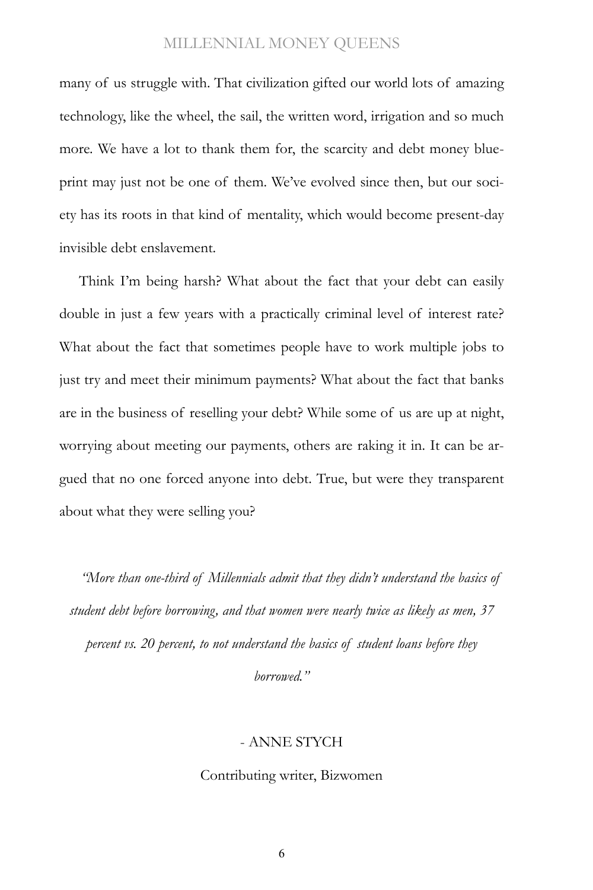many of us struggle with. That civilization gifted our world lots of amazing technology, like the wheel, the sail, the written word, irrigation and so much more. We have a lot to thank them for, the scarcity and debt money blueprint may just not be one of them. We've evolved since then, but our society has its roots in that kind of mentality, which would become present-day invisible debt enslavement.

Think I'm being harsh? What about the fact that your debt can easily double in just a few years with a practically criminal level of interest rate? What about the fact that sometimes people have to work multiple jobs to just try and meet their minimum payments? What about the fact that banks are in the business of reselling your debt? While some of us are up at night, worrying about meeting our payments, others are raking it in. It can be argued that no one forced anyone into debt. True, but were they transparent about what they were selling you?

*"More than one-third of Millennials admit that they didn't understand the basics of student debt before borrowing, and that women were nearly twice as likely as men, 37 percent vs. 20 percent, to not understand the basics of student loans before they* 

*borrowed."*

#### - ANNE STYCH

#### Contributing writer, Bizwomen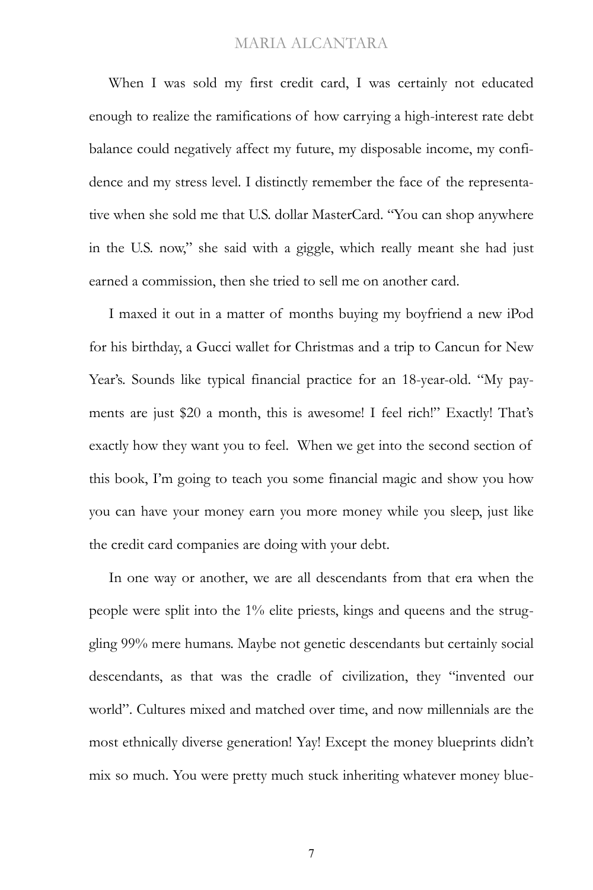When I was sold my first credit card, I was certainly not educated enough to realize the ramifications of how carrying a high-interest rate debt balance could negatively affect my future, my disposable income, my confidence and my stress level. I distinctly remember the face of the representative when she sold me that U.S. dollar MasterCard. "You can shop anywhere in the U.S. now," she said with a giggle, which really meant she had just earned a commission, then she tried to sell me on another card.

I maxed it out in a matter of months buying my boyfriend a new iPod for his birthday, a Gucci wallet for Christmas and a trip to Cancun for New Year's. Sounds like typical financial practice for an 18-year-old. "My payments are just \$20 a month, this is awesome! I feel rich!" Exactly! That's exactly how they want you to feel. When we get into the second section of this book, I'm going to teach you some financial magic and show you how you can have your money earn you more money while you sleep, just like the credit card companies are doing with your debt.

In one way or another, we are all descendants from that era when the people were split into the 1% elite priests, kings and queens and the struggling 99% mere humans. Maybe not genetic descendants but certainly social descendants, as that was the cradle of civilization, they "invented our world". Cultures mixed and matched over time, and now millennials are the most ethnically diverse generation! Yay! Except the money blueprints didn't mix so much. You were pretty much stuck inheriting whatever money blue-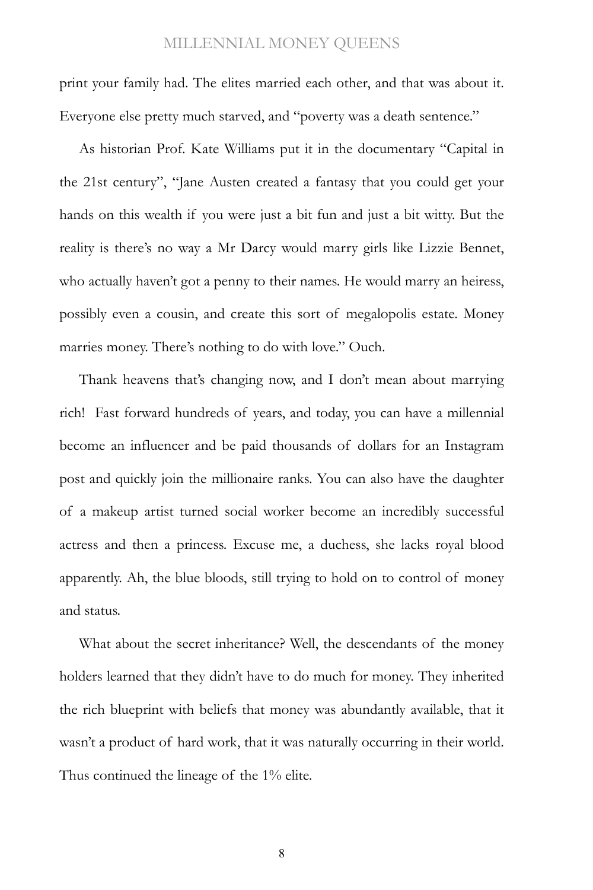print your family had. The elites married each other, and that was about it. Everyone else pretty much starved, and "poverty was a death sentence."

As historian Prof. Kate Williams put it in the documentary "Capital in the 21st century", "Jane Austen created a fantasy that you could get your hands on this wealth if you were just a bit fun and just a bit witty. But the reality is there's no way a Mr Darcy would marry girls like Lizzie Bennet, who actually haven't got a penny to their names. He would marry an heiress, possibly even a cousin, and create this sort of megalopolis estate. Money marries money. There's nothing to do with love." Ouch.

Thank heavens that's changing now, and I don't mean about marrying rich! Fast forward hundreds of years, and today, you can have a millennial become an influencer and be paid thousands of dollars for an Instagram post and quickly join the millionaire ranks. You can also have the daughter of a makeup artist turned social worker become an incredibly successful actress and then a princess. Excuse me, a duchess, she lacks royal blood apparently. Ah, the blue bloods, still trying to hold on to control of money and status.

What about the secret inheritance? Well, the descendants of the money holders learned that they didn't have to do much for money. They inherited the rich blueprint with beliefs that money was abundantly available, that it wasn't a product of hard work, that it was naturally occurring in their world. Thus continued the lineage of the 1% elite.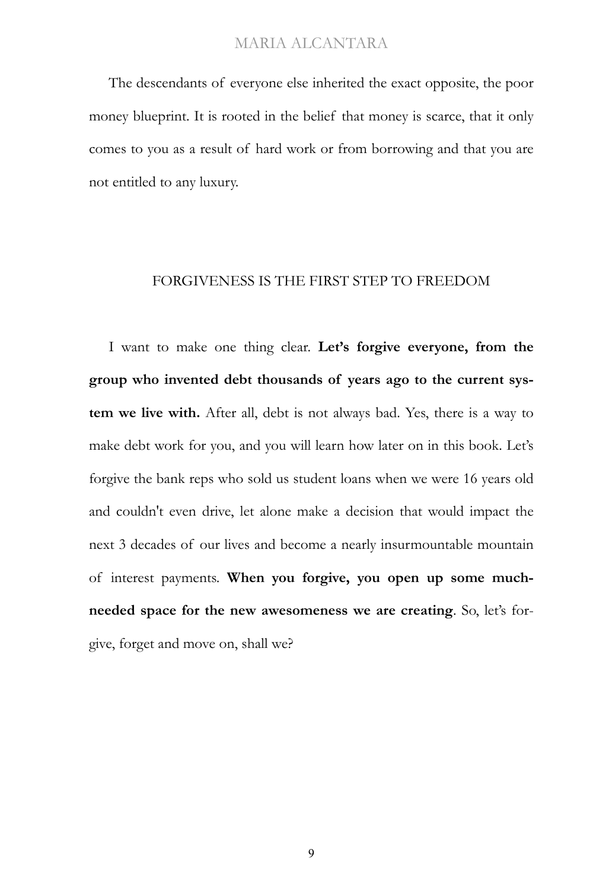The descendants of everyone else inherited the exact opposite, the poor money blueprint. It is rooted in the belief that money is scarce, that it only comes to you as a result of hard work or from borrowing and that you are not entitled to any luxury.

#### FORGIVENESS IS THE FIRST STEP TO FREEDOM

I want to make one thing clear. **Let's forgive everyone, from the group who invented debt thousands of years ago to the current system we live with.** After all, debt is not always bad. Yes, there is a way to make debt work for you, and you will learn how later on in this book. Let's forgive the bank reps who sold us student loans when we were 16 years old and couldn't even drive, let alone make a decision that would impact the next 3 decades of our lives and become a nearly insurmountable mountain of interest payments. **When you forgive, you open up some muchneeded space for the new awesomeness we are creating**. So, let's forgive, forget and move on, shall we?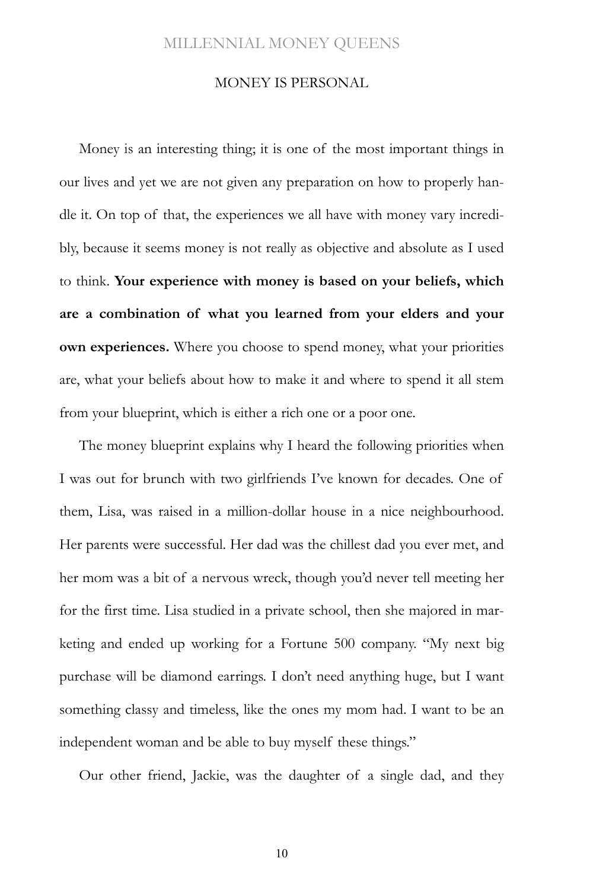#### MONEY IS PERSONAL

Money is an interesting thing; it is one of the most important things in our lives and yet we are not given any preparation on how to properly handle it. On top of that, the experiences we all have with money vary incredibly, because it seems money is not really as objective and absolute as I used to think. **Your experience with money is based on your beliefs, which are a combination of what you learned from your elders and your own experiences.** Where you choose to spend money, what your priorities are, what your beliefs about how to make it and where to spend it all stem from your blueprint, which is either a rich one or a poor one.

The money blueprint explains why I heard the following priorities when I was out for brunch with two girlfriends I've known for decades. One of them, Lisa, was raised in a million-dollar house in a nice neighbourhood. Her parents were successful. Her dad was the chillest dad you ever met, and her mom was a bit of a nervous wreck, though you'd never tell meeting her for the first time. Lisa studied in a private school, then she majored in marketing and ended up working for a Fortune 500 company. "My next big purchase will be diamond earrings. I don't need anything huge, but I want something classy and timeless, like the ones my mom had. I want to be an independent woman and be able to buy myself these things."

Our other friend, Jackie, was the daughter of a single dad, and they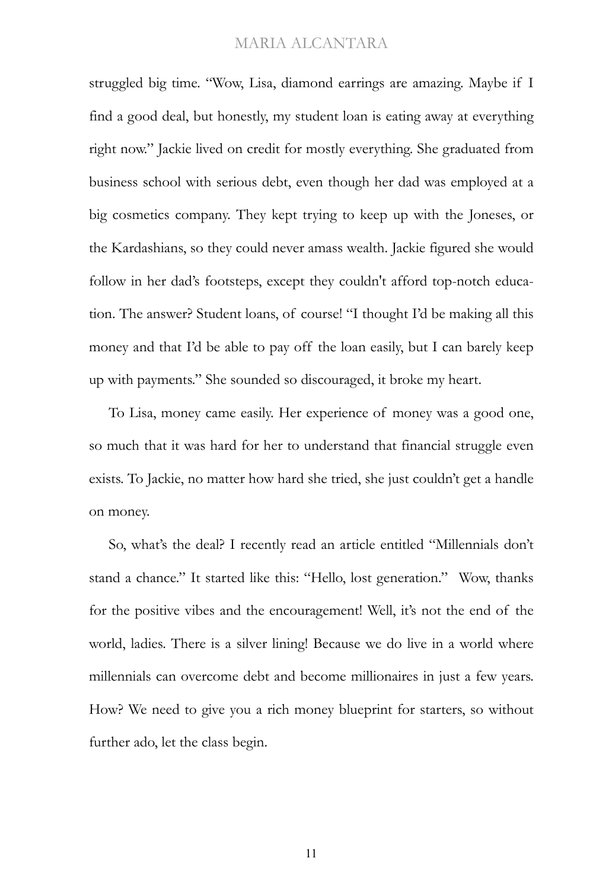struggled big time. "Wow, Lisa, diamond earrings are amazing. Maybe if I find a good deal, but honestly, my student loan is eating away at everything right now." Jackie lived on credit for mostly everything. She graduated from business school with serious debt, even though her dad was employed at a big cosmetics company. They kept trying to keep up with the Joneses, or the Kardashians, so they could never amass wealth. Jackie figured she would follow in her dad's footsteps, except they couldn't afford top-notch education. The answer? Student loans, of course! "I thought I'd be making all this money and that I'd be able to pay off the loan easily, but I can barely keep up with payments." She sounded so discouraged, it broke my heart.

To Lisa, money came easily. Her experience of money was a good one, so much that it was hard for her to understand that financial struggle even exists. To Jackie, no matter how hard she tried, she just couldn't get a handle on money.

So, what's the deal? I recently read an article entitled "Millennials don't stand a chance." It started like this: "Hello, lost generation." Wow, thanks for the positive vibes and the encouragement! Well, it's not the end of the world, ladies. There is a silver lining! Because we do live in a world where millennials can overcome debt and become millionaires in just a few years. How? We need to give you a rich money blueprint for starters, so without further ado, let the class begin.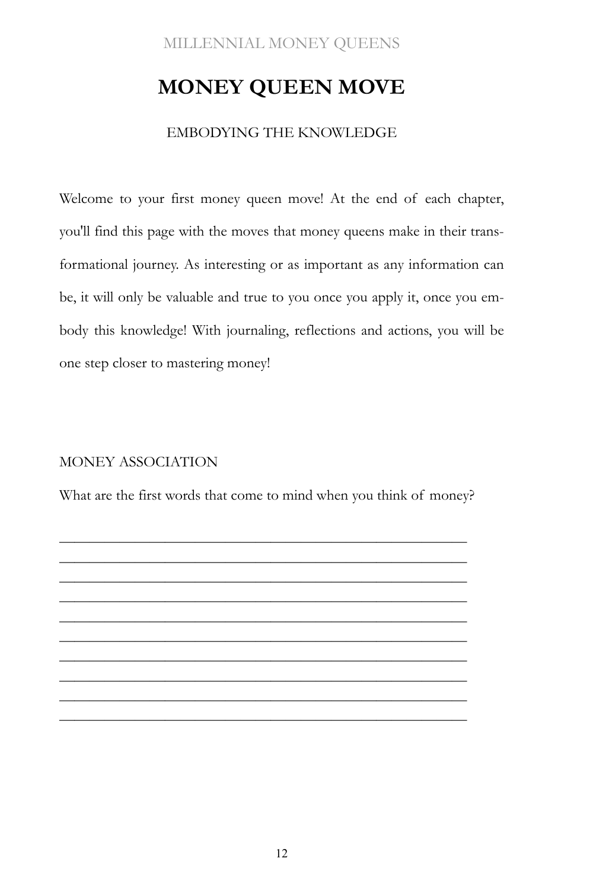# **MONEY QUEEN MOVE**

#### EMBODYING THE KNOWLEDGE

Welcome to your first money queen move! At the end of each chapter, you'll find this page with the moves that money queens make in their transformational journey. As interesting or as important as any information can be, it will only be valuable and true to you once you apply it, once you embody this knowledge! With journaling, reflections and actions, you will be one step closer to mastering money!

#### MONEY ASSOCIATION

What are the first words that come to mind when you think of money?

———————————————————————————  $\frac{1}{\sqrt{2}}$  , and the contract of the contract of the contract of the contract of the contract of the contract of the contract of the contract of the contract of the contract of the contract of the contract of the contra ——————————————————————————— ———————————————————————————  $\frac{1}{\sqrt{2}}$  , and the contract of the contract of the contract of the contract of the contract of the contract of the contract of the contract of the contract of the contract of the contract of the contract of the contra ———————————————————————————  $\frac{1}{\sqrt{2}}$  , and the contract of the contract of the contract of the contract of the contract of the contract of the contract of the contract of the contract of the contract of the contract of the contract of the contra ——————————————————————————— ———————————————————————————  $\frac{1}{\sqrt{2}}$  , and the contract of the contract of the contract of the contract of the contract of the contract of the contract of the contract of the contract of the contract of the contract of the contract of the contra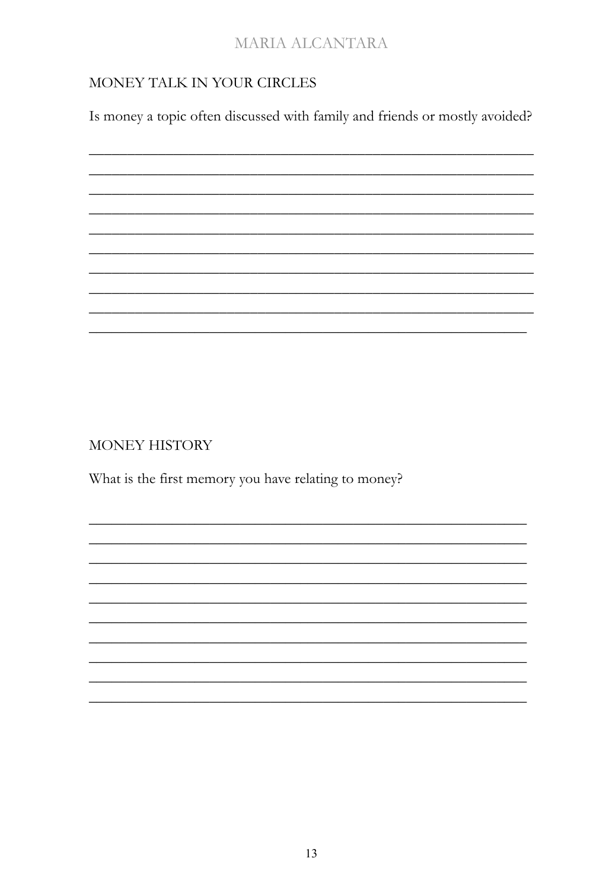#### MONEY TALK IN YOUR CIRCLES

Is money a topic often discussed with family and friends or mostly avoided?



MONEY HISTORY

What is the first memory you have relating to money?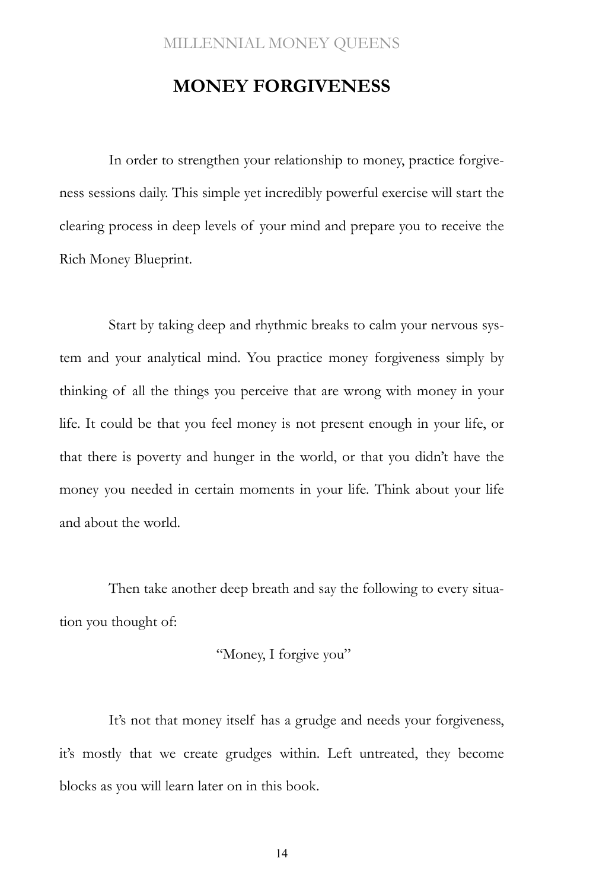### **MONEY FORGIVENESS**

In order to strengthen your relationship to money, practice forgiveness sessions daily. This simple yet incredibly powerful exercise will start the clearing process in deep levels of your mind and prepare you to receive the Rich Money Blueprint.

Start by taking deep and rhythmic breaks to calm your nervous system and your analytical mind. You practice money forgiveness simply by thinking of all the things you perceive that are wrong with money in your life. It could be that you feel money is not present enough in your life, or that there is poverty and hunger in the world, or that you didn't have the money you needed in certain moments in your life. Think about your life and about the world.

Then take another deep breath and say the following to every situation you thought of:

"Money, I forgive you"

It's not that money itself has a grudge and needs your forgiveness, it's mostly that we create grudges within. Left untreated, they become blocks as you will learn later on in this book.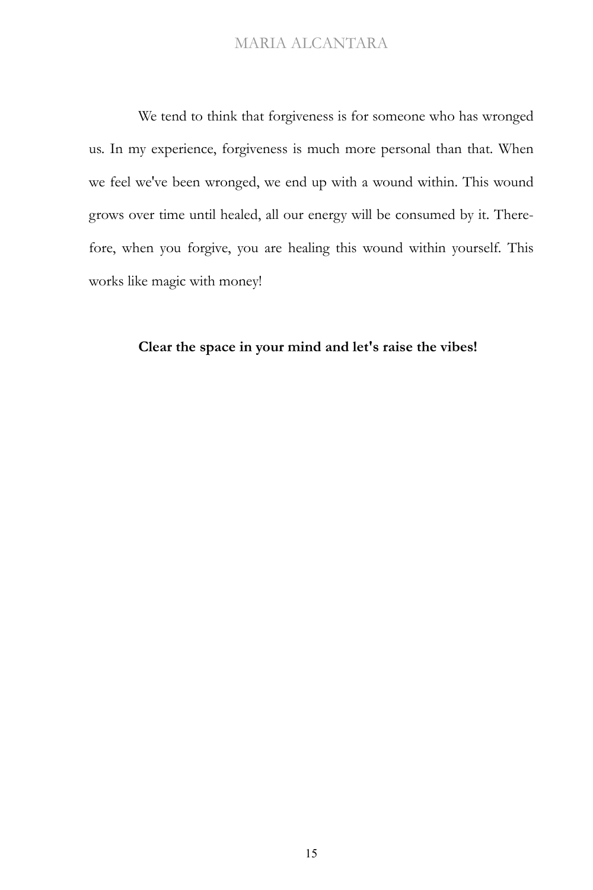We tend to think that forgiveness is for someone who has wronged us. In my experience, forgiveness is much more personal than that. When we feel we've been wronged, we end up with a wound within. This wound grows over time until healed, all our energy will be consumed by it. Therefore, when you forgive, you are healing this wound within yourself. This works like magic with money!

#### **Clear the space in your mind and let's raise the vibes!**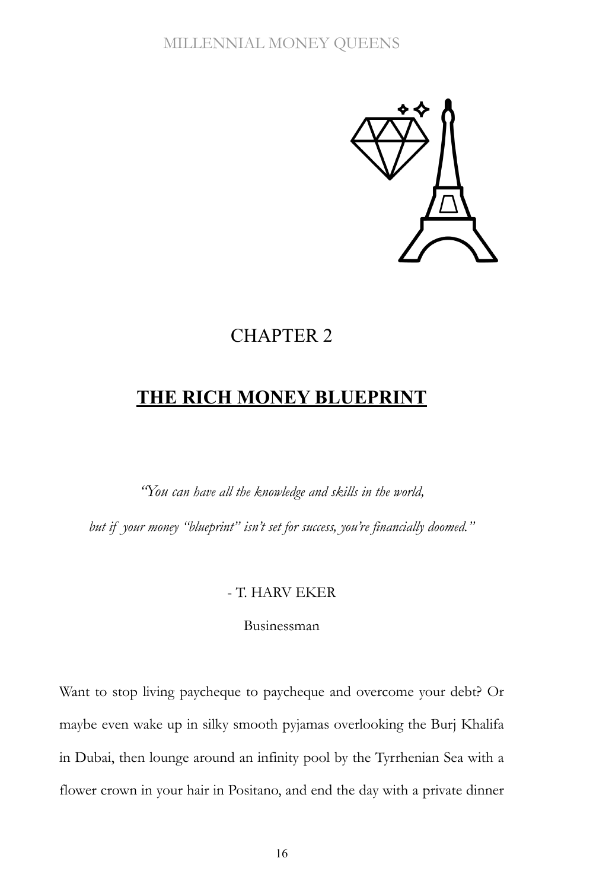

## CHAPTER 2

# **THE RICH MONEY BLUEPRINT**

*"You can have all the knowledge and skills in the world,*

*but if your money "blueprint" isn't set for success, you're financially doomed."*

#### - T. HARV EKER

Businessman

Want to stop living paycheque to paycheque and overcome your debt? Or maybe even wake up in silky smooth pyjamas overlooking the Burj Khalifa in Dubai, then lounge around an infinity pool by the Tyrrhenian Sea with a flower crown in your hair in Positano, and end the day with a private dinner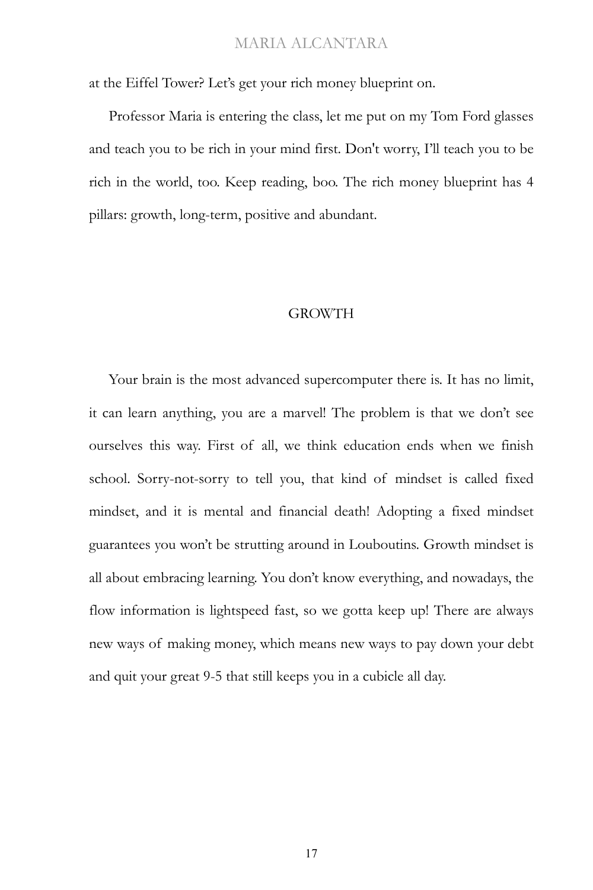at the Eiffel Tower? Let's get your rich money blueprint on.

Professor Maria is entering the class, let me put on my Tom Ford glasses and teach you to be rich in your mind first. Don't worry, I'll teach you to be rich in the world, too. Keep reading, boo. The rich money blueprint has 4 pillars: growth, long-term, positive and abundant.

#### GROWTH

Your brain is the most advanced supercomputer there is. It has no limit, it can learn anything, you are a marvel! The problem is that we don't see ourselves this way. First of all, we think education ends when we finish school. Sorry-not-sorry to tell you, that kind of mindset is called fixed mindset, and it is mental and financial death! Adopting a fixed mindset guarantees you won't be strutting around in Louboutins. Growth mindset is all about embracing learning. You don't know everything, and nowadays, the flow information is lightspeed fast, so we gotta keep up! There are always new ways of making money, which means new ways to pay down your debt and quit your great 9-5 that still keeps you in a cubicle all day.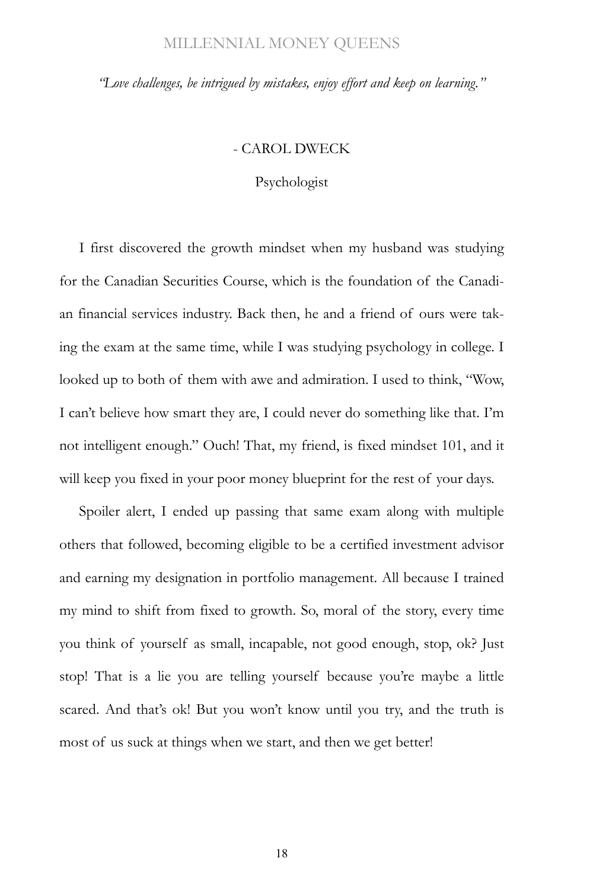*"Love challenges, be intrigued by mistakes, enjoy effort and keep on learning."*

#### - CAROL DWECK

Psychologist

I first discovered the growth mindset when my husband was studying for the Canadian Securities Course, which is the foundation of the Canadian financial services industry. Back then, he and a friend of ours were taking the exam at the same time, while I was studying psychology in college. I looked up to both of them with awe and admiration. I used to think, "Wow, I can't believe how smart they are, I could never do something like that. I'm not intelligent enough." Ouch! That, my friend, is fixed mindset 101, and it will keep you fixed in your poor money blueprint for the rest of your days.

Spoiler alert, I ended up passing that same exam along with multiple others that followed, becoming eligible to be a certified investment advisor and earning my designation in portfolio management. All because I trained my mind to shift from fixed to growth. So, moral of the story, every time you think of yourself as small, incapable, not good enough, stop, ok? Just stop! That is a lie you are telling yourself because you're maybe a little scared. And that's ok! But you won't know until you try, and the truth is most of us suck at things when we start, and then we get better!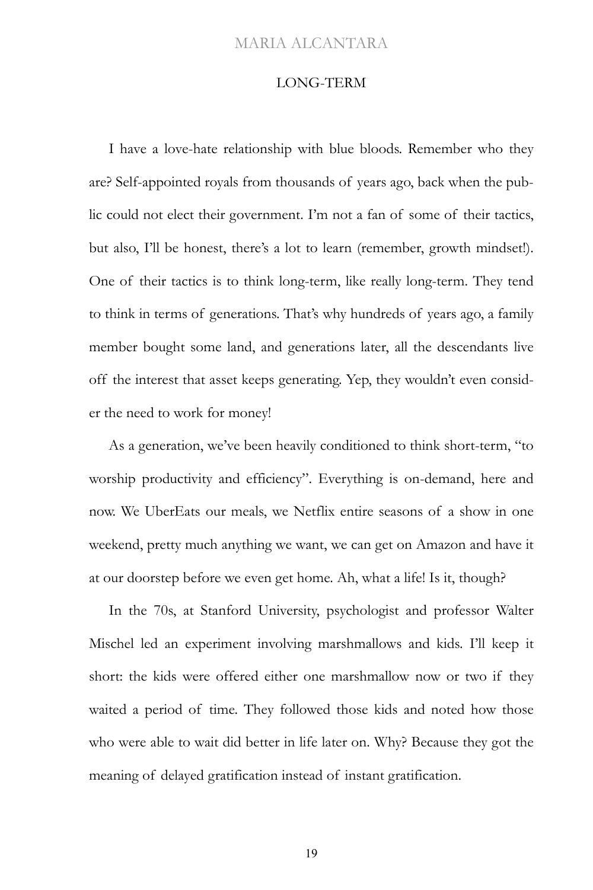#### LONG-TERM

I have a love-hate relationship with blue bloods. Remember who they are? Self-appointed royals from thousands of years ago, back when the public could not elect their government. I'm not a fan of some of their tactics, but also, I'll be honest, there's a lot to learn (remember, growth mindset!). One of their tactics is to think long-term, like really long-term. They tend to think in terms of generations. That's why hundreds of years ago, a family member bought some land, and generations later, all the descendants live off the interest that asset keeps generating. Yep, they wouldn't even consider the need to work for money!

As a generation, we've been heavily conditioned to think short-term, "to worship productivity and efficiency". Everything is on-demand, here and now. We UberEats our meals, we Netflix entire seasons of a show in one weekend, pretty much anything we want, we can get on Amazon and have it at our doorstep before we even get home. Ah, what a life! Is it, though?

In the 70s, at Stanford University, psychologist and professor Walter Mischel led an experiment involving marshmallows and kids. I'll keep it short: the kids were offered either one marshmallow now or two if they waited a period of time. They followed those kids and noted how those who were able to wait did better in life later on. Why? Because they got the meaning of delayed gratification instead of instant gratification.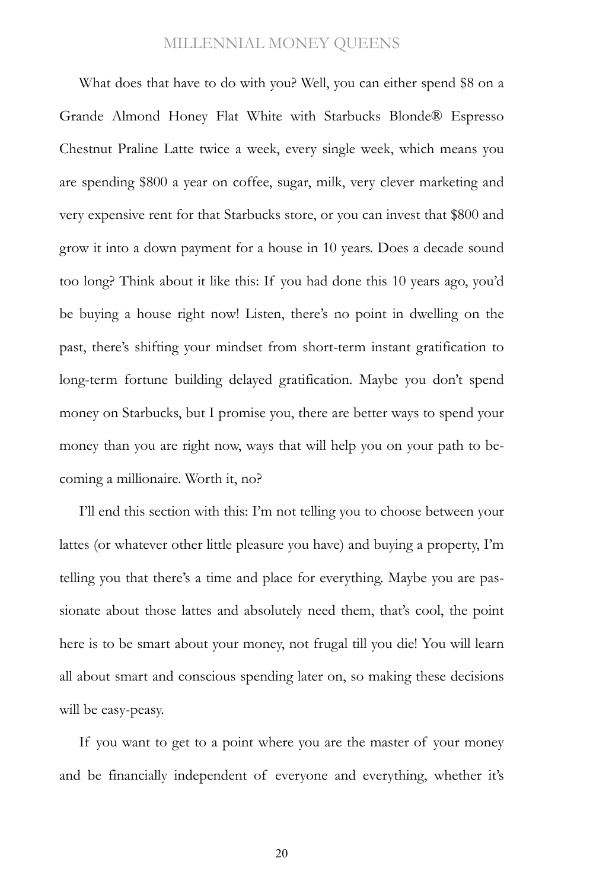What does that have to do with you? Well, you can either spend \$8 on a Grande Almond Honey Flat White with Starbucks Blonde® Espresso Chestnut Praline Latte twice a week, every single week, which means you are spending \$800 a year on coffee, sugar, milk, very clever marketing and very expensive rent for that Starbucks store, or you can invest that \$800 and grow it into a down payment for a house in 10 years. Does a decade sound too long? Think about it like this: If you had done this 10 years ago, you'd be buying a house right now! Listen, there's no point in dwelling on the past, there's shifting your mindset from short-term instant gratification to long-term fortune building delayed gratification. Maybe you don't spend money on Starbucks, but I promise you, there are better ways to spend your money than you are right now, ways that will help you on your path to becoming a millionaire. Worth it, no?

I'll end this section with this: I'm not telling you to choose between your lattes (or whatever other little pleasure you have) and buying a property, I'm telling you that there's a time and place for everything. Maybe you are passionate about those lattes and absolutely need them, that's cool, the point here is to be smart about your money, not frugal till you die! You will learn all about smart and conscious spending later on, so making these decisions will be easy-peasy.

If you want to get to a point where you are the master of your money and be financially independent of everyone and everything, whether it's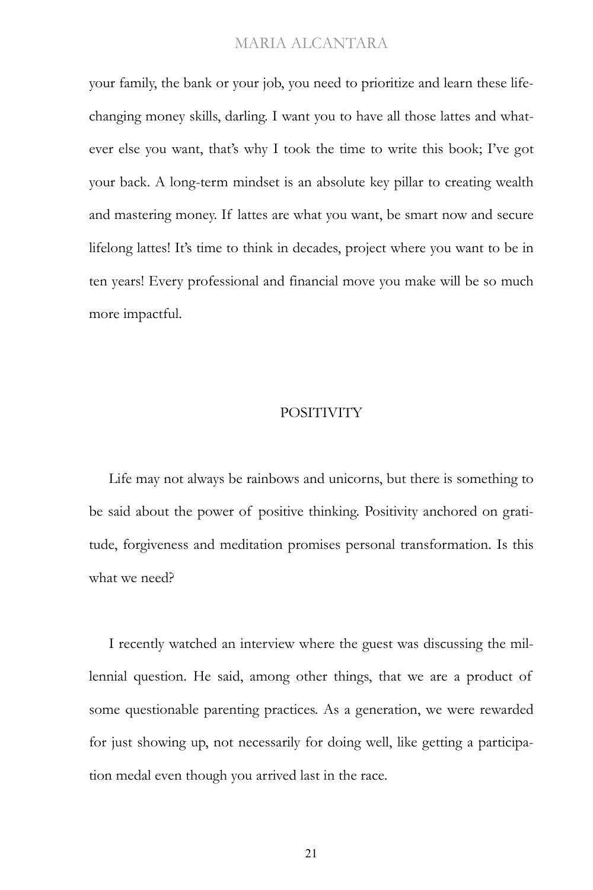your family, the bank or your job, you need to prioritize and learn these lifechanging money skills, darling. I want you to have all those lattes and whatever else you want, that's why I took the time to write this book; I've got your back. A long-term mindset is an absolute key pillar to creating wealth and mastering money. If lattes are what you want, be smart now and secure lifelong lattes! It's time to think in decades, project where you want to be in ten years! Every professional and financial move you make will be so much more impactful.

#### **POSITIVITY**

Life may not always be rainbows and unicorns, but there is something to be said about the power of positive thinking. Positivity anchored on gratitude, forgiveness and meditation promises personal transformation. Is this what we need?

I recently watched an interview where the guest was discussing the millennial question. He said, among other things, that we are a product of some questionable parenting practices. As a generation, we were rewarded for just showing up, not necessarily for doing well, like getting a participation medal even though you arrived last in the race.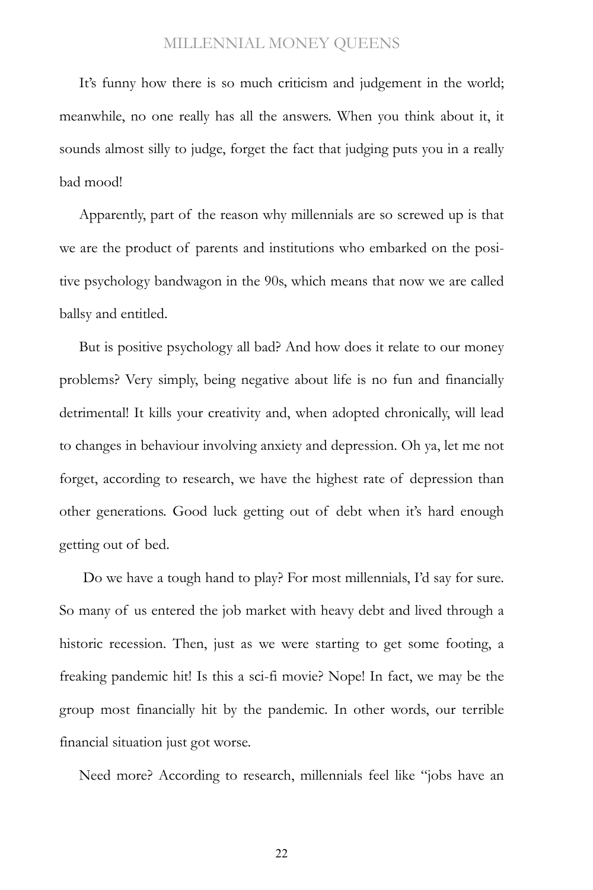It's funny how there is so much criticism and judgement in the world; meanwhile, no one really has all the answers. When you think about it, it sounds almost silly to judge, forget the fact that judging puts you in a really bad mood!

Apparently, part of the reason why millennials are so screwed up is that we are the product of parents and institutions who embarked on the positive psychology bandwagon in the 90s, which means that now we are called ballsy and entitled.

But is positive psychology all bad? And how does it relate to our money problems? Very simply, being negative about life is no fun and financially detrimental! It kills your creativity and, when adopted chronically, will lead to changes in behaviour involving anxiety and depression. Oh ya, let me not forget, according to research, we have the highest rate of depression than other generations. Good luck getting out of debt when it's hard enough getting out of bed.

Do we have a tough hand to play? For most millennials, I'd say for sure. So many of us entered the job market with heavy debt and lived through a historic recession. Then, just as we were starting to get some footing, a freaking pandemic hit! Is this a sci-fi movie? Nope! In fact, we may be the group most financially hit by the pandemic. In other words, our terrible financial situation just got worse.

Need more? According to research, millennials feel like "jobs have an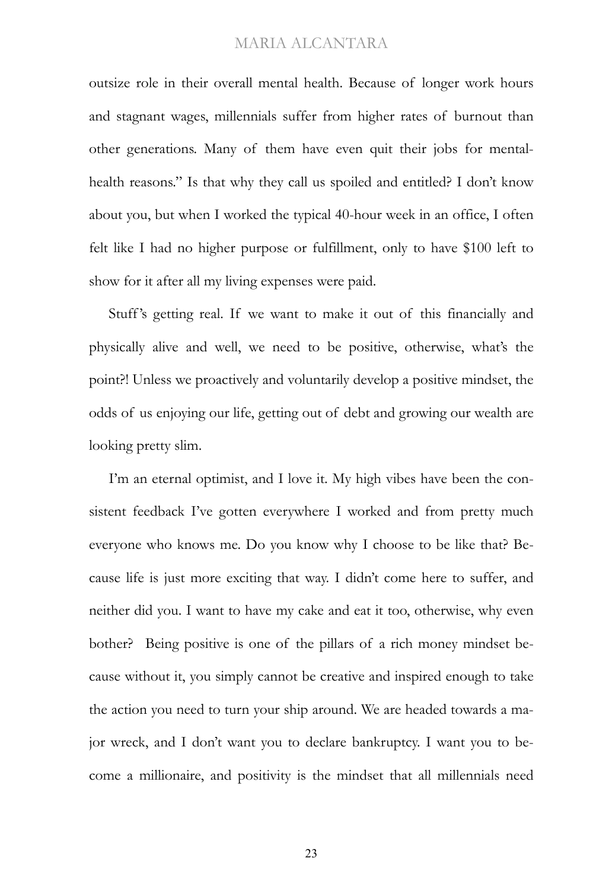outsize role in their overall mental health. Because of [longer work hours](https://www.businessinsider.com/american-work-habits-culture-change-2019-3)  and [stagnant wages,](https://www.businessinsider.com/charts-why-us-economy-feels-bad-2019-8) millennials suffer from higher rates of burnout than other generations. Many of them have even quit their jobs for mentalhealth reasons." Is that why they call us spoiled and entitled? I don't know about you, but when I worked the typical 40-hour week in an office, I often felt like I had no higher purpose or fulfillment, only to have \$100 left to show for it after all my living expenses were paid.

Stuff's getting real. If we want to make it out of this financially and physically alive and well, we need to be positive, otherwise, what's the point?! Unless we proactively and voluntarily develop a positive mindset, the odds of us enjoying our life, getting out of debt and growing our wealth are looking pretty slim.

I'm an eternal optimist, and I love it. My high vibes have been the consistent feedback I've gotten everywhere I worked and from pretty much everyone who knows me. Do you know why I choose to be like that? Because life is just more exciting that way. I didn't come here to suffer, and neither did you. I want to have my cake and eat it too, otherwise, why even bother? Being positive is one of the pillars of a rich money mindset because without it, you simply cannot be creative and inspired enough to take the action you need to turn your ship around. We are headed towards a major wreck, and I don't want you to declare bankruptcy. I want you to become a millionaire, and positivity is the mindset that all millennials need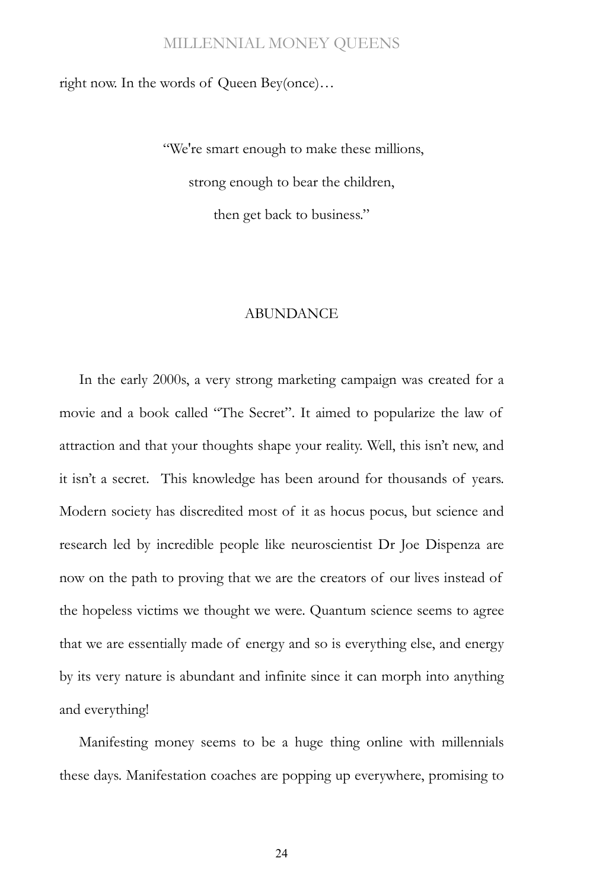right now. In the words of Queen Bey(once)…

"We're smart enough to make these millions, strong enough to bear the children, then get back to business."

#### ABUNDANCE

In the early 2000s, a very strong marketing campaign was created for a movie and a book called "The Secret". It aimed to popularize the law of attraction and that your thoughts shape your reality. Well, this isn't new, and it isn't a secret. This knowledge has been around for thousands of years. Modern society has discredited most of it as hocus pocus, but science and research led by incredible people like neuroscientist Dr Joe Dispenza are now on the path to proving that we are the creators of our lives instead of the hopeless victims we thought we were. Quantum science seems to agree that we are essentially made of energy and so is everything else, and energy by its very nature is abundant and infinite since it can morph into anything and everything!

Manifesting money seems to be a huge thing online with millennials these days. Manifestation coaches are popping up everywhere, promising to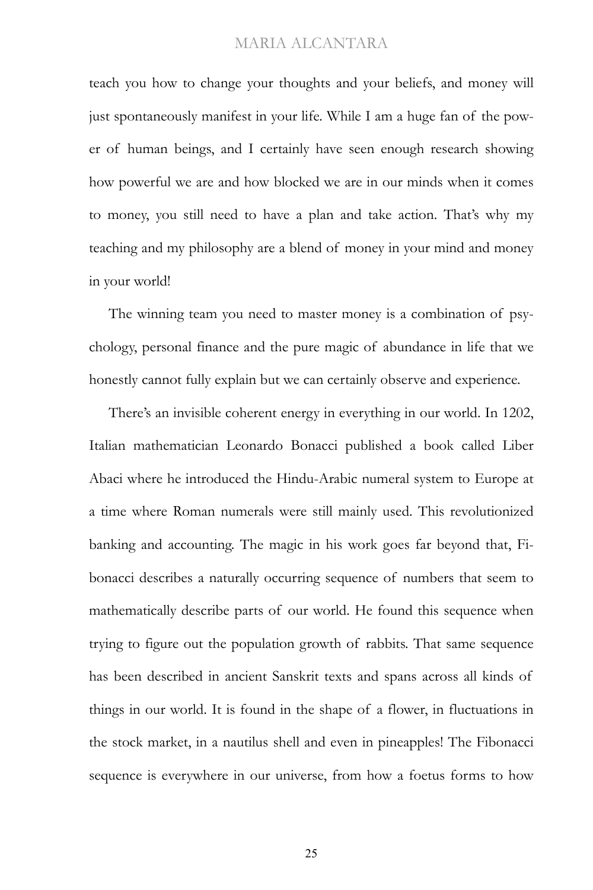teach you how to change your thoughts and your beliefs, and money will just spontaneously manifest in your life. While I am a huge fan of the power of human beings, and I certainly have seen enough research showing how powerful we are and how blocked we are in our minds when it comes to money, you still need to have a plan and take action. That's why my teaching and my philosophy are a blend of money in your mind and money in your world!

The winning team you need to master money is a combination of psychology, personal finance and the pure magic of abundance in life that we honestly cannot fully explain but we can certainly observe and experience.

There's an invisible coherent energy in everything in our world. In 1202, Italian mathematician Leonardo Bonacci published a book called Liber Abaci where he introduced the Hindu-Arabic numeral system to Europe at a time where Roman numerals were still mainly used. This revolutionized banking and accounting. The magic in his work goes far beyond that, Fibonacci describes a naturally occurring sequence of numbers that seem to mathematically describe parts of our world. He found this sequence when trying to figure out the population growth of rabbits. That same sequence has been described in ancient Sanskrit texts and spans across all kinds of things in our world. It is found in the shape of a flower, in fluctuations in the stock market, in a nautilus shell and even in pineapples! The Fibonacci sequence is everywhere in our universe, from how a foetus forms to how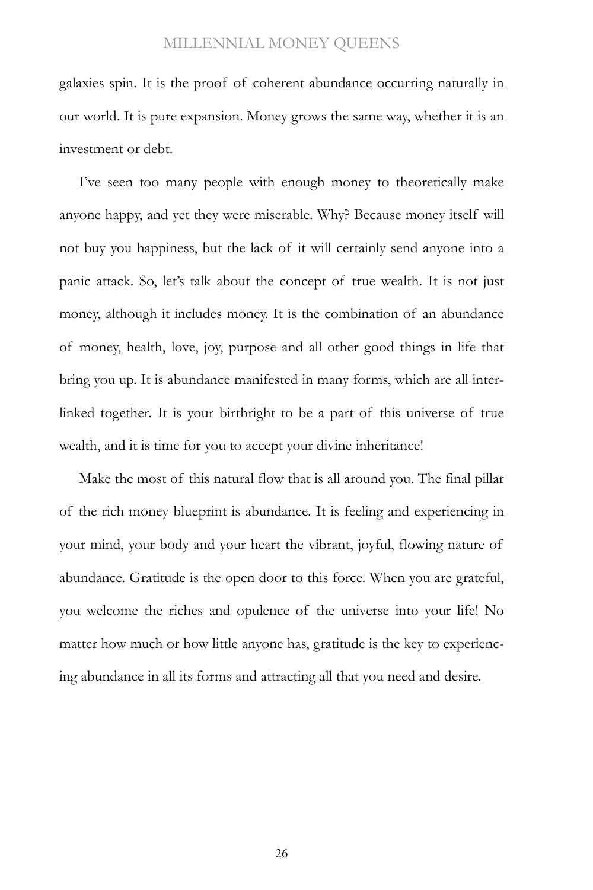galaxies spin. It is the proof of coherent abundance occurring naturally in our world. It is pure expansion. Money grows the same way, whether it is an investment or debt.

I've seen too many people with enough money to theoretically make anyone happy, and yet they were miserable. Why? Because money itself will not buy you happiness, but the lack of it will certainly send anyone into a panic attack. So, let's talk about the concept of true wealth. It is not just money, although it includes money. It is the combination of an abundance of money, health, love, joy, purpose and all other good things in life that bring you up. It is abundance manifested in many forms, which are all interlinked together. It is your birthright to be a part of this universe of true wealth, and it is time for you to accept your divine inheritance!

Make the most of this natural flow that is all around you. The final pillar of the rich money blueprint is abundance. It is feeling and experiencing in your mind, your body and your heart the vibrant, joyful, flowing nature of abundance. Gratitude is the open door to this force. When you are grateful, you welcome the riches and opulence of the universe into your life! No matter how much or how little anyone has, gratitude is the key to experiencing abundance in all its forms and attracting all that you need and desire.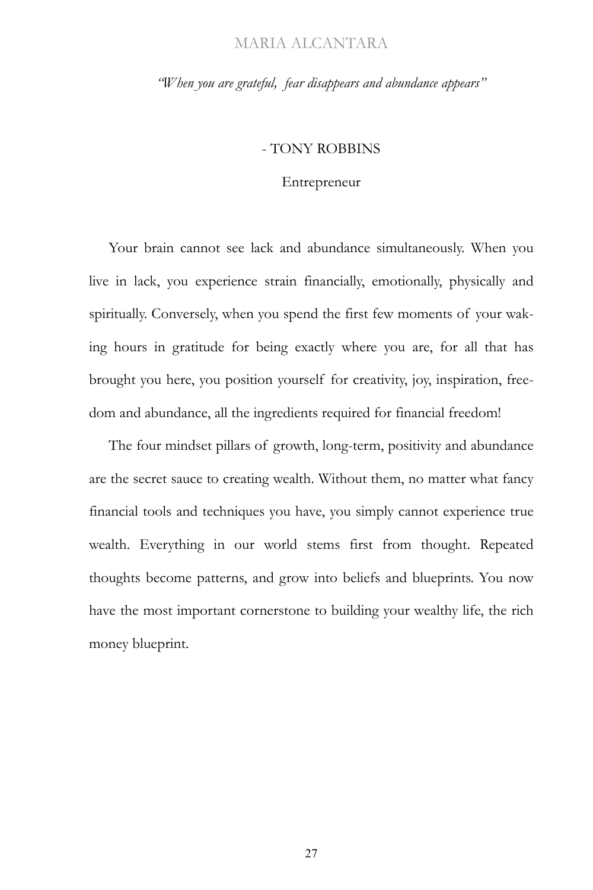*"When you are grateful, fear disappears and abundance appears"*

#### - TONY ROBBINS

#### Entrepreneur

Your brain cannot see lack and abundance simultaneously. When you live in lack, you experience strain financially, emotionally, physically and spiritually. Conversely, when you spend the first few moments of your waking hours in gratitude for being exactly where you are, for all that has brought you here, you position yourself for creativity, joy, inspiration, freedom and abundance, all the ingredients required for financial freedom!

The four mindset pillars of growth, long-term, positivity and abundance are the secret sauce to creating wealth. Without them, no matter what fancy financial tools and techniques you have, you simply cannot experience true wealth. Everything in our world stems first from thought. Repeated thoughts become patterns, and grow into beliefs and blueprints. You now have the most important cornerstone to building your wealthy life, the rich money blueprint.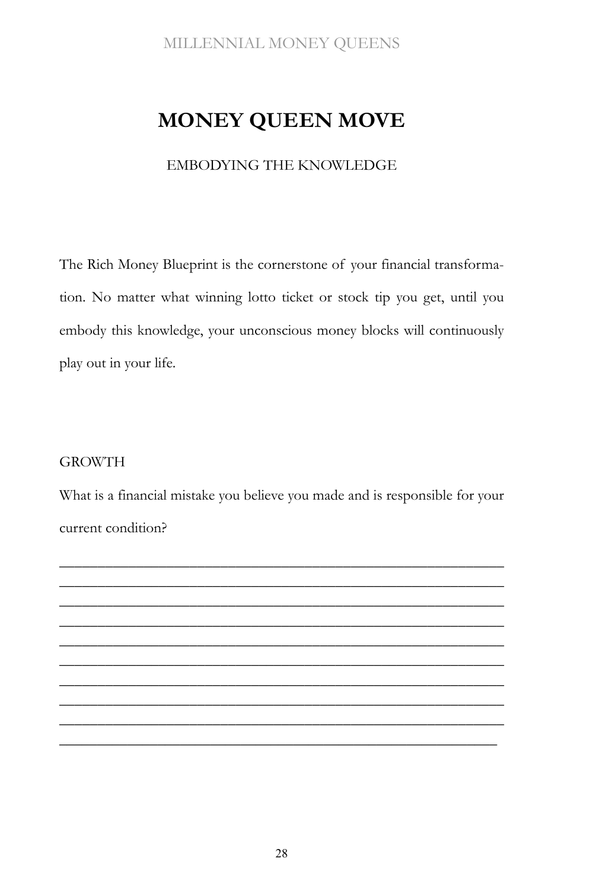## **MONEY QUEEN MOVE**

### EMBODYING THE KNOWLEDGE

The Rich Money Blueprint is the cornerstone of your financial transformation. No matter what winning lotto ticket or stock tip you get, until you embody this knowledge, your unconscious money blocks will continuously play out in your life.

### GROWTH

What is a financial mistake you believe you made and is responsible for your current condition?

\_\_\_\_\_\_\_\_\_\_\_\_\_\_\_\_\_\_\_\_\_\_\_\_\_\_\_\_\_\_\_\_\_\_\_\_\_\_\_\_\_\_\_\_\_\_\_\_\_\_\_\_\_\_\_\_\_\_ \_\_\_\_\_\_\_\_\_\_\_\_\_\_\_\_\_\_\_\_\_\_\_\_\_\_\_\_\_\_\_\_\_\_\_\_\_\_\_\_\_\_\_\_\_\_\_\_\_\_\_\_\_\_\_\_\_\_ \_\_\_\_\_\_\_\_\_\_\_\_\_\_\_\_\_\_\_\_\_\_\_\_\_\_\_\_\_\_\_\_\_\_\_\_\_\_\_\_\_\_\_\_\_\_\_\_\_\_\_\_\_\_\_\_\_\_ \_\_\_\_\_\_\_\_\_\_\_\_\_\_\_\_\_\_\_\_\_\_\_\_\_\_\_\_\_\_\_\_\_\_\_\_\_\_\_\_\_\_\_\_\_\_\_\_\_\_\_\_\_\_\_\_\_\_ \_\_\_\_\_\_\_\_\_\_\_\_\_\_\_\_\_\_\_\_\_\_\_\_\_\_\_\_\_\_\_\_\_\_\_\_\_\_\_\_\_\_\_\_\_\_\_\_\_\_\_\_\_\_\_\_\_\_ \_\_\_\_\_\_\_\_\_\_\_\_\_\_\_\_\_\_\_\_\_\_\_\_\_\_\_\_\_\_\_\_\_\_\_\_\_\_\_\_\_\_\_\_\_\_\_\_\_\_\_\_\_\_\_\_\_\_ \_\_\_\_\_\_\_\_\_\_\_\_\_\_\_\_\_\_\_\_\_\_\_\_\_\_\_\_\_\_\_\_\_\_\_\_\_\_\_\_\_\_\_\_\_\_\_\_\_\_\_\_\_\_\_\_\_\_ \_\_\_\_\_\_\_\_\_\_\_\_\_\_\_\_\_\_\_\_\_\_\_\_\_\_\_\_\_\_\_\_\_\_\_\_\_\_\_\_\_\_\_\_\_\_\_\_\_\_\_\_\_\_\_\_\_\_ \_\_\_\_\_\_\_\_\_\_\_\_\_\_\_\_\_\_\_\_\_\_\_\_\_\_\_\_\_\_\_\_\_\_\_\_\_\_\_\_\_\_\_\_\_\_\_\_\_\_\_\_\_\_\_\_\_\_ \_\_\_\_\_\_\_\_\_\_\_\_\_\_\_\_\_\_\_\_\_\_\_\_\_\_\_\_\_\_\_\_\_\_\_\_\_\_\_\_\_\_\_\_\_\_\_\_\_\_\_\_\_\_\_\_\_\_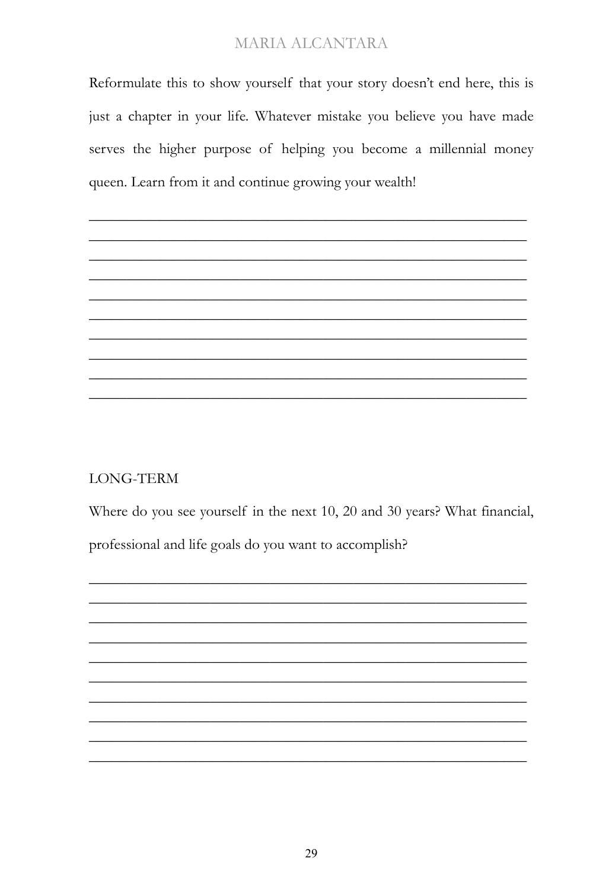Reformulate this to show yourself that your story doesn't end here, this is just a chapter in your life. Whatever mistake you believe you have made serves the higher purpose of helping you become a millennial money queen. Learn from it and continue growing your wealth!

**LONG-TERM** 

Where do you see yourself in the next 10, 20 and 30 years? What financial, professional and life goals do you want to accomplish?

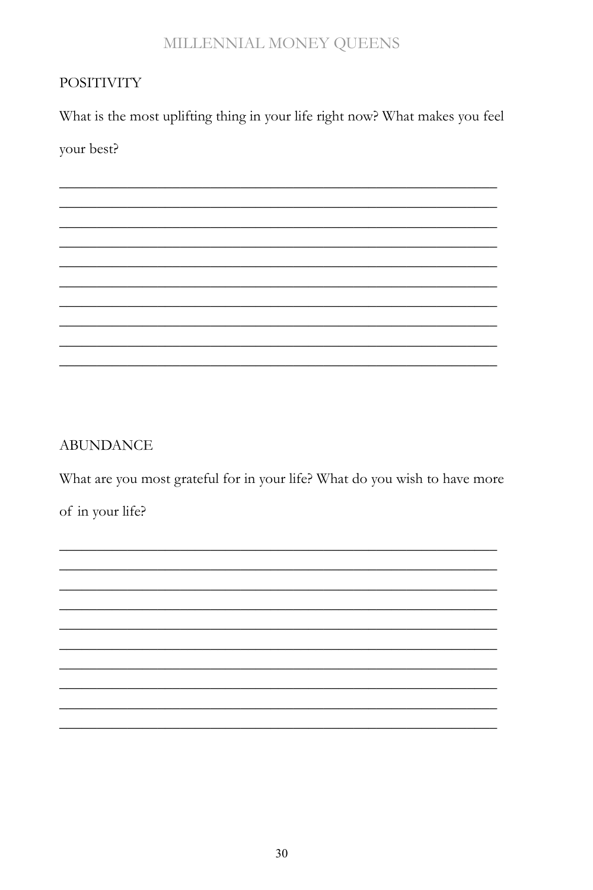### **POSITIVITY**

What is the most uplifting thing in your life right now? What makes you feel

your best?

### **ABUNDANCE**

What are you most grateful for in your life? What do you wish to have more

of in your life?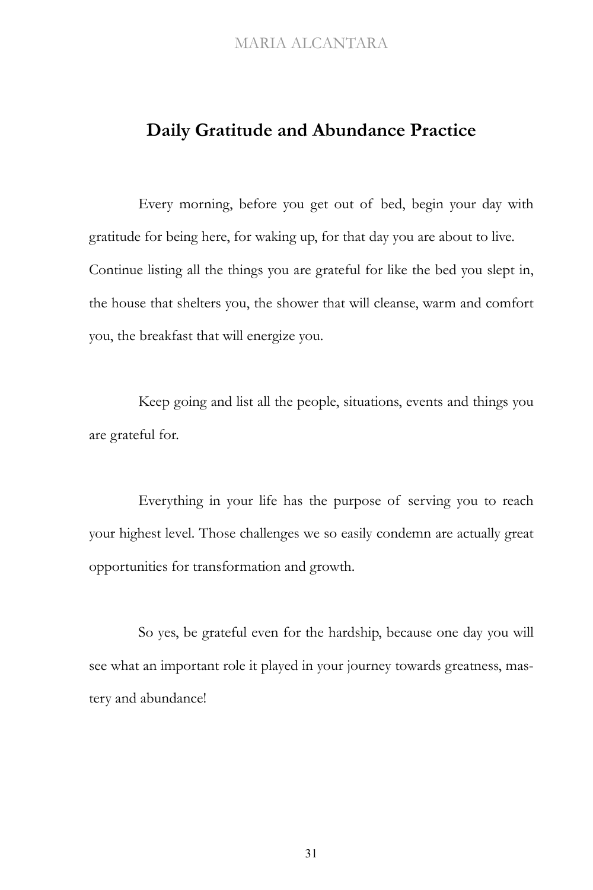### **Daily Gratitude and Abundance Practice**

Every morning, before you get out of bed, begin your day with gratitude for being here, for waking up, for that day you are about to live. Continue listing all the things you are grateful for like the bed you slept in, the house that shelters you, the shower that will cleanse, warm and comfort you, the breakfast that will energize you.

Keep going and list all the people, situations, events and things you are grateful for.

Everything in your life has the purpose of serving you to reach your highest level. Those challenges we so easily condemn are actually great opportunities for transformation and growth.

So yes, be grateful even for the hardship, because one day you will see what an important role it played in your journey towards greatness, mastery and abundance!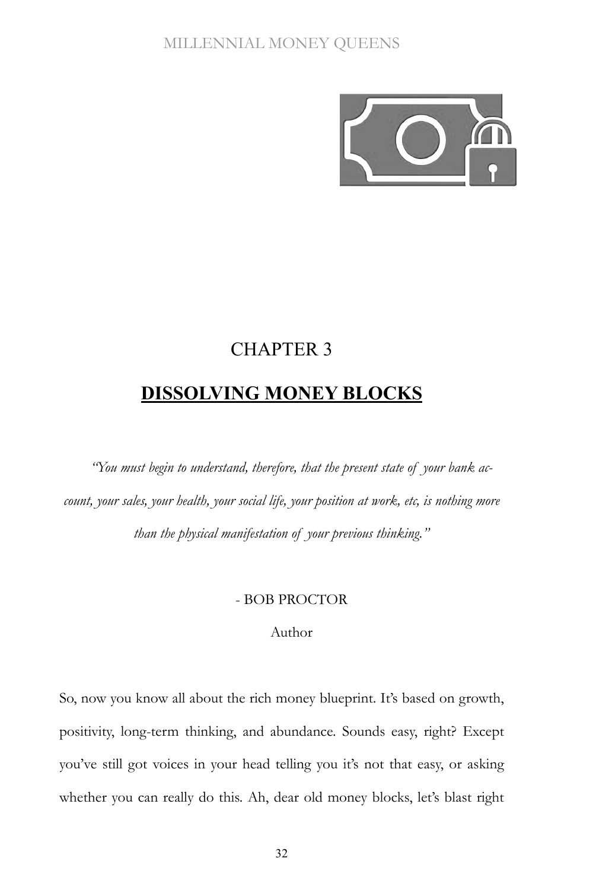

# CHAPTER 3 **DISSOLVING MONEY BLOCKS**

*"You must begin to understand, therefore, that the present state of your bank account, your sales, your health, your social life, your position at work, etc, is nothing more than the physical manifestation of your previous thinking."*

#### - BOB PROCTOR

### Author

So, now you know all about the rich money blueprint. It's based on growth, positivity, long-term thinking, and abundance. Sounds easy, right? Except you've still got voices in your head telling you it's not that easy, or asking whether you can really do this. Ah, dear old money blocks, let's blast right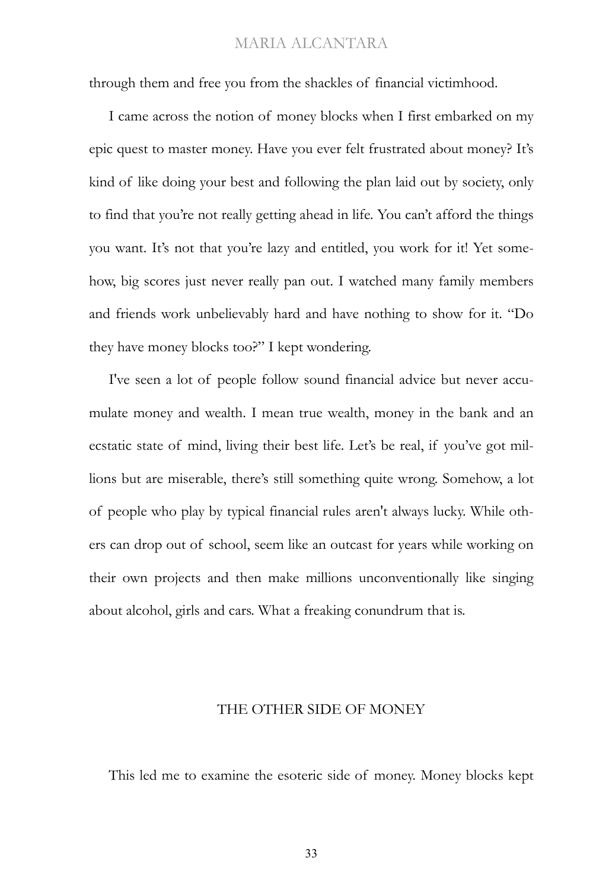through them and free you from the shackles of financial victimhood.

I came across the notion of money blocks when I first embarked on my epic quest to master money. Have you ever felt frustrated about money? It's kind of like doing your best and following the plan laid out by society, only to find that you're not really getting ahead in life. You can't afford the things you want. It's not that you're lazy and entitled, you work for it! Yet somehow, big scores just never really pan out. I watched many family members and friends work unbelievably hard and have nothing to show for it. "Do they have money blocks too?" I kept wondering.

I've seen a lot of people follow sound financial advice but never accumulate money and wealth. I mean true wealth, money in the bank and an ecstatic state of mind, living their best life. Let's be real, if you've got millions but are miserable, there's still something quite wrong. Somehow, a lot of people who play by typical financial rules aren't always lucky. While others can drop out of school, seem like an outcast for years while working on their own projects and then make millions unconventionally like singing about alcohol, girls and cars. What a freaking conundrum that is.

### THE OTHER SIDE OF MONEY

This led me to examine the esoteric side of money. Money blocks kept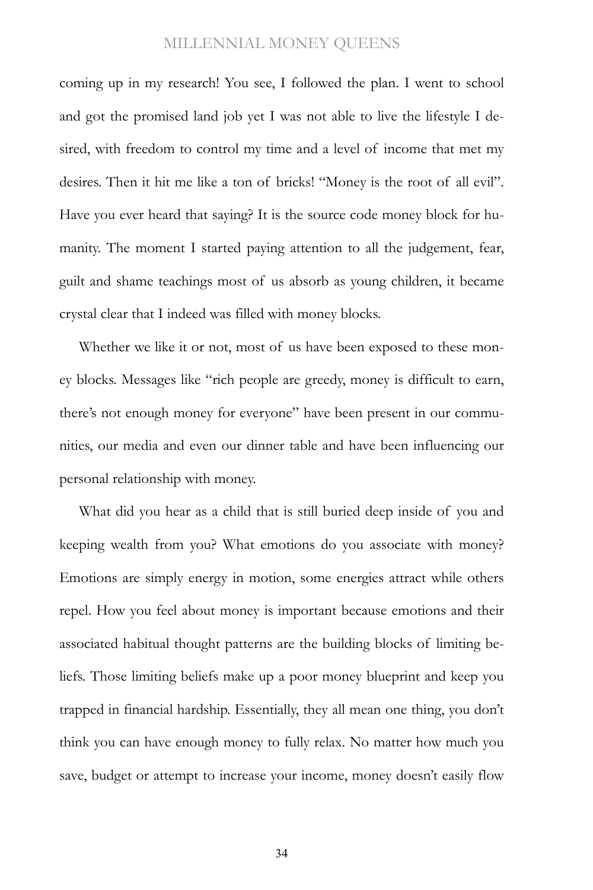coming up in my research! You see, I followed the plan. I went to school and got the promised land job yet I was not able to live the lifestyle I desired, with freedom to control my time and a level of income that met my desires. Then it hit me like a ton of bricks! "Money is the root of all evil". Have you ever heard that saying? It is the source code money block for humanity. The moment I started paying attention to all the judgement, fear, guilt and shame teachings most of us absorb as young children, it became crystal clear that I indeed was filled with money blocks.

Whether we like it or not, most of us have been exposed to these money blocks. Messages like "rich people are greedy, money is difficult to earn, there's not enough money for everyone" have been present in our communities, our media and even our dinner table and have been influencing our personal relationship with money.

What did you hear as a child that is still buried deep inside of you and keeping wealth from you? What emotions do you associate with money? Emotions are simply energy in motion, some energies attract while others repel. How you feel about money is important because emotions and their associated habitual thought patterns are the building blocks of limiting beliefs. Those limiting beliefs make up a poor money blueprint and keep you trapped in financial hardship. Essentially, they all mean one thing, you don't think you can have enough money to fully relax. No matter how much you save, budget or attempt to increase your income, money doesn't easily flow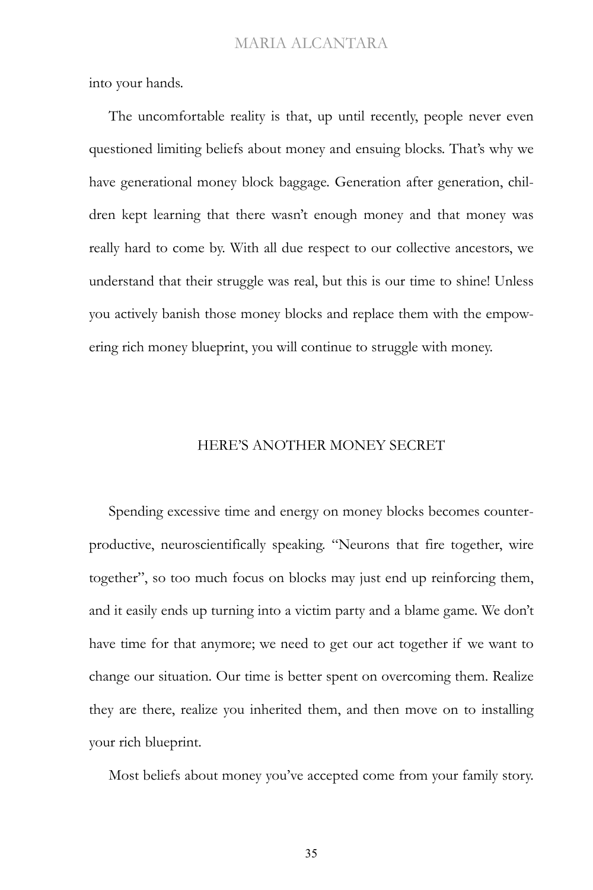into your hands.

The uncomfortable reality is that, up until recently, people never even questioned limiting beliefs about money and ensuing blocks. That's why we have generational money block baggage. Generation after generation, children kept learning that there wasn't enough money and that money was really hard to come by. With all due respect to our collective ancestors, we understand that their struggle was real, but this is our time to shine! Unless you actively banish those money blocks and replace them with the empowering rich money blueprint, you will continue to struggle with money.

#### HERE'S ANOTHER MONEY SECRET

Spending excessive time and energy on money blocks becomes counterproductive, neuroscientifically speaking. "Neurons that fire together, wire together", so too much focus on blocks may just end up reinforcing them, and it easily ends up turning into a victim party and a blame game. We don't have time for that anymore; we need to get our act together if we want to change our situation. Our time is better spent on overcoming them. Realize they are there, realize you inherited them, and then move on to installing your rich blueprint.

Most beliefs about money you've accepted come from your family story.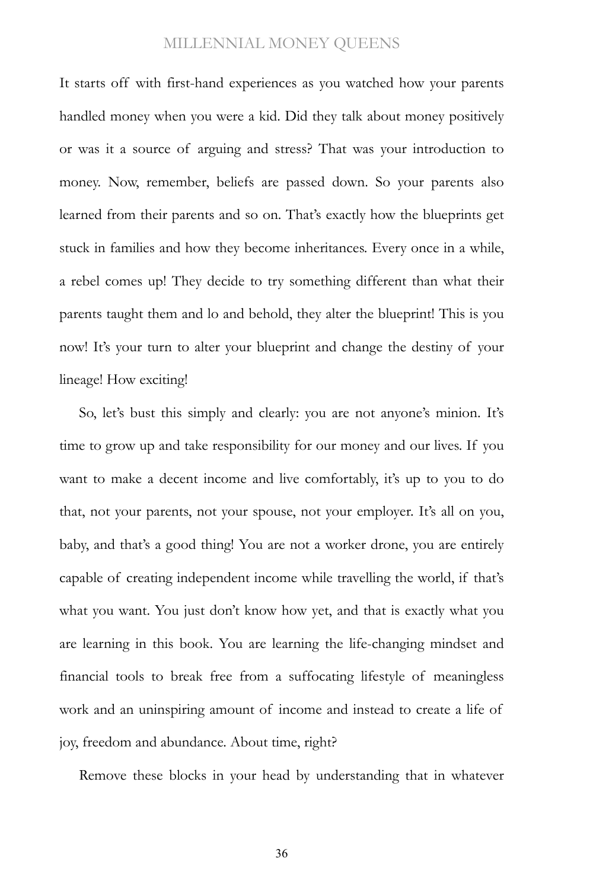It starts off with first-hand experiences as you watched how your parents handled money when you were a kid. Did they talk about money positively or was it a source of arguing and stress? That was your introduction to money. Now, remember, beliefs are passed down. So your parents also learned from their parents and so on. That's exactly how the blueprints get stuck in families and how they become inheritances. Every once in a while, a rebel comes up! They decide to try something different than what their parents taught them and lo and behold, they alter the blueprint! This is you now! It's your turn to alter your blueprint and change the destiny of your lineage! How exciting!

So, let's bust this simply and clearly: you are not anyone's minion. It's time to grow up and take responsibility for our money and our lives. If you want to make a decent income and live comfortably, it's up to you to do that, not your parents, not your spouse, not your employer. It's all on you, baby, and that's a good thing! You are not a worker drone, you are entirely capable of creating independent income while travelling the world, if that's what you want. You just don't know how yet, and that is exactly what you are learning in this book. You are learning the life-changing mindset and financial tools to break free from a suffocating lifestyle of meaningless work and an uninspiring amount of income and instead to create a life of joy, freedom and abundance. About time, right?

Remove these blocks in your head by understanding that in whatever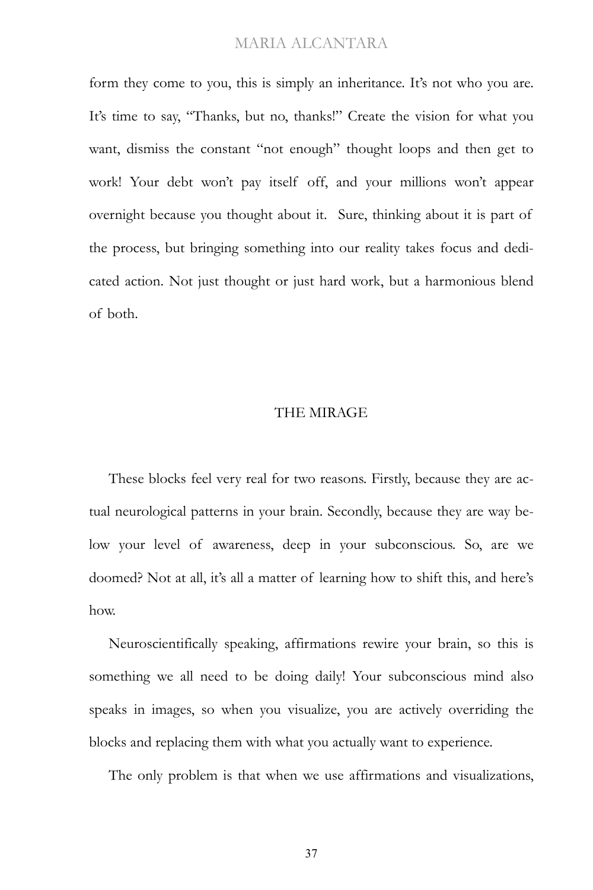form they come to you, this is simply an inheritance. It's not who you are. It's time to say, "Thanks, but no, thanks!" Create the vision for what you want, dismiss the constant "not enough" thought loops and then get to work! Your debt won't pay itself off, and your millions won't appear overnight because you thought about it. Sure, thinking about it is part of the process, but bringing something into our reality takes focus and dedicated action. Not just thought or just hard work, but a harmonious blend of both.

#### THE MIRAGE

These blocks feel very real for two reasons. Firstly, because they are actual neurological patterns in your brain. Secondly, because they are way below your level of awareness, deep in your subconscious. So, are we doomed? Not at all, it's all a matter of learning how to shift this, and here's how.

Neuroscientifically speaking, affirmations rewire your brain, so this is something we all need to be doing daily! Your subconscious mind also speaks in images, so when you visualize, you are actively overriding the blocks and replacing them with what you actually want to experience.

The only problem is that when we use affirmations and visualizations,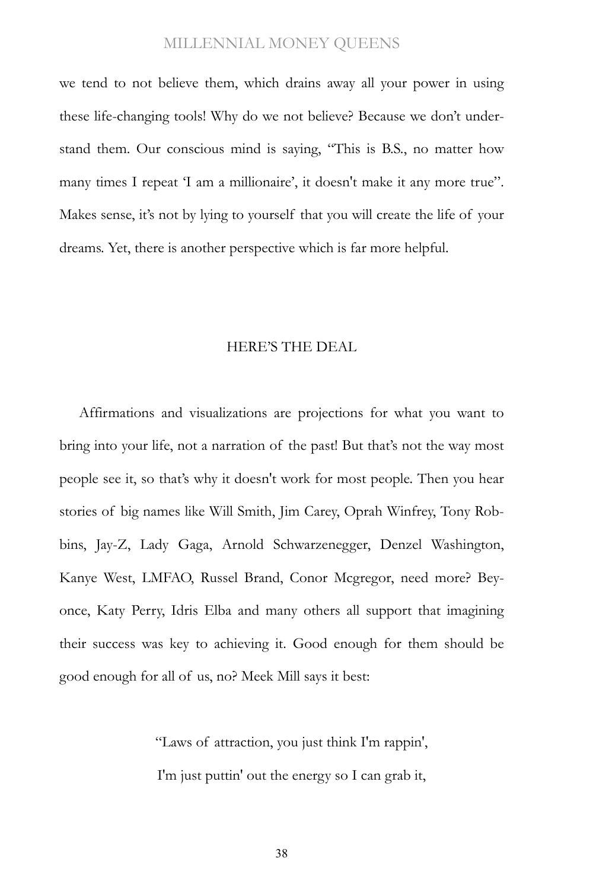we tend to not believe them, which drains away all your power in using these life-changing tools! Why do we not believe? Because we don't understand them. Our conscious mind is saying, "This is B.S., no matter how many times I repeat 'I am a millionaire', it doesn't make it any more true". Makes sense, it's not by lying to yourself that you will create the life of your dreams. Yet, there is another perspective which is far more helpful.

#### HERE'S THE DEAL

Affirmations and visualizations are projections for what you want to bring into your life, not a narration of the past! But that's not the way most people see it, so that's why it doesn't work for most people. Then you hear stories of big names like Will Smith, Jim Carey, Oprah Winfrey, Tony Robbins, Jay-Z, Lady Gaga, Arnold Schwarzenegger, Denzel Washington, Kanye West, LMFAO, Russel Brand, Conor Mcgregor, need more? Beyonce, Katy Perry, Idris Elba and many others all support that imagining their success was key to achieving it. Good enough for them should be good enough for all of us, no? Meek Mill says it best:

> ["Laws of attraction, you just think I'm rappin',](https://genius.com/19011592/Meek-mill-believe/Laws-of-attraction-you-just-think-im-rappin-im-just-puttin-out-the-energy-so-i-can-grab-it-everything-thats-in-my-memory-that-i-imagined-its-finally-here-hundred-million-in-a-year) [I'm just puttin' out the energy so I can grab it,](https://genius.com/19011592/Meek-mill-believe/Laws-of-attraction-you-just-think-im-rappin-im-just-puttin-out-the-energy-so-i-can-grab-it-everything-thats-in-my-memory-that-i-imagined-its-finally-here-hundred-million-in-a-year)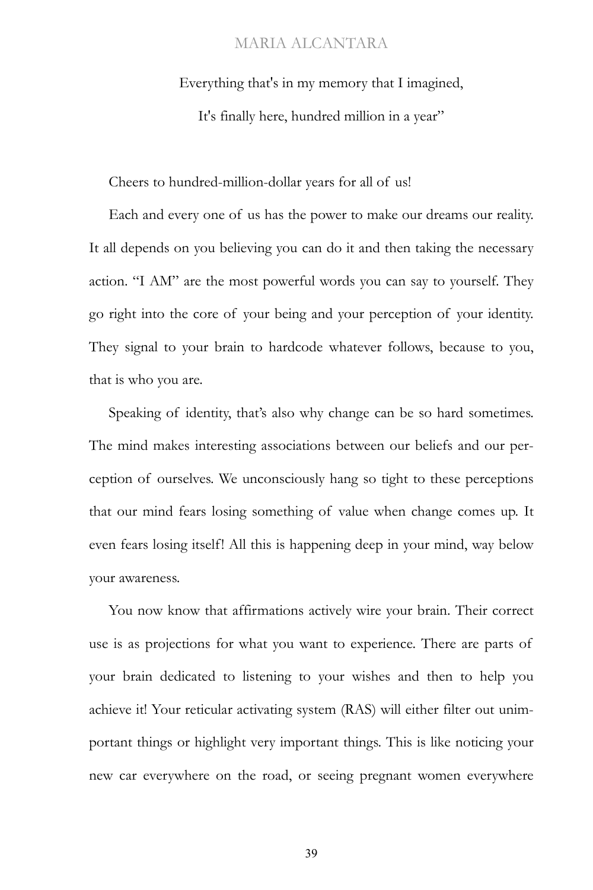[Everything that's in my memory that I imagined,](https://genius.com/19011592/Meek-mill-believe/Laws-of-attraction-you-just-think-im-rappin-im-just-puttin-out-the-energy-so-i-can-grab-it-everything-thats-in-my-memory-that-i-imagined-its-finally-here-hundred-million-in-a-year)

[It's finally here, hundred million in a year"](https://genius.com/19011592/Meek-mill-believe/Laws-of-attraction-you-just-think-im-rappin-im-just-puttin-out-the-energy-so-i-can-grab-it-everything-thats-in-my-memory-that-i-imagined-its-finally-here-hundred-million-in-a-year)

Cheers to hundred-million-dollar years for all of us!

Each and every one of us has the power to make our dreams our reality. It all depends on you believing you can do it and then taking the necessary action. "I AM" are the most powerful words you can say to yourself. They go right into the core of your being and your perception of your identity. They signal to your brain to hardcode whatever follows, because to you, that is who you are.

Speaking of identity, that's also why change can be so hard sometimes. The mind makes interesting associations between our beliefs and our perception of ourselves. We unconsciously hang so tight to these perceptions that our mind fears losing something of value when change comes up. It even fears losing itself! All this is happening deep in your mind, way below your awareness.

You now know that affirmations actively wire your brain. Their correct use is as projections for what you want to experience. There are parts of your brain dedicated to listening to your wishes and then to help you achieve it! Your reticular activating system (RAS) will either filter out unimportant things or highlight very important things. This is like noticing your new car everywhere on the road, or seeing pregnant women everywhere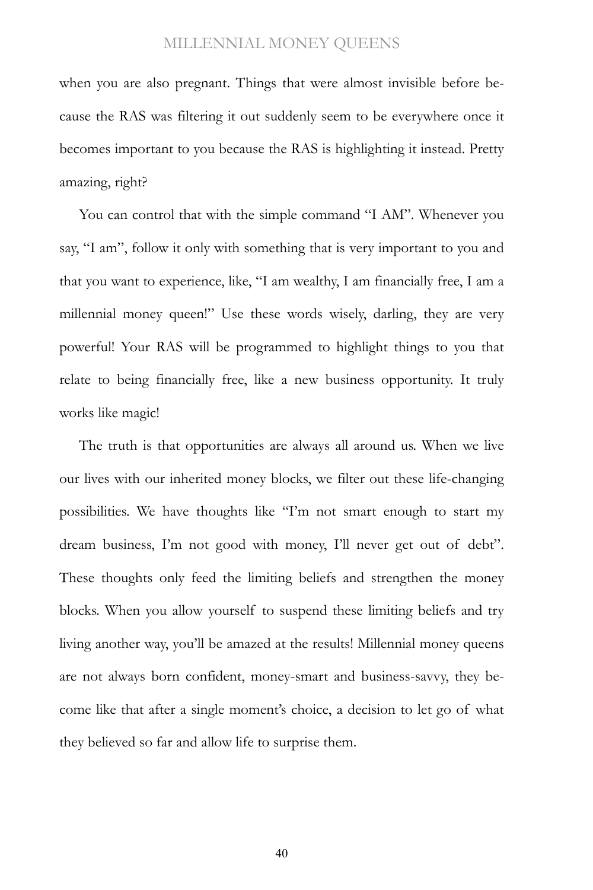when you are also pregnant. Things that were almost invisible before because the RAS was filtering it out suddenly seem to be everywhere once it becomes important to you because the RAS is highlighting it instead. Pretty amazing, right?

You can control that with the simple command "I AM". Whenever you say, "I am", follow it only with something that is very important to you and that you want to experience, like, "I am wealthy, I am financially free, I am a millennial money queen!" Use these words wisely, darling, they are very powerful! Your RAS will be programmed to highlight things to you that relate to being financially free, like a new business opportunity. It truly works like magic!

The truth is that opportunities are always all around us. When we live our lives with our inherited money blocks, we filter out these life-changing possibilities. We have thoughts like "I'm not smart enough to start my dream business, I'm not good with money, I'll never get out of debt". These thoughts only feed the limiting beliefs and strengthen the money blocks. When you allow yourself to suspend these limiting beliefs and try living another way, you'll be amazed at the results! Millennial money queens are not always born confident, money-smart and business-savvy, they become like that after a single moment's choice, a decision to let go of what they believed so far and allow life to surprise them.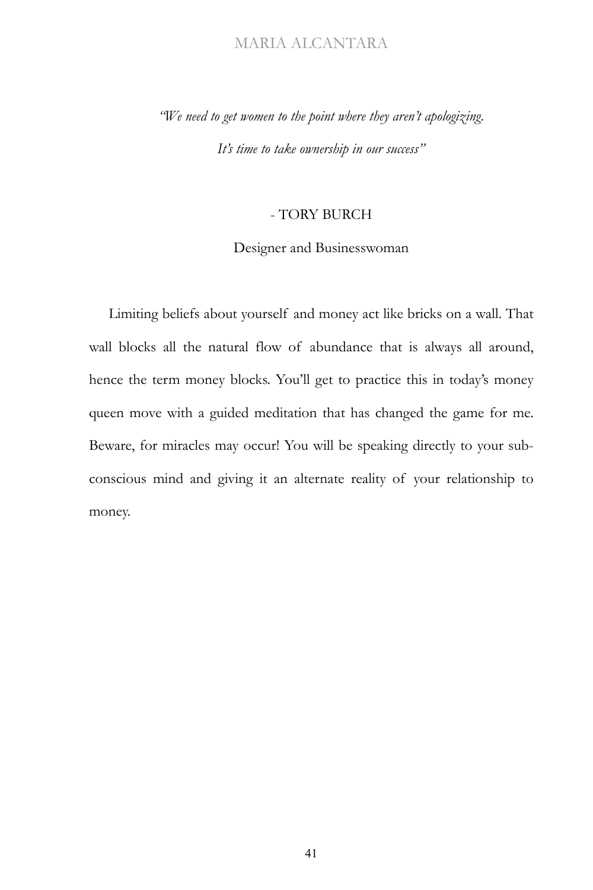*"We need to get women to the point where they aren't apologizing. It's time to take ownership in our success"*

### - TORY BURCH

### Designer and Businesswoman

Limiting beliefs about yourself and money act like bricks on a wall. That wall blocks all the natural flow of abundance that is always all around, hence the term money blocks. You'll get to practice this in today's money queen move with a guided meditation that has changed the game for me. Beware, for miracles may occur! You will be speaking directly to your subconscious mind and giving it an alternate reality of your relationship to money.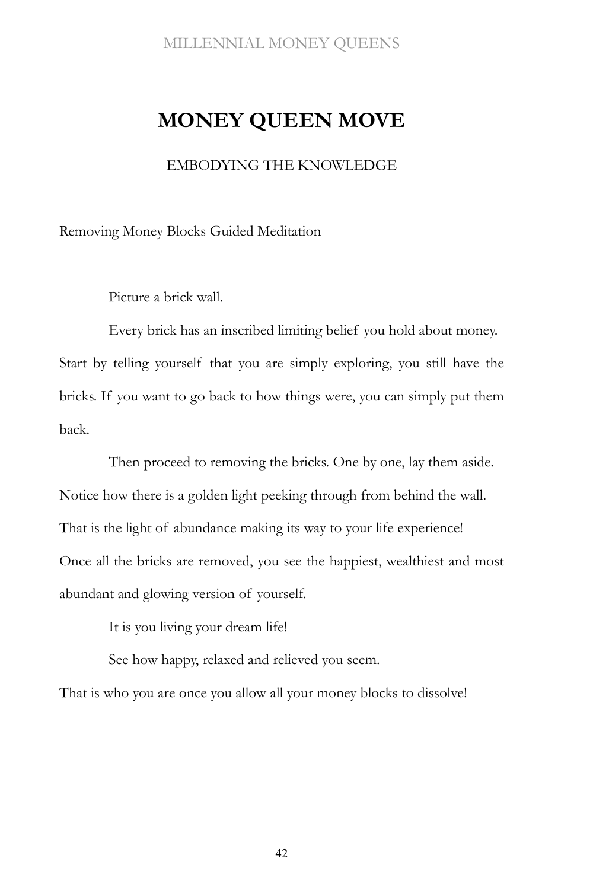## **MONEY QUEEN MOVE**

EMBODYING THE KNOWLEDGE

Removing Money Blocks Guided Meditation

Picture a brick wall.

Every brick has an inscribed limiting belief you hold about money. Start by telling yourself that you are simply exploring, you still have the bricks. If you want to go back to how things were, you can simply put them back.

Then proceed to removing the bricks. One by one, lay them aside. Notice how there is a golden light peeking through from behind the wall. That is the light of abundance making its way to your life experience! Once all the bricks are removed, you see the happiest, wealthiest and most abundant and glowing version of yourself.

It is you living your dream life!

See how happy, relaxed and relieved you seem.

That is who you are once you allow all your money blocks to dissolve!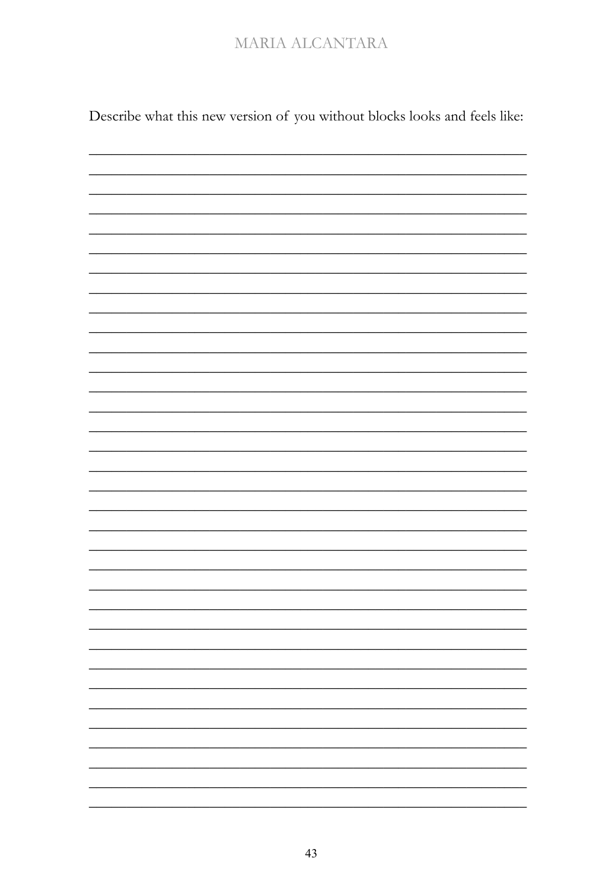Describe what this new version of you without blocks looks and feels like:

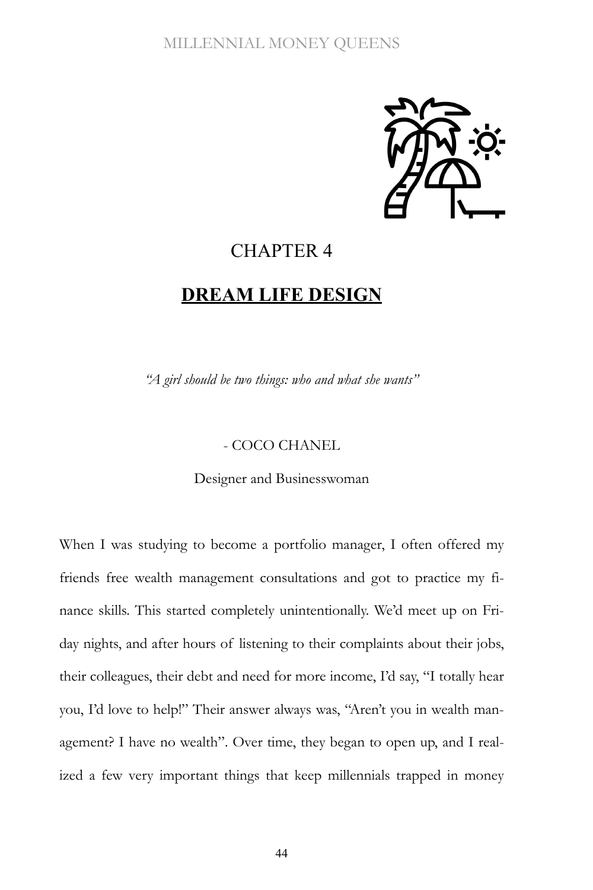

### CHAPTER 4

### **DREAM LIFE DESIGN**

*"A girl should be two things: who and what she wants"*

### - COCO CHANEL

Designer and Businesswoman

When I was studying to become a portfolio manager, I often offered my friends free wealth management consultations and got to practice my finance skills. This started completely unintentionally. We'd meet up on Friday nights, and after hours of listening to their complaints about their jobs, their colleagues, their debt and need for more income, I'd say, "I totally hear you, I'd love to help!" Their answer always was, "Aren't you in wealth management? I have no wealth". Over time, they began to open up, and I realized a few very important things that keep millennials trapped in money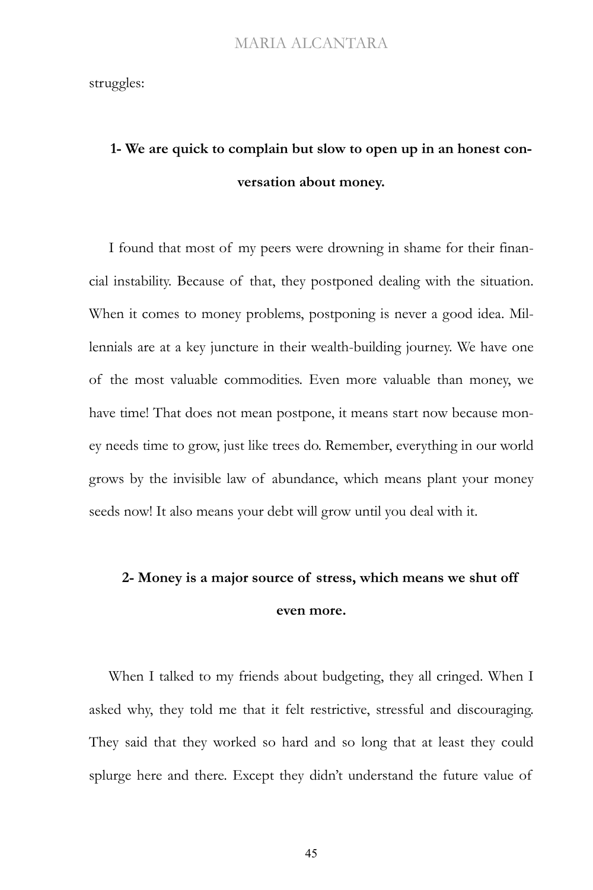struggles:

# **1- We are quick to complain but slow to open up in an honest conversation about money.**

I found that most of my peers were drowning in shame for their financial instability. Because of that, they postponed dealing with the situation. When it comes to money problems, postponing is never a good idea. Millennials are at a key juncture in their wealth-building journey. We have one of the most valuable commodities. Even more valuable than money, we have time! That does not mean postpone, it means start now because money needs time to grow, just like trees do. Remember, everything in our world grows by the invisible law of abundance, which means plant your money seeds now! It also means your debt will grow until you deal with it.

# **2- Money is a major source of stress, which means we shut off even more.**

When I talked to my friends about budgeting, they all cringed. When I asked why, they told me that it felt restrictive, stressful and discouraging. They said that they worked so hard and so long that at least they could splurge here and there. Except they didn't understand the future value of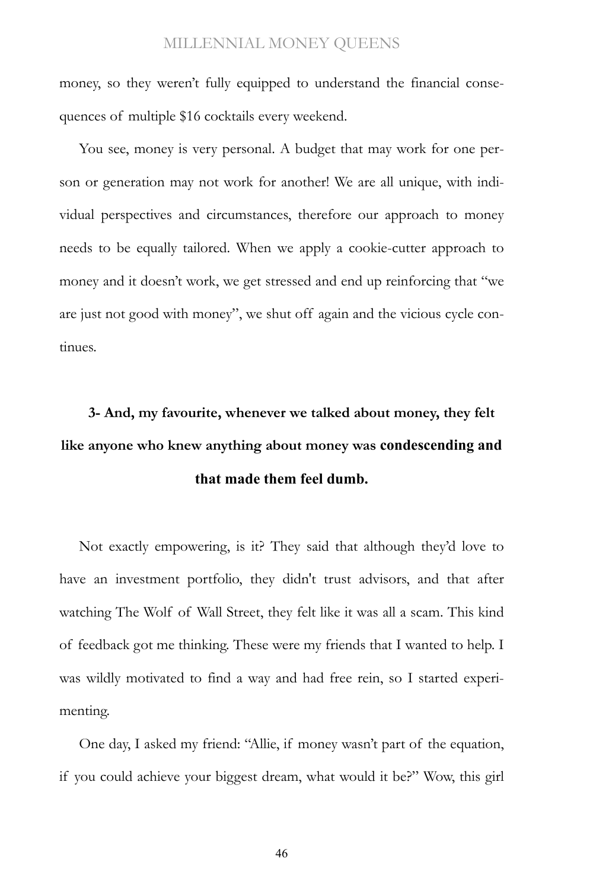money, so they weren't fully equipped to understand the financial consequences of multiple \$16 cocktails every weekend.

You see, money is very personal. A budget that may work for one person or generation may not work for another! We are all unique, with individual perspectives and circumstances, therefore our approach to money needs to be equally tailored. When we apply a cookie-cutter approach to money and it doesn't work, we get stressed and end up reinforcing that "we are just not good with money", we shut off again and the vicious cycle continues.

# **3- And, my favourite, whenever we talked about money, they felt like anyone who knew anything about money was [condescending](https://www.google.com/search?client=safari&rls=en&sxsrf=ALeKk00NVtNZtW9it-7FTRGEcj0t71lAIg:1605210943882&q=condescending&spell=1&sa=X&ved=2ahUKEwjEyuXg5P3sAhXjUt8KHTu-ClEQkeECKAB6BAgMEDA) and that made them feel dumb.**

Not exactly empowering, is it? They said that although they'd love to have an investment portfolio, they didn't trust advisors, and that after watching The Wolf of Wall Street, they felt like it was all a scam. This kind of feedback got me thinking. These were my friends that I wanted to help. I was wildly motivated to find a way and had free rein, so I started experimenting.

One day, I asked my friend: "Allie, if money wasn't part of the equation, if you could achieve your biggest dream, what would it be?" Wow, this girl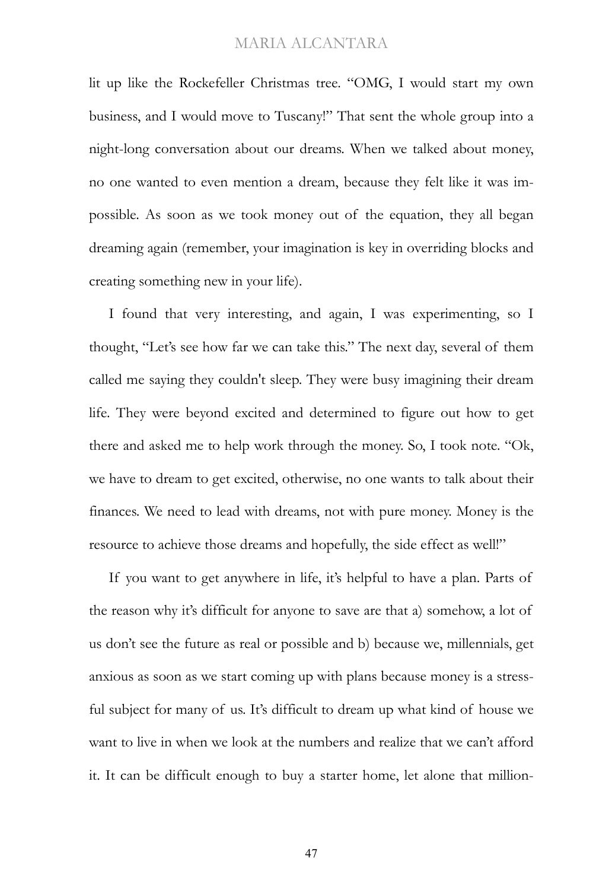lit up like the Rockefeller Christmas tree. "OMG, I would start my own business, and I would move to Tuscany!" That sent the whole group into a night-long conversation about our dreams. When we talked about money, no one wanted to even mention a dream, because they felt like it was impossible. As soon as we took money out of the equation, they all began dreaming again (remember, your imagination is key in overriding blocks and creating something new in your life).

I found that very interesting, and again, I was experimenting, so I thought, "Let's see how far we can take this." The next day, several of them called me saying they couldn't sleep. They were busy imagining their dream life. They were beyond excited and determined to figure out how to get there and asked me to help work through the money. So, I took note. "Ok, we have to dream to get excited, otherwise, no one wants to talk about their finances. We need to lead with dreams, not with pure money. Money is the resource to achieve those dreams and hopefully, the side effect as well!"

If you want to get anywhere in life, it's helpful to have a plan. Parts of the reason why it's difficult for anyone to save are that a) somehow, a lot of us don't see the future as real or possible and b) because we, millennials, get anxious as soon as we start coming up with plans because money is a stressful subject for many of us. It's difficult to dream up what kind of house we want to live in when we look at the numbers and realize that we can't afford it. It can be difficult enough to buy a starter home, let alone that million-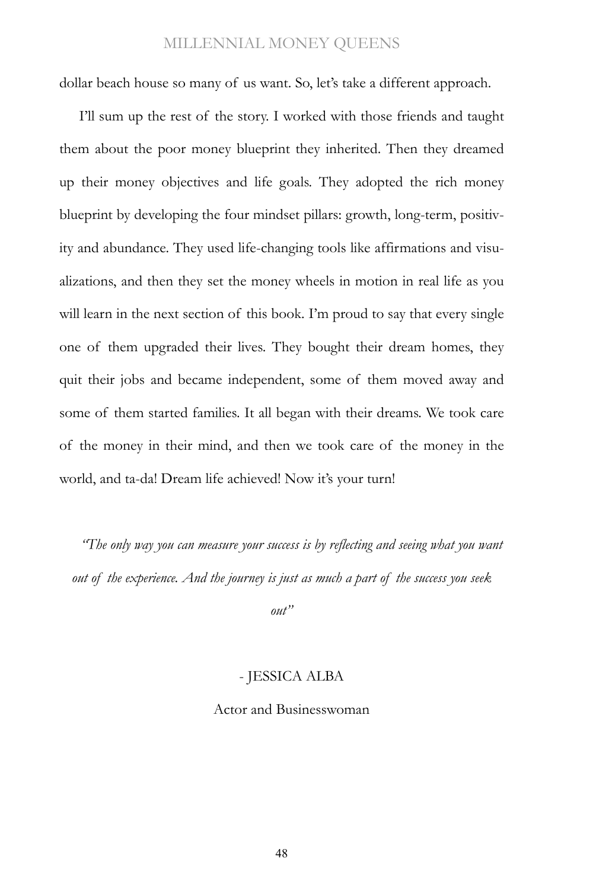dollar beach house so many of us want. So, let's take a different approach.

I'll sum up the rest of the story. I worked with those friends and taught them about the poor money blueprint they inherited. Then they dreamed up their money objectives and life goals. They adopted the rich money blueprint by developing the four mindset pillars: growth, long-term, positivity and abundance. They used life-changing tools like affirmations and visualizations, and then they set the money wheels in motion in real life as you will learn in the next section of this book. I'm proud to say that every single one of them upgraded their lives. They bought their dream homes, they quit their jobs and became independent, some of them moved away and some of them started families. It all began with their dreams. We took care of the money in their mind, and then we took care of the money in the world, and ta-da! Dream life achieved! Now it's your turn!

*"The only way you can measure your success is by reflecting and seeing what you want out of the experience. And the journey is just as much a part of the success you seek* 

*out"*

#### - JESSICA ALBA

### Actor and Businesswoman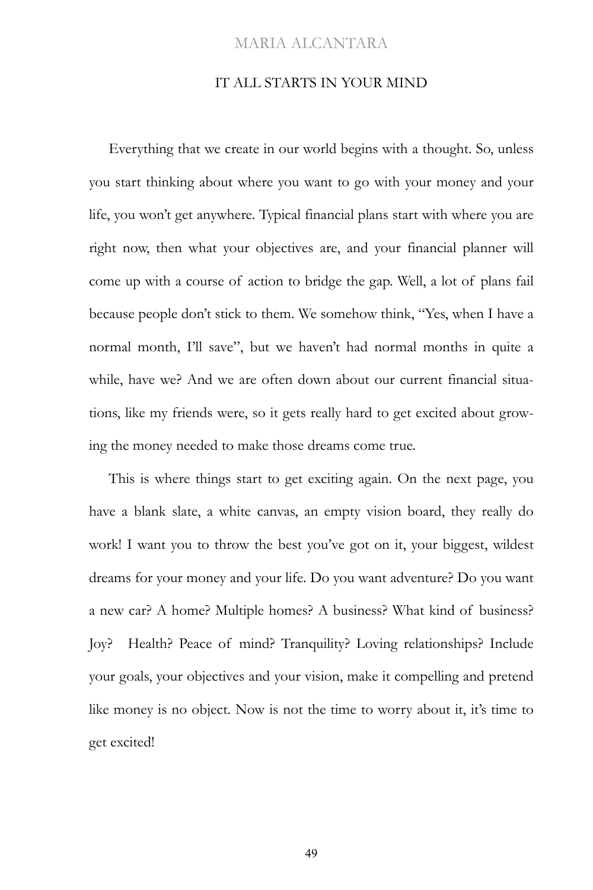### IT ALL STARTS IN YOUR MIND

Everything that we create in our world begins with a thought. So, unless you start thinking about where you want to go with your money and your life, you won't get anywhere. Typical financial plans start with where you are right now, then what your objectives are, and your financial planner will come up with a course of action to bridge the gap. Well, a lot of plans fail because people don't stick to them. We somehow think, "Yes, when I have a normal month, I'll save", but we haven't had normal months in quite a while, have we? And we are often down about our current financial situations, like my friends were, so it gets really hard to get excited about growing the money needed to make those dreams come true.

This is where things start to get exciting again. On the next page, you have a blank slate, a white canvas, an empty vision board, they really do work! I want you to throw the best you've got on it, your biggest, wildest dreams for your money and your life. Do you want adventure? Do you want a new car? A home? Multiple homes? A business? What kind of business? Joy? Health? Peace of mind? Tranquility? Loving relationships? Include your goals, your objectives and your vision, make it compelling and pretend like money is no object. Now is not the time to worry about it, it's time to get excited!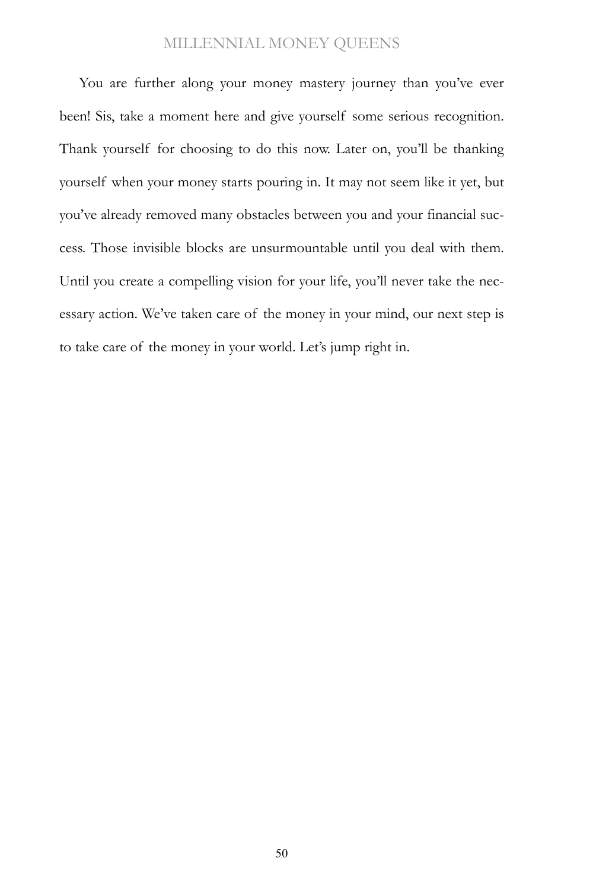You are further along your money mastery journey than you've ever been! Sis, take a moment here and give yourself some serious recognition. Thank yourself for choosing to do this now. Later on, you'll be thanking yourself when your money starts pouring in. It may not seem like it yet, but you've already removed many obstacles between you and your financial success. Those invisible blocks are unsurmountable until you deal with them. Until you create a compelling vision for your life, you'll never take the necessary action. We've taken care of the money in your mind, our next step is to take care of the money in your world. Let's jump right in.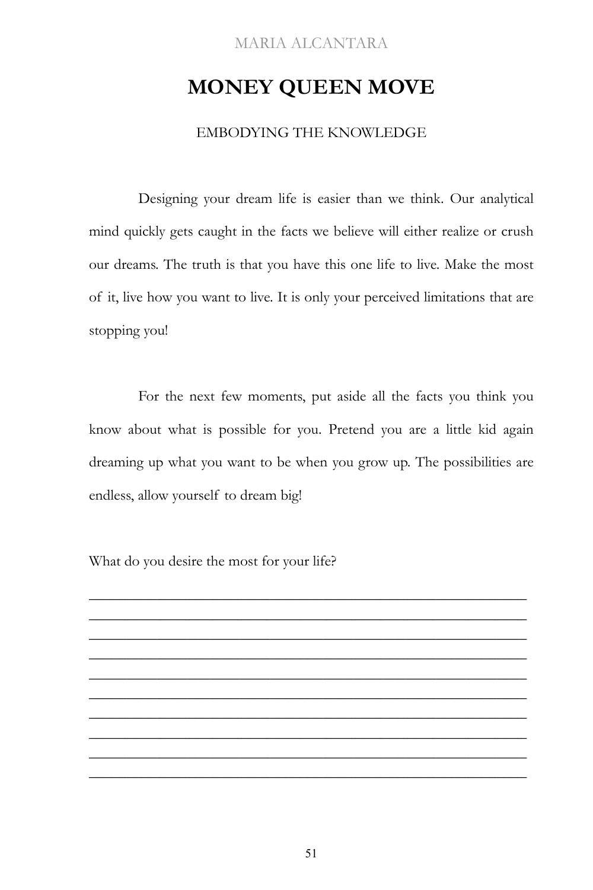## **MONEY QUEEN MOVE**

### EMBODYING THE KNOWLEDGE

Designing your dream life is easier than we think. Our analytical mind quickly gets caught in the facts we believe will either realize or crush our dreams. The truth is that you have this one life to live. Make the most of it, live how you want to live. It is only your perceived limitations that are stopping you!

For the next few moments, put aside all the facts you think you know about what is possible for you. Pretend you are a little kid again dreaming up what you want to be when you grow up. The possibilities are endless, allow yourself to dream big!

\_\_\_\_\_\_\_\_\_\_\_\_\_\_\_\_\_\_\_\_\_\_\_\_\_\_\_\_\_\_\_\_\_\_\_\_\_\_\_\_\_\_\_\_\_\_\_\_\_\_\_\_\_\_\_\_\_\_ \_\_\_\_\_\_\_\_\_\_\_\_\_\_\_\_\_\_\_\_\_\_\_\_\_\_\_\_\_\_\_\_\_\_\_\_\_\_\_\_\_\_\_\_\_\_\_\_\_\_\_\_\_\_\_\_\_\_ \_\_\_\_\_\_\_\_\_\_\_\_\_\_\_\_\_\_\_\_\_\_\_\_\_\_\_\_\_\_\_\_\_\_\_\_\_\_\_\_\_\_\_\_\_\_\_\_\_\_\_\_\_\_\_\_\_\_ \_\_\_\_\_\_\_\_\_\_\_\_\_\_\_\_\_\_\_\_\_\_\_\_\_\_\_\_\_\_\_\_\_\_\_\_\_\_\_\_\_\_\_\_\_\_\_\_\_\_\_\_\_\_\_\_\_\_ \_\_\_\_\_\_\_\_\_\_\_\_\_\_\_\_\_\_\_\_\_\_\_\_\_\_\_\_\_\_\_\_\_\_\_\_\_\_\_\_\_\_\_\_\_\_\_\_\_\_\_\_\_\_\_\_\_\_ \_\_\_\_\_\_\_\_\_\_\_\_\_\_\_\_\_\_\_\_\_\_\_\_\_\_\_\_\_\_\_\_\_\_\_\_\_\_\_\_\_\_\_\_\_\_\_\_\_\_\_\_\_\_\_\_\_\_ \_\_\_\_\_\_\_\_\_\_\_\_\_\_\_\_\_\_\_\_\_\_\_\_\_\_\_\_\_\_\_\_\_\_\_\_\_\_\_\_\_\_\_\_\_\_\_\_\_\_\_\_\_\_\_\_\_\_ \_\_\_\_\_\_\_\_\_\_\_\_\_\_\_\_\_\_\_\_\_\_\_\_\_\_\_\_\_\_\_\_\_\_\_\_\_\_\_\_\_\_\_\_\_\_\_\_\_\_\_\_\_\_\_\_\_\_ \_\_\_\_\_\_\_\_\_\_\_\_\_\_\_\_\_\_\_\_\_\_\_\_\_\_\_\_\_\_\_\_\_\_\_\_\_\_\_\_\_\_\_\_\_\_\_\_\_\_\_\_\_\_\_\_\_\_ \_\_\_\_\_\_\_\_\_\_\_\_\_\_\_\_\_\_\_\_\_\_\_\_\_\_\_\_\_\_\_\_\_\_\_\_\_\_\_\_\_\_\_\_\_\_\_\_\_\_\_\_\_\_\_\_\_\_

What do you desire the most for your life?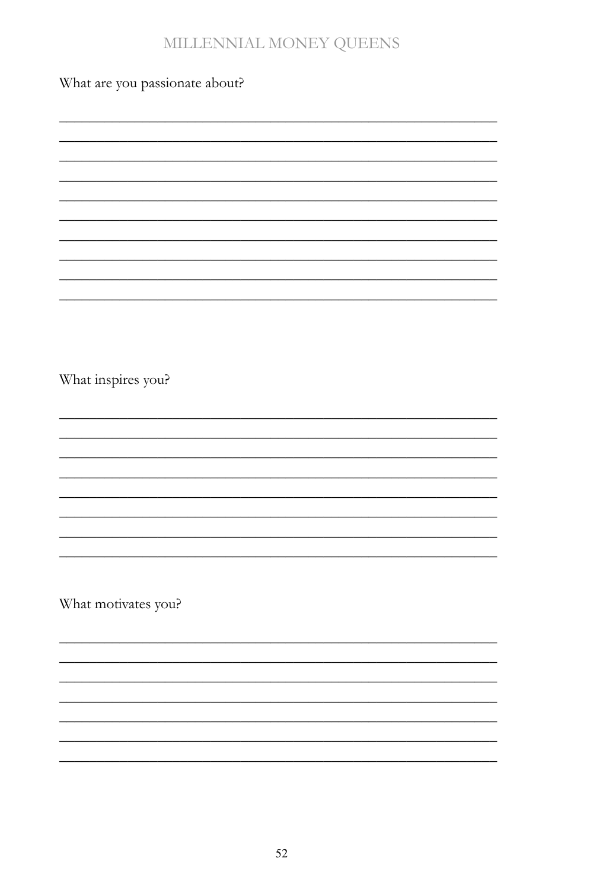What are you passionate about?

What inspires you? What motivates you?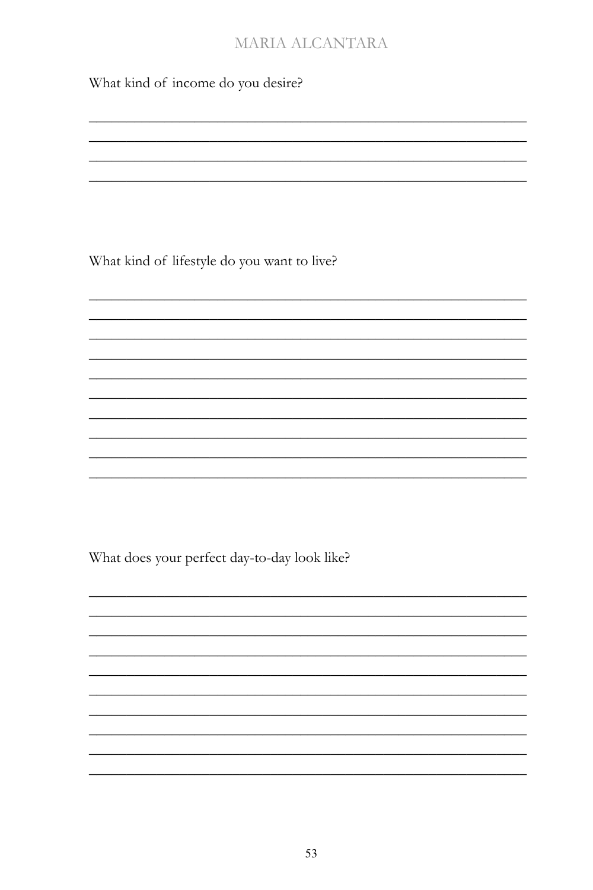What kind of income do you desire?

What kind of lifestyle do you want to live?

What does your perfect day-to-day look like?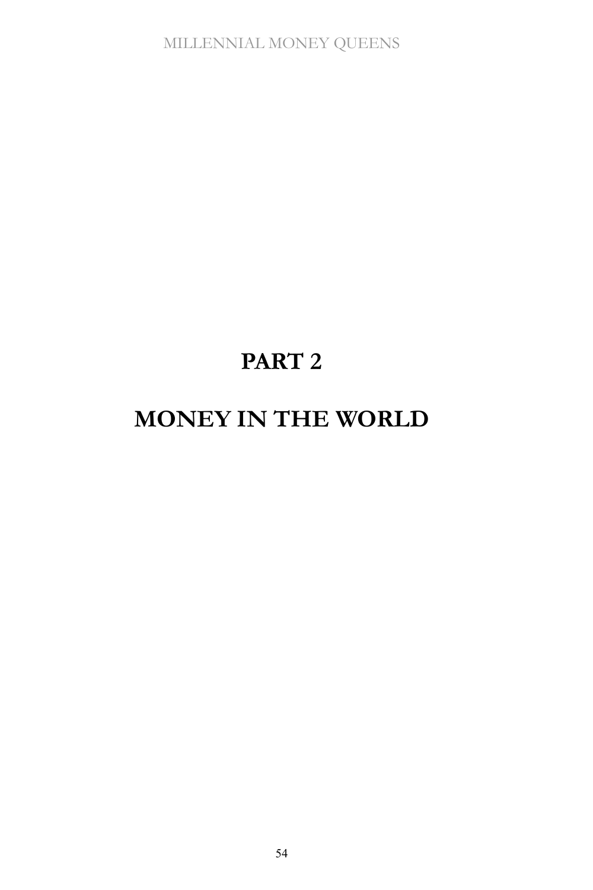# **PART 2**

# **MONEY IN THE WORLD**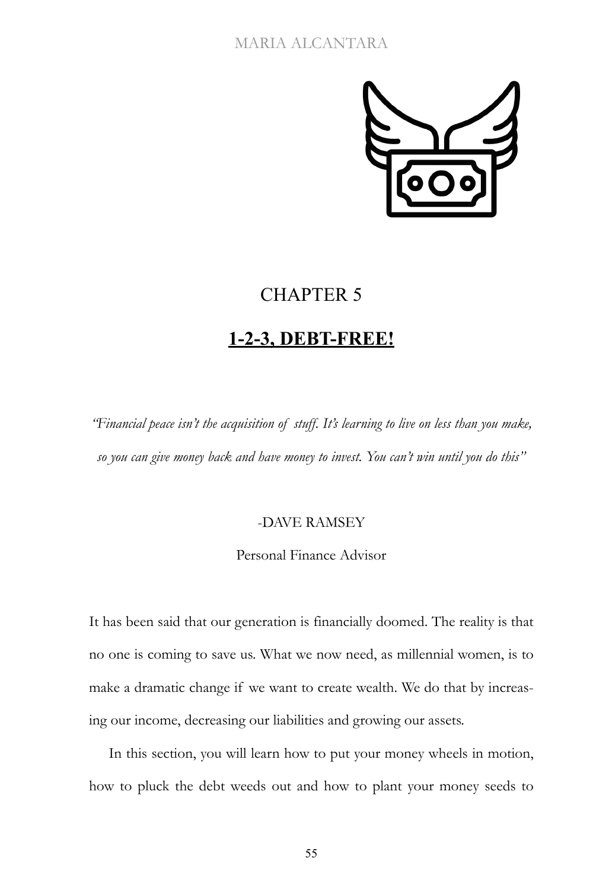

## CHAPTER 5

### **1-2-3, DEBT-FREE!**

*"Financial peace isn't the acquisition of stuff. It's learning to live on less than you make, so you can give money back and have money to invest. You can't win until you do this"*

### -DAVE RAMSEY

Personal Finance Advisor

It has been said that our generation is financially doomed. The reality is that no one is coming to save us. What we now need, as millennial women, is to make a dramatic change if we want to create wealth. We do that by increasing our income, decreasing our liabilities and growing our assets.

In this section, you will learn how to put your money wheels in motion, how to pluck the debt weeds out and how to plant your money seeds to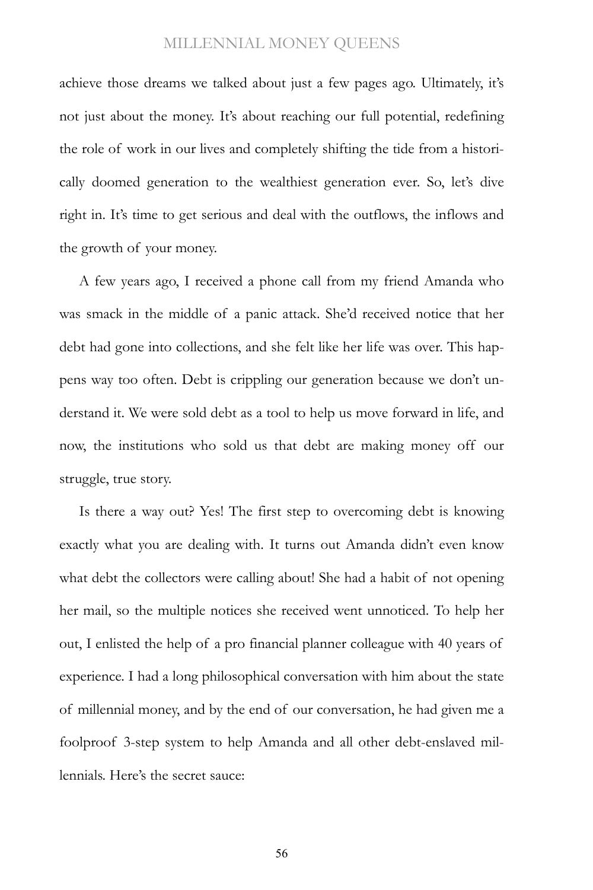achieve those dreams we talked about just a few pages ago. Ultimately, it's not just about the money. It's about reaching our full potential, redefining the role of work in our lives and completely shifting the tide from a historically doomed generation to the wealthiest generation ever. So, let's dive right in. It's time to get serious and deal with the outflows, the inflows and the growth of your money.

A few years ago, I received a phone call from my friend Amanda who was smack in the middle of a panic attack. She'd received notice that her debt had gone into collections, and she felt like her life was over. This happens way too often. Debt is crippling our generation because we don't understand it. We were sold debt as a tool to help us move forward in life, and now, the institutions who sold us that debt are making money off our struggle, true story.

Is there a way out? Yes! The first step to overcoming debt is knowing exactly what you are dealing with. It turns out Amanda didn't even know what debt the collectors were calling about! She had a habit of not opening her mail, so the multiple notices she received went unnoticed. To help her out, I enlisted the help of a pro financial planner colleague with 40 years of experience. I had a long philosophical conversation with him about the state of millennial money, and by the end of our conversation, he had given me a foolproof 3-step system to help Amanda and all other debt-enslaved millennials. Here's the secret sauce: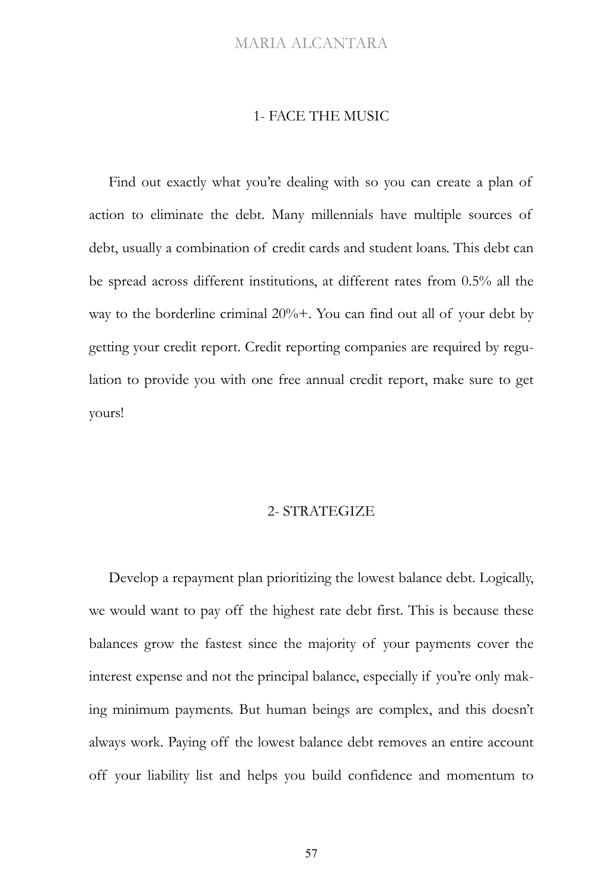#### 1- FACE THE MUSIC

Find out exactly what you're dealing with so you can create a plan of action to eliminate the debt. Many millennials have multiple sources of debt, usually a combination of credit cards and student loans. This debt can be spread across different institutions, at different rates from 0.5% all the way to the borderline criminal 20%+. You can find out all of your debt by getting your credit report. Credit reporting companies are required by regulation to provide you with one free annual credit report, make sure to get yours!

#### 2- STRATEGIZE

Develop a repayment plan prioritizing the lowest balance debt. Logically, we would want to pay off the highest rate debt first. This is because these balances grow the fastest since the majority of your payments cover the interest expense and not the principal balance, especially if you're only making minimum payments. But human beings are complex, and this doesn't always work. Paying off the lowest balance debt removes an entire account off your liability list and helps you build confidence and momentum to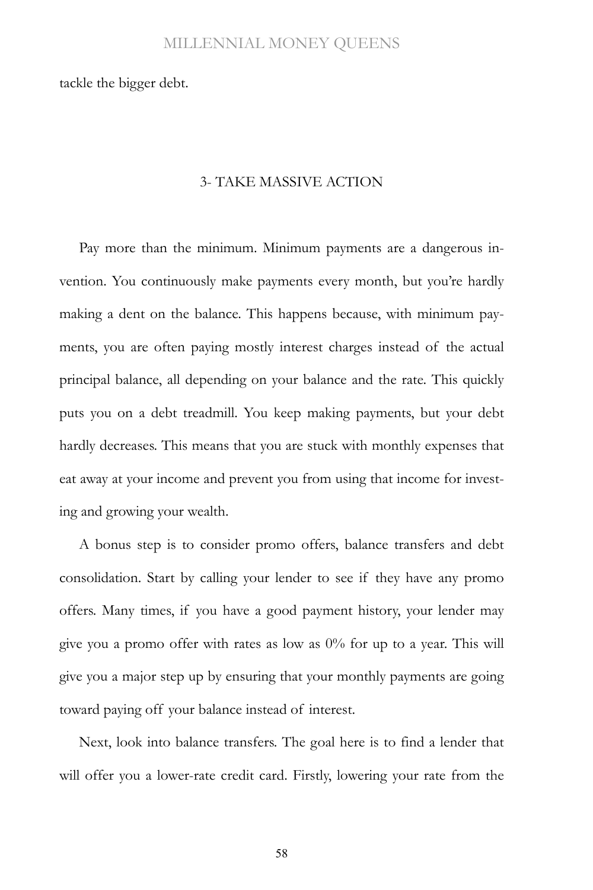tackle the bigger debt.

#### 3- TAKE MASSIVE ACTION

Pay more than the minimum. Minimum payments are a dangerous invention. You continuously make payments every month, but you're hardly making a dent on the balance. This happens because, with minimum payments, you are often paying mostly interest charges instead of the actual principal balance, all depending on your balance and the rate. This quickly puts you on a debt treadmill. You keep making payments, but your debt hardly decreases. This means that you are stuck with monthly expenses that eat away at your income and prevent you from using that income for investing and growing your wealth.

A bonus step is to consider promo offers, balance transfers and debt consolidation. Start by calling your lender to see if they have any promo offers. Many times, if you have a good payment history, your lender may give you a promo offer with rates as low as  $0\%$  for up to a year. This will give you a major step up by ensuring that your monthly payments are going toward paying off your balance instead of interest.

Next, look into balance transfers. The goal here is to find a lender that will offer you a lower-rate credit card. Firstly, lowering your rate from the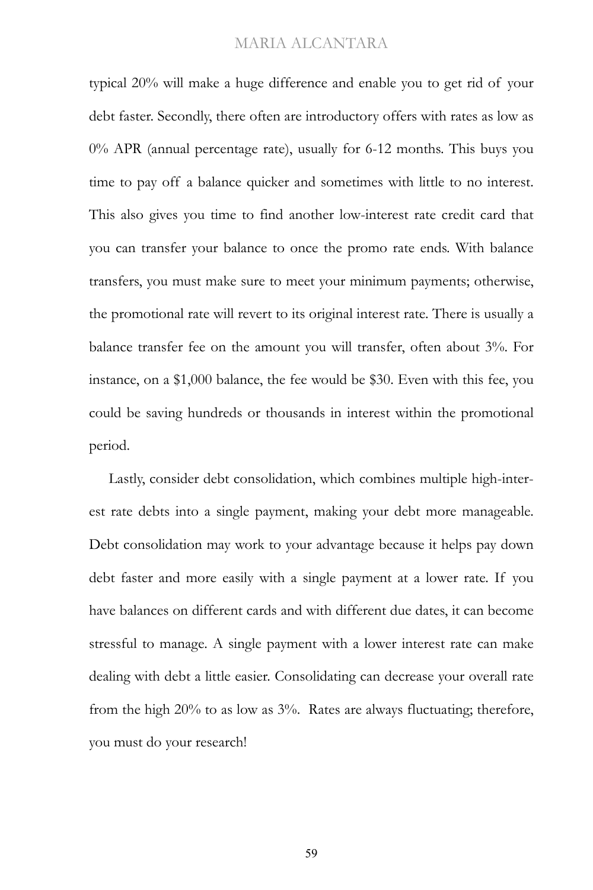typical 20% will make a huge difference and enable you to get rid of your debt faster. Secondly, there often are introductory offers with rates as low as 0% APR (annual percentage rate), usually for 6-12 months. This buys you time to pay off a balance quicker and sometimes with little to no interest. This also gives you time to find another low-interest rate credit card that you can transfer your balance to once the promo rate ends. With balance transfers, you must make sure to meet your minimum payments; otherwise, the promotional rate will revert to its original interest rate. There is usually a balance transfer fee on the amount you will transfer, often about 3%. For instance, on a \$1,000 balance, the fee would be \$30. Even with this fee, you could be saving hundreds or thousands in interest within the promotional period.

Lastly, consider debt consolidation, which combines multiple high-interest rate debts into a single payment, making your debt more manageable. Debt consolidation may work to your advantage because it helps pay down debt faster and more easily with a single payment at a lower rate. If you have balances on different cards and with different due dates, it can become stressful to manage. A single payment with a lower interest rate can make dealing with debt a little easier. Consolidating can decrease your overall rate from the high 20% to as low as 3%. Rates are always fluctuating; therefore, you must do your research!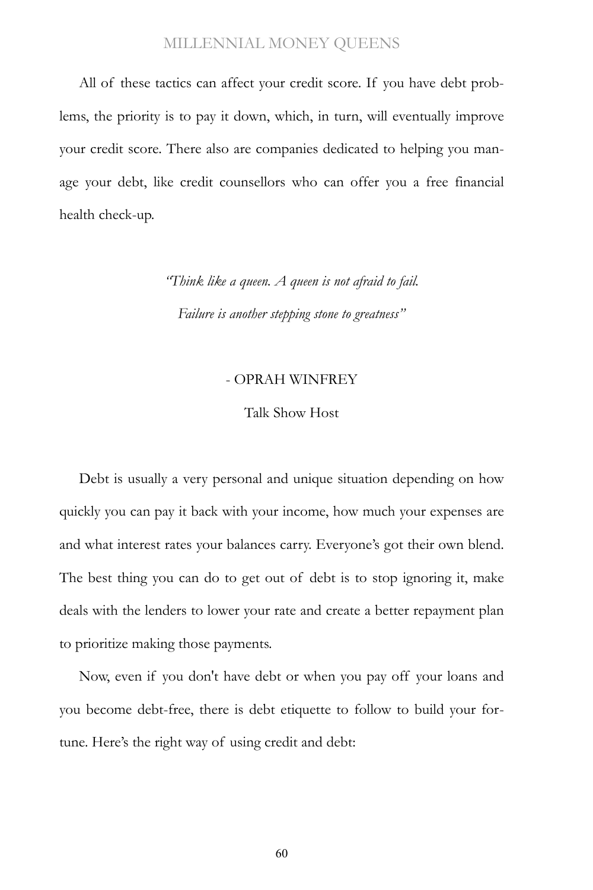All of these tactics can affect your credit score. If you have debt problems, the priority is to pay it down, which, in turn, will eventually improve your credit score. There also are companies dedicated to helping you manage your debt, like credit counsellors who can offer you a free financial health check-up.

> *"Think like a queen. A queen is not afraid to fail. Failure is another stepping stone to greatness"*

#### - OPRAH WINFREY

#### Talk Show Host

Debt is usually a very personal and unique situation depending on how quickly you can pay it back with your income, how much your expenses are and what interest rates your balances carry. Everyone's got their own blend. The best thing you can do to get out of debt is to stop ignoring it, make deals with the lenders to lower your rate and create a better repayment plan to prioritize making those payments.

Now, even if you don't have debt or when you pay off your loans and you become debt-free, there is debt etiquette to follow to build your fortune. Here's the right way of using credit and debt: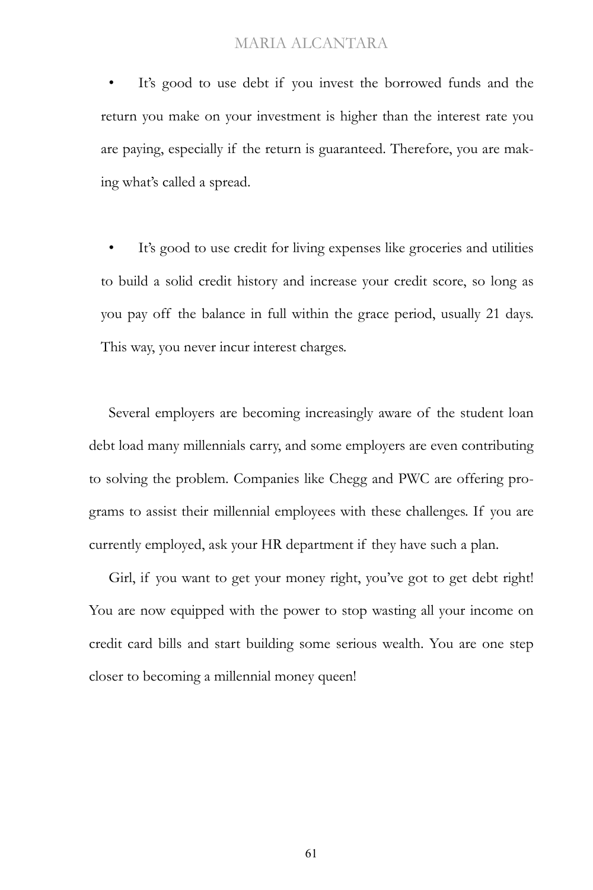It's good to use debt if you invest the borrowed funds and the return you make on your investment is higher than the interest rate you are paying, especially if the return is guaranteed. Therefore, you are making what's called a spread.

It's good to use credit for living expenses like groceries and utilities to build a solid credit history and increase your credit score, so long as you pay off the balance in full within the grace period, usually 21 days. This way, you never incur interest charges.

Several employers are becoming increasingly aware of the student loan debt load many millennials carry, and some employers are even contributing to solving the problem. Companies like Chegg and PWC are offering programs to assist their millennial employees with these challenges. If you are currently employed, ask your HR department if they have such a plan.

Girl, if you want to get your money right, you've got to get debt right! You are now equipped with the power to stop wasting all your income on credit card bills and start building some serious wealth. You are one step closer to becoming a millennial money queen!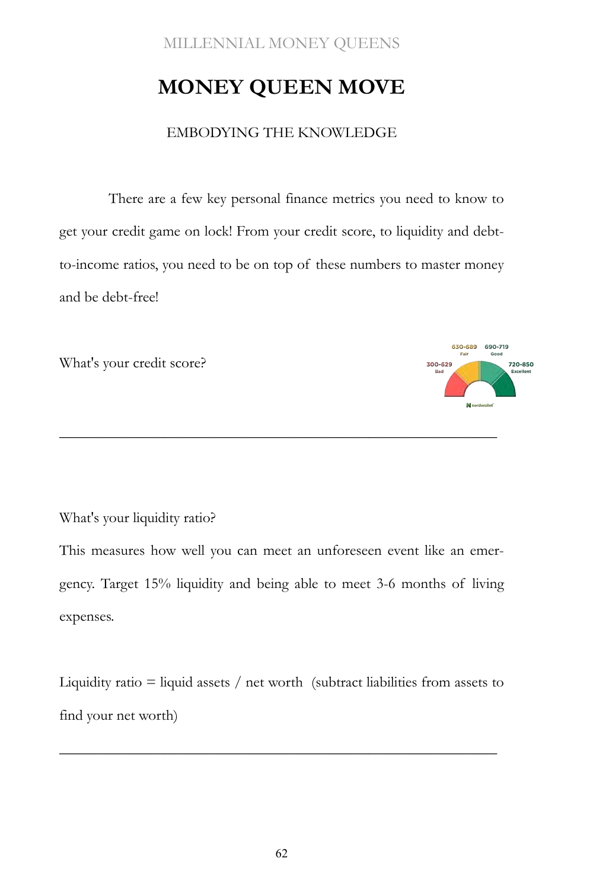# **MONEY QUEEN MOVE**

#### EMBODYING THE KNOWLEDGE

There are a few key personal finance metrics you need to know to get your credit game on lock! From your credit score, to liquidity and debtto-income ratios, you need to be on top of these numbers to master money and be debt-free!

What's your credit score?



What's your liquidity ratio?

This measures how well you can meet an unforeseen event like an emergency. Target 15% liquidity and being able to meet 3-6 months of living expenses.

\_\_\_\_\_\_\_\_\_\_\_\_\_\_\_\_\_\_\_\_\_\_\_\_\_\_\_\_\_\_\_\_\_\_\_\_\_\_\_\_\_\_\_\_\_\_\_\_\_\_\_\_\_\_\_\_\_\_

Liquidity ratio  $=$  liquid assets  $/$  net worth (subtract liabilities from assets to find your net worth)

\_\_\_\_\_\_\_\_\_\_\_\_\_\_\_\_\_\_\_\_\_\_\_\_\_\_\_\_\_\_\_\_\_\_\_\_\_\_\_\_\_\_\_\_\_\_\_\_\_\_\_\_\_\_\_\_\_\_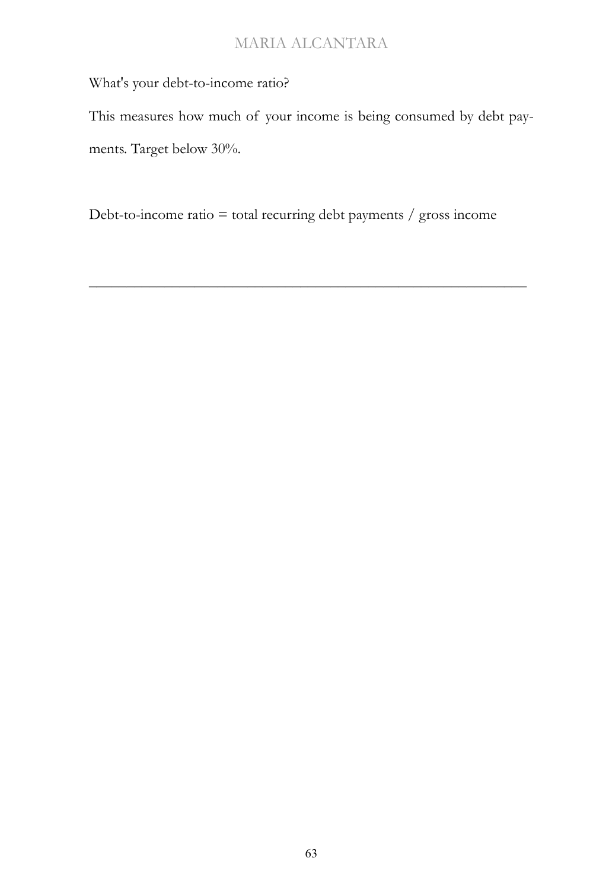What's your debt-to-income ratio?

This measures how much of your income is being consumed by debt payments. Target below 30%.

Debt-to-income ratio = total recurring debt payments / gross income

\_\_\_\_\_\_\_\_\_\_\_\_\_\_\_\_\_\_\_\_\_\_\_\_\_\_\_\_\_\_\_\_\_\_\_\_\_\_\_\_\_\_\_\_\_\_\_\_\_\_\_\_\_\_\_\_\_\_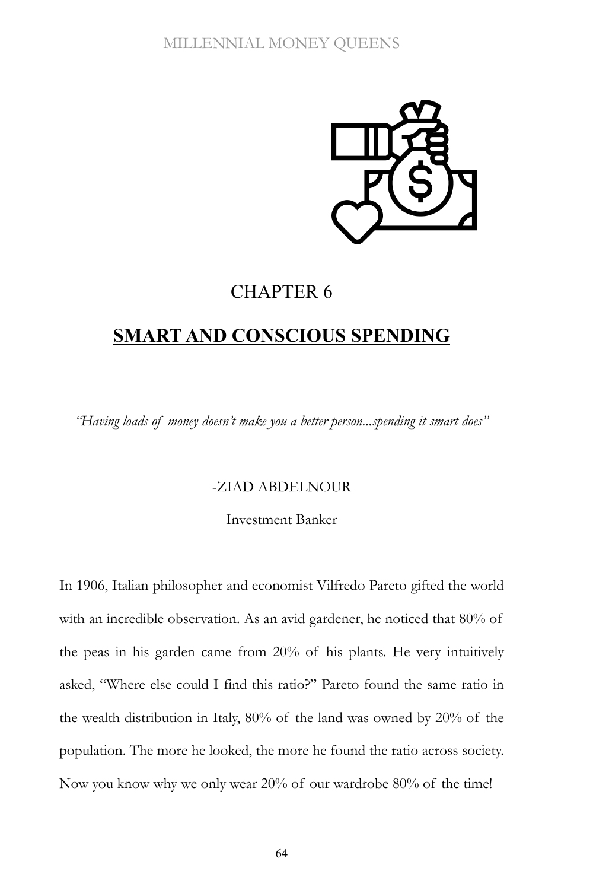

## CHAPTER 6

## **SMART AND CONSCIOUS SPENDING**

*"Having loads of money doesn't make you a better person...spending it smart does"*

#### -ZIAD ABDELNOUR

Investment Banker

In 1906, Italian philosopher and economist Vilfredo Pareto gifted the world with an incredible observation. As an avid gardener, he noticed that 80% of the peas in his garden came from 20% of his plants. He very intuitively asked, "Where else could I find this ratio?" Pareto found the same ratio in the wealth distribution in Italy, 80% of the land was owned by 20% of the population. The more he looked, the more he found the ratio across society. Now you know why we only wear 20% of our wardrobe 80% of the time!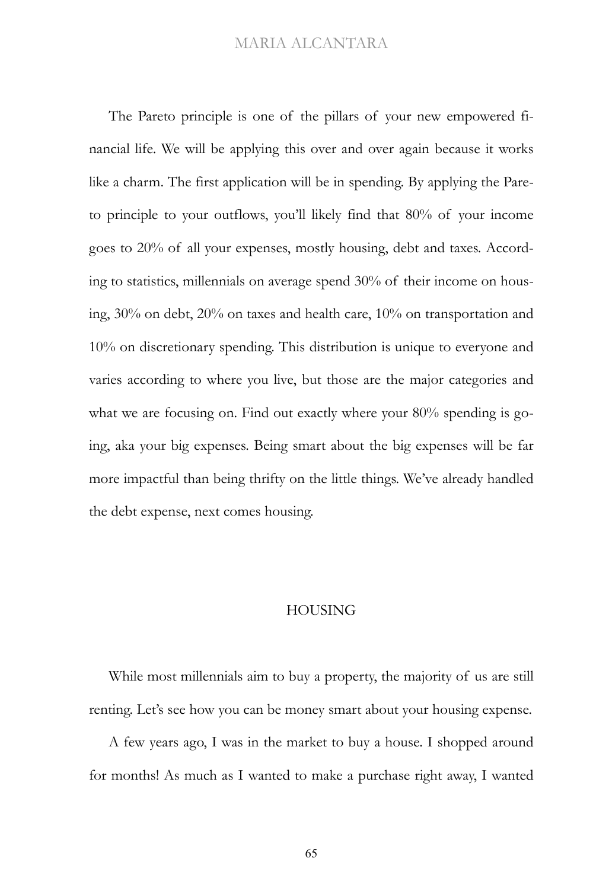The Pareto principle is one of the pillars of your new empowered financial life. We will be applying this over and over again because it works like a charm. The first application will be in spending. By applying the Pareto principle to your outflows, you'll likely find that 80% of your income goes to 20% of all your expenses, mostly housing, debt and taxes. According to statistics, millennials on average spend 30% of their income on housing, 30% on debt, 20% on taxes and health care, 10% on transportation and 10% on discretionary spending. This distribution is unique to everyone and varies according to where you live, but those are the major categories and what we are focusing on. Find out exactly where your 80% spending is going, aka your big expenses. Being smart about the big expenses will be far more impactful than being thrifty on the little things. We've already handled the debt expense, next comes housing.

#### HOUSING

While most millennials aim to buy a property, the majority of us are still renting. Let's see how you can be money smart about your housing expense.

A few years ago, I was in the market to buy a house. I shopped around for months! As much as I wanted to make a purchase right away, I wanted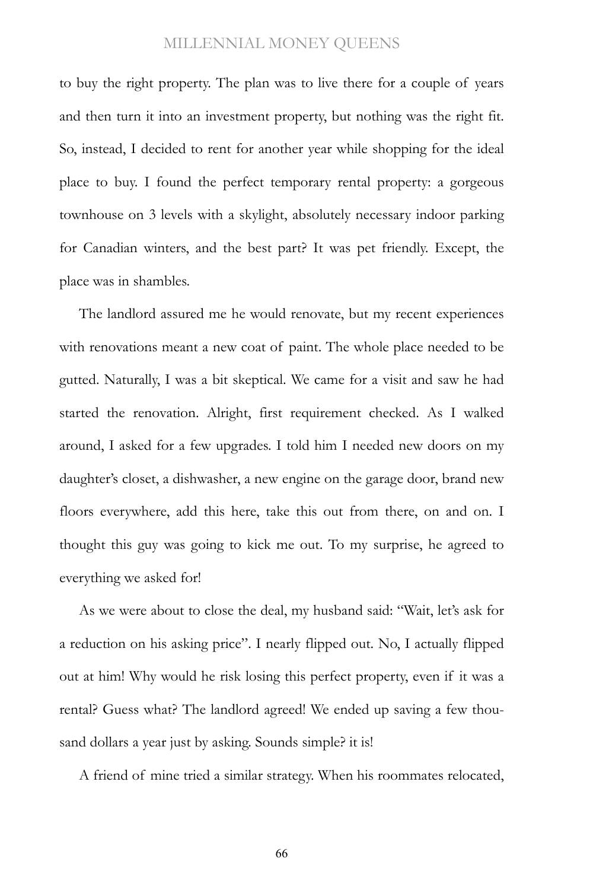to buy the right property. The plan was to live there for a couple of years and then turn it into an investment property, but nothing was the right fit. So, instead, I decided to rent for another year while shopping for the ideal place to buy. I found the perfect temporary rental property: a gorgeous townhouse on 3 levels with a skylight, absolutely necessary indoor parking for Canadian winters, and the best part? It was pet friendly. Except, the place was in shambles.

The landlord assured me he would renovate, but my recent experiences with renovations meant a new coat of paint. The whole place needed to be gutted. Naturally, I was a bit skeptical. We came for a visit and saw he had started the renovation. Alright, first requirement checked. As I walked around, I asked for a few upgrades. I told him I needed new doors on my daughter's closet, a dishwasher, a new engine on the garage door, brand new floors everywhere, add this here, take this out from there, on and on. I thought this guy was going to kick me out. To my surprise, he agreed to everything we asked for!

As we were about to close the deal, my husband said: "Wait, let's ask for a reduction on his asking price". I nearly flipped out. No, I actually flipped out at him! Why would he risk losing this perfect property, even if it was a rental? Guess what? The landlord agreed! We ended up saving a few thousand dollars a year just by asking. Sounds simple? it is!

A friend of mine tried a similar strategy. When his roommates relocated,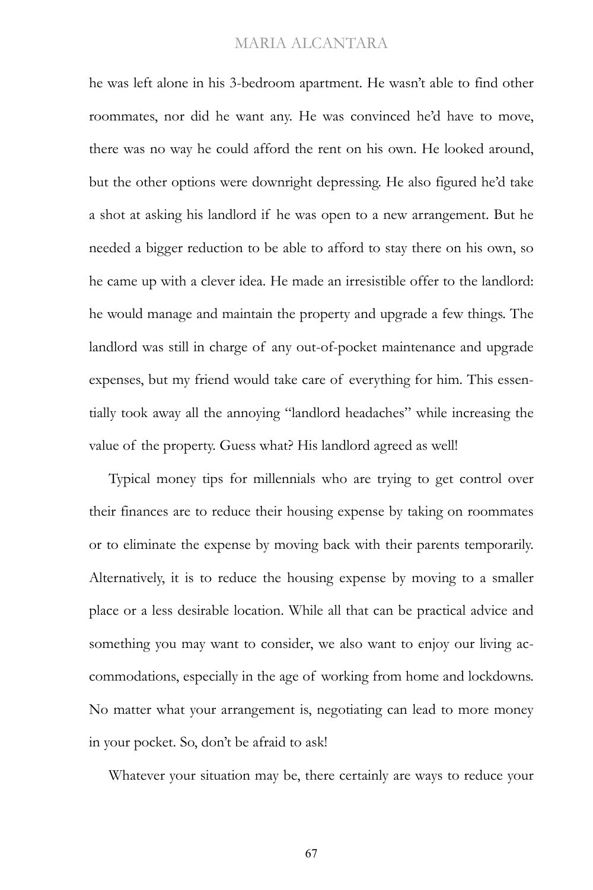he was left alone in his 3-bedroom apartment. He wasn't able to find other roommates, nor did he want any. He was convinced he'd have to move, there was no way he could afford the rent on his own. He looked around, but the other options were downright depressing. He also figured he'd take a shot at asking his landlord if he was open to a new arrangement. But he needed a bigger reduction to be able to afford to stay there on his own, so he came up with a clever idea. He made an irresistible offer to the landlord: he would manage and maintain the property and upgrade a few things. The landlord was still in charge of any out-of-pocket maintenance and upgrade expenses, but my friend would take care of everything for him. This essentially took away all the annoying "landlord headaches" while increasing the value of the property. Guess what? His landlord agreed as well!

Typical money tips for millennials who are trying to get control over their finances are to reduce their housing expense by taking on roommates or to eliminate the expense by moving back with their parents temporarily. Alternatively, it is to reduce the housing expense by moving to a smaller place or a less desirable location. While all that can be practical advice and something you may want to consider, we also want to enjoy our living accommodations, especially in the age of working from home and lockdowns. No matter what your arrangement is, negotiating can lead to more money in your pocket. So, don't be afraid to ask!

Whatever your situation may be, there certainly are ways to reduce your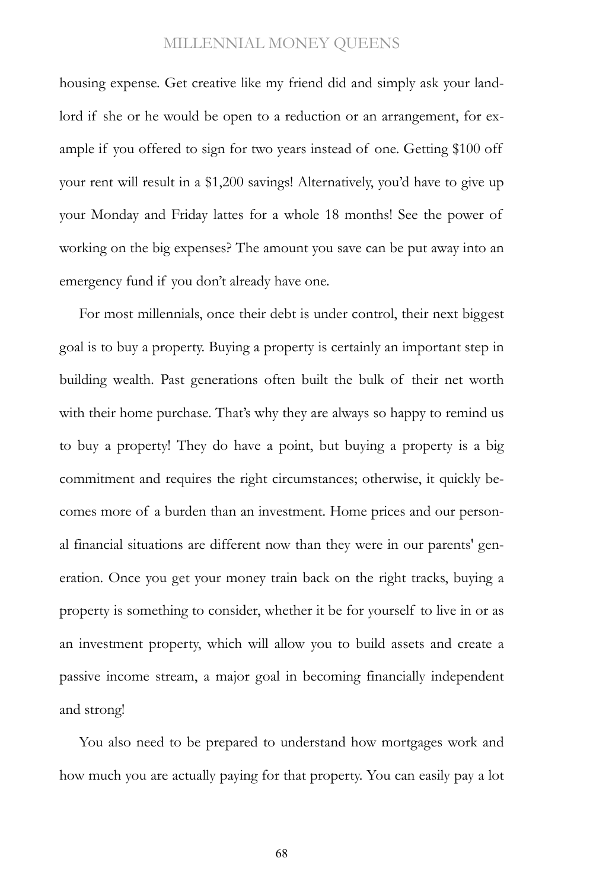housing expense. Get creative like my friend did and simply ask your landlord if she or he would be open to a reduction or an arrangement, for example if you offered to sign for two years instead of one. Getting \$100 off your rent will result in a \$1,200 savings! Alternatively, you'd have to give up your Monday and Friday lattes for a whole 18 months! See the power of working on the big expenses? The amount you save can be put away into an emergency fund if you don't already have one.

For most millennials, once their debt is under control, their next biggest goal is to buy a property. Buying a property is certainly an important step in building wealth. Past generations often built the bulk of their net worth with their home purchase. That's why they are always so happy to remind us to buy a property! They do have a point, but buying a property is a big commitment and requires the right circumstances; otherwise, it quickly becomes more of a burden than an investment. Home prices and our personal financial situations are different now than they were in our parents' generation. Once you get your money train back on the right tracks, buying a property is something to consider, whether it be for yourself to live in or as an investment property, which will allow you to build assets and create a passive income stream, a major goal in becoming financially independent and strong!

You also need to be prepared to understand how mortgages work and how much you are actually paying for that property. You can easily pay a lot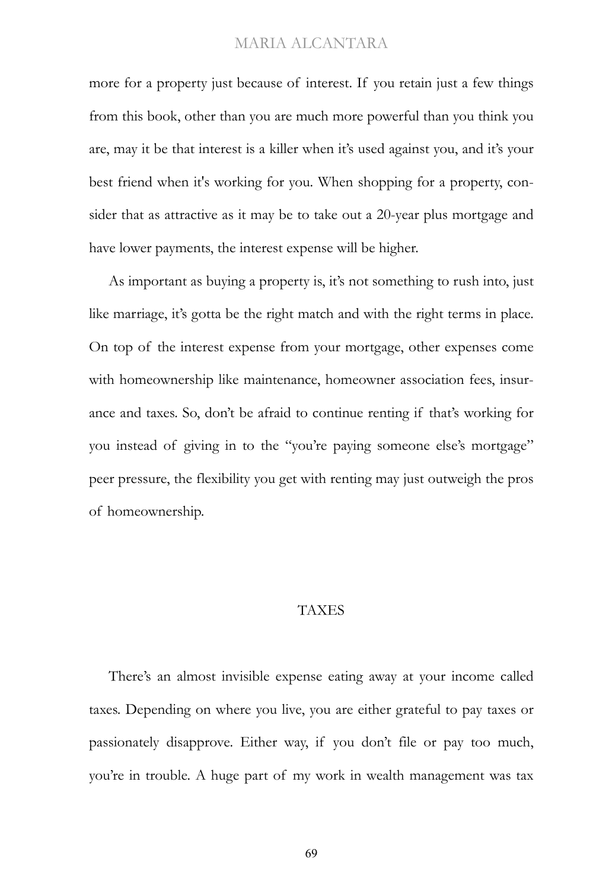more for a property just because of interest. If you retain just a few things from this book, other than you are much more powerful than you think you are, may it be that interest is a killer when it's used against you, and it's your best friend when it's working for you. When shopping for a property, consider that as attractive as it may be to take out a 20-year plus mortgage and have lower payments, the interest expense will be higher.

As important as buying a property is, it's not something to rush into, just like marriage, it's gotta be the right match and with the right terms in place. On top of the interest expense from your mortgage, other expenses come with homeownership like maintenance, homeowner association fees, insurance and taxes. So, don't be afraid to continue renting if that's working for you instead of giving in to the "you're paying someone else's mortgage" peer pressure, the flexibility you get with renting may just outweigh the pros of homeownership.

#### TAXES

There's an almost invisible expense eating away at your income called taxes. Depending on where you live, you are either grateful to pay taxes or passionately disapprove. Either way, if you don't file or pay too much, you're in trouble. A huge part of my work in wealth management was tax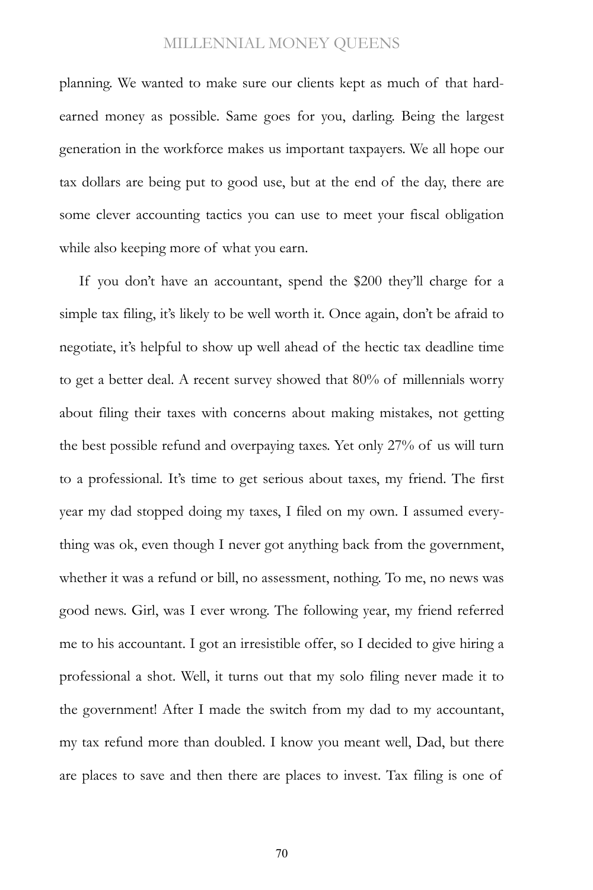planning. We wanted to make sure our clients kept as much of that hardearned money as possible. Same goes for you, darling. Being the largest generation in the workforce makes us important taxpayers. We all hope our tax dollars are being put to good use, but at the end of the day, there are some clever accounting tactics you can use to meet your fiscal obligation while also keeping more of what you earn.

If you don't have an accountant, spend the \$200 they'll charge for a simple tax filing, it's likely to be well worth it. Once again, don't be afraid to negotiate, it's helpful to show up well ahead of the hectic tax deadline time to get a better deal. A recent survey showed that 80% of millennials worry about filing their taxes with concerns about making mistakes, not getting the best possible refund and overpaying taxes. Yet only 27% of us will turn to a professional. It's time to get serious about taxes, my friend. The first year my dad stopped doing my taxes, I filed on my own. I assumed everything was ok, even though I never got anything back from the government, whether it was a refund or bill, no assessment, nothing. To me, no news was good news. Girl, was I ever wrong. The following year, my friend referred me to his accountant. I got an irresistible offer, so I decided to give hiring a professional a shot. Well, it turns out that my solo filing never made it to the government! After I made the switch from my dad to my accountant, my tax refund more than doubled. I know you meant well, Dad, but there are places to save and then there are places to invest. Tax filing is one of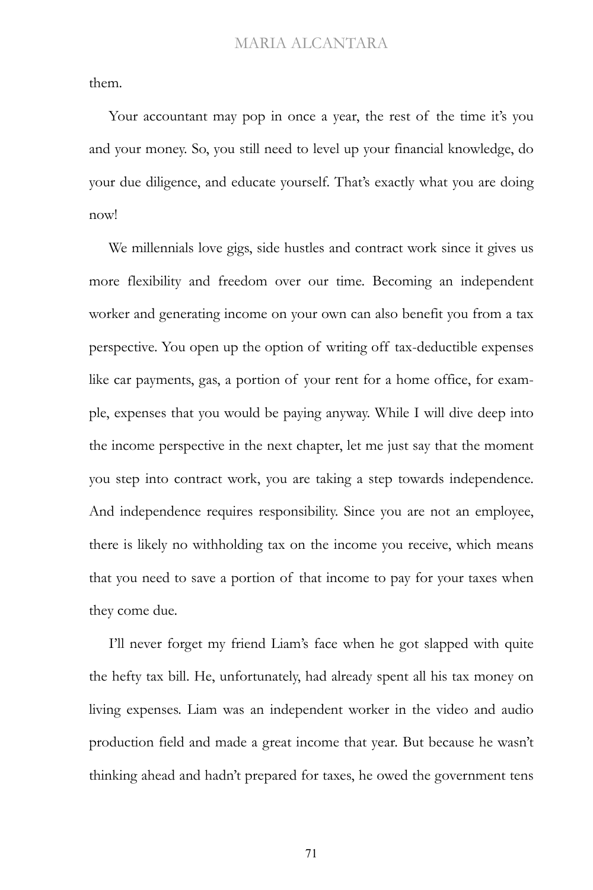them.

Your accountant may pop in once a year, the rest of the time it's you and your money. So, you still need to level up your financial knowledge, do your due diligence, and educate yourself. That's exactly what you are doing now!

We millennials love gigs, side hustles and contract work since it gives us more flexibility and freedom over our time. Becoming an independent worker and generating income on your own can also benefit you from a tax perspective. You open up the option of writing off tax-deductible expenses like car payments, gas, a portion of your rent for a home office, for example, expenses that you would be paying anyway. While I will dive deep into the income perspective in the next chapter, let me just say that the moment you step into contract work, you are taking a step towards independence. And independence requires responsibility. Since you are not an employee, there is likely no withholding tax on the income you receive, which means that you need to save a portion of that income to pay for your taxes when they come due.

I'll never forget my friend Liam's face when he got slapped with quite the hefty tax bill. He, unfortunately, had already spent all his tax money on living expenses. Liam was an independent worker in the video and audio production field and made a great income that year. But because he wasn't thinking ahead and hadn't prepared for taxes, he owed the government tens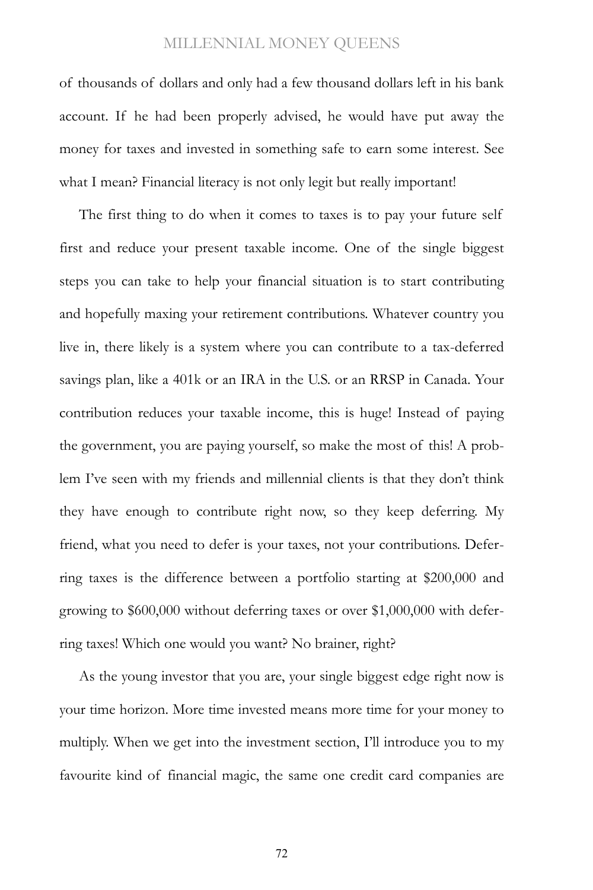of thousands of dollars and only had a few thousand dollars left in his bank account. If he had been properly advised, he would have put away the money for taxes and invested in something safe to earn some interest. See what I mean? Financial literacy is not only legit but really important!

The first thing to do when it comes to taxes is to pay your future self first and reduce your present taxable income. One of the single biggest steps you can take to help your financial situation is to start contributing and hopefully maxing your retirement contributions. Whatever country you live in, there likely is a system where you can contribute to a tax-deferred savings plan, like a 401k or an IRA in the U.S. or an RRSP in Canada. Your contribution reduces your taxable income, this is huge! Instead of paying the government, you are paying yourself, so make the most of this! A problem I've seen with my friends and millennial clients is that they don't think they have enough to contribute right now, so they keep deferring. My friend, what you need to defer is your taxes, not your contributions. Deferring taxes is the difference between a portfolio starting at \$200,000 and growing to \$600,000 without deferring taxes or over \$1,000,000 with deferring taxes! Which one would you want? No brainer, right?

As the young investor that you are, your single biggest edge right now is your time horizon. More time invested means more time for your money to multiply. When we get into the investment section, I'll introduce you to my favourite kind of financial magic, the same one credit card companies are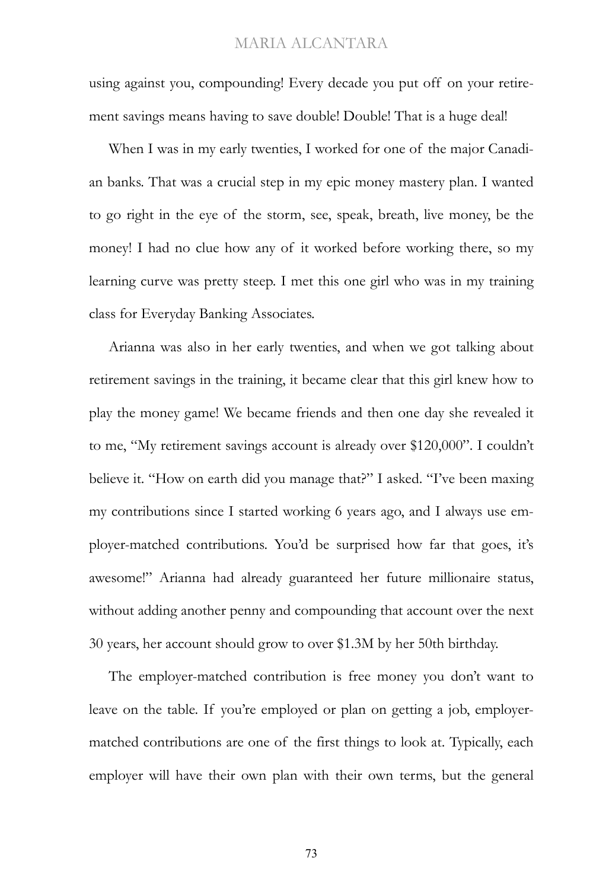using against you, compounding! Every decade you put off on your retirement savings means having to save double! Double! That is a huge deal!

When I was in my early twenties, I worked for one of the major Canadian banks. That was a crucial step in my epic money mastery plan. I wanted to go right in the eye of the storm, see, speak, breath, live money, be the money! I had no clue how any of it worked before working there, so my learning curve was pretty steep. I met this one girl who was in my training class for Everyday Banking Associates.

Arianna was also in her early twenties, and when we got talking about retirement savings in the training, it became clear that this girl knew how to play the money game! We became friends and then one day she revealed it to me, "My retirement savings account is already over \$120,000". I couldn't believe it. "How on earth did you manage that?" I asked. "I've been maxing my contributions since I started working 6 years ago, and I always use employer-matched contributions. You'd be surprised how far that goes, it's awesome!" Arianna had already guaranteed her future millionaire status, without adding another penny and compounding that account over the next 30 years, her account should grow to over \$1.3M by her 50th birthday.

The employer-matched contribution is free money you don't want to leave on the table. If you're employed or plan on getting a job, employermatched contributions are one of the first things to look at. Typically, each employer will have their own plan with their own terms, but the general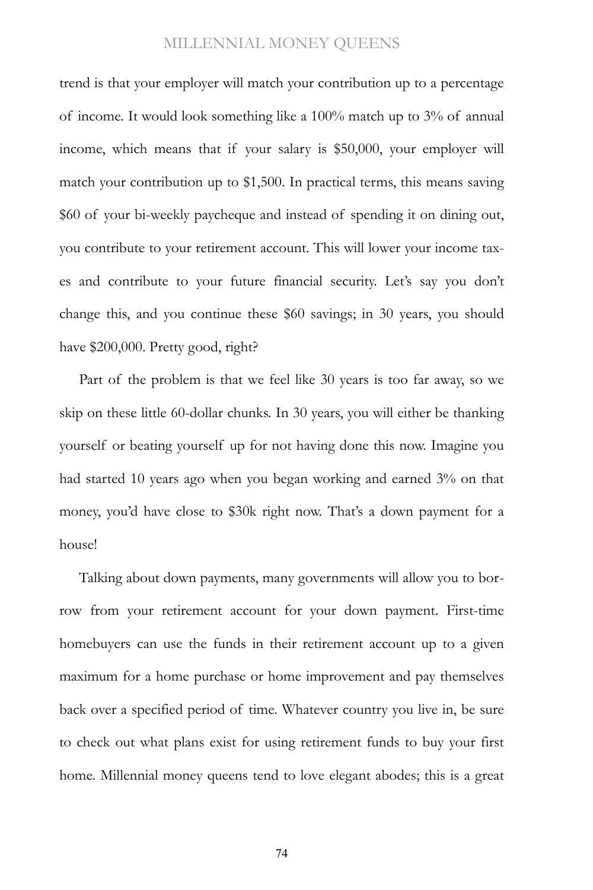trend is that your employer will match your contribution up to a percentage of income. It would look something like a 100% match up to 3% of annual income, which means that if your salary is \$50,000, your employer will match your contribution up to \$1,500. In practical terms, this means saving \$60 of your bi-weekly paycheque and instead of spending it on dining out, you contribute to your retirement account. This will lower your income taxes and contribute to your future financial security. Let's say you don't change this, and you continue these \$60 savings; in 30 years, you should have \$200,000. Pretty good, right?

Part of the problem is that we feel like 30 years is too far away, so we skip on these little 60-dollar chunks. In 30 years, you will either be thanking yourself or beating yourself up for not having done this now. Imagine you had started 10 years ago when you began working and earned 3% on that money, you'd have close to \$30k right now. That's a down payment for a house!

Talking about down payments, many governments will allow you to borrow from your retirement account for your down payment. First-time homebuyers can use the funds in their retirement account up to a given maximum for a home purchase or home improvement and pay themselves back over a specified period of time. Whatever country you live in, be sure to check out what plans exist for using retirement funds to buy your first home. Millennial money queens tend to love elegant abodes; this is a great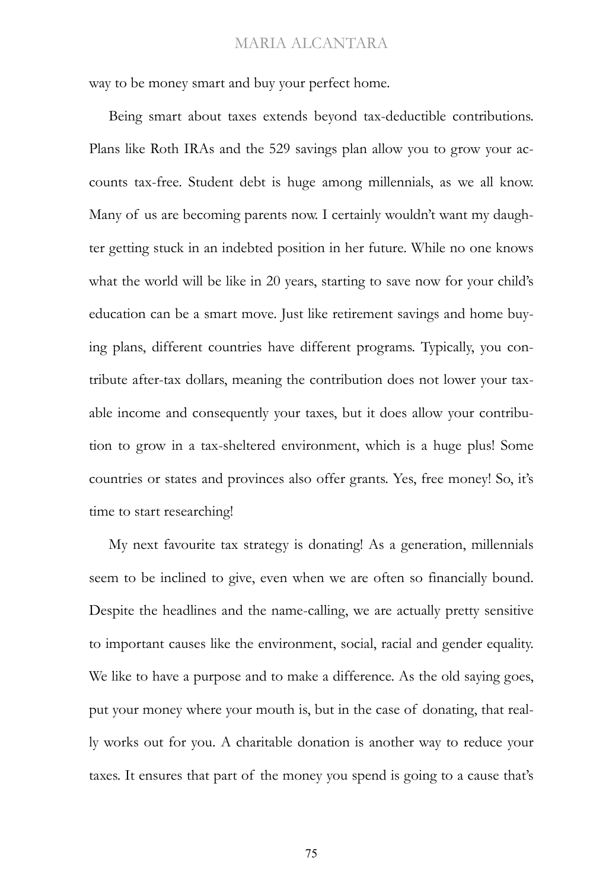way to be money smart and buy your perfect home.

Being smart about taxes extends beyond tax-deductible contributions. Plans like Roth IRAs and the 529 savings plan allow you to grow your accounts tax-free. Student debt is huge among millennials, as we all know. Many of us are becoming parents now. I certainly wouldn't want my daughter getting stuck in an indebted position in her future. While no one knows what the world will be like in 20 years, starting to save now for your child's education can be a smart move. Just like retirement savings and home buying plans, different countries have different programs. Typically, you contribute after-tax dollars, meaning the contribution does not lower your taxable income and consequently your taxes, but it does allow your contribution to grow in a tax-sheltered environment, which is a huge plus! Some countries or states and provinces also offer grants. Yes, free money! So, it's time to start researching!

My next favourite tax strategy is donating! As a generation, millennials seem to be inclined to give, even when we are often so financially bound. Despite the headlines and the name-calling, we are actually pretty sensitive to important causes like the environment, social, racial and gender equality. We like to have a purpose and to make a difference. As the old saying goes, put your money where your mouth is, but in the case of donating, that really works out for you. A charitable donation is another way to reduce your taxes. It ensures that part of the money you spend is going to a cause that's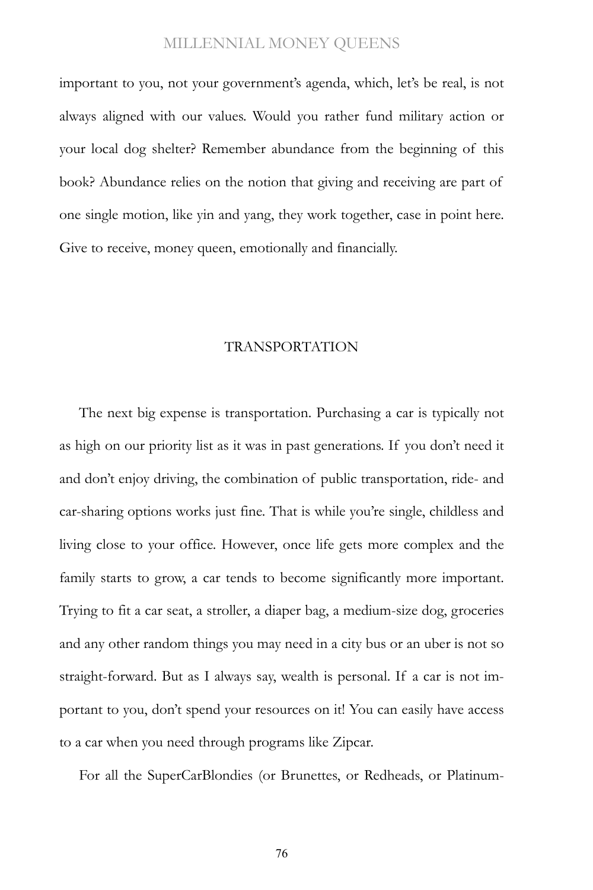important to you, not your government's agenda, which, let's be real, is not always aligned with our values. Would you rather fund military action or your local dog shelter? Remember abundance from the beginning of this book? Abundance relies on the notion that giving and receiving are part of one single motion, like yin and yang, they work together, case in point here. Give to receive, money queen, emotionally and financially.

#### TRANSPORTATION

The next big expense is transportation. Purchasing a car is typically not as high on our priority list as it was in past generations. If you don't need it and don't enjoy driving, the combination of public transportation, ride- and car-sharing options works just fine. That is while you're single, childless and living close to your office. However, once life gets more complex and the family starts to grow, a car tends to become significantly more important. Trying to fit a car seat, a stroller, a diaper bag, a medium-size dog, groceries and any other random things you may need in a city bus or an uber is not so straight-forward. But as I always say, wealth is personal. If a car is not important to you, don't spend your resources on it! You can easily have access to a car when you need through programs like Zipcar.

For all the SuperCarBlondies (or Brunettes, or Redheads, or Platinum-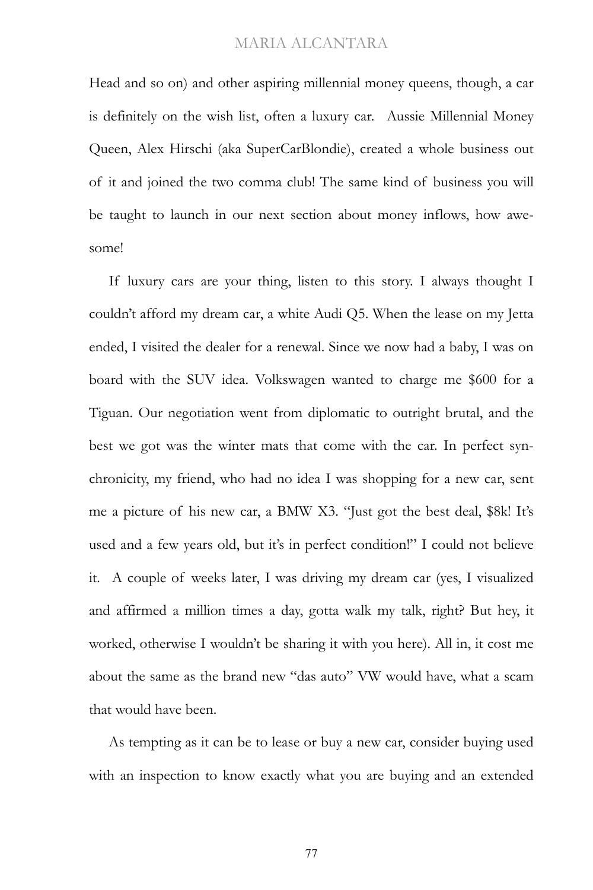Head and so on) and other aspiring millennial money queens, though, a car is definitely on the wish list, often a luxury car. Aussie Millennial Money Queen, Alex Hirschi (aka SuperCarBlondie), created a whole business out of it and joined the two comma club! The same kind of business you will be taught to launch in our next section about money inflows, how awesome!

If luxury cars are your thing, listen to this story. I always thought I couldn't afford my dream car, a white Audi Q5. When the lease on my Jetta ended, I visited the dealer for a renewal. Since we now had a baby, I was on board with the SUV idea. Volkswagen wanted to charge me \$600 for a Tiguan. Our negotiation went from diplomatic to outright brutal, and the best we got was the winter mats that come with the car. In perfect synchronicity, my friend, who had no idea I was shopping for a new car, sent me a picture of his new car, a BMW X3. "Just got the best deal, \$8k! It's used and a few years old, but it's in perfect condition!" I could not believe it. A couple of weeks later, I was driving my dream car (yes, I visualized and affirmed a million times a day, gotta walk my talk, right? But hey, it worked, otherwise I wouldn't be sharing it with you here). All in, it cost me about the same as the brand new "das auto" VW would have, what a scam that would have been.

As tempting as it can be to lease or buy a new car, consider buying used with an inspection to know exactly what you are buying and an extended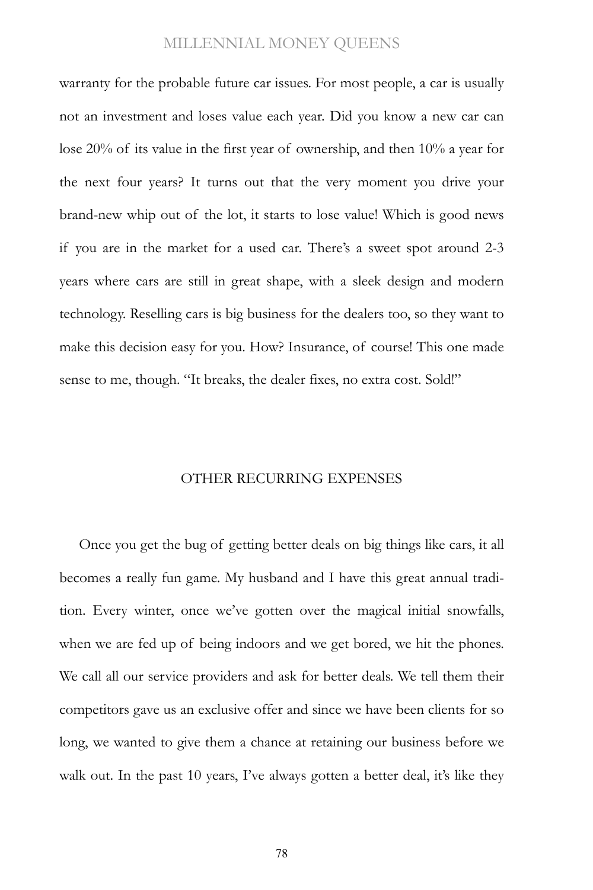warranty for the probable future car issues. For most people, a car is usually not an investment and loses value each year. Did you know a new car can lose 20% of its value in the first year of ownership, and then 10% a year for the next four years? It turns out that the very moment you drive your brand-new whip out of the lot, it starts to lose value! Which is good news if you are in the market for a used car. There's a sweet spot around 2-3 years where cars are still in great shape, with a sleek design and modern technology. Reselling cars is big business for the dealers too, so they want to make this decision easy for you. How? Insurance, of course! This one made sense to me, though. "It breaks, the dealer fixes, no extra cost. Sold!"

#### OTHER RECURRING EXPENSES

Once you get the bug of getting better deals on big things like cars, it all becomes a really fun game. My husband and I have this great annual tradition. Every winter, once we've gotten over the magical initial snowfalls, when we are fed up of being indoors and we get bored, we hit the phones. We call all our service providers and ask for better deals. We tell them their competitors gave us an exclusive offer and since we have been clients for so long, we wanted to give them a chance at retaining our business before we walk out. In the past 10 years, I've always gotten a better deal, it's like they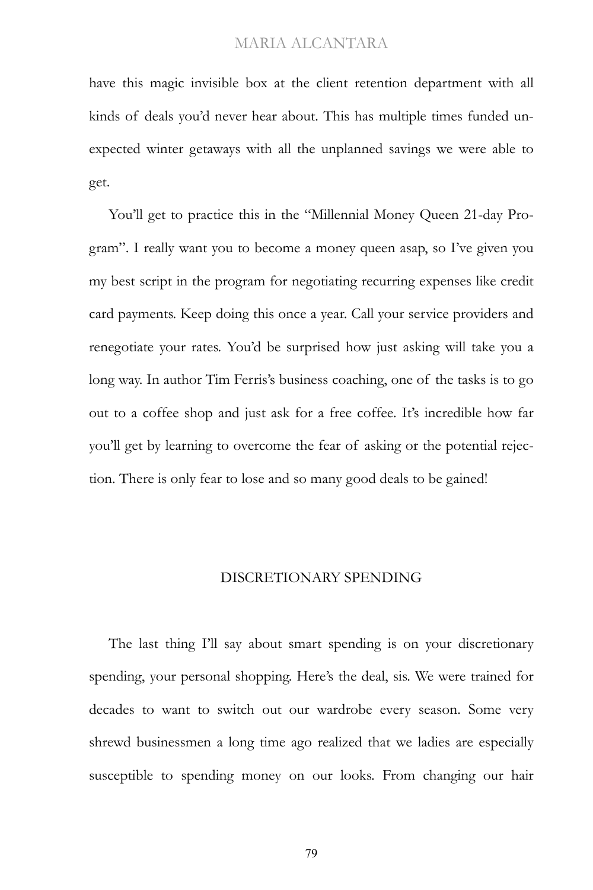have this magic invisible box at the client retention department with all kinds of deals you'd never hear about. This has multiple times funded unexpected winter getaways with all the unplanned savings we were able to get.

You'll get to practice this in the "Millennial Money Queen 21-day Program". I really want you to become a money queen asap, so I've given you my best script in the program for negotiating recurring expenses like credit card payments. Keep doing this once a year. Call your service providers and renegotiate your rates. You'd be surprised how just asking will take you a long way. In author Tim Ferris's business coaching, one of the tasks is to go out to a coffee shop and just ask for a free coffee. It's incredible how far you'll get by learning to overcome the fear of asking or the potential rejection. There is only fear to lose and so many good deals to be gained!

#### DISCRETIONARY SPENDING

The last thing I'll say about smart spending is on your discretionary spending, your personal shopping. Here's the deal, sis. We were trained for decades to want to switch out our wardrobe every season. Some very shrewd businessmen a long time ago realized that we ladies are especially susceptible to spending money on our looks. From changing our hair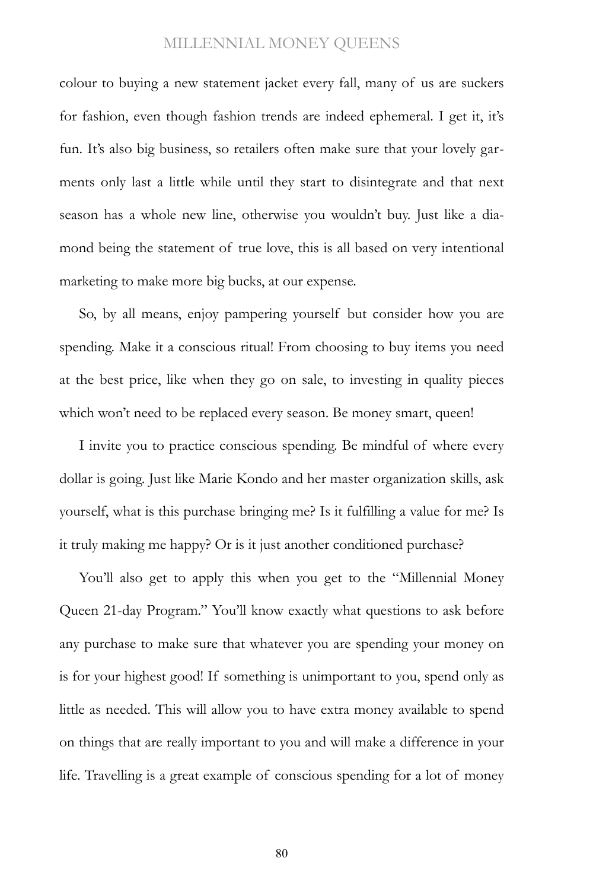colour to buying a new statement jacket every fall, many of us are suckers for fashion, even though fashion trends are indeed ephemeral. I get it, it's fun. It's also big business, so retailers often make sure that your lovely garments only last a little while until they start to disintegrate and that next season has a whole new line, otherwise you wouldn't buy. Just like a diamond being the statement of true love, this is all based on very intentional marketing to make more big bucks, at our expense.

So, by all means, enjoy pampering yourself but consider how you are spending. Make it a conscious ritual! From choosing to buy items you need at the best price, like when they go on sale, to investing in quality pieces which won't need to be replaced every season. Be money smart, queen!

I invite you to practice conscious spending. Be mindful of where every dollar is going. Just like Marie Kondo and her master organization skills, ask yourself, what is this purchase bringing me? Is it fulfilling a value for me? Is it truly making me happy? Or is it just another conditioned purchase?

You'll also get to apply this when you get to the "Millennial Money" Queen 21-day Program." You'll know exactly what questions to ask before any purchase to make sure that whatever you are spending your money on is for your highest good! If something is unimportant to you, spend only as little as needed. This will allow you to have extra money available to spend on things that are really important to you and will make a difference in your life. Travelling is a great example of conscious spending for a lot of money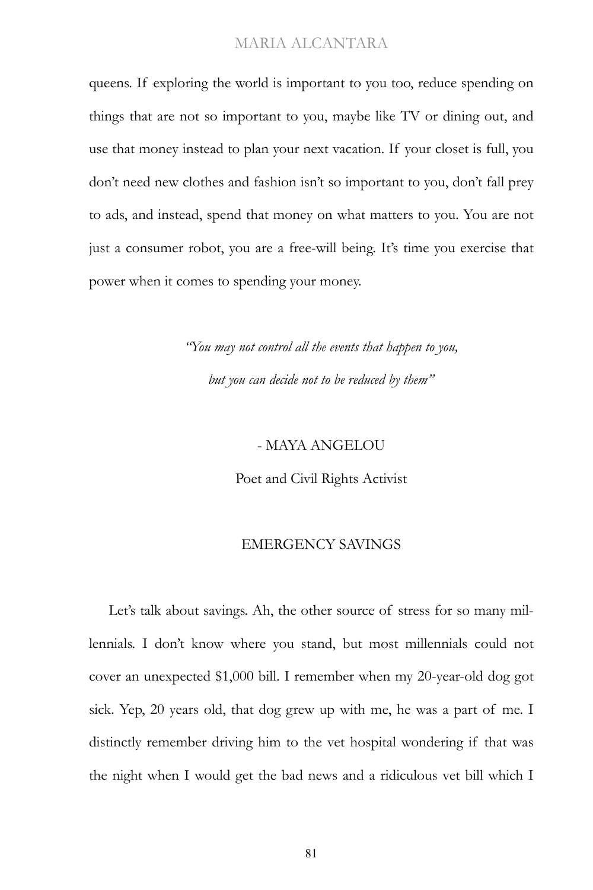queens. If exploring the world is important to you too, reduce spending on things that are not so important to you, maybe like TV or dining out, and use that money instead to plan your next vacation. If your closet is full, you don't need new clothes and fashion isn't so important to you, don't fall prey to ads, and instead, spend that money on what matters to you. You are not just a consumer robot, you are a free-will being. It's time you exercise that power when it comes to spending your money.

> *"You may not control all the events that happen to you, but you can decide not to be reduced by them"*

#### - MAYA ANGELOU

Poet and Civil Rights Activist

#### EMERGENCY SAVINGS

Let's talk about savings. Ah, the other source of stress for so many millennials. I don't know where you stand, but most millennials could not cover an unexpected \$1,000 bill. I remember when my 20-year-old dog got sick. Yep, 20 years old, that dog grew up with me, he was a part of me. I distinctly remember driving him to the vet hospital wondering if that was the night when I would get the bad news and a ridiculous vet bill which I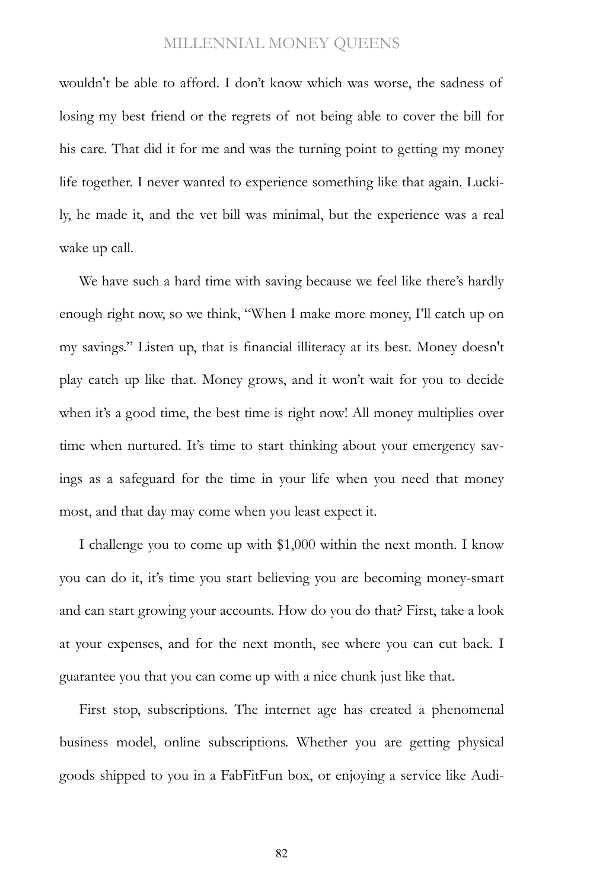wouldn't be able to afford. I don't know which was worse, the sadness of losing my best friend or the regrets of not being able to cover the bill for his care. That did it for me and was the turning point to getting my money life together. I never wanted to experience something like that again. Luckily, he made it, and the vet bill was minimal, but the experience was a real wake up call.

We have such a hard time with saving because we feel like there's hardly enough right now, so we think, "When I make more money, I'll catch up on my savings." Listen up, that is financial illiteracy at its best. Money doesn't play catch up like that. Money grows, and it won't wait for you to decide when it's a good time, the best time is right now! All money multiplies over time when nurtured. It's time to start thinking about your emergency savings as a safeguard for the time in your life when you need that money most, and that day may come when you least expect it.

I challenge you to come up with \$1,000 within the next month. I know you can do it, it's time you start believing you are becoming money-smart and can start growing your accounts. How do you do that? First, take a look at your expenses, and for the next month, see where you can cut back. I guarantee you that you can come up with a nice chunk just like that.

First stop, subscriptions. The internet age has created a phenomenal business model, online subscriptions. Whether you are getting physical goods shipped to you in a FabFitFun box, or enjoying a service like Audi-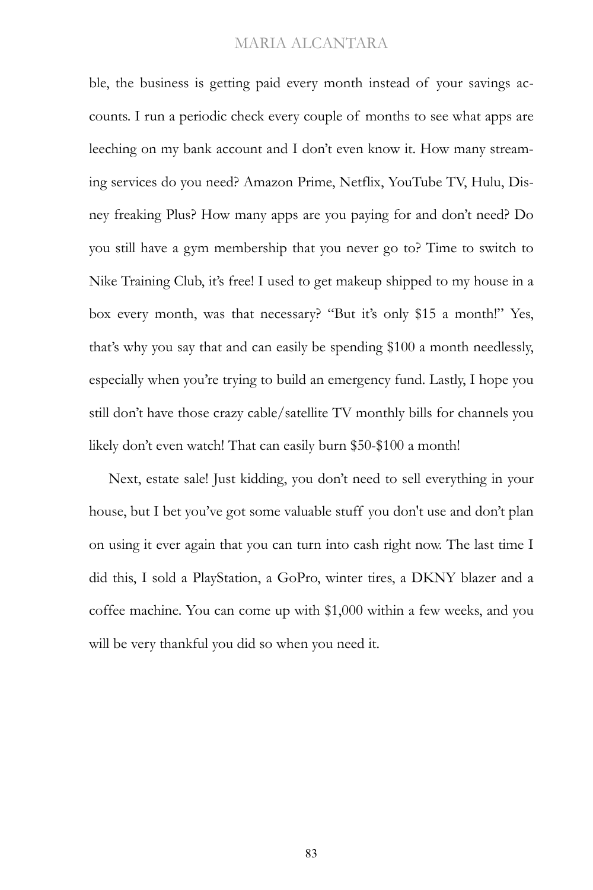ble, the business is getting paid every month instead of your savings accounts. I run a periodic check every couple of months to see what apps are leeching on my bank account and I don't even know it. How many streaming services do you need? Amazon Prime, Netflix, YouTube TV, Hulu, Disney freaking Plus? How many apps are you paying for and don't need? Do you still have a gym membership that you never go to? Time to switch to Nike Training Club, it's free! I used to get makeup shipped to my house in a box every month, was that necessary? "But it's only \$15 a month!" Yes, that's why you say that and can easily be spending \$100 a month needlessly, especially when you're trying to build an emergency fund. Lastly, I hope you still don't have those crazy cable/satellite TV monthly bills for channels you likely don't even watch! That can easily burn \$50-\$100 a month!

Next, estate sale! Just kidding, you don't need to sell everything in your house, but I bet you've got some valuable stuff you don't use and don't plan on using it ever again that you can turn into cash right now. The last time I did this, I sold a PlayStation, a GoPro, winter tires, a DKNY blazer and a coffee machine. You can come up with \$1,000 within a few weeks, and you will be very thankful you did so when you need it.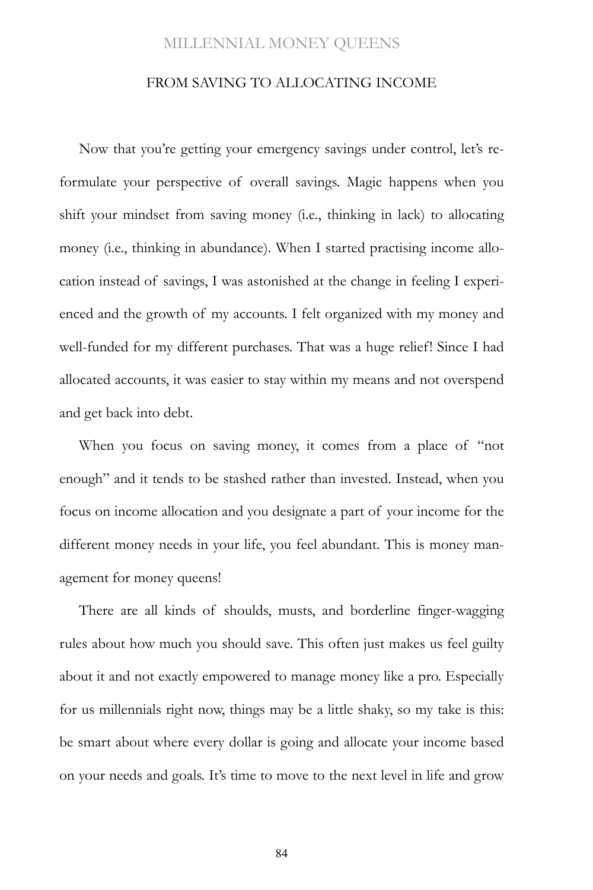#### FROM SAVING TO ALLOCATING INCOME

Now that you're getting your emergency savings under control, let's reformulate your perspective of overall savings. Magic happens when you shift your mindset from saving money (i.e., thinking in lack) to allocating money (i.e., thinking in abundance). When I started practising income allocation instead of savings, I was astonished at the change in feeling I experienced and the growth of my accounts. I felt organized with my money and well-funded for my different purchases. That was a huge relief! Since I had allocated accounts, it was easier to stay within my means and not overspend and get back into debt.

When you focus on saving money, it comes from a place of "not enough" and it tends to be stashed rather than invested. Instead, when you focus on income allocation and you designate a part of your income for the different money needs in your life, you feel abundant. This is money management for money queens!

There are all kinds of shoulds, musts, and borderline finger-wagging rules about how much you should save. This often just makes us feel guilty about it and not exactly empowered to manage money like a pro. Especially for us millennials right now, things may be a little shaky, so my take is this: be smart about where every dollar is going and allocate your income based on your needs and goals. It's time to move to the next level in life and grow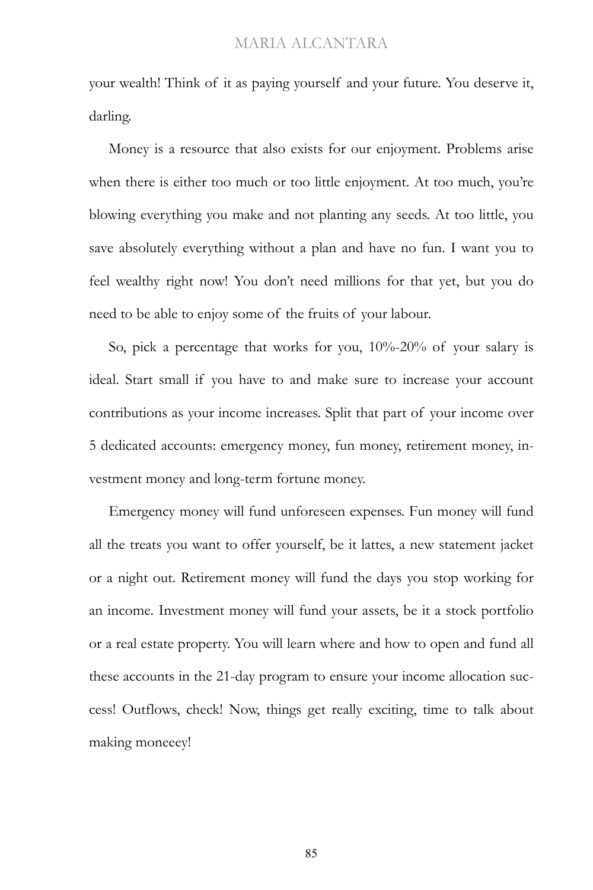your wealth! Think of it as paying yourself and your future. You deserve it, darling.

Money is a resource that also exists for our enjoyment. Problems arise when there is either too much or too little enjoyment. At too much, you're blowing everything you make and not planting any seeds. At too little, you save absolutely everything without a plan and have no fun. I want you to feel wealthy right now! You don't need millions for that yet, but you do need to be able to enjoy some of the fruits of your labour.

So, pick a percentage that works for you, 10%-20% of your salary is ideal. Start small if you have to and make sure to increase your account contributions as your income increases. Split that part of your income over 5 dedicated accounts: emergency money, fun money, retirement money, investment money and long-term fortune money.

Emergency money will fund unforeseen expenses. Fun money will fund all the treats you want to offer yourself, be it lattes, a new statement jacket or a night out. Retirement money will fund the days you stop working for an income. Investment money will fund your assets, be it a stock portfolio or a real estate property. You will learn where and how to open and fund all these accounts in the 21-day program to ensure your income allocation success! Outflows, check! Now, things get really exciting, time to talk about making moneeey!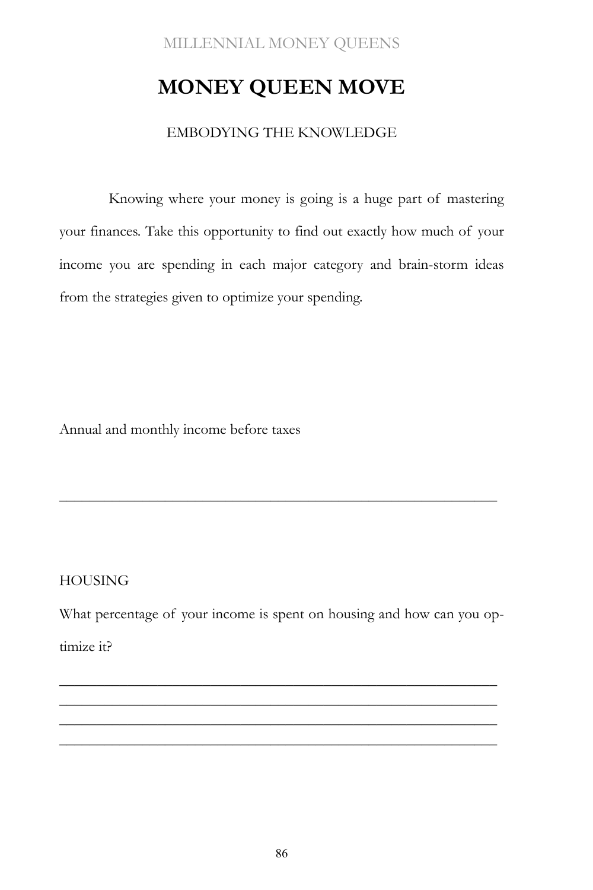# **MONEY QUEEN MOVE**

#### EMBODYING THE KNOWLEDGE

Knowing where your money is going is a huge part of mastering your finances. Take this opportunity to find out exactly how much of your income you are spending in each major category and brain-storm ideas from the strategies given to optimize your spending.

Annual and monthly income before taxes

#### **HOUSING**

What percentage of your income is spent on housing and how can you optimize it?

\_\_\_\_\_\_\_\_\_\_\_\_\_\_\_\_\_\_\_\_\_\_\_\_\_\_\_\_\_\_\_\_\_\_\_\_\_\_\_\_\_\_\_\_\_\_\_\_\_\_\_\_\_\_\_\_\_\_ \_\_\_\_\_\_\_\_\_\_\_\_\_\_\_\_\_\_\_\_\_\_\_\_\_\_\_\_\_\_\_\_\_\_\_\_\_\_\_\_\_\_\_\_\_\_\_\_\_\_\_\_\_\_\_\_\_\_ \_\_\_\_\_\_\_\_\_\_\_\_\_\_\_\_\_\_\_\_\_\_\_\_\_\_\_\_\_\_\_\_\_\_\_\_\_\_\_\_\_\_\_\_\_\_\_\_\_\_\_\_\_\_\_\_\_\_ \_\_\_\_\_\_\_\_\_\_\_\_\_\_\_\_\_\_\_\_\_\_\_\_\_\_\_\_\_\_\_\_\_\_\_\_\_\_\_\_\_\_\_\_\_\_\_\_\_\_\_\_\_\_\_\_\_\_

\_\_\_\_\_\_\_\_\_\_\_\_\_\_\_\_\_\_\_\_\_\_\_\_\_\_\_\_\_\_\_\_\_\_\_\_\_\_\_\_\_\_\_\_\_\_\_\_\_\_\_\_\_\_\_\_\_\_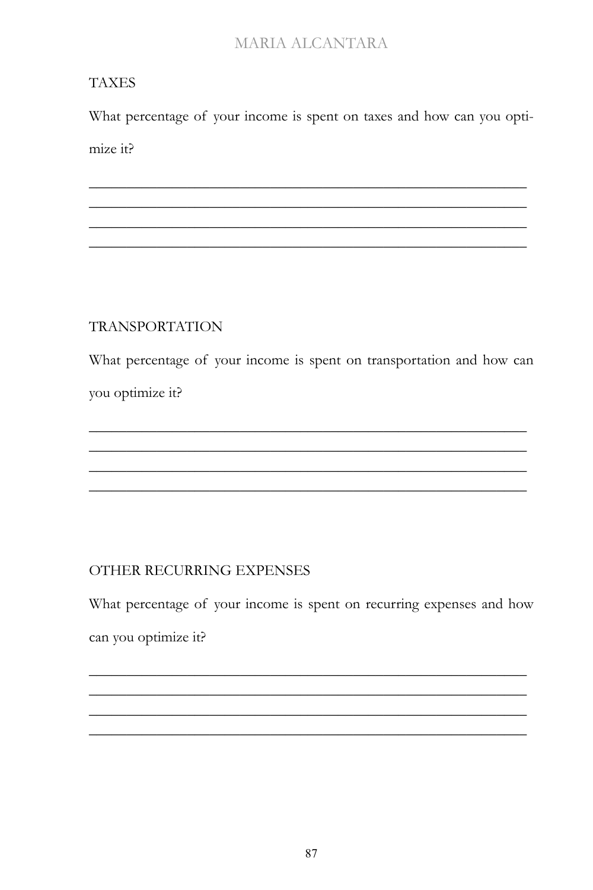## **TAXES**

What percentage of your income is spent on taxes and how can you optimize it?

## **TRANSPORTATION**

What percentage of your income is spent on transportation and how can you optimize it?

## OTHER RECURRING EXPENSES

What percentage of your income is spent on recurring expenses and how can you optimize it?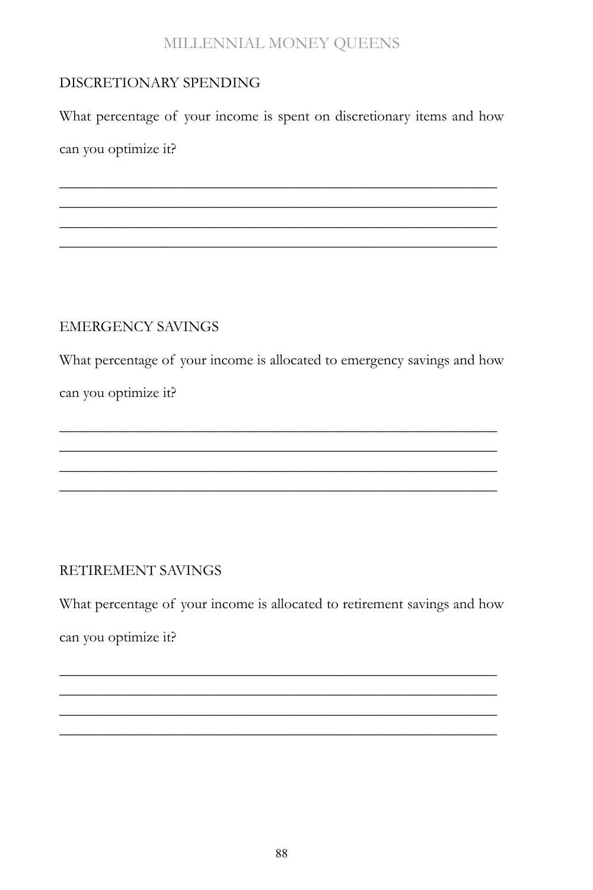## DISCRETIONARY SPENDING

What percentage of your income is spent on discretionary items and how can you optimize it?

\_\_\_\_\_\_\_\_\_\_\_\_\_\_\_\_\_\_\_\_\_\_\_\_\_\_\_\_\_\_\_\_\_\_\_\_\_\_\_\_\_\_\_\_\_\_\_\_\_\_\_\_\_\_\_\_\_\_ \_\_\_\_\_\_\_\_\_\_\_\_\_\_\_\_\_\_\_\_\_\_\_\_\_\_\_\_\_\_\_\_\_\_\_\_\_\_\_\_\_\_\_\_\_\_\_\_\_\_\_\_\_\_\_\_\_\_ \_\_\_\_\_\_\_\_\_\_\_\_\_\_\_\_\_\_\_\_\_\_\_\_\_\_\_\_\_\_\_\_\_\_\_\_\_\_\_\_\_\_\_\_\_\_\_\_\_\_\_\_\_\_\_\_\_\_ \_\_\_\_\_\_\_\_\_\_\_\_\_\_\_\_\_\_\_\_\_\_\_\_\_\_\_\_\_\_\_\_\_\_\_\_\_\_\_\_\_\_\_\_\_\_\_\_\_\_\_\_\_\_\_\_\_\_

## EMERGENCY SAVINGS

What percentage of your income is allocated to emergency savings and how

\_\_\_\_\_\_\_\_\_\_\_\_\_\_\_\_\_\_\_\_\_\_\_\_\_\_\_\_\_\_\_\_\_\_\_\_\_\_\_\_\_\_\_\_\_\_\_\_\_\_\_\_\_\_\_\_\_\_ \_\_\_\_\_\_\_\_\_\_\_\_\_\_\_\_\_\_\_\_\_\_\_\_\_\_\_\_\_\_\_\_\_\_\_\_\_\_\_\_\_\_\_\_\_\_\_\_\_\_\_\_\_\_\_\_\_\_ \_\_\_\_\_\_\_\_\_\_\_\_\_\_\_\_\_\_\_\_\_\_\_\_\_\_\_\_\_\_\_\_\_\_\_\_\_\_\_\_\_\_\_\_\_\_\_\_\_\_\_\_\_\_\_\_\_\_ \_\_\_\_\_\_\_\_\_\_\_\_\_\_\_\_\_\_\_\_\_\_\_\_\_\_\_\_\_\_\_\_\_\_\_\_\_\_\_\_\_\_\_\_\_\_\_\_\_\_\_\_\_\_\_\_\_\_

can you optimize it?

## RETIREMENT SAVINGS

What percentage of your income is allocated to retirement savings and how can you optimize it?

\_\_\_\_\_\_\_\_\_\_\_\_\_\_\_\_\_\_\_\_\_\_\_\_\_\_\_\_\_\_\_\_\_\_\_\_\_\_\_\_\_\_\_\_\_\_\_\_\_\_\_\_\_\_\_\_\_\_ \_\_\_\_\_\_\_\_\_\_\_\_\_\_\_\_\_\_\_\_\_\_\_\_\_\_\_\_\_\_\_\_\_\_\_\_\_\_\_\_\_\_\_\_\_\_\_\_\_\_\_\_\_\_\_\_\_\_ \_\_\_\_\_\_\_\_\_\_\_\_\_\_\_\_\_\_\_\_\_\_\_\_\_\_\_\_\_\_\_\_\_\_\_\_\_\_\_\_\_\_\_\_\_\_\_\_\_\_\_\_\_\_\_\_\_\_ \_\_\_\_\_\_\_\_\_\_\_\_\_\_\_\_\_\_\_\_\_\_\_\_\_\_\_\_\_\_\_\_\_\_\_\_\_\_\_\_\_\_\_\_\_\_\_\_\_\_\_\_\_\_\_\_\_\_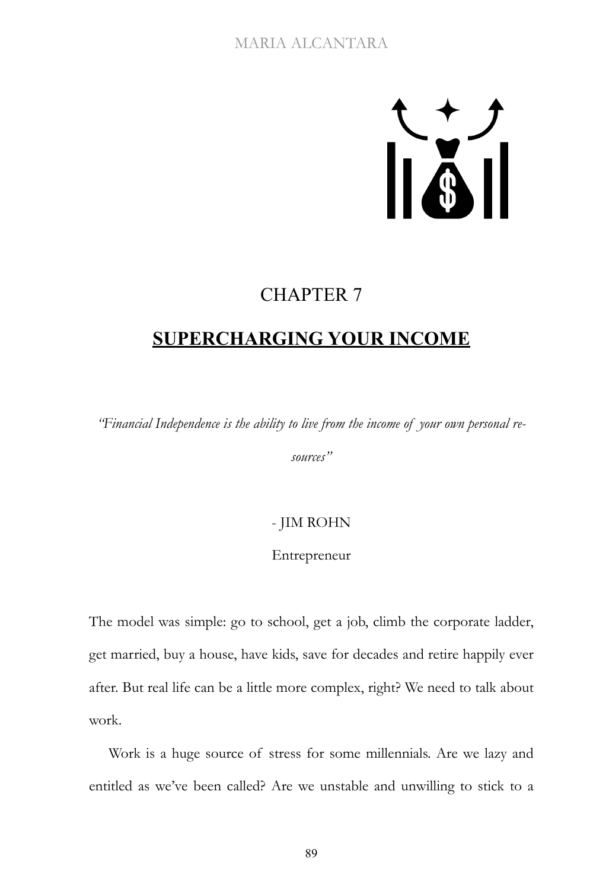# $\sum_{i=1}^{n}$

## CHAPTER 7

# **SUPERCHARGING YOUR INCOME**

*"Financial Independence is the ability to live from the income of your own personal re-*

*sources"*

## - JIM ROHN

#### Entrepreneur

The model was simple: go to school, get a job, climb the corporate ladder, get married, buy a house, have kids, save for decades and retire happily ever after. But real life can be a little more complex, right? We need to talk about work.

Work is a huge source of stress for some millennials. Are we lazy and entitled as we've been called? Are we unstable and unwilling to stick to a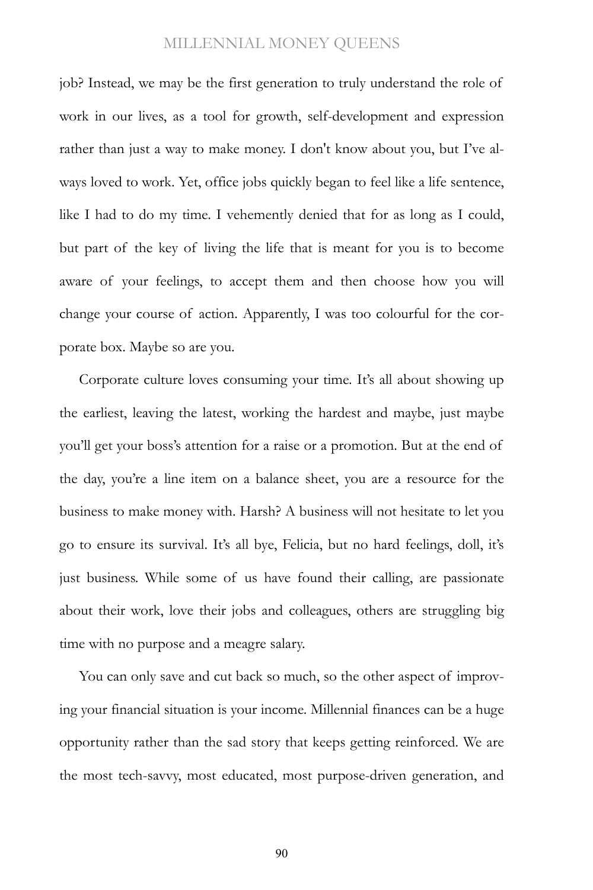job? Instead, we may be the first generation to truly understand the role of work in our lives, as a tool for growth, self-development and expression rather than just a way to make money. I don't know about you, but I've always loved to work. Yet, office jobs quickly began to feel like a life sentence, like I had to do my time. I vehemently denied that for as long as I could, but part of the key of living the life that is meant for you is to become aware of your feelings, to accept them and then choose how you will change your course of action. Apparently, I was too colourful for the corporate box. Maybe so are you.

Corporate culture loves consuming your time. It's all about showing up the earliest, leaving the latest, working the hardest and maybe, just maybe you'll get your boss's attention for a raise or a promotion. But at the end of the day, you're a line item on a balance sheet, you are a resource for the business to make money with. Harsh? A business will not hesitate to let you go to ensure its survival. It's all bye, Felicia, but no hard feelings, doll, it's just business. While some of us have found their calling, are passionate about their work, love their jobs and colleagues, others are struggling big time with no purpose and a meagre salary.

You can only save and cut back so much, so the other aspect of improving your financial situation is your income. Millennial finances can be a huge opportunity rather than the sad story that keeps getting reinforced. We are the most tech-savvy, most educated, most purpose-driven generation, and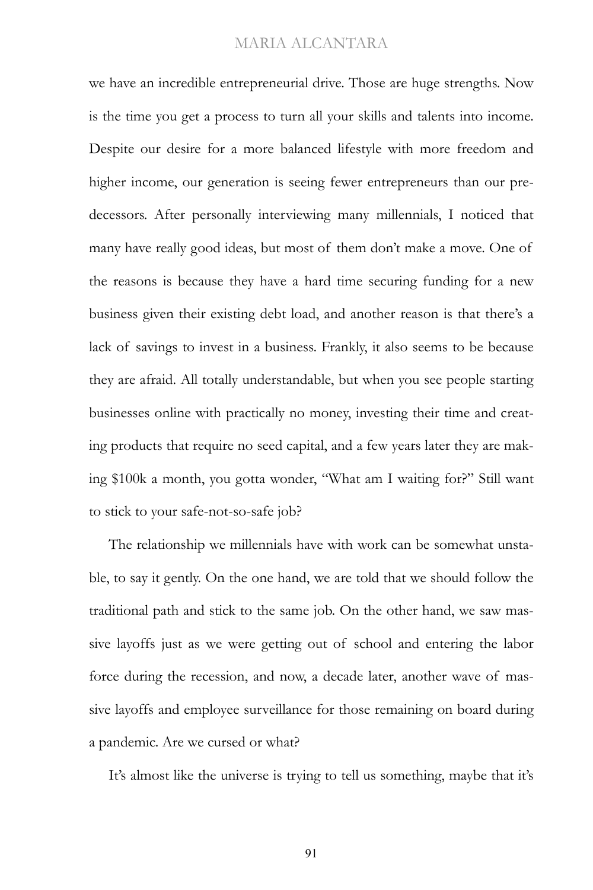we have an incredible entrepreneurial drive. Those are huge strengths. Now is the time you get a process to turn all your skills and talents into income. Despite our desire for a more balanced lifestyle with more freedom and higher income, our generation is seeing fewer entrepreneurs than our predecessors. After personally interviewing many millennials, I noticed that many have really good ideas, but most of them don't make a move. One of the reasons is because they have a hard time securing funding for a new business given their existing debt load, and another reason is that there's a lack of savings to invest in a business. Frankly, it also seems to be because they are afraid. All totally understandable, but when you see people starting businesses online with practically no money, investing their time and creating products that require no seed capital, and a few years later they are making \$100k a month, you gotta wonder, "What am I waiting for?" Still want to stick to your safe-not-so-safe job?

The relationship we millennials have with work can be somewhat unstable, to say it gently. On the one hand, we are told that we should follow the traditional path and stick to the same job. On the other hand, we saw massive layoffs just as we were getting out of school and entering the labor force during the recession, and now, a decade later, another wave of massive layoffs and employee surveillance for those remaining on board during a pandemic. Are we cursed or what?

It's almost like the universe is trying to tell us something, maybe that it's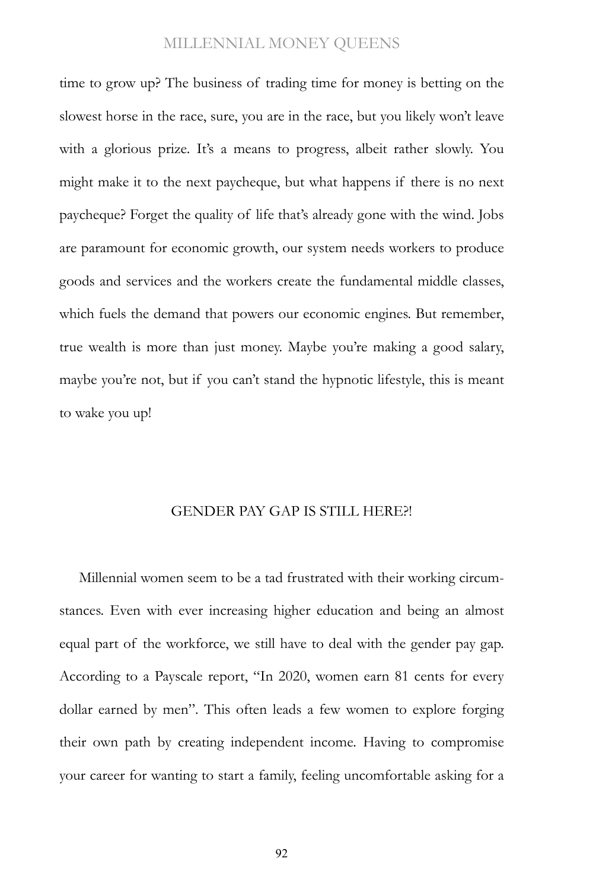time to grow up? The business of trading time for money is betting on the slowest horse in the race, sure, you are in the race, but you likely won't leave with a glorious prize. It's a means to progress, albeit rather slowly. You might make it to the next paycheque, but what happens if there is no next paycheque? Forget the quality of life that's already gone with the wind. Jobs are paramount for economic growth, our system needs workers to produce goods and services and the workers create the fundamental middle classes, which fuels the demand that powers our economic engines. But remember, true wealth is more than just money. Maybe you're making a good salary, maybe you're not, but if you can't stand the hypnotic lifestyle, this is meant to wake you up!

#### GENDER PAY GAP IS STILL HERE?!

Millennial women seem to be a tad frustrated with their working circumstances. Even with ever increasing higher education and being an almost equal part of the workforce, we still have to deal with the gender pay gap. According to a Payscale report, "In 2020, women earn 81 cents for every dollar earned by men". This often leads a few women to explore forging their own path by creating independent income. Having to compromise your career for wanting to start a family, feeling uncomfortable asking for a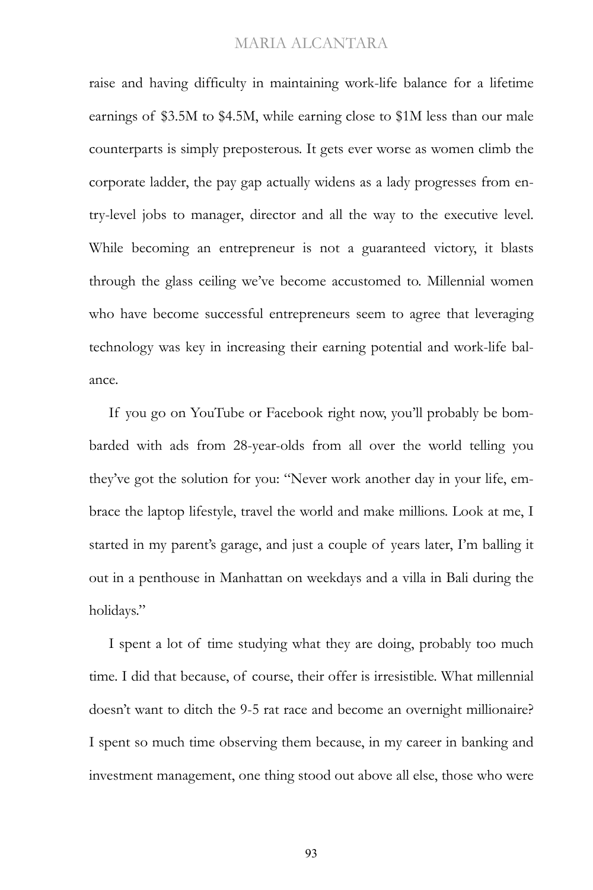raise and having difficulty in maintaining work-life balance for a lifetime earnings of \$3.5M to \$4.5M, while earning close to \$1M less than our male counterparts is simply preposterous. It gets ever worse as women climb the corporate ladder, the pay gap actually widens as a lady progresses from entry-level jobs to manager, director and all the way to the executive level. While becoming an entrepreneur is not a guaranteed victory, it blasts through the glass ceiling we've become accustomed to. Millennial women who have become successful entrepreneurs seem to agree that leveraging technology was key in increasing their earning potential and work-life balance.

If you go on YouTube or Facebook right now, you'll probably be bombarded with ads from 28-year-olds from all over the world telling you they've got the solution for you: "Never work another day in your life, embrace the laptop lifestyle, travel the world and make millions. Look at me, I started in my parent's garage, and just a couple of years later, I'm balling it out in a penthouse in Manhattan on weekdays and a villa in Bali during the holidays."

I spent a lot of time studying what they are doing, probably too much time. I did that because, of course, their offer is irresistible. What millennial doesn't want to ditch the 9-5 rat race and become an overnight millionaire? I spent so much time observing them because, in my career in banking and investment management, one thing stood out above all else, those who were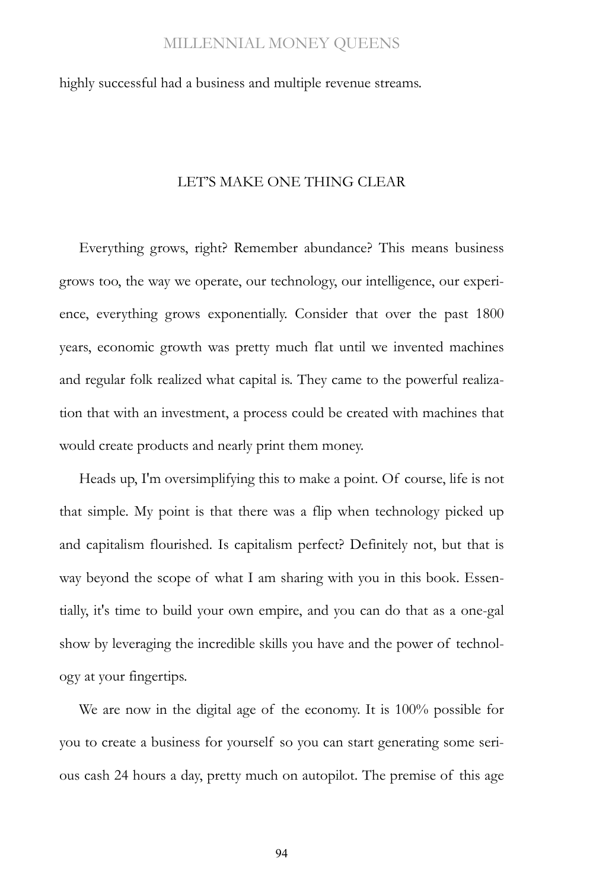highly successful had a business and multiple revenue streams.

#### LET'S MAKE ONE THING CLEAR

Everything grows, right? Remember abundance? This means business grows too, the way we operate, our technology, our intelligence, our experience, everything grows exponentially. Consider that over the past 1800 years, economic growth was pretty much flat until we invented machines and regular folk realized what capital is. They came to the powerful realization that with an investment, a process could be created with machines that would create products and nearly print them money.

Heads up, I'm oversimplifying this to make a point. Of course, life is not that simple. My point is that there was a flip when technology picked up and capitalism flourished. Is capitalism perfect? Definitely not, but that is way beyond the scope of what I am sharing with you in this book. Essentially, it's time to build your own empire, and you can do that as a one-gal show by leveraging the incredible skills you have and the power of technology at your fingertips.

We are now in the digital age of the economy. It is 100% possible for you to create a business for yourself so you can start generating some serious cash 24 hours a day, pretty much on autopilot. The premise of this age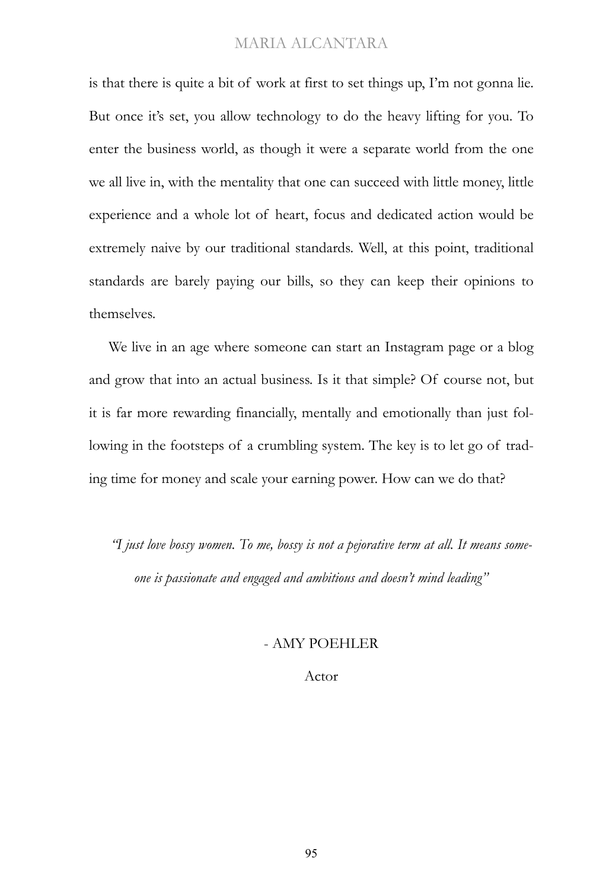is that there is quite a bit of work at first to set things up, I'm not gonna lie. But once it's set, you allow technology to do the heavy lifting for you. To enter the business world, as though it were a separate world from the one we all live in, with the mentality that one can succeed with little money, little experience and a whole lot of heart, focus and dedicated action would be extremely naive by our traditional standards. Well, at this point, traditional standards are barely paying our bills, so they can keep their opinions to themselves.

We live in an age where someone can start an Instagram page or a blog and grow that into an actual business. Is it that simple? Of course not, but it is far more rewarding financially, mentally and emotionally than just following in the footsteps of a crumbling system. The key is to let go of trading time for money and scale your earning power. How can we do that?

*"I just love bossy women. To me, bossy is not a pejorative term at all. It means someone is passionate and engaged and ambitious and doesn't mind leading"*

#### - AMY POEHLER

Actor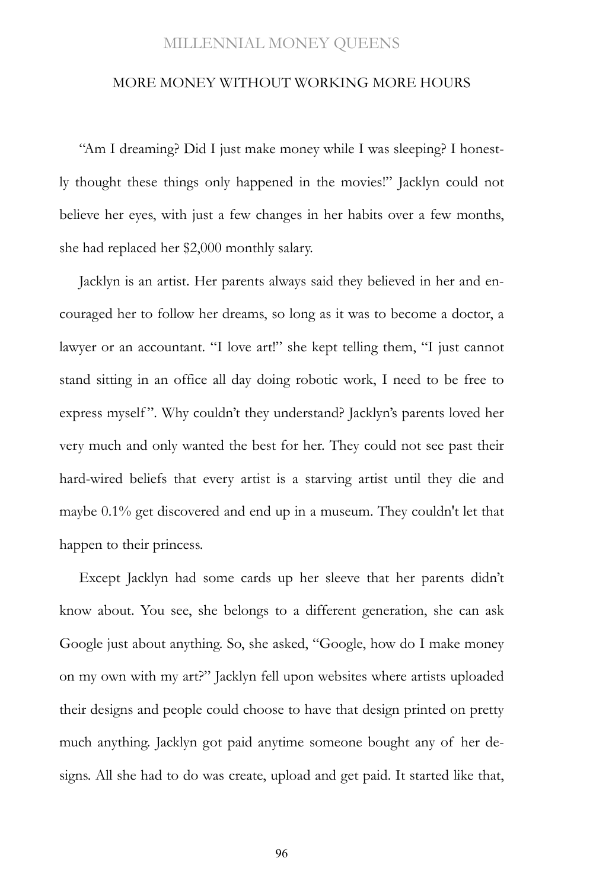#### MORE MONEY WITHOUT WORKING MORE HOURS

"Am I dreaming? Did I just make money while I was sleeping? I honestly thought these things only happened in the movies!" Jacklyn could not believe her eyes, with just a few changes in her habits over a few months, she had replaced her \$2,000 monthly salary.

Jacklyn is an artist. Her parents always said they believed in her and encouraged her to follow her dreams, so long as it was to become a doctor, a lawyer or an accountant. "I love art!" she kept telling them, "I just cannot stand sitting in an office all day doing robotic work, I need to be free to express myself". Why couldn't they understand? Jacklyn's parents loved her very much and only wanted the best for her. They could not see past their hard-wired beliefs that every artist is a starving artist until they die and maybe 0.1% get discovered and end up in a museum. They couldn't let that happen to their princess.

Except Jacklyn had some cards up her sleeve that her parents didn't know about. You see, she belongs to a different generation, she can ask Google just about anything. So, she asked, "Google, how do I make money on my own with my art?" Jacklyn fell upon websites where artists uploaded their designs and people could choose to have that design printed on pretty much anything. Jacklyn got paid anytime someone bought any of her designs. All she had to do was create, upload and get paid. It started like that,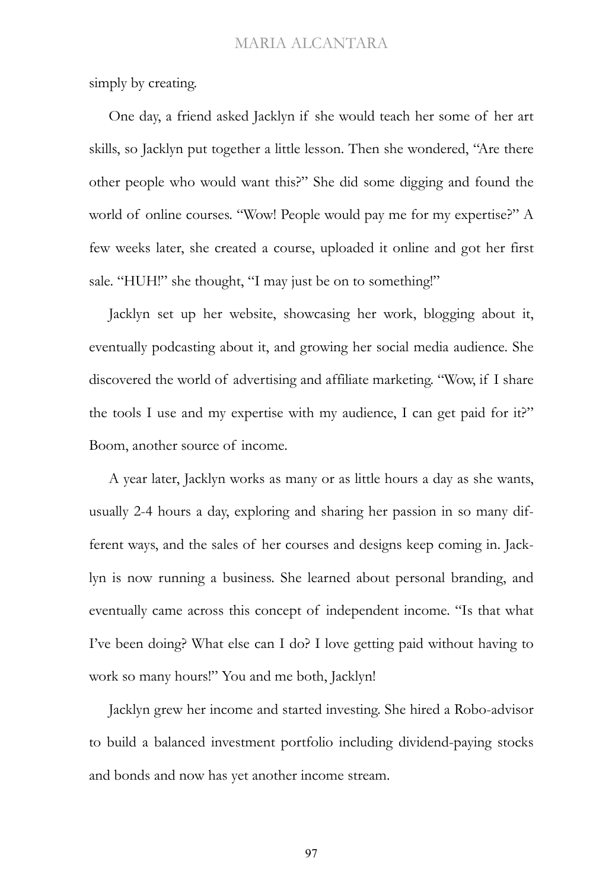simply by creating.

One day, a friend asked Jacklyn if she would teach her some of her art skills, so Jacklyn put together a little lesson. Then she wondered, "Are there other people who would want this?" She did some digging and found the world of online courses. "Wow! People would pay me for my expertise?" A few weeks later, she created a course, uploaded it online and got her first sale. "HUH!" she thought, "I may just be on to something!"

Jacklyn set up her website, showcasing her work, blogging about it, eventually podcasting about it, and growing her social media audience. She discovered the world of advertising and affiliate marketing. "Wow, if I share the tools I use and my expertise with my audience, I can get paid for it?" Boom, another source of income.

A year later, Jacklyn works as many or as little hours a day as she wants, usually 2-4 hours a day, exploring and sharing her passion in so many different ways, and the sales of her courses and designs keep coming in. Jacklyn is now running a business. She learned about personal branding, and eventually came across this concept of independent income. "Is that what I've been doing? What else can I do? I love getting paid without having to work so many hours!" You and me both, Jacklyn!

Jacklyn grew her income and started investing. She hired a Robo-advisor to build a balanced investment portfolio including dividend-paying stocks and bonds and now has yet another income stream.

97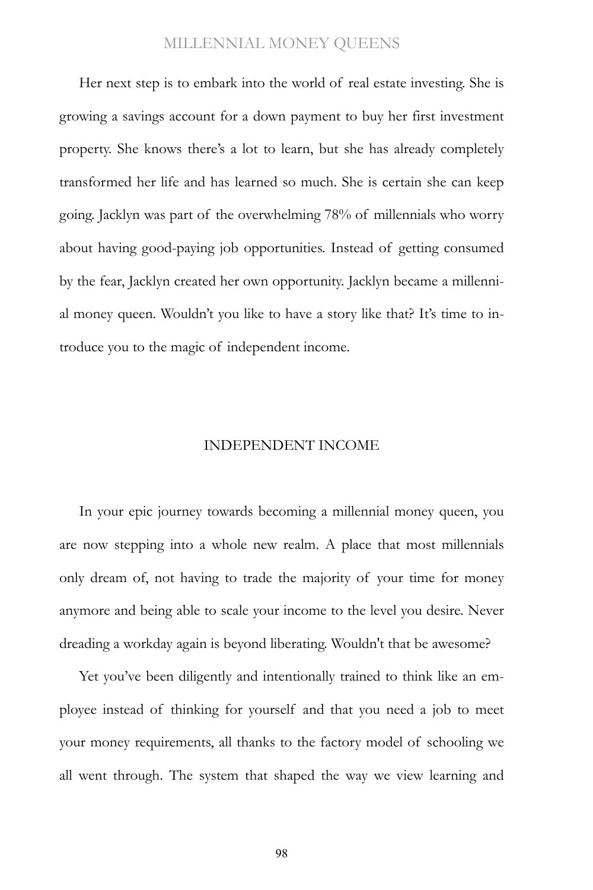Her next step is to embark into the world of real estate investing. She is growing a savings account for a down payment to buy her first investment property. She knows there's a lot to learn, but she has already completely transformed her life and has learned so much. She is certain she can keep going. Jacklyn was part of the overwhelming 78% of millennials who worry about having good-paying job opportunities. Instead of getting consumed by the fear, Jacklyn created her own opportunity. Jacklyn became a millennial money queen. Wouldn't you like to have a story like that? It's time to introduce you to the magic of independent income.

#### INDEPENDENT INCOME

In your epic journey towards becoming a millennial money queen, you are now stepping into a whole new realm. A place that most millennials only dream of, not having to trade the majority of your time for money anymore and being able to scale your income to the level you desire. Never dreading a workday again is beyond liberating. Wouldn't that be awesome?

Yet you've been diligently and intentionally trained to think like an employee instead of thinking for yourself and that you need a job to meet your money requirements, all thanks to the factory model of schooling we all went through. The system that shaped the way we view learning and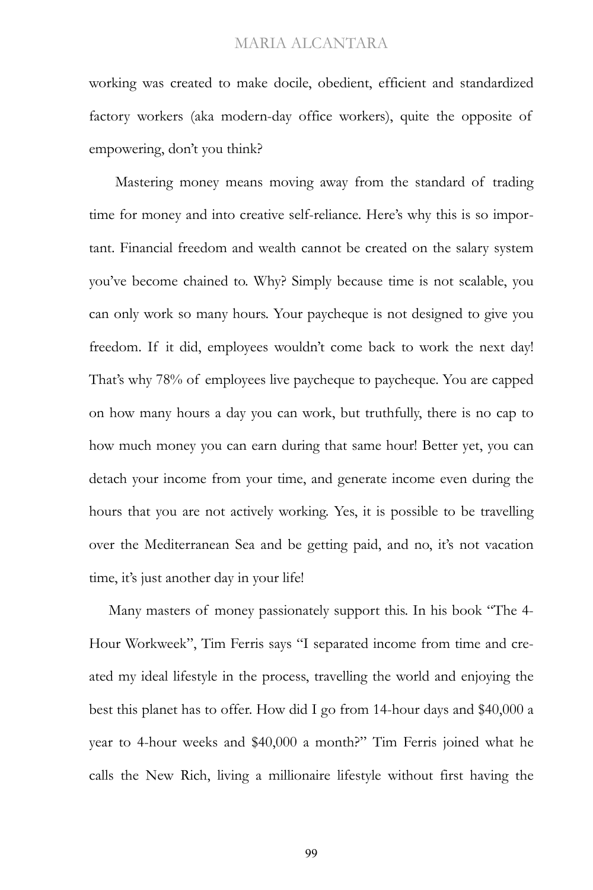working was created to make docile, obedient, efficient and standardized factory workers (aka modern-day office workers), quite the opposite of empowering, don't you think?

Mastering money means moving away from the standard of trading time for money and into creative self-reliance. Here's why this is so important. Financial freedom and wealth cannot be created on the salary system you've become chained to. Why? Simply because time is not scalable, you can only work so many hours. Your paycheque is not designed to give you freedom. If it did, employees wouldn't come back to work the next day! That's why 78% of employees live paycheque to paycheque. You are capped on how many hours a day you can work, but truthfully, there is no cap to how much money you can earn during that same hour! Better yet, you can detach your income from your time, and generate income even during the hours that you are not actively working. Yes, it is possible to be travelling over the Mediterranean Sea and be getting paid, and no, it's not vacation time, it's just another day in your life!

Many masters of money passionately support this. In his book "The 4- Hour Workweek", Tim Ferris says "I separated income from time and created my ideal lifestyle in the process, travelling the world and enjoying the best this planet has to offer. How did I go from 14-hour days and \$40,000 a year to 4-hour weeks and \$40,000 a month?" Tim Ferris joined what he calls the New Rich, living a millionaire lifestyle without first having the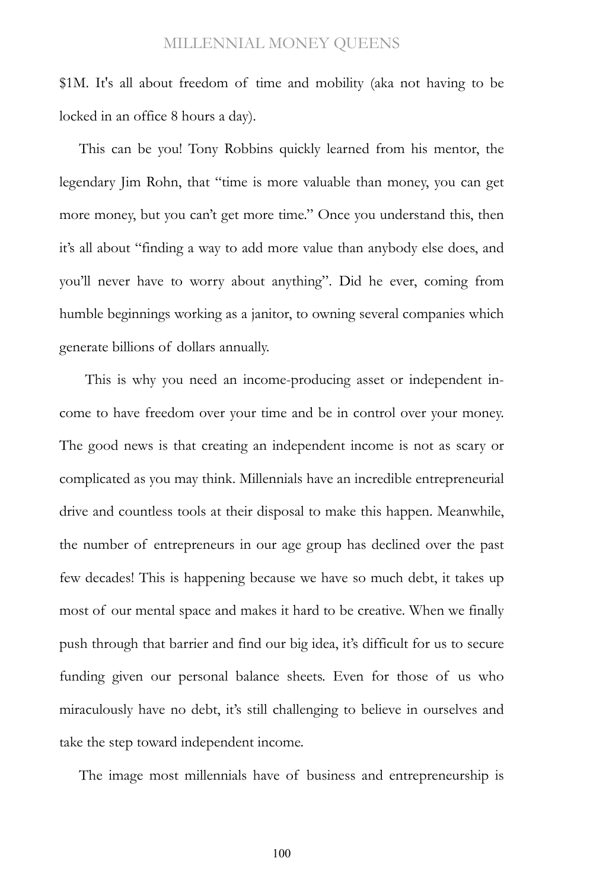\$1M. It's all about freedom of time and mobility (aka not having to be locked in an office 8 hours a day).

This can be you! Tony Robbins quickly learned from his mentor, the legendary Jim Rohn, that "time is more valuable than money, you can get more money, but you can't get more time." Once you understand this, then it's all about "finding a way to add more value than anybody else does, and you'll never have to worry about anything". Did he ever, coming from humble beginnings working as a janitor, to owning several companies which generate billions of dollars annually.

This is why you need an income-producing asset or independent income to have freedom over your time and be in control over your money. The good news is that creating an independent income is not as scary or complicated as you may think. Millennials have an incredible entrepreneurial drive and countless tools at their disposal to make this happen. Meanwhile, the number of entrepreneurs in our age group has declined over the past few decades! This is happening because we have so much debt, it takes up most of our mental space and makes it hard to be creative. When we finally push through that barrier and find our big idea, it's difficult for us to secure funding given our personal balance sheets. Even for those of us who miraculously have no debt, it's still challenging to believe in ourselves and take the step toward independent income.

The image most millennials have of business and entrepreneurship is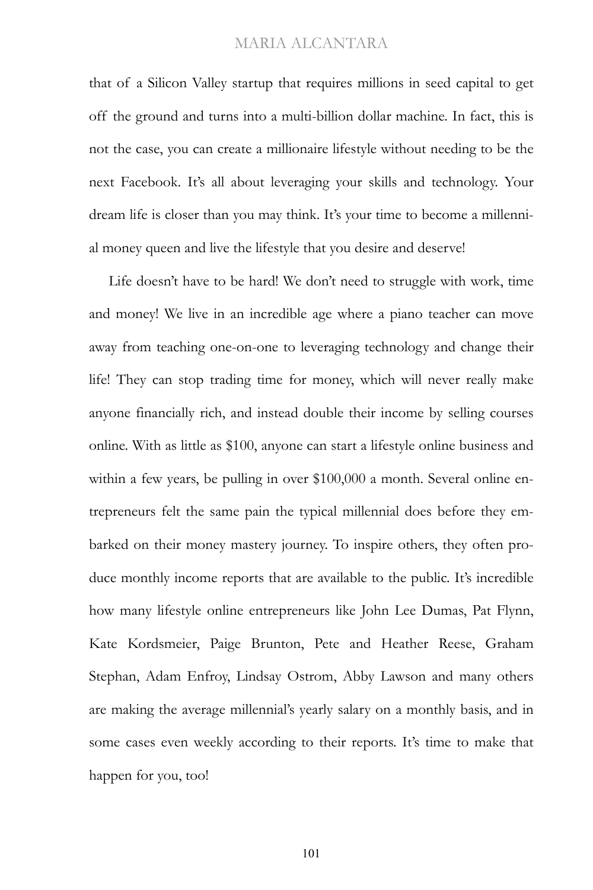that of a Silicon Valley startup that requires millions in seed capital to get off the ground and turns into a multi-billion dollar machine. In fact, this is not the case, you can create a millionaire lifestyle without needing to be the next Facebook. It's all about leveraging your skills and technology. Your dream life is closer than you may think. It's your time to become a millennial money queen and live the lifestyle that you desire and deserve!

Life doesn't have to be hard! We don't need to struggle with work, time and money! We live in an incredible age where a piano teacher can move away from teaching one-on-one to leveraging technology and change their life! They can stop trading time for money, which will never really make anyone financially rich, and instead double their income by selling courses online. With as little as \$100, anyone can start a lifestyle online business and within a few years, be pulling in over \$100,000 a month. Several online entrepreneurs felt the same pain the typical millennial does before they embarked on their money mastery journey. To inspire others, they often produce monthly income reports that are available to the public. It's incredible how many lifestyle online entrepreneurs like John Lee Dumas, Pat Flynn, Kate Kordsmeier, Paige Brunton, Pete and Heather Reese, Graham Stephan, Adam Enfroy, Lindsay Ostrom, Abby Lawson and many others are making the average millennial's yearly salary on a monthly basis, and in some cases even weekly according to their reports. It's time to make that happen for you, too!

101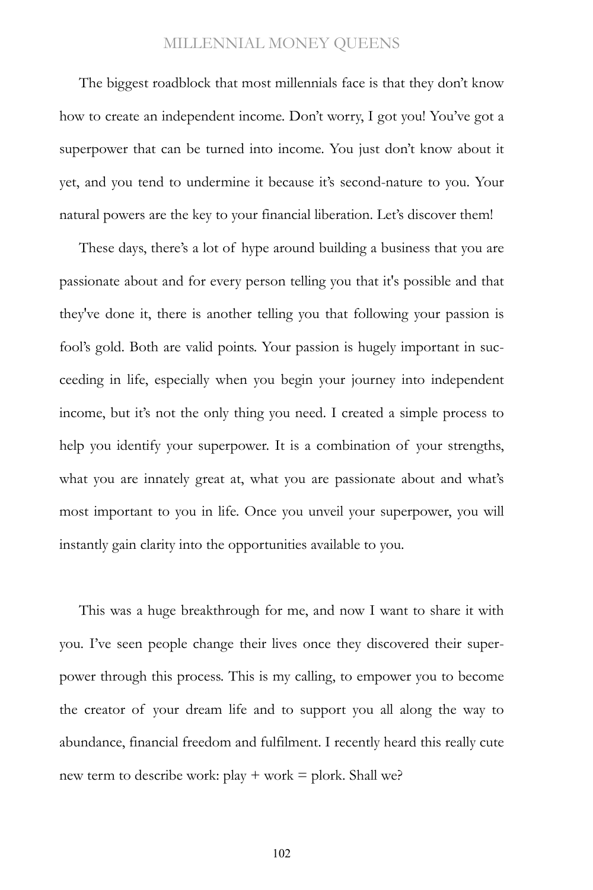The biggest roadblock that most millennials face is that they don't know how to create an independent income. Don't worry, I got you! You've got a superpower that can be turned into income. You just don't know about it yet, and you tend to undermine it because it's second-nature to you. Your natural powers are the key to your financial liberation. Let's discover them!

These days, there's a lot of hype around building a business that you are passionate about and for every person telling you that it's possible and that they've done it, there is another telling you that following your passion is fool's gold. Both are valid points. Your passion is hugely important in succeeding in life, especially when you begin your journey into independent income, but it's not the only thing you need. I created a simple process to help you identify your superpower. It is a combination of your strengths, what you are innately great at, what you are passionate about and what's most important to you in life. Once you unveil your superpower, you will instantly gain clarity into the opportunities available to you.

This was a huge breakthrough for me, and now I want to share it with you. I've seen people change their lives once they discovered their superpower through this process. This is my calling, to empower you to become the creator of your dream life and to support you all along the way to abundance, financial freedom and fulfilment. I recently heard this really cute new term to describe work:  $play + work = plock.$  Shall we?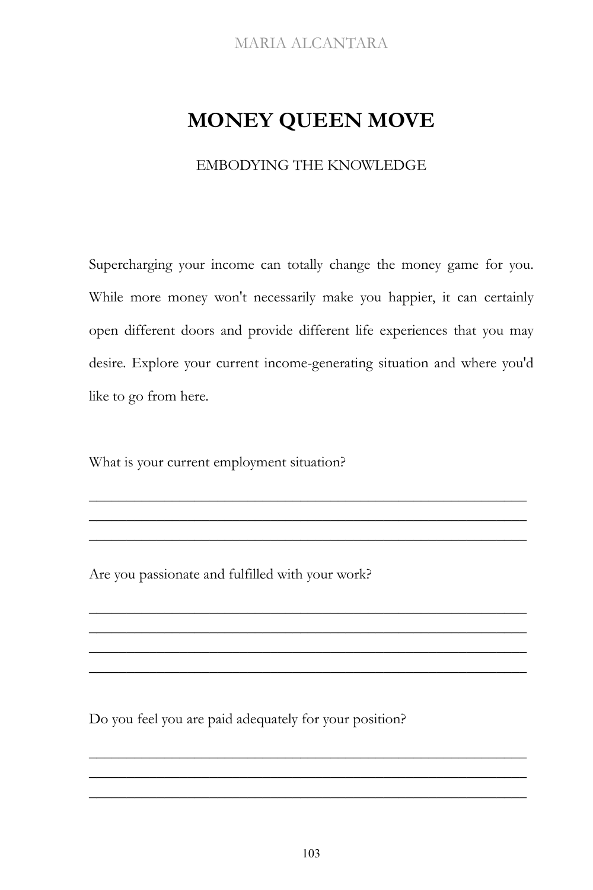# **MONEY QUEEN MOVE**

## EMBODYING THE KNOWLEDGE

Supercharging your income can totally change the money game for you. While more money won't necessarily make you happier, it can certainly open different doors and provide different life experiences that you may desire. Explore your current income-generating situation and where you'd like to go from here.

\_\_\_\_\_\_\_\_\_\_\_\_\_\_\_\_\_\_\_\_\_\_\_\_\_\_\_\_\_\_\_\_\_\_\_\_\_\_\_\_\_\_\_\_\_\_\_\_\_\_\_\_\_\_\_\_\_\_ \_\_\_\_\_\_\_\_\_\_\_\_\_\_\_\_\_\_\_\_\_\_\_\_\_\_\_\_\_\_\_\_\_\_\_\_\_\_\_\_\_\_\_\_\_\_\_\_\_\_\_\_\_\_\_\_\_\_ \_\_\_\_\_\_\_\_\_\_\_\_\_\_\_\_\_\_\_\_\_\_\_\_\_\_\_\_\_\_\_\_\_\_\_\_\_\_\_\_\_\_\_\_\_\_\_\_\_\_\_\_\_\_\_\_\_\_

\_\_\_\_\_\_\_\_\_\_\_\_\_\_\_\_\_\_\_\_\_\_\_\_\_\_\_\_\_\_\_\_\_\_\_\_\_\_\_\_\_\_\_\_\_\_\_\_\_\_\_\_\_\_\_\_\_\_ \_\_\_\_\_\_\_\_\_\_\_\_\_\_\_\_\_\_\_\_\_\_\_\_\_\_\_\_\_\_\_\_\_\_\_\_\_\_\_\_\_\_\_\_\_\_\_\_\_\_\_\_\_\_\_\_\_\_ \_\_\_\_\_\_\_\_\_\_\_\_\_\_\_\_\_\_\_\_\_\_\_\_\_\_\_\_\_\_\_\_\_\_\_\_\_\_\_\_\_\_\_\_\_\_\_\_\_\_\_\_\_\_\_\_\_\_ \_\_\_\_\_\_\_\_\_\_\_\_\_\_\_\_\_\_\_\_\_\_\_\_\_\_\_\_\_\_\_\_\_\_\_\_\_\_\_\_\_\_\_\_\_\_\_\_\_\_\_\_\_\_\_\_\_\_

What is your current employment situation?

Are you passionate and fulfilled with your work?

Do you feel you are paid adequately for your position?

\_\_\_\_\_\_\_\_\_\_\_\_\_\_\_\_\_\_\_\_\_\_\_\_\_\_\_\_\_\_\_\_\_\_\_\_\_\_\_\_\_\_\_\_\_\_\_\_\_\_\_\_\_\_\_\_\_\_ \_\_\_\_\_\_\_\_\_\_\_\_\_\_\_\_\_\_\_\_\_\_\_\_\_\_\_\_\_\_\_\_\_\_\_\_\_\_\_\_\_\_\_\_\_\_\_\_\_\_\_\_\_\_\_\_\_\_ \_\_\_\_\_\_\_\_\_\_\_\_\_\_\_\_\_\_\_\_\_\_\_\_\_\_\_\_\_\_\_\_\_\_\_\_\_\_\_\_\_\_\_\_\_\_\_\_\_\_\_\_\_\_\_\_\_\_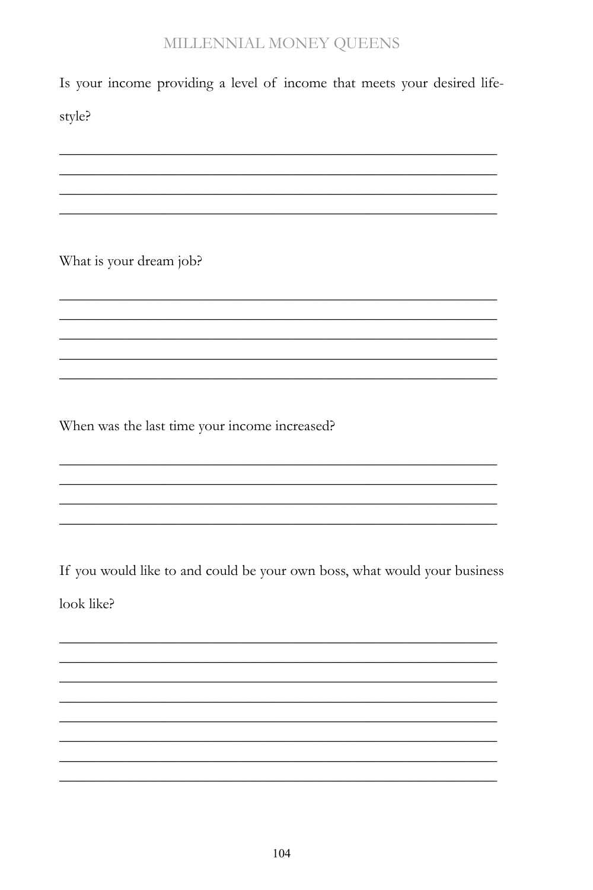Is your income providing a level of income that meets your desired life-

style?

What is your dream job?

When was the last time your income increased?

If you would like to and could be your own boss, what would your business look like?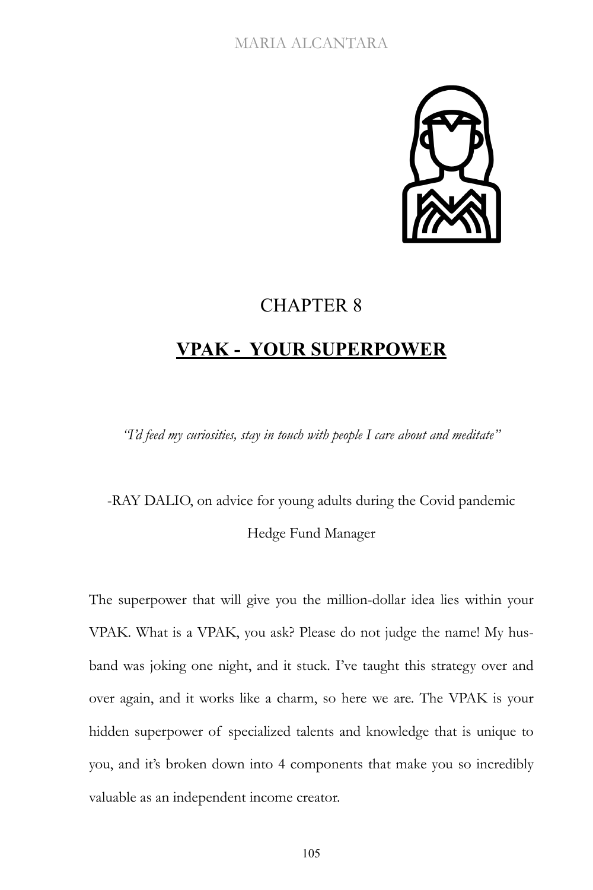

# CHAPTER 8

# **VPAK - YOUR SUPERPOWER**

*"I'd feed my curiosities, stay in touch with people I care about and meditate"*

-RAY DALIO, on advice for young adults during the Covid pandemic Hedge Fund Manager

The superpower that will give you the million-dollar idea lies within your VPAK. What is a VPAK, you ask? Please do not judge the name! My husband was joking one night, and it stuck. I've taught this strategy over and over again, and it works like a charm, so here we are. The VPAK is your hidden superpower of specialized talents and knowledge that is unique to you, and it's broken down into 4 components that make you so incredibly valuable as an independent income creator.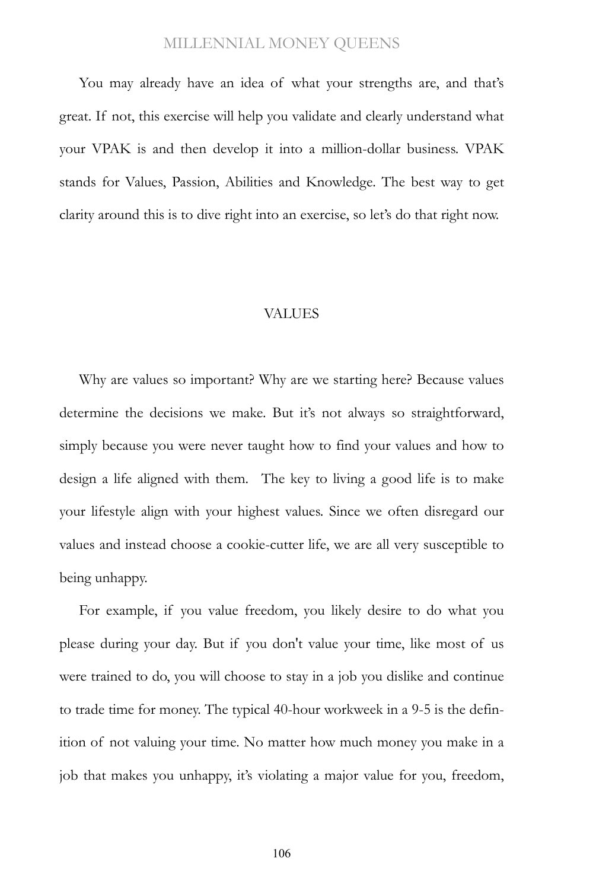You may already have an idea of what your strengths are, and that's great. If not, this exercise will help you validate and clearly understand what your VPAK is and then develop it into a million-dollar business. VPAK stands for Values, Passion, Abilities and Knowledge. The best way to get clarity around this is to dive right into an exercise, so let's do that right now.

#### VALUES

Why are values so important? Why are we starting here? Because values determine the decisions we make. But it's not always so straightforward, simply because you were never taught how to find your values and how to design a life aligned with them. The key to living a good life is to make your lifestyle align with your highest values. Since we often disregard our values and instead choose a cookie-cutter life, we are all very susceptible to being unhappy.

For example, if you value freedom, you likely desire to do what you please during your day. But if you don't value your time, like most of us were trained to do, you will choose to stay in a job you dislike and continue to trade time for money. The typical 40-hour workweek in a 9-5 is the definition of not valuing your time. No matter how much money you make in a job that makes you unhappy, it's violating a major value for you, freedom,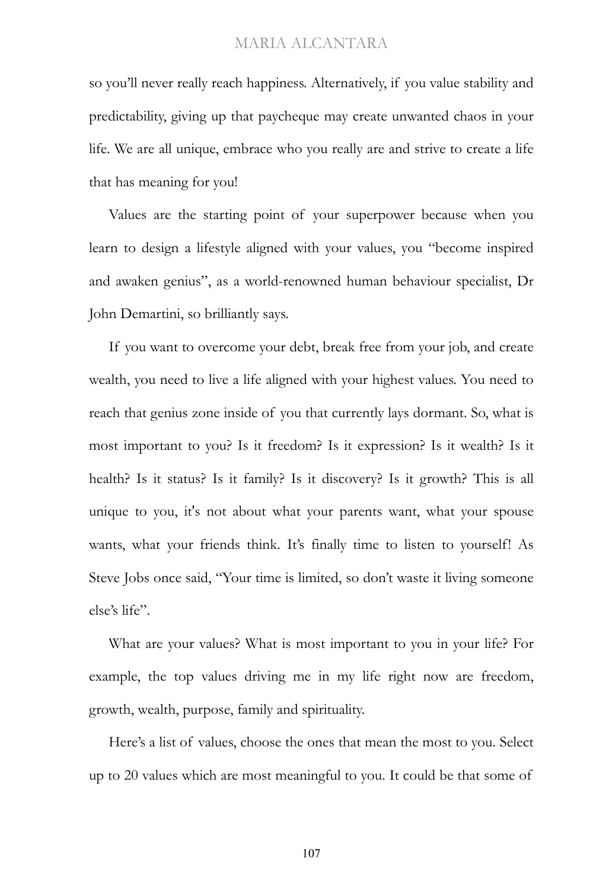so you'll never really reach happiness. Alternatively, if you value stability and predictability, giving up that paycheque may create unwanted chaos in your life. We are all unique, embrace who you really are and strive to create a life that has meaning for you!

Values are the starting point of your superpower because when you learn to design a lifestyle aligned with your values, you "become inspired and awaken genius", as a world-renowned human behaviour specialist, Dr John Demartini, so brilliantly says.

If you want to overcome your debt, break free from your job, and create wealth, you need to live a life aligned with your highest values. You need to reach that genius zone inside of you that currently lays dormant. So, what is most important to you? Is it freedom? Is it expression? Is it wealth? Is it health? Is it status? Is it family? Is it discovery? Is it growth? This is all unique to you, it's not about what your parents want, what your spouse wants, what your friends think. It's finally time to listen to yourself! As Steve Jobs once said, "Your time is limited, so don't waste it living someone else's life".

What are your values? What is most important to you in your life? For example, the top values driving me in my life right now are freedom, growth, wealth, purpose, family and spirituality.

Here's a list of values, choose the ones that mean the most to you. Select up to 20 values which are most meaningful to you. It could be that some of

107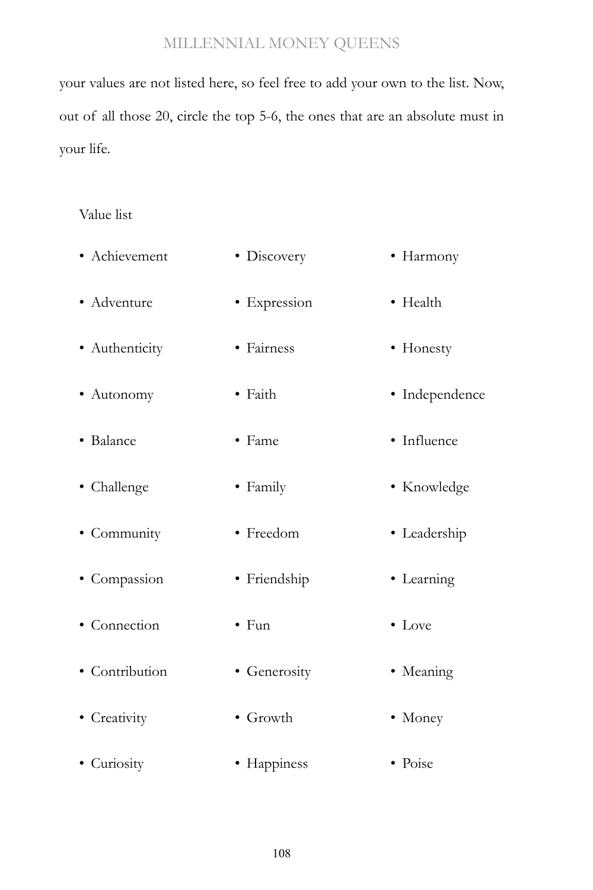your values are not listed here, so feel free to add your own to the list. Now, out of all those 20, circle the top 5-6, the ones that are an absolute must in your life.

## Value list

| · Achievement  | • Discovery      | • Harmony      |
|----------------|------------------|----------------|
| • Adventure    | · Expression     | • Health       |
| · Authenticity | • Fairness       | • Honesty      |
| • Autonomy     | • Faith          | • Independence |
| • Balance      | • Fame           | • Influence    |
| • Challenge    | • Family         | • Knowledge    |
| • Community    | • Freedom        | · Leadership   |
| • Compassion   | · Friendship     | • Learning     |
| • Connection   | $\bullet$ Fun    | $\bullet$ Love |
| · Contribution | • Generosity     | • Meaning      |
| • Creativity   | $\bullet$ Growth | • Money        |
| • Curiosity    | • Happiness      | • Poise        |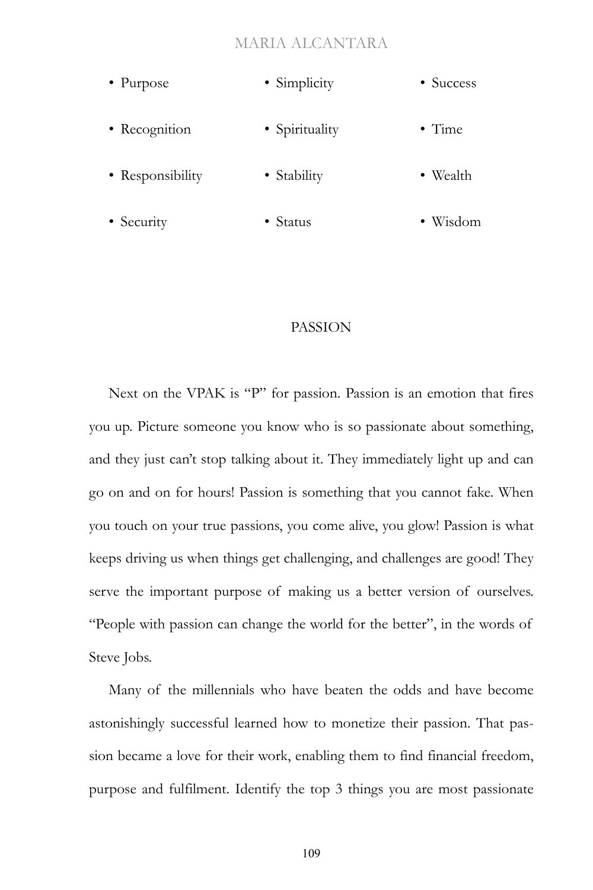- Purpose • Recognition • Responsibility • Simplicity • Spirituality • Stability • Success • Time • Wealth
- Security • Status • Wisdom

## PASSION

Next on the VPAK is "P" for passion. Passion is an emotion that fires you up. Picture someone you know who is so passionate about something, and they just can't stop talking about it. They immediately light up and can go on and on for hours! Passion is something that you cannot fake. When you touch on your true passions, you come alive, you glow! Passion is what keeps driving us when things get challenging, and challenges are good! They serve the important purpose of making us a better version of ourselves. "People with passion can change the world for the better", in the words of Steve Jobs.

Many of the millennials who have beaten the odds and have become astonishingly successful learned how to monetize their passion. That passion became a love for their work, enabling them to find financial freedom, purpose and fulfilment. Identify the top 3 things you are most passionate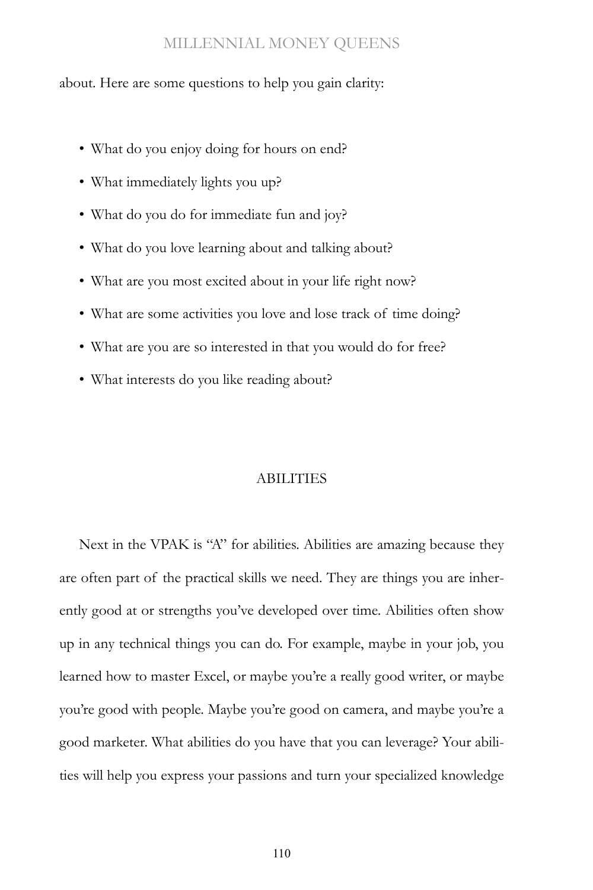about. Here are some questions to help you gain clarity:

- What do you enjoy doing for hours on end?
- What immediately lights you up?
- What do you do for immediate fun and joy?
- What do you love learning about and talking about?
- What are you most excited about in your life right now?
- What are some activities you love and lose track of time doing?
- What are you are so interested in that you would do for free?
- What interests do you like reading about?

#### **ABILITIES**

Next in the VPAK is "A" for abilities. Abilities are amazing because they are often part of the practical skills we need. They are things you are inherently good at or strengths you've developed over time. Abilities often show up in any technical things you can do. For example, maybe in your job, you learned how to master Excel, or maybe you're a really good writer, or maybe you're good with people. Maybe you're good on camera, and maybe you're a good marketer. What abilities do you have that you can leverage? Your abilities will help you express your passions and turn your specialized knowledge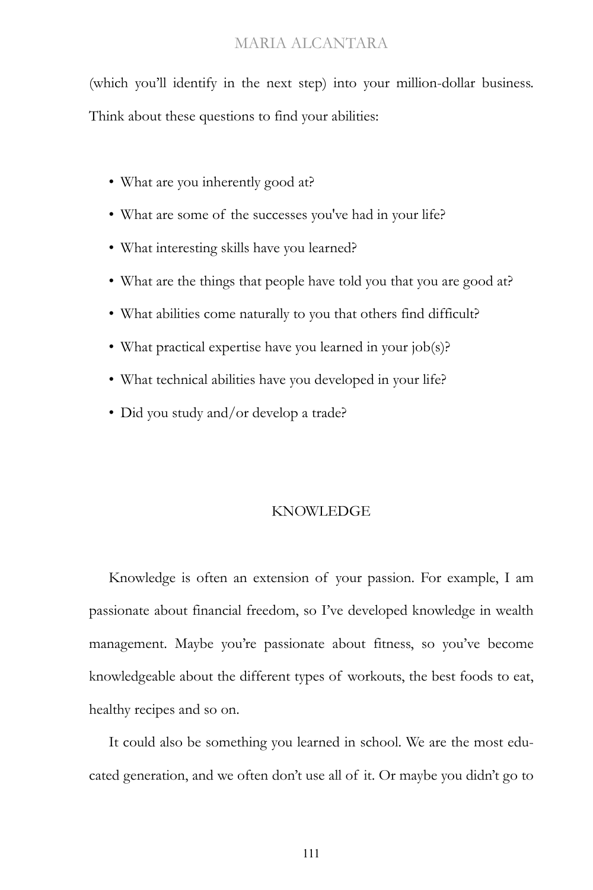(which you'll identify in the next step) into your million-dollar business. Think about these questions to find your abilities:

- What are you inherently good at?
- What are some of the successes you've had in your life?
- What interesting skills have you learned?
- What are the things that people have told you that you are good at?
- What abilities come naturally to you that others find difficult?
- What practical expertise have you learned in your job(s)?
- What technical abilities have you developed in your life?
- Did you study and/or develop a trade?

#### KNOWLEDGE

Knowledge is often an extension of your passion. For example, I am passionate about financial freedom, so I've developed knowledge in wealth management. Maybe you're passionate about fitness, so you've become knowledgeable about the different types of workouts, the best foods to eat, healthy recipes and so on.

It could also be something you learned in school. We are the most educated generation, and we often don't use all of it. Or maybe you didn't go to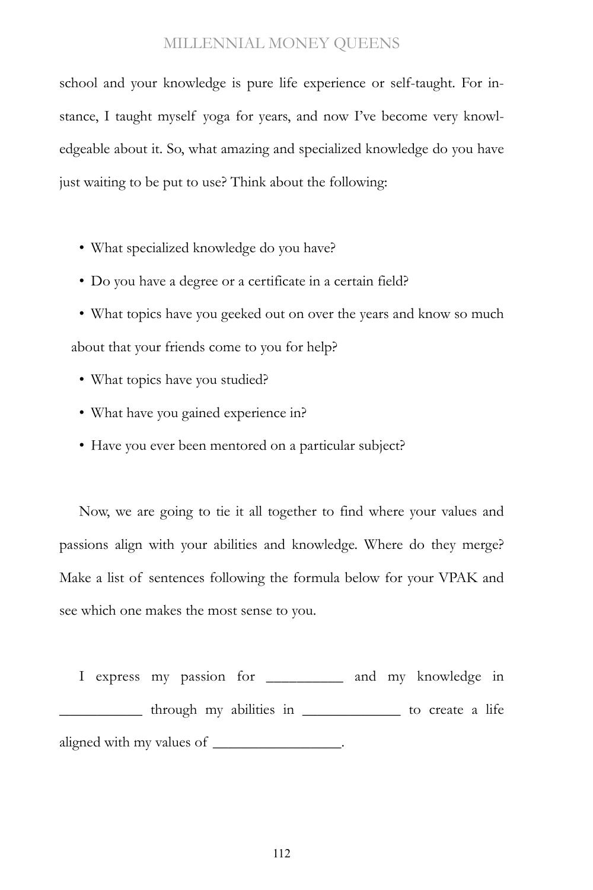school and your knowledge is pure life experience or self-taught. For instance, I taught myself yoga for years, and now I've become very knowledgeable about it. So, what amazing and specialized knowledge do you have just waiting to be put to use? Think about the following:

- What specialized knowledge do you have?
- Do you have a degree or a certificate in a certain field?
- What topics have you geeked out on over the years and know so much about that your friends come to you for help?
	- What topics have you studied?
	- What have you gained experience in?
	- Have you ever been mentored on a particular subject?

Now, we are going to tie it all together to find where your values and passions align with your abilities and knowledge. Where do they merge? Make a list of sentences following the formula below for your VPAK and see which one makes the most sense to you.

I express my passion for \_\_\_\_\_\_\_\_\_\_ and my knowledge in \_\_\_\_\_\_\_\_\_\_\_ through my abilities in \_\_\_\_\_\_\_\_\_\_\_\_\_ to create a life aligned with my values of \_\_\_\_\_\_\_\_\_\_\_\_\_\_\_\_.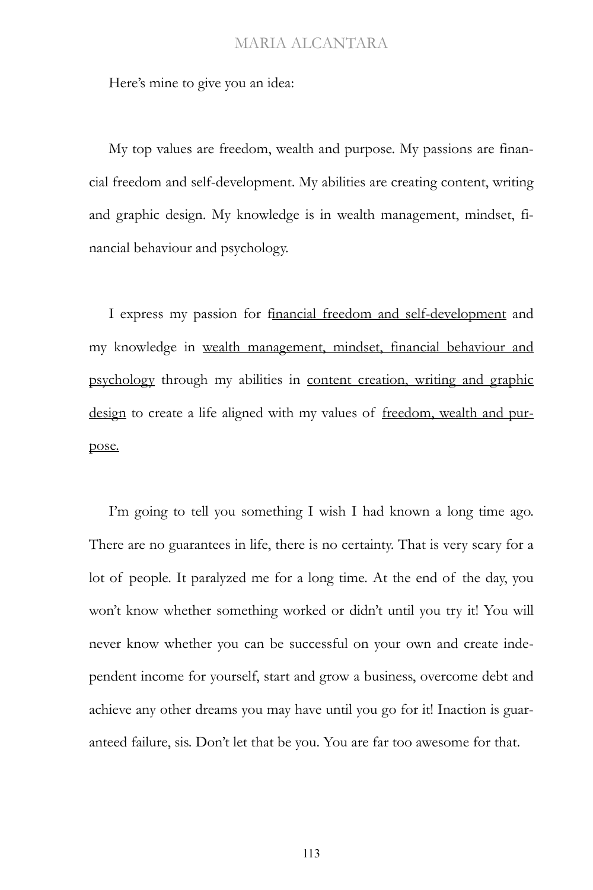Here's mine to give you an idea:

My top values are freedom, wealth and purpose. My passions are financial freedom and self-development. My abilities are creating content, writing and graphic design. My knowledge is in wealth management, mindset, financial behaviour and psychology.

I express my passion for financial freedom and self-development and my knowledge in wealth management, mindset, financial behaviour and psychology through my abilities in content creation, writing and graphic design to create a life aligned with my values of freedom, wealth and purpose.

I'm going to tell you something I wish I had known a long time ago. There are no guarantees in life, there is no certainty. That is very scary for a lot of people. It paralyzed me for a long time. At the end of the day, you won't know whether something worked or didn't until you try it! You will never know whether you can be successful on your own and create independent income for yourself, start and grow a business, overcome debt and achieve any other dreams you may have until you go for it! Inaction is guaranteed failure, sis. Don't let that be you. You are far too awesome for that.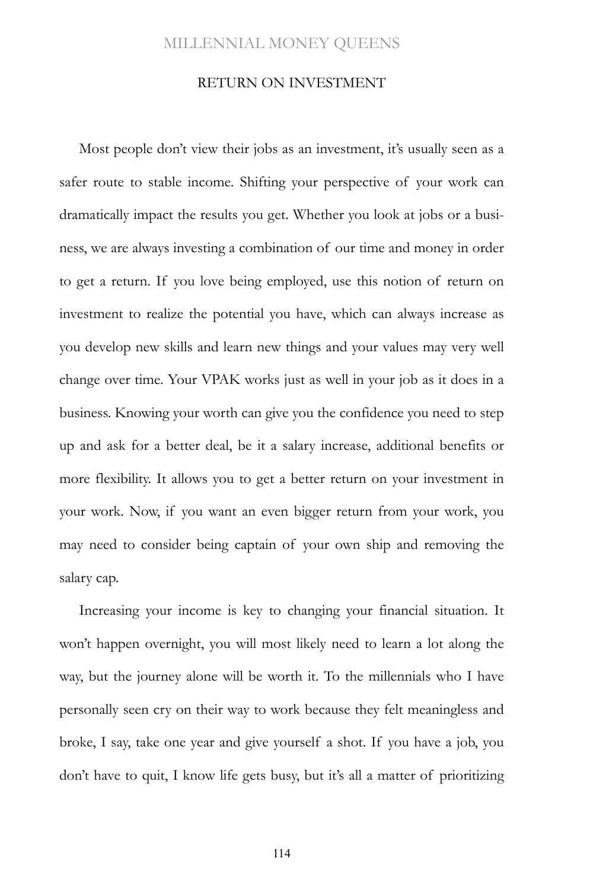#### RETURN ON INVESTMENT

Most people don't view their jobs as an investment, it's usually seen as a safer route to stable income. Shifting your perspective of your work can dramatically impact the results you get. Whether you look at jobs or a business, we are always investing a combination of our time and money in order to get a return. If you love being employed, use this notion of return on investment to realize the potential you have, which can always increase as you develop new skills and learn new things and your values may very well change over time. Your VPAK works just as well in your job as it does in a business. Knowing your worth can give you the confidence you need to step up and ask for a better deal, be it a salary increase, additional benefits or more flexibility. It allows you to get a better return on your investment in your work. Now, if you want an even bigger return from your work, you may need to consider being captain of your own ship and removing the salary cap.

Increasing your income is key to changing your financial situation. It won't happen overnight, you will most likely need to learn a lot along the way, but the journey alone will be worth it. To the millennials who I have personally seen cry on their way to work because they felt meaningless and broke, I say, take one year and give yourself a shot. If you have a job, you don't have to quit, I know life gets busy, but it's all a matter of prioritizing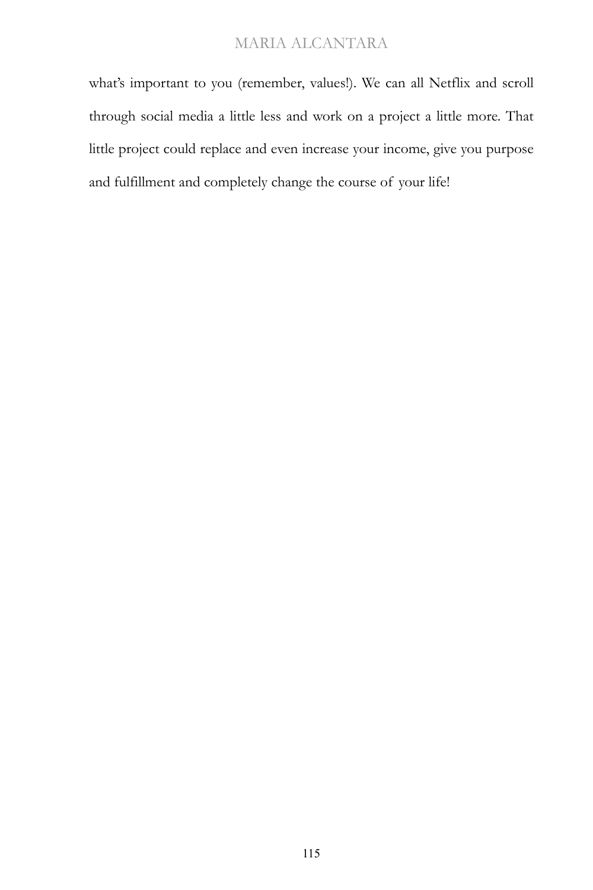what's important to you (remember, values!). We can all Netflix and scroll through social media a little less and work on a project a little more. That little project could replace and even increase your income, give you purpose and fulfillment and completely change the course of your life!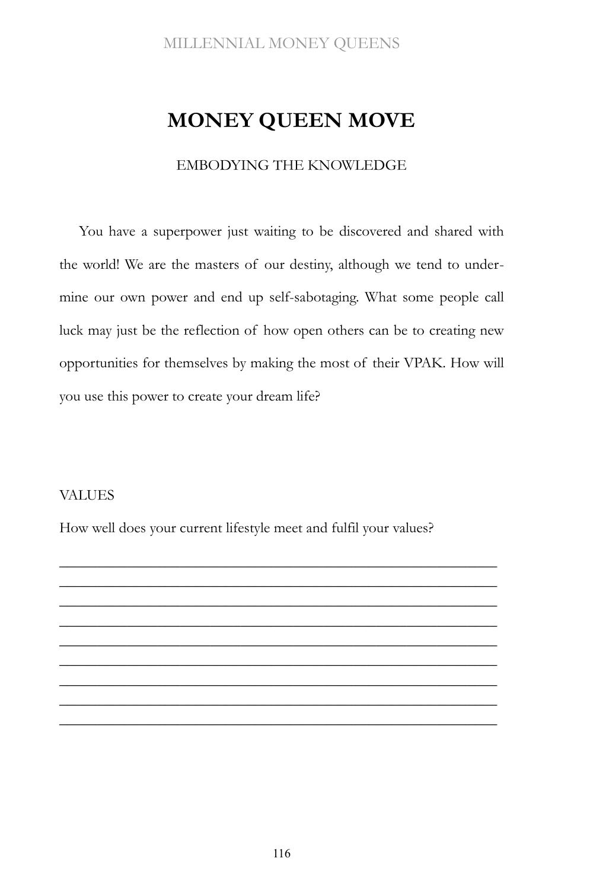# **MONEY QUEEN MOVE**

#### EMBODYING THE KNOWLEDGE

You have a superpower just waiting to be discovered and shared with the world! We are the masters of our destiny, although we tend to undermine our own power and end up self-sabotaging. What some people call luck may just be the reflection of how open others can be to creating new opportunities for themselves by making the most of their VPAK. How will you use this power to create your dream life?

## VALUES

How well does your current lifestyle meet and fulfil your values?

\_\_\_\_\_\_\_\_\_\_\_\_\_\_\_\_\_\_\_\_\_\_\_\_\_\_\_\_\_\_\_\_\_\_\_\_\_\_\_\_\_\_\_\_\_\_\_\_\_\_\_\_\_\_\_\_\_\_ \_\_\_\_\_\_\_\_\_\_\_\_\_\_\_\_\_\_\_\_\_\_\_\_\_\_\_\_\_\_\_\_\_\_\_\_\_\_\_\_\_\_\_\_\_\_\_\_\_\_\_\_\_\_\_\_\_\_ \_\_\_\_\_\_\_\_\_\_\_\_\_\_\_\_\_\_\_\_\_\_\_\_\_\_\_\_\_\_\_\_\_\_\_\_\_\_\_\_\_\_\_\_\_\_\_\_\_\_\_\_\_\_\_\_\_\_ \_\_\_\_\_\_\_\_\_\_\_\_\_\_\_\_\_\_\_\_\_\_\_\_\_\_\_\_\_\_\_\_\_\_\_\_\_\_\_\_\_\_\_\_\_\_\_\_\_\_\_\_\_\_\_\_\_\_ \_\_\_\_\_\_\_\_\_\_\_\_\_\_\_\_\_\_\_\_\_\_\_\_\_\_\_\_\_\_\_\_\_\_\_\_\_\_\_\_\_\_\_\_\_\_\_\_\_\_\_\_\_\_\_\_\_\_ \_\_\_\_\_\_\_\_\_\_\_\_\_\_\_\_\_\_\_\_\_\_\_\_\_\_\_\_\_\_\_\_\_\_\_\_\_\_\_\_\_\_\_\_\_\_\_\_\_\_\_\_\_\_\_\_\_\_ \_\_\_\_\_\_\_\_\_\_\_\_\_\_\_\_\_\_\_\_\_\_\_\_\_\_\_\_\_\_\_\_\_\_\_\_\_\_\_\_\_\_\_\_\_\_\_\_\_\_\_\_\_\_\_\_\_\_ \_\_\_\_\_\_\_\_\_\_\_\_\_\_\_\_\_\_\_\_\_\_\_\_\_\_\_\_\_\_\_\_\_\_\_\_\_\_\_\_\_\_\_\_\_\_\_\_\_\_\_\_\_\_\_\_\_\_ \_\_\_\_\_\_\_\_\_\_\_\_\_\_\_\_\_\_\_\_\_\_\_\_\_\_\_\_\_\_\_\_\_\_\_\_\_\_\_\_\_\_\_\_\_\_\_\_\_\_\_\_\_\_\_\_\_\_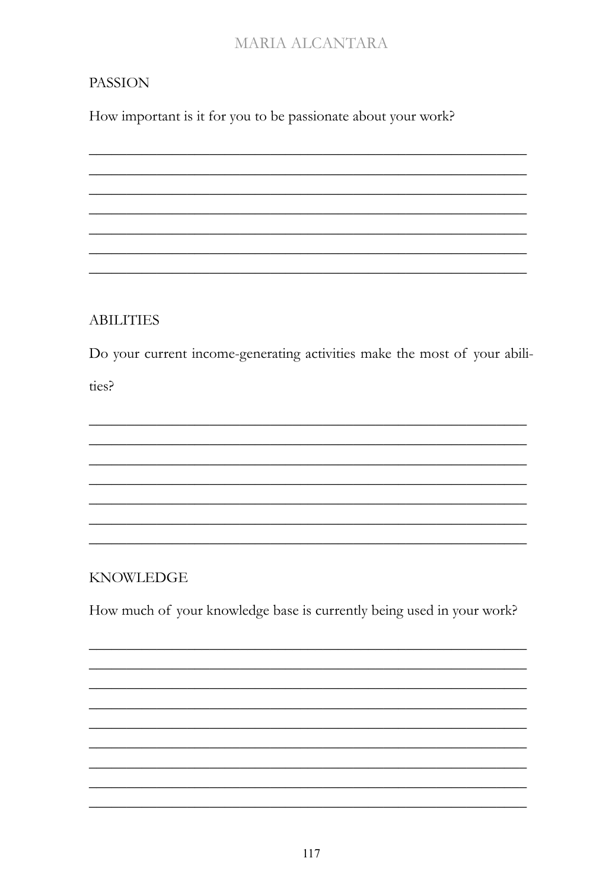# **PASSION**

How important is it for you to be passionate about your work?

**ABILITIES** 

Do your current income-generating activities make the most of your abili-

ties?

**KNOWLEDGE** 

How much of your knowledge base is currently being used in your work?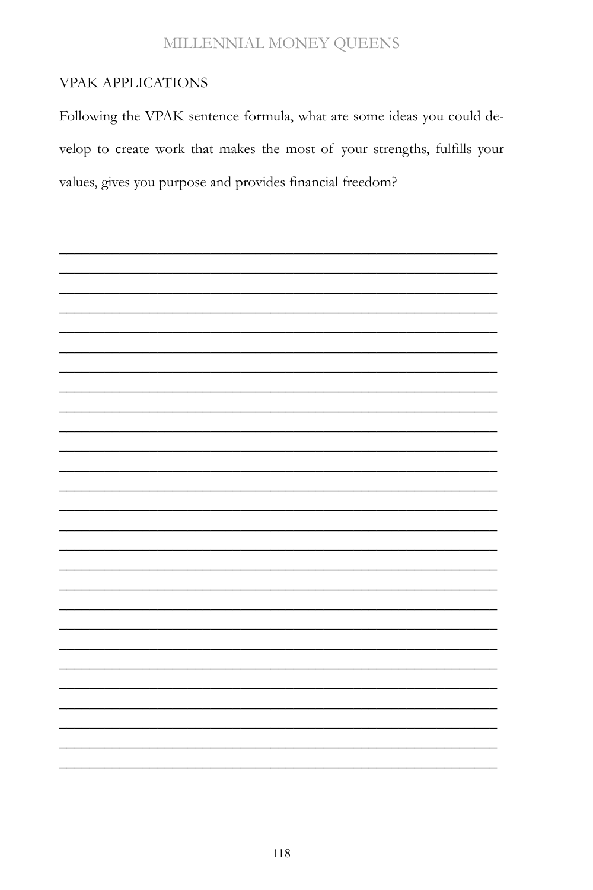## **VPAK APPLICATIONS**

Following the VPAK sentence formula, what are some ideas you could develop to create work that makes the most of your strengths, fulfills your values, gives you purpose and provides financial freedom?

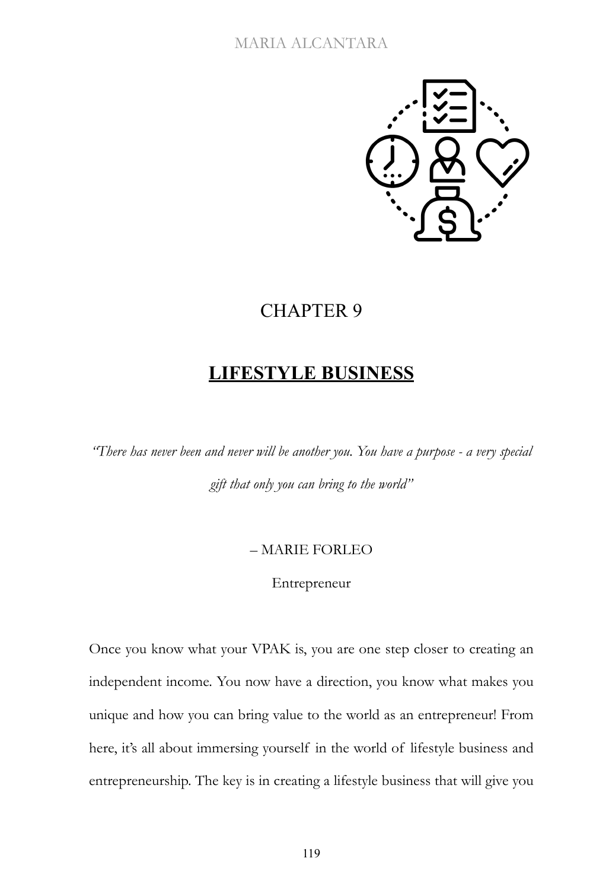

# CHAPTER 9

# **LIFESTYLE BUSINESS**

*"There has never been and never will be another you. You have a purpose - a very special gift that only you can bring to the world"*

#### – MARIE FORLEO

#### Entrepreneur

Once you know what your VPAK is, you are one step closer to creating an independent income. You now have a direction, you know what makes you unique and how you can bring value to the world as an entrepreneur! From here, it's all about immersing yourself in the world of lifestyle business and entrepreneurship. The key is in creating a lifestyle business that will give you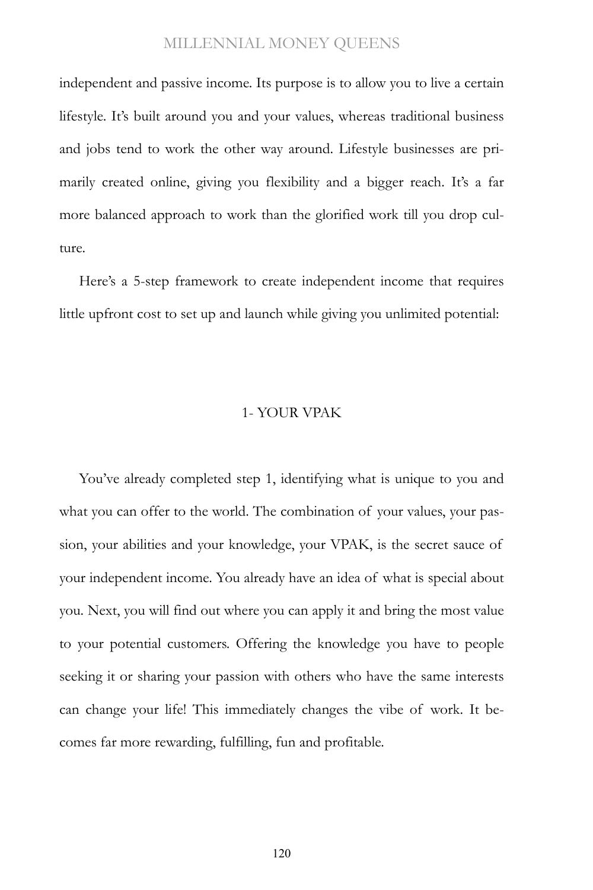independent and passive income. Its purpose is to allow you to live a certain lifestyle. It's built around you and your values, whereas traditional business and jobs tend to work the other way around. Lifestyle businesses are primarily created online, giving you flexibility and a bigger reach. It's a far more balanced approach to work than the glorified work till you drop culture.

Here's a 5-step framework to create independent income that requires little upfront cost to set up and launch while giving you unlimited potential:

#### 1- YOUR VPAK

You've already completed step 1, identifying what is unique to you and what you can offer to the world. The combination of your values, your passion, your abilities and your knowledge, your VPAK, is the secret sauce of your independent income. You already have an idea of what is special about you. Next, you will find out where you can apply it and bring the most value to your potential customers. Offering the knowledge you have to people seeking it or sharing your passion with others who have the same interests can change your life! This immediately changes the vibe of work. It becomes far more rewarding, fulfilling, fun and profitable.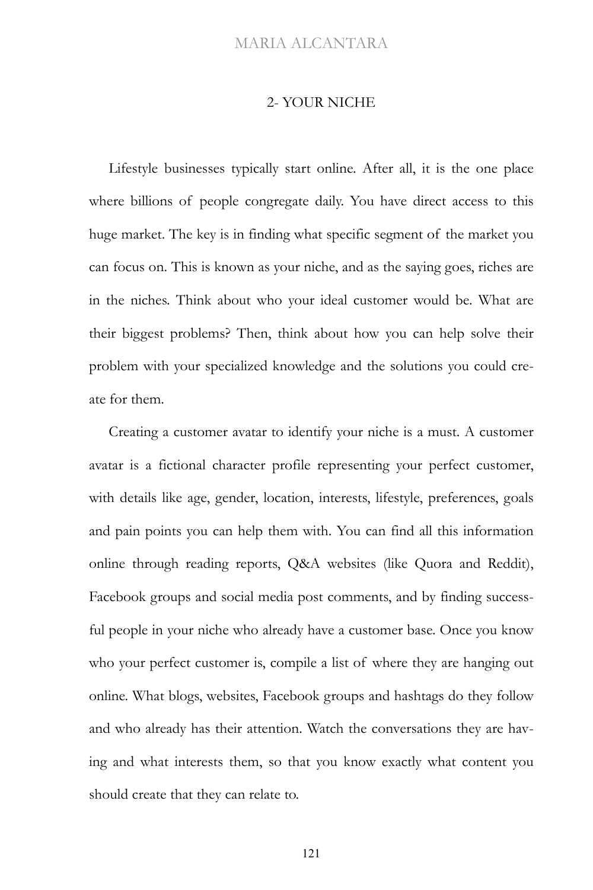#### 2- YOUR NICHE

Lifestyle businesses typically start online. After all, it is the one place where billions of people congregate daily. You have direct access to this huge market. The key is in finding what specific segment of the market you can focus on. This is known as your niche, and as the saying goes, riches are in the niches. Think about who your ideal customer would be. What are their biggest problems? Then, think about how you can help solve their problem with your specialized knowledge and the solutions you could create for them.

Creating a customer avatar to identify your niche is a must. A customer avatar is a fictional character profile representing your perfect customer, with details like age, gender, location, interests, lifestyle, preferences, goals and pain points you can help them with. You can find all this information online through reading reports, Q&A websites (like Quora and Reddit), Facebook groups and social media post comments, and by finding successful people in your niche who already have a customer base. Once you know who your perfect customer is, compile a list of where they are hanging out online. What blogs, websites, Facebook groups and hashtags do they follow and who already has their attention. Watch the conversations they are having and what interests them, so that you know exactly what content you should create that they can relate to.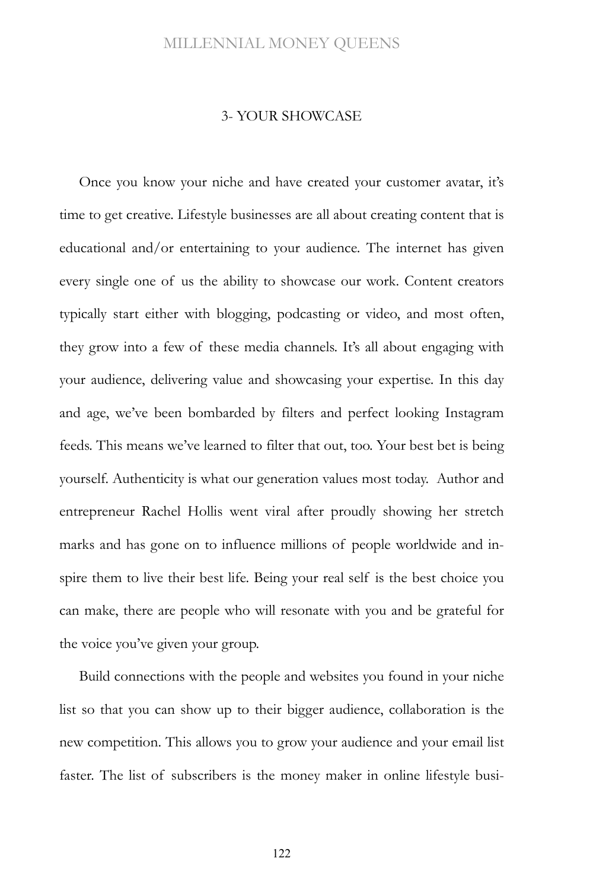#### 3- YOUR SHOWCASE

Once you know your niche and have created your customer avatar, it's time to get creative. Lifestyle businesses are all about creating content that is educational and/or entertaining to your audience. The internet has given every single one of us the ability to showcase our work. Content creators typically start either with blogging, podcasting or video, and most often, they grow into a few of these media channels. It's all about engaging with your audience, delivering value and showcasing your expertise. In this day and age, we've been bombarded by filters and perfect looking Instagram feeds. This means we've learned to filter that out, too. Your best bet is being yourself. Authenticity is what our generation values most today. Author and entrepreneur Rachel Hollis went viral after proudly showing her stretch marks and has gone on to influence millions of people worldwide and inspire them to live their best life. Being your real self is the best choice you can make, there are people who will resonate with you and be grateful for the voice you've given your group.

Build connections with the people and websites you found in your niche list so that you can show up to their bigger audience, collaboration is the new competition. This allows you to grow your audience and your email list faster. The list of subscribers is the money maker in online lifestyle busi-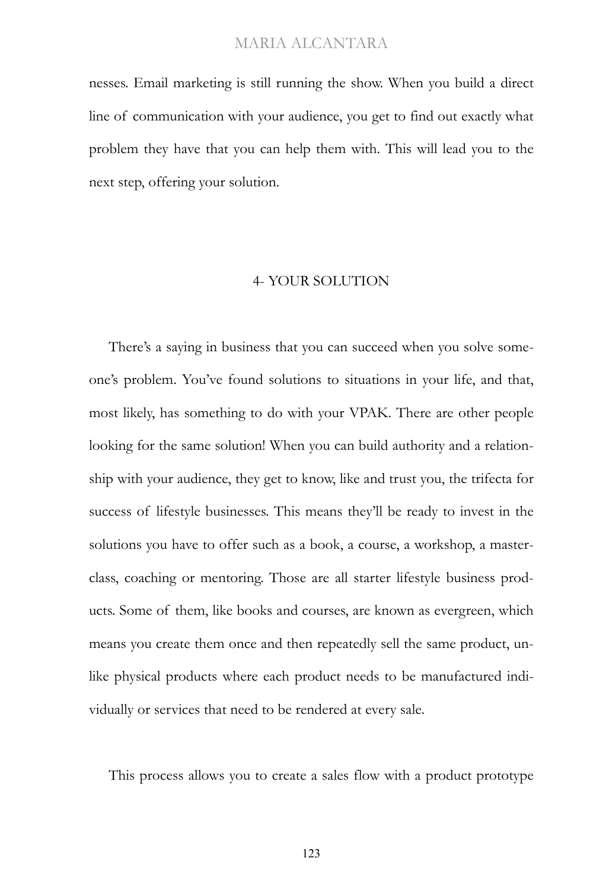nesses. Email marketing is still running the show. When you build a direct line of communication with your audience, you get to find out exactly what problem they have that you can help them with. This will lead you to the next step, offering your solution.

#### 4- YOUR SOLUTION

There's a saying in business that you can succeed when you solve someone's problem. You've found solutions to situations in your life, and that, most likely, has something to do with your VPAK. There are other people looking for the same solution! When you can build authority and a relationship with your audience, they get to know, like and trust you, the trifecta for success of lifestyle businesses. This means they'll be ready to invest in the solutions you have to offer such as a book, a course, a workshop, a masterclass, coaching or mentoring. Those are all starter lifestyle business products. Some of them, like books and courses, are known as evergreen, which means you create them once and then repeatedly sell the same product, unlike physical products where each product needs to be manufactured individually or services that need to be rendered at every sale.

This process allows you to create a sales flow with a product prototype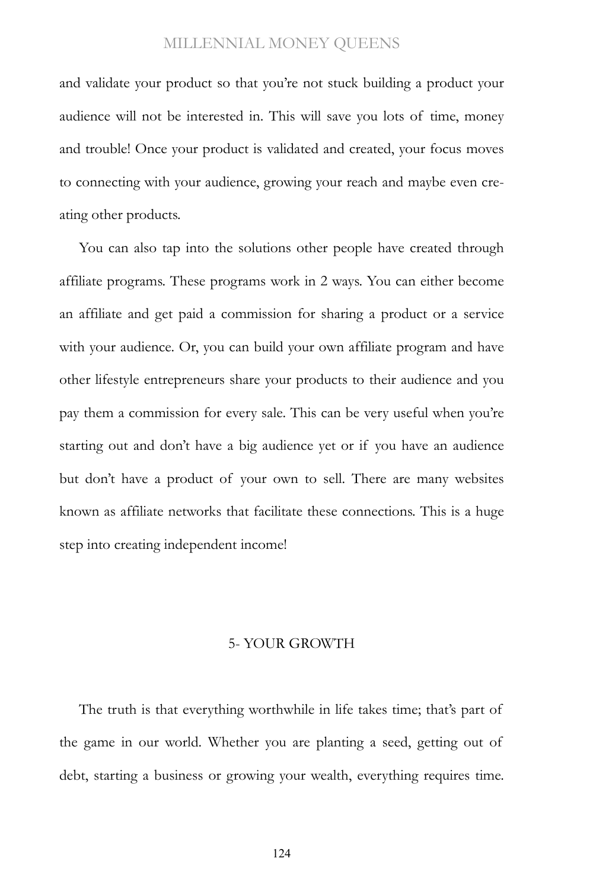and validate your product so that you're not stuck building a product your audience will not be interested in. This will save you lots of time, money and trouble! Once your product is validated and created, your focus moves to connecting with your audience, growing your reach and maybe even creating other products.

You can also tap into the solutions other people have created through affiliate programs. These programs work in 2 ways. You can either become an affiliate and get paid a commission for sharing a product or a service with your audience. Or, you can build your own affiliate program and have other lifestyle entrepreneurs share your products to their audience and you pay them a commission for every sale. This can be very useful when you're starting out and don't have a big audience yet or if you have an audience but don't have a product of your own to sell. There are many websites known as affiliate networks that facilitate these connections. This is a huge step into creating independent income!

#### 5- YOUR GROWTH

The truth is that everything worthwhile in life takes time; that's part of the game in our world. Whether you are planting a seed, getting out of debt, starting a business or growing your wealth, everything requires time.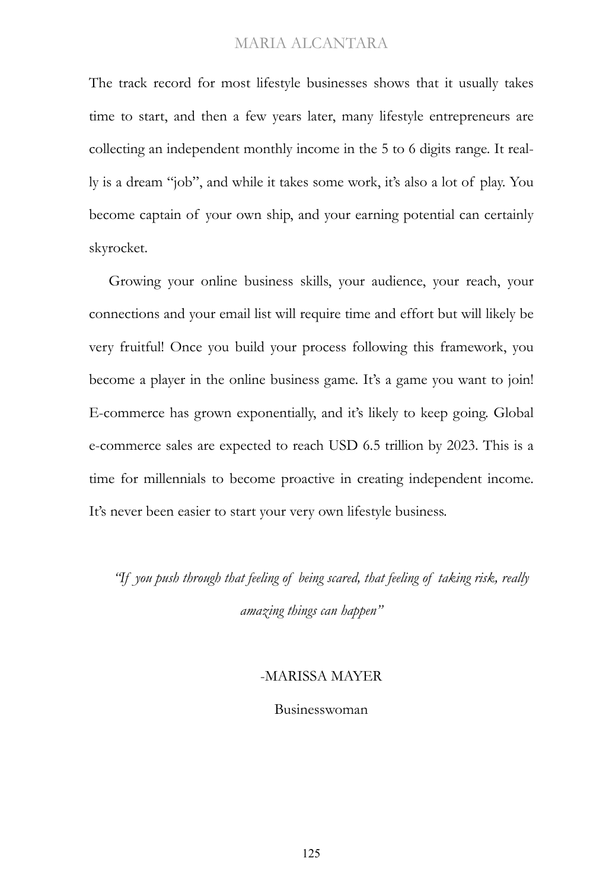The track record for most lifestyle businesses shows that it usually takes time to start, and then a few years later, many lifestyle entrepreneurs are collecting an independent monthly income in the 5 to 6 digits range. It really is a dream "job", and while it takes some work, it's also a lot of play. You become captain of your own ship, and your earning potential can certainly skyrocket.

Growing your online business skills, your audience, your reach, your connections and your email list will require time and effort but will likely be very fruitful! Once you build your process following this framework, you become a player in the online business game. It's a game you want to join! E-commerce has grown exponentially, and it's likely to keep going. Global e-commerce sales are expected to reach USD 6.5 trillion by 2023. This is a time for millennials to become proactive in creating independent income. It's never been easier to start your very own lifestyle business.

*"If you push through that feeling of being scared, that feeling of taking risk, really amazing things can happen"*

#### -MARISSA MAYER

Businesswoman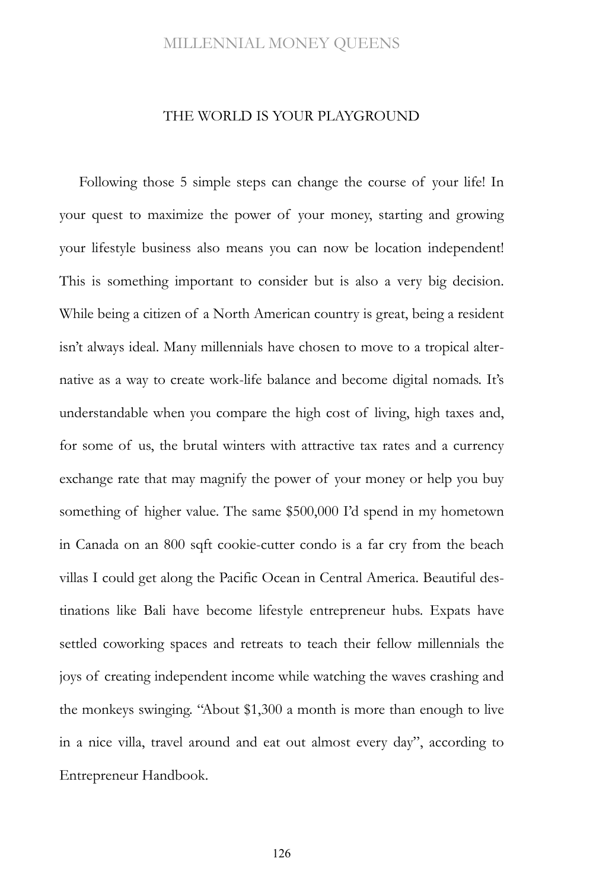#### THE WORLD IS YOUR PLAYGROUND

Following those 5 simple steps can change the course of your life! In your quest to maximize the power of your money, starting and growing your lifestyle business also means you can now be location independent! This is something important to consider but is also a very big decision. While being a citizen of a North American country is great, being a resident isn't always ideal. Many millennials have chosen to move to a tropical alternative as a way to create work-life balance and become digital nomads. It's understandable when you compare the high cost of living, high taxes and, for some of us, the brutal winters with attractive tax rates and a currency exchange rate that may magnify the power of your money or help you buy something of higher value. The same \$500,000 I'd spend in my hometown in Canada on an 800 sqft cookie-cutter condo is a far cry from the beach villas I could get along the Pacific Ocean in Central America. Beautiful destinations like Bali have become lifestyle entrepreneur hubs. Expats have settled coworking spaces and retreats to teach their fellow millennials the joys of creating independent income while watching the waves crashing and the monkeys swinging. "About \$1,300 a month is more than enough to live in a nice villa, travel around and eat out almost every day", according to Entrepreneur Handbook.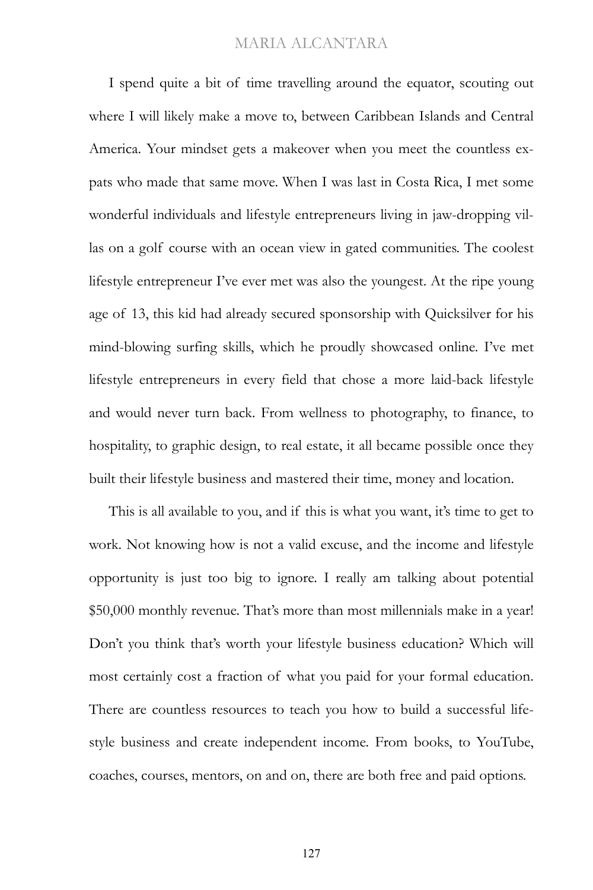I spend quite a bit of time travelling around the equator, scouting out where I will likely make a move to, between Caribbean Islands and Central America. Your mindset gets a makeover when you meet the countless expats who made that same move. When I was last in Costa Rica, I met some wonderful individuals and lifestyle entrepreneurs living in jaw-dropping villas on a golf course with an ocean view in gated communities. The coolest lifestyle entrepreneur I've ever met was also the youngest. At the ripe young age of 13, this kid had already secured sponsorship with Quicksilver for his mind-blowing surfing skills, which he proudly showcased online. I've met lifestyle entrepreneurs in every field that chose a more laid-back lifestyle and would never turn back. From wellness to photography, to finance, to hospitality, to graphic design, to real estate, it all became possible once they built their lifestyle business and mastered their time, money and location.

This is all available to you, and if this is what you want, it's time to get to work. Not knowing how is not a valid excuse, and the income and lifestyle opportunity is just too big to ignore. I really am talking about potential \$50,000 monthly revenue. That's more than most millennials make in a year! Don't you think that's worth your lifestyle business education? Which will most certainly cost a fraction of what you paid for your formal education. There are countless resources to teach you how to build a successful lifestyle business and create independent income. From books, to YouTube, coaches, courses, mentors, on and on, there are both free and paid options.

127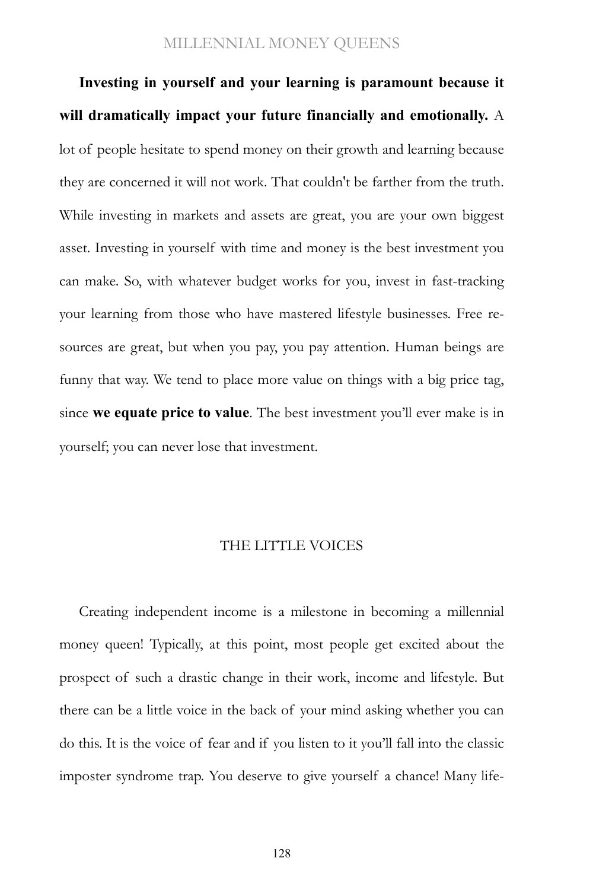**Investing in yourself and your learning is paramount because it will dramatically impact your future financially and emotionally.** A lot of people hesitate to spend money on their growth and learning because they are concerned it will not work. That couldn't be farther from the truth. While investing in markets and assets are great, you are your own biggest asset. Investing in yourself with time and money is the best investment you can make. So, with whatever budget works for you, invest in fast-tracking your learning from those who have mastered lifestyle businesses. Free resources are great, but when you pay, you pay attention. Human beings are funny that way. We tend to place more value on things with a big price tag, since **we equate price to value**. The best investment you'll ever make is in yourself; you can never lose that investment.

#### THE LITTLE VOICES

Creating independent income is a milestone in becoming a millennial money queen! Typically, at this point, most people get excited about the prospect of such a drastic change in their work, income and lifestyle. But there can be a little voice in the back of your mind asking whether you can do this. It is the voice of fear and if you listen to it you'll fall into the classic imposter syndrome trap. You deserve to give yourself a chance! Many life-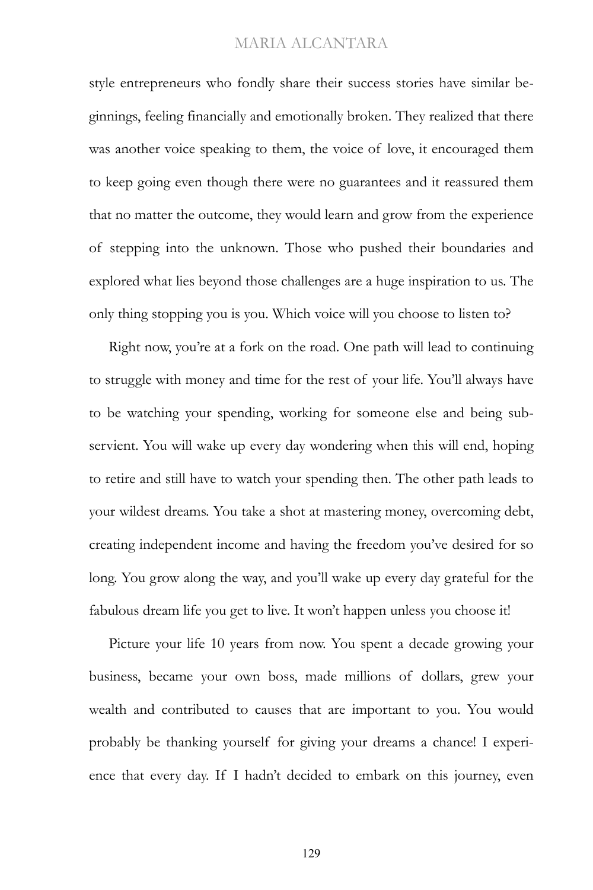style entrepreneurs who fondly share their success stories have similar beginnings, feeling financially and emotionally broken. They realized that there was another voice speaking to them, the voice of love, it encouraged them to keep going even though there were no guarantees and it reassured them that no matter the outcome, they would learn and grow from the experience of stepping into the unknown. Those who pushed their boundaries and explored what lies beyond those challenges are a huge inspiration to us. The only thing stopping you is you. Which voice will you choose to listen to?

Right now, you're at a fork on the road. One path will lead to continuing to struggle with money and time for the rest of your life. You'll always have to be watching your spending, working for someone else and being subservient. You will wake up every day wondering when this will end, hoping to retire and still have to watch your spending then. The other path leads to your wildest dreams. You take a shot at mastering money, overcoming debt, creating independent income and having the freedom you've desired for so long. You grow along the way, and you'll wake up every day grateful for the fabulous dream life you get to live. It won't happen unless you choose it!

Picture your life 10 years from now. You spent a decade growing your business, became your own boss, made millions of dollars, grew your wealth and contributed to causes that are important to you. You would probably be thanking yourself for giving your dreams a chance! I experience that every day. If I hadn't decided to embark on this journey, even

129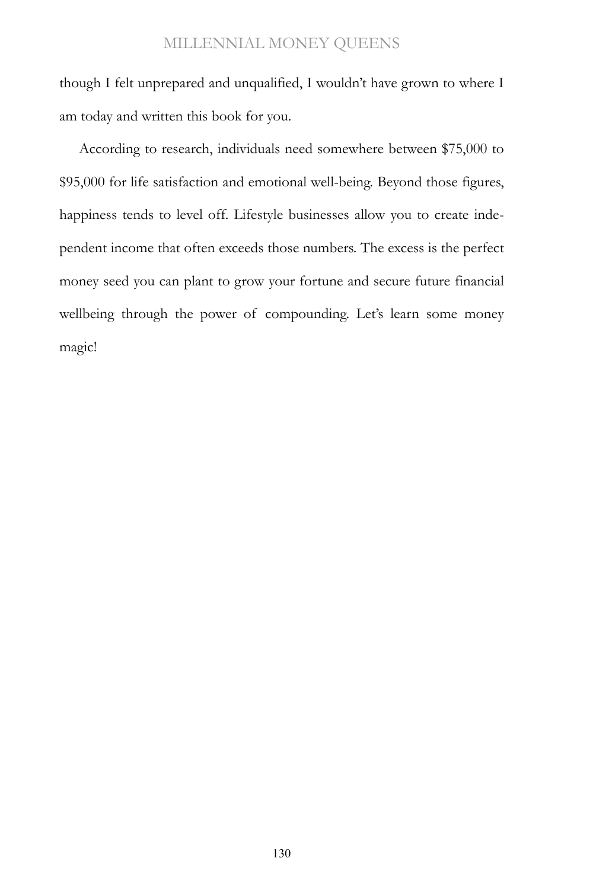though I felt unprepared and unqualified, I wouldn't have grown to where I am today and written this book for you.

According to research, individuals need somewhere between \$75,000 to \$95,000 for life satisfaction and emotional well-being. Beyond those figures, happiness tends to level off. Lifestyle businesses allow you to create independent income that often exceeds those numbers. The excess is the perfect money seed you can plant to grow your fortune and secure future financial wellbeing through the power of compounding. Let's learn some money magic!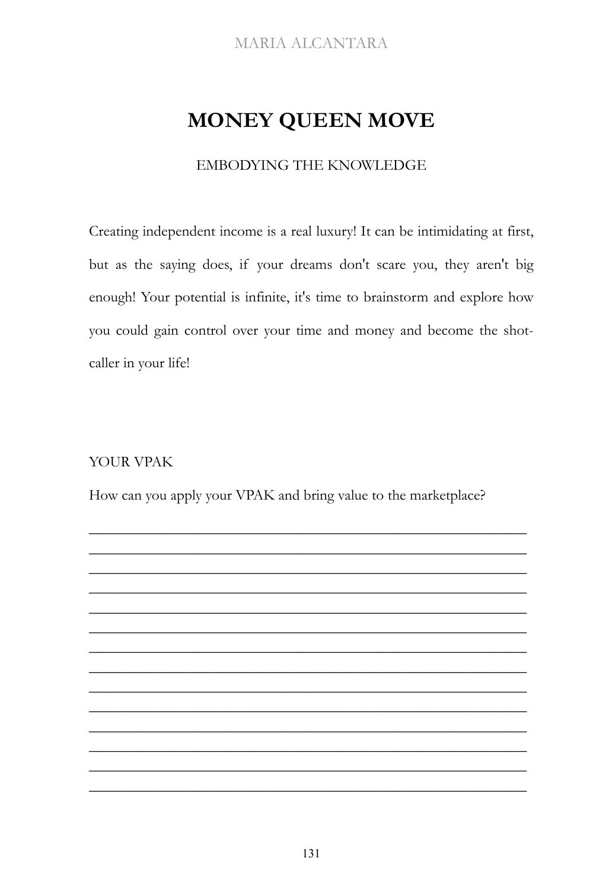# **MONEY QUEEN MOVE**

### EMBODYING THE KNOWLEDGE

Creating independent income is a real luxury! It can be intimidating at first, but as the saying does, if your dreams don't scare you, they aren't big enough! Your potential is infinite, it's time to brainstorm and explore how you could gain control over your time and money and become the shotcaller in your life!

### YOUR VPAK

How can you apply your VPAK and bring value to the marketplace?

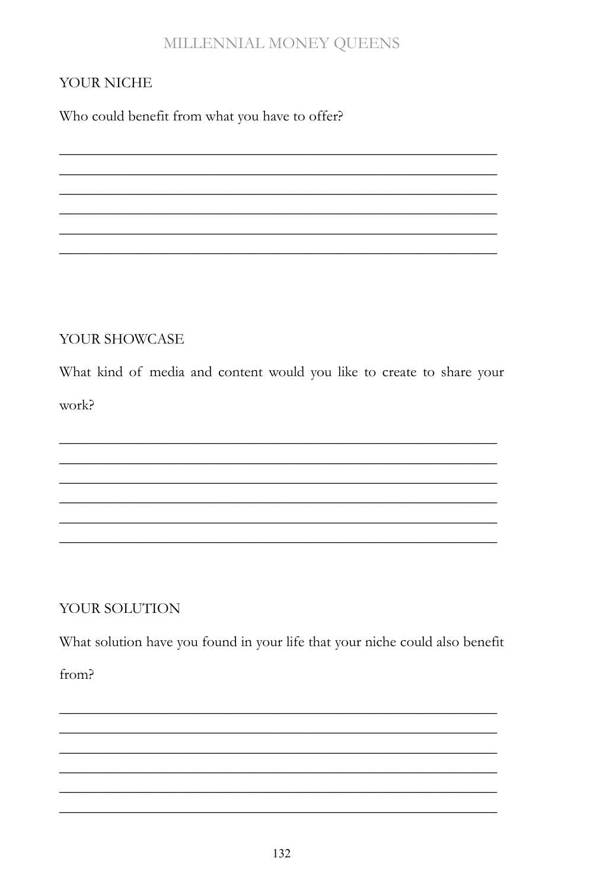## YOUR NICHE

Who could benefit from what you have to offer?

### YOUR SHOWCASE

What kind of media and content would you like to create to share your work?

### YOUR SOLUTION

What solution have you found in your life that your niche could also benefit

 $from<sup>5</sup>$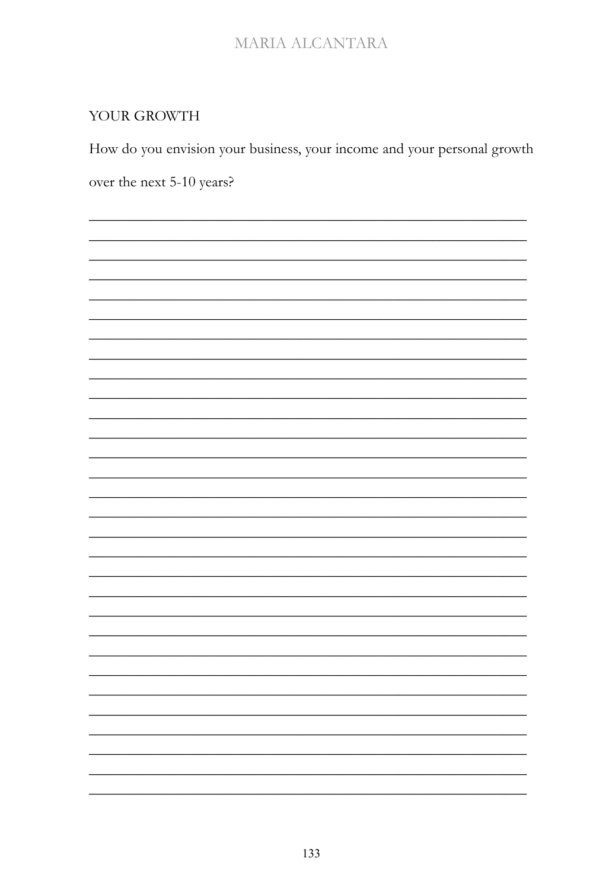## YOUR GROWTH

How do you envision your business, your income and your personal growth over the next 5-10 years?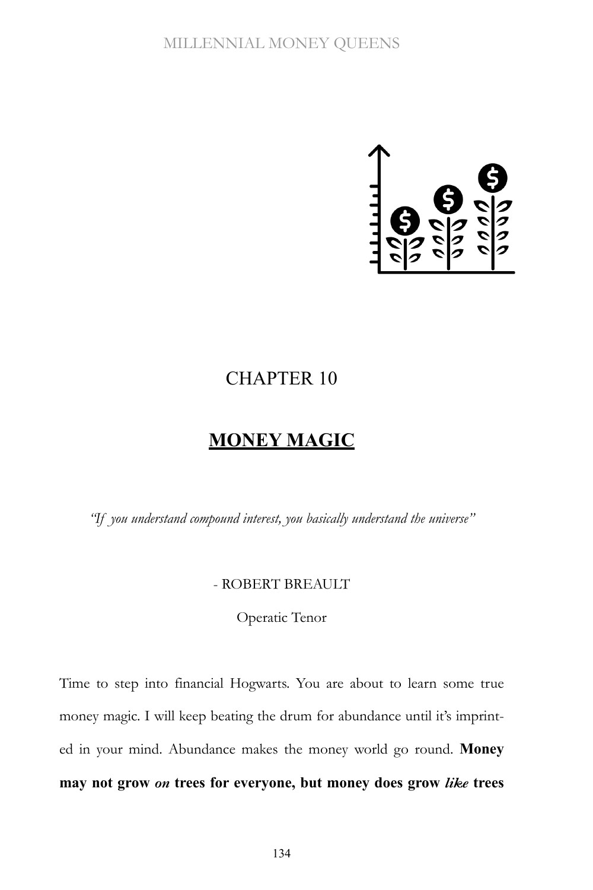

## CHAPTER 10

## **MONEY MAGIC**

*"If you understand compound interest, you basically understand the universe"*

### - ROBERT BREAULT

Operatic Tenor

Time to step into financial Hogwarts. You are about to learn some true money magic. I will keep beating the drum for abundance until it's imprinted in your mind. Abundance makes the money world go round. **Money may not grow** *on* **trees for everyone, but money does grow** *like* **trees**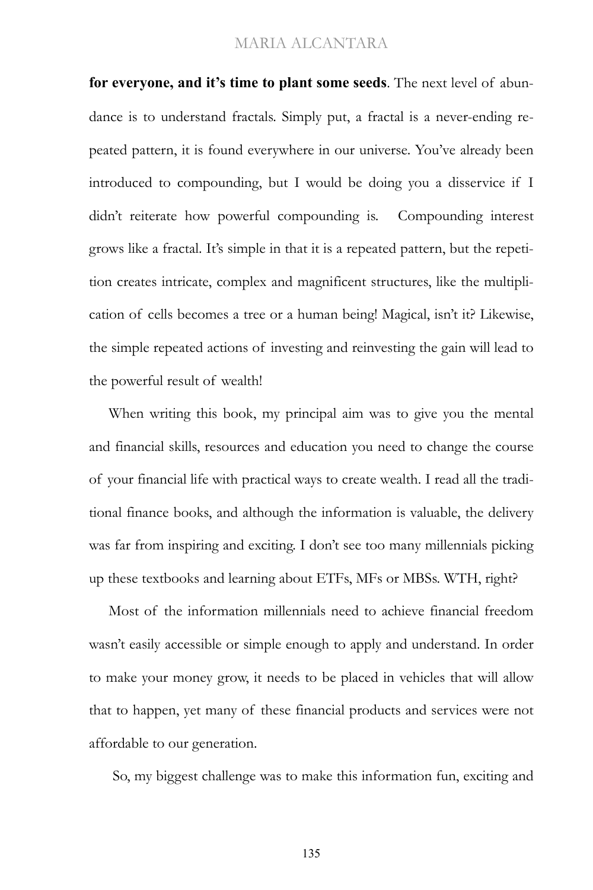**for everyone, and it's time to plant some seeds**. The next level of abundance is to understand fractals. Simply put, a fractal is a never-ending repeated pattern, it is found everywhere in our universe. You've already been introduced to compounding, but I would be doing you a disservice if I didn't reiterate how powerful compounding is. Compounding interest grows like a fractal. It's simple in that it is a repeated pattern, but the repetition creates intricate, complex and magnificent structures, like the multiplication of cells becomes a tree or a human being! Magical, isn't it? Likewise, the simple repeated actions of investing and reinvesting the gain will lead to the powerful result of wealth!

When writing this book, my principal aim was to give you the mental and financial skills, resources and education you need to change the course of your financial life with practical ways to create wealth. I read all the traditional finance books, and although the information is valuable, the delivery was far from inspiring and exciting. I don't see too many millennials picking up these textbooks and learning about ETFs, MFs or MBSs. WTH, right?

Most of the information millennials need to achieve financial freedom wasn't easily accessible or simple enough to apply and understand. In order to make your money grow, it needs to be placed in vehicles that will allow that to happen, yet many of these financial products and services were not affordable to our generation.

So, my biggest challenge was to make this information fun, exciting and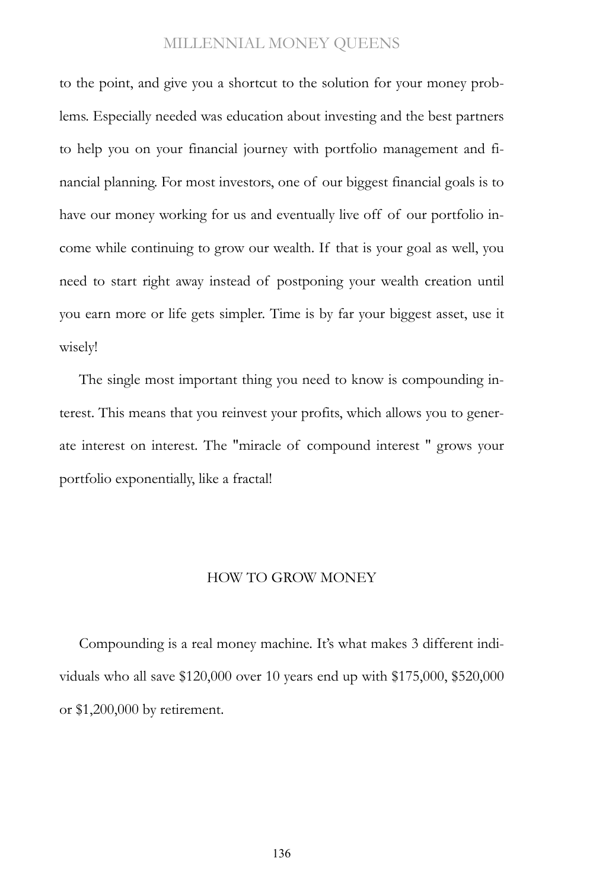to the point, and give you a shortcut to the solution for your money problems. Especially needed was education about investing and the best partners to help you on your financial journey with portfolio management and financial planning. For most investors, one of our biggest financial goals is to have our money working for us and eventually live off of our portfolio income while continuing to grow our wealth. If that is your goal as well, you need to start right away instead of postponing your wealth creation until you earn more or life gets simpler. Time is by far your biggest asset, use it wisely!

The single most important thing you need to know is compounding interest. This means that you reinvest your profits, which allows you to generate interest on interest. The "miracle of compound interest " grows your portfolio exponentially, like a fractal!

#### HOW TO GROW MONEY

Compounding is a real money machine. It's what makes 3 different individuals who all save \$120,000 over 10 years end up with \$175,000, \$520,000 or \$1,200,000 by retirement.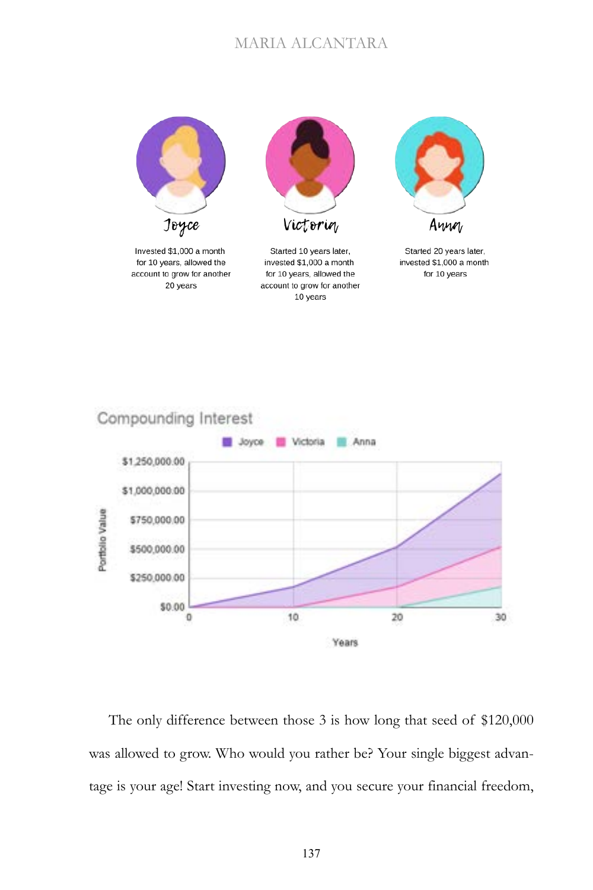

Invested \$1,000 a month for 10 years, allowed the account to grow for another 20 years



Started 10 years later, invested \$1,000 a month for 10 years, allowed the account to grow for another 10 years



Started 20 years later, invested \$1,000 a month for 10 years



The only difference between those 3 is how long that seed of \$120,000 was allowed to grow. Who would you rather be? Your single biggest advantage is your age! Start investing now, and you secure your financial freedom,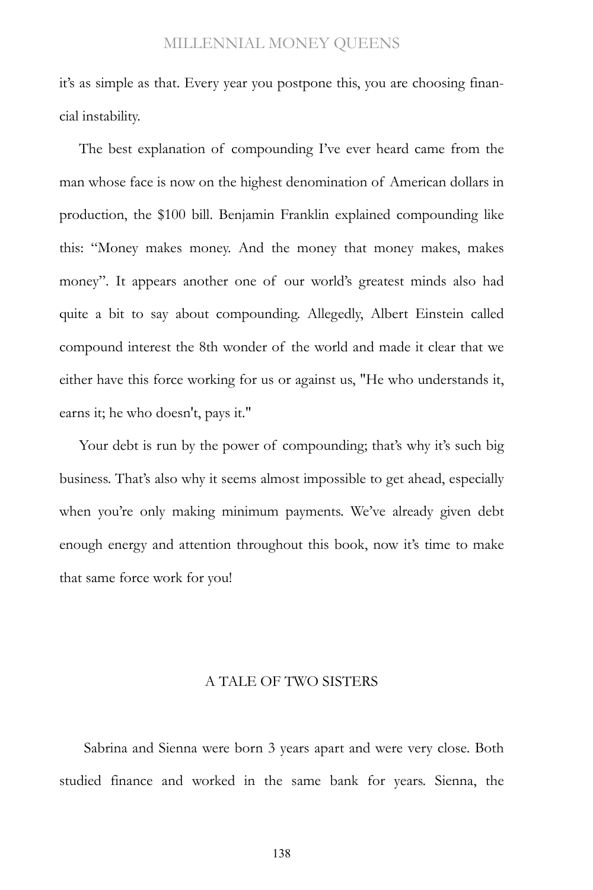it's as simple as that. Every year you postpone this, you are choosing financial instability.

The best explanation of compounding I've ever heard came from the man whose face is now on the highest denomination of American dollars in production, the \$100 bill. Benjamin Franklin explained compounding like this: "Money makes money. And the money that money makes, makes money". It appears another one of our world's greatest minds also had quite a bit to say about compounding. Allegedly, Albert Einstein called compound interest the 8th wonder of the world and made it clear that we either have this force working for us or against us, "He who understands it, earns it; he who doesn't, pays it."

Your debt is run by the power of compounding; that's why it's such big business. That's also why it seems almost impossible to get ahead, especially when you're only making minimum payments. We've already given debt enough energy and attention throughout this book, now it's time to make that same force work for you!

#### A TALE OF TWO SISTERS

Sabrina and Sienna were born 3 years apart and were very close. Both studied finance and worked in the same bank for years. Sienna, the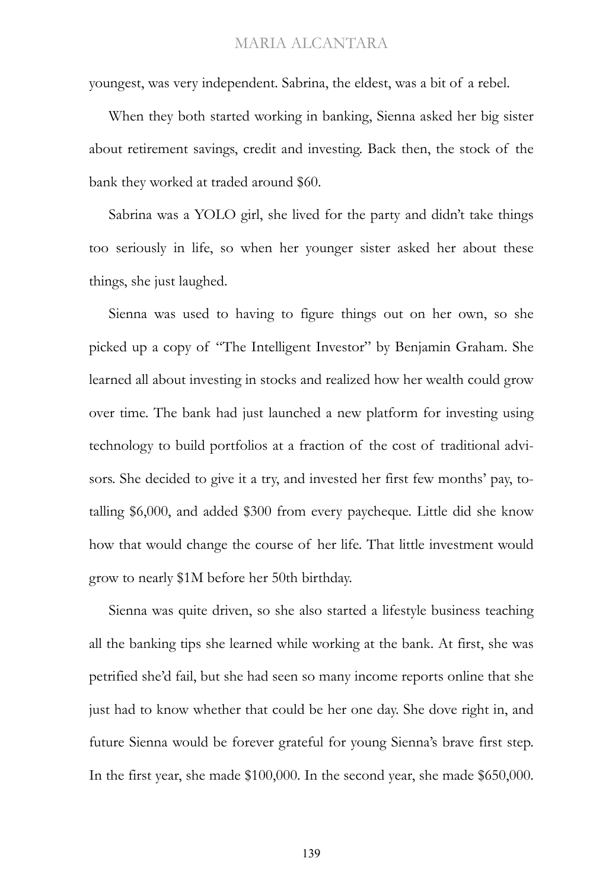youngest, was very independent. Sabrina, the eldest, was a bit of a rebel.

When they both started working in banking, Sienna asked her big sister about retirement savings, credit and investing. Back then, the stock of the bank they worked at traded around \$60.

Sabrina was a YOLO girl, she lived for the party and didn't take things too seriously in life, so when her younger sister asked her about these things, she just laughed.

Sienna was used to having to figure things out on her own, so she picked up a copy of "The Intelligent Investor" by Benjamin Graham. She learned all about investing in stocks and realized how her wealth could grow over time. The bank had just launched a new platform for investing using technology to build portfolios at a fraction of the cost of traditional advisors. She decided to give it a try, and invested her first few months' pay, totalling \$6,000, and added \$300 from every paycheque. Little did she know how that would change the course of her life. That little investment would grow to nearly \$1M before her 50th birthday.

Sienna was quite driven, so she also started a lifestyle business teaching all the banking tips she learned while working at the bank. At first, she was petrified she'd fail, but she had seen so many income reports online that she just had to know whether that could be her one day. She dove right in, and future Sienna would be forever grateful for young Sienna's brave first step. In the first year, she made \$100,000. In the second year, she made \$650,000.

139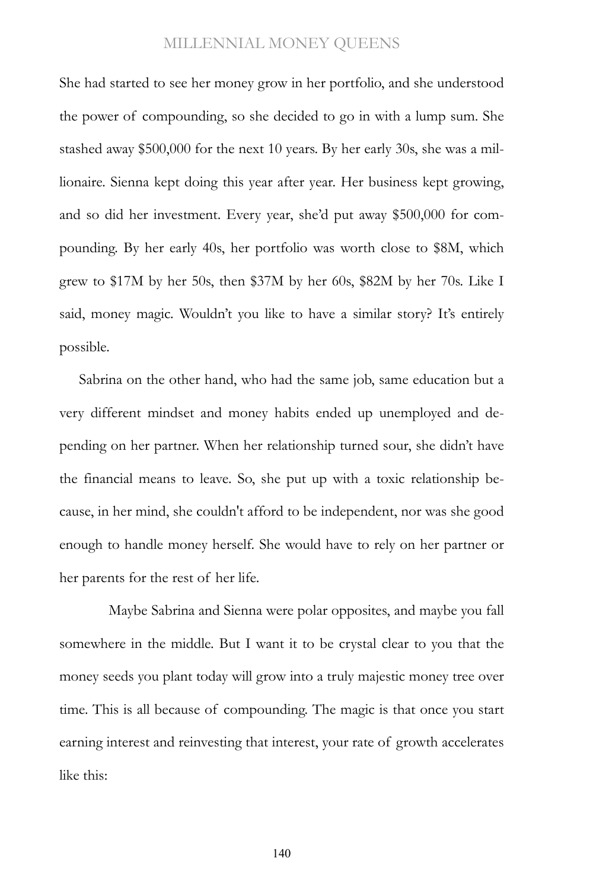She had started to see her money grow in her portfolio, and she understood the power of compounding, so she decided to go in with a lump sum. She stashed away \$500,000 for the next 10 years. By her early 30s, she was a millionaire. Sienna kept doing this year after year. Her business kept growing, and so did her investment. Every year, she'd put away \$500,000 for compounding. By her early 40s, her portfolio was worth close to \$8M, which grew to \$17M by her 50s, then \$37M by her 60s, \$82M by her 70s. Like I said, money magic. Wouldn't you like to have a similar story? It's entirely possible.

Sabrina on the other hand, who had the same job, same education but a very different mindset and money habits ended up unemployed and depending on her partner. When her relationship turned sour, she didn't have the financial means to leave. So, she put up with a toxic relationship because, in her mind, she couldn't afford to be independent, nor was she good enough to handle money herself. She would have to rely on her partner or her parents for the rest of her life.

Maybe Sabrina and Sienna were polar opposites, and maybe you fall somewhere in the middle. But I want it to be crystal clear to you that the money seeds you plant today will grow into a truly majestic money tree over time. This is all because of compounding. The magic is that once you start earning interest and reinvesting that interest, your rate of growth accelerates like this:

140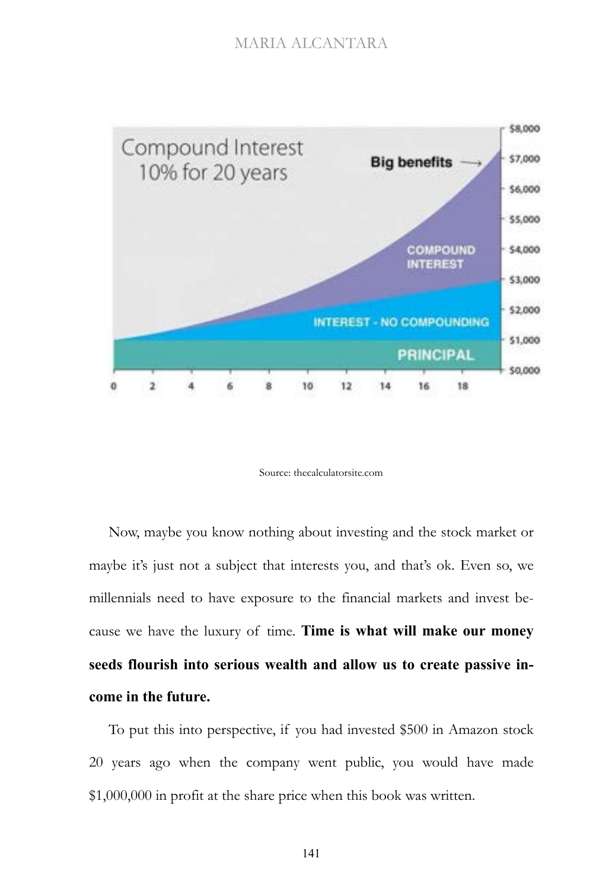

Source: thecalculatorsite.com

Now, maybe you know nothing about investing and the stock market or maybe it's just not a subject that interests you, and that's ok. Even so, we millennials need to have exposure to the financial markets and invest because we have the luxury of time. **Time is what will make our money seeds flourish into serious wealth and allow us to create passive income in the future.**

To put this into perspective, if you had invested \$500 in Amazon stock 20 years ago when the company went public, you would have made \$1,000,000 in profit at the share price when this book was written.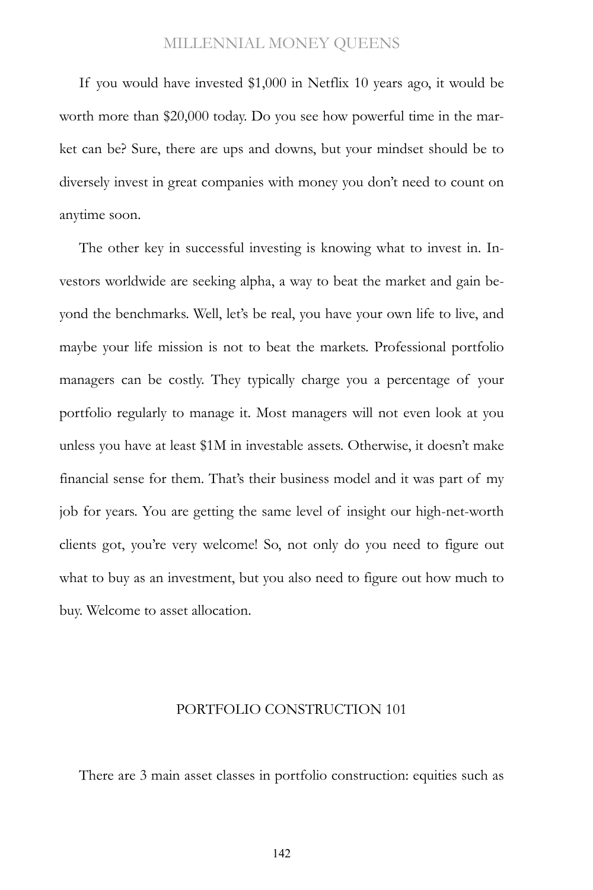If you would have invested \$1,000 in Netflix 10 years ago, it would be worth more than \$20,000 today. Do you see how powerful time in the market can be? Sure, there are ups and downs, but your mindset should be to diversely invest in great companies with money you don't need to count on anytime soon.

The other key in successful investing is knowing what to invest in. Investors worldwide are seeking alpha, a way to beat the market and gain beyond the benchmarks. Well, let's be real, you have your own life to live, and maybe your life mission is not to beat the markets. Professional portfolio managers can be costly. They typically charge you a percentage of your portfolio regularly to manage it. Most managers will not even look at you unless you have at least \$1M in investable assets. Otherwise, it doesn't make financial sense for them. That's their business model and it was part of my job for years. You are getting the same level of insight our high-net-worth clients got, you're very welcome! So, not only do you need to figure out what to buy as an investment, but you also need to figure out how much to buy. Welcome to asset allocation.

#### PORTFOLIO CONSTRUCTION 101

There are 3 main asset classes in portfolio construction: equities such as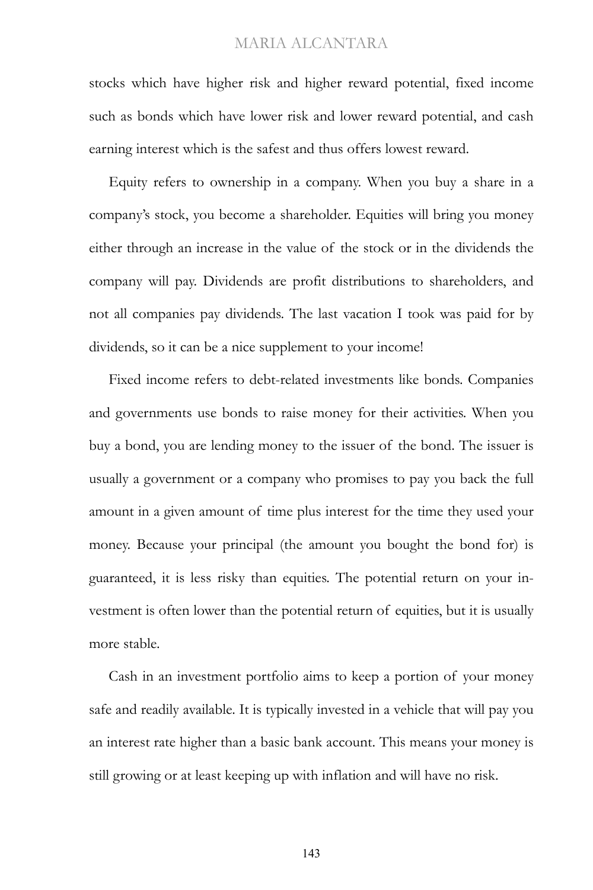stocks which have higher risk and higher reward potential, fixed income such as bonds which have lower risk and lower reward potential, and cash earning interest which is the safest and thus offers lowest reward.

Equity refers to ownership in a company. When you buy a share in a company's stock, you become a shareholder. Equities will bring you money either through an increase in the value of the stock or in the dividends the company will pay. Dividends are profit distributions to shareholders, and not all companies pay dividends. The last vacation I took was paid for by dividends, so it can be a nice supplement to your income!

Fixed income refers to debt-related investments like bonds. Companies and governments use bonds to raise money for their activities. When you buy a bond, you are lending money to the issuer of the bond. The issuer is usually a government or a company who promises to pay you back the full amount in a given amount of time plus interest for the time they used your money. Because your principal (the amount you bought the bond for) is guaranteed, it is less risky than equities. The potential return on your investment is often lower than the potential return of equities, but it is usually more stable.

Cash in an investment portfolio aims to keep a portion of your money safe and readily available. It is typically invested in a vehicle that will pay you an interest rate higher than a basic bank account. This means your money is still growing or at least keeping up with inflation and will have no risk.

143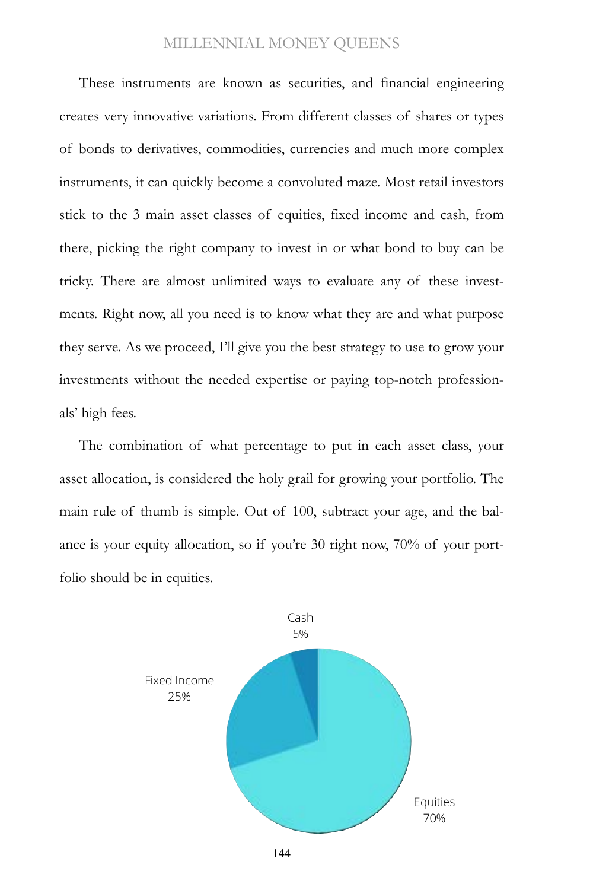These instruments are known as securities, and financial engineering creates very innovative variations. From different classes of shares or types of bonds to derivatives, commodities, currencies and much more complex instruments, it can quickly become a convoluted maze. Most retail investors stick to the 3 main asset classes of equities, fixed income and cash, from there, picking the right company to invest in or what bond to buy can be tricky. There are almost unlimited ways to evaluate any of these investments. Right now, all you need is to know what they are and what purpose they serve. As we proceed, I'll give you the best strategy to use to grow your investments without the needed expertise or paying top-notch professionals' high fees.

The combination of what percentage to put in each asset class, your asset allocation, is considered the holy grail for growing your portfolio. The main rule of thumb is simple. Out of 100, subtract your age, and the balance is your equity allocation, so if you're 30 right now, 70% of your portfolio should be in equities.

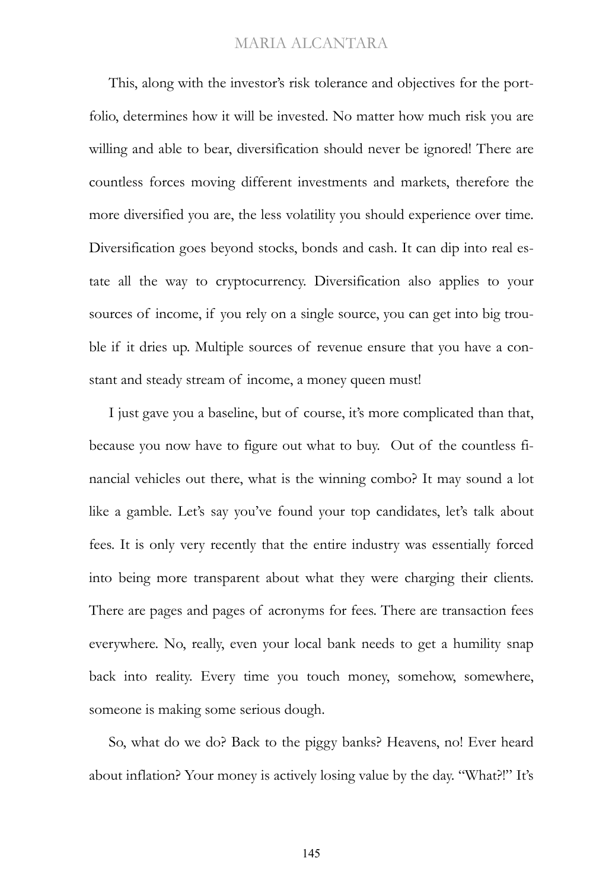This, along with the investor's risk tolerance and objectives for the portfolio, determines how it will be invested. No matter how much risk you are willing and able to bear, diversification should never be ignored! There are countless forces moving different investments and markets, therefore the more diversified you are, the less volatility you should experience over time. Diversification goes beyond stocks, bonds and cash. It can dip into real estate all the way to cryptocurrency. Diversification also applies to your sources of income, if you rely on a single source, you can get into big trouble if it dries up. Multiple sources of revenue ensure that you have a constant and steady stream of income, a money queen must!

I just gave you a baseline, but of course, it's more complicated than that, because you now have to figure out what to buy. Out of the countless financial vehicles out there, what is the winning combo? It may sound a lot like a gamble. Let's say you've found your top candidates, let's talk about fees. It is only very recently that the entire industry was essentially forced into being more transparent about what they were charging their clients. There are pages and pages of acronyms for fees. There are transaction fees everywhere. No, really, even your local bank needs to get a humility snap back into reality. Every time you touch money, somehow, somewhere, someone is making some serious dough.

So, what do we do? Back to the piggy banks? Heavens, no! Ever heard about inflation? Your money is actively losing value by the day. "What?!" It's

145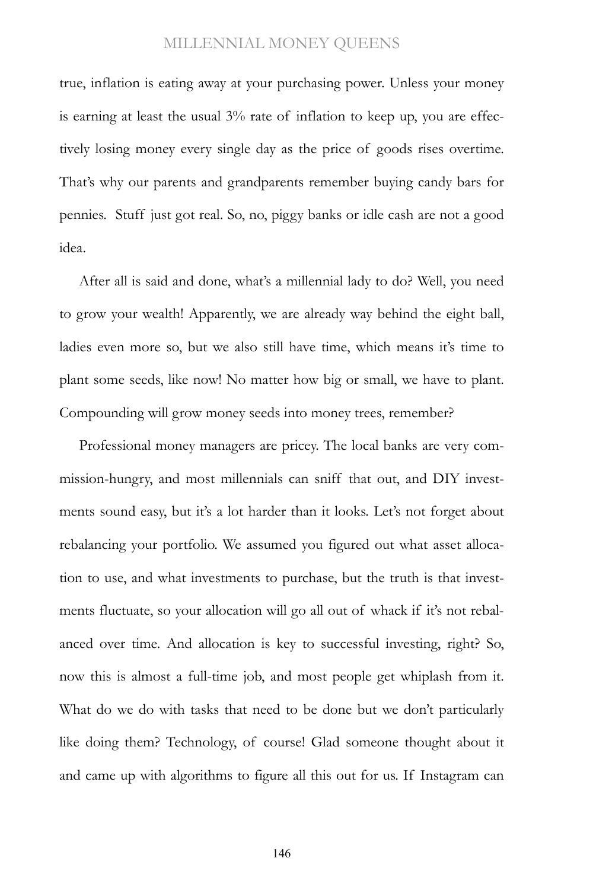true, inflation is eating away at your purchasing power. Unless your money is earning at least the usual 3% rate of inflation to keep up, you are effectively losing money every single day as the price of goods rises overtime. That's why our parents and grandparents remember buying candy bars for pennies. Stuff just got real. So, no, piggy banks or idle cash are not a good idea.

After all is said and done, what's a millennial lady to do? Well, you need to grow your wealth! Apparently, we are already way behind the eight ball, ladies even more so, but we also still have time, which means it's time to plant some seeds, like now! No matter how big or small, we have to plant. Compounding will grow money seeds into money trees, remember?

Professional money managers are pricey. The local banks are very commission-hungry, and most millennials can sniff that out, and DIY investments sound easy, but it's a lot harder than it looks. Let's not forget about rebalancing your portfolio. We assumed you figured out what asset allocation to use, and what investments to purchase, but the truth is that investments fluctuate, so your allocation will go all out of whack if it's not rebalanced over time. And allocation is key to successful investing, right? So, now this is almost a full-time job, and most people get whiplash from it. What do we do with tasks that need to be done but we don't particularly like doing them? Technology, of course! Glad someone thought about it and came up with algorithms to figure all this out for us. If Instagram can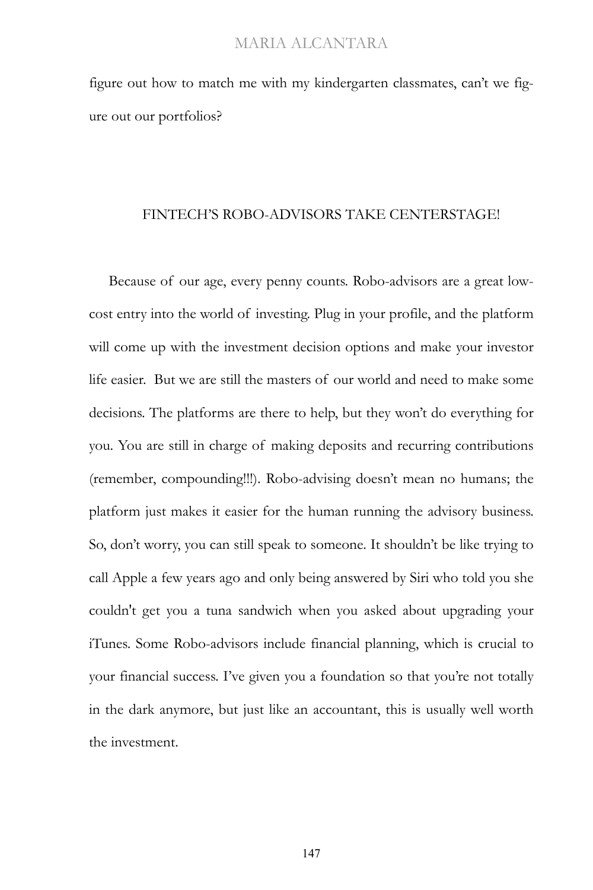figure out how to match me with my kindergarten classmates, can't we figure out our portfolios?

#### FINTECH'S ROBO-ADVISORS TAKE CENTERSTAGE!

Because of our age, every penny counts. Robo-advisors are a great lowcost entry into the world of investing. Plug in your profile, and the platform will come up with the investment decision options and make your investor life easier. But we are still the masters of our world and need to make some decisions. The platforms are there to help, but they won't do everything for you. You are still in charge of making deposits and recurring contributions (remember, compounding!!!). Robo-advising doesn't mean no humans; the platform just makes it easier for the human running the advisory business. So, don't worry, you can still speak to someone. It shouldn't be like trying to call Apple a few years ago and only being answered by Siri who told you she couldn't get you a tuna sandwich when you asked about upgrading your iTunes. Some Robo-advisors include financial planning, which is crucial to your financial success. I've given you a foundation so that you're not totally in the dark anymore, but just like an accountant, this is usually well worth the investment.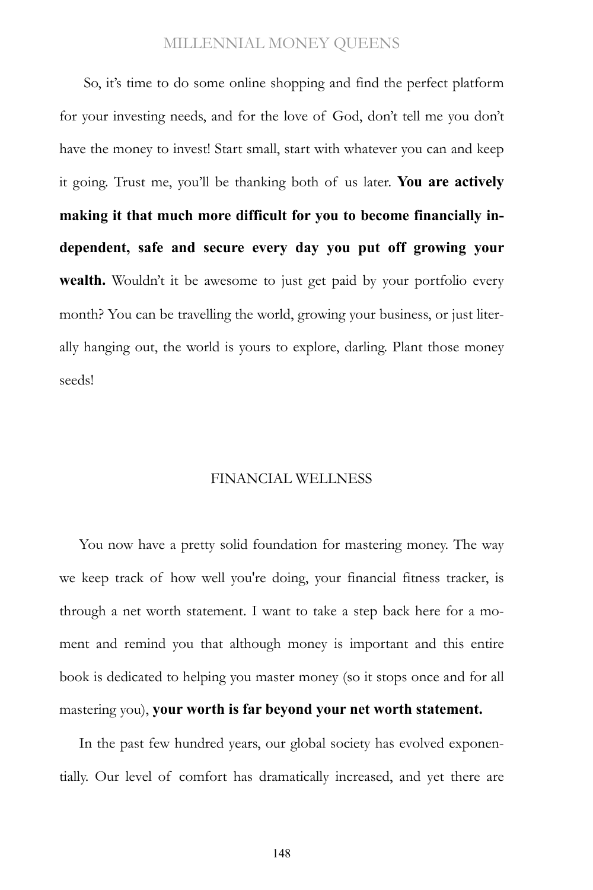So, it's time to do some online shopping and find the perfect platform for your investing needs, and for the love of God, don't tell me you don't have the money to invest! Start small, start with whatever you can and keep it going. Trust me, you'll be thanking both of us later. **You are actively making it that much more difficult for you to become financially independent, safe and secure every day you put off growing your wealth.** Wouldn't it be awesome to just get paid by your portfolio every month? You can be travelling the world, growing your business, or just literally hanging out, the world is yours to explore, darling. Plant those money seeds!

#### FINANCIAL WELLNESS

You now have a pretty solid foundation for mastering money. The way we keep track of how well you're doing, your financial fitness tracker, is through a net worth statement. I want to take a step back here for a moment and remind you that although money is important and this entire book is dedicated to helping you master money (so it stops once and for all mastering you), **your worth is far beyond your net worth statement.**

In the past few hundred years, our global society has evolved exponentially. Our level of comfort has dramatically increased, and yet there are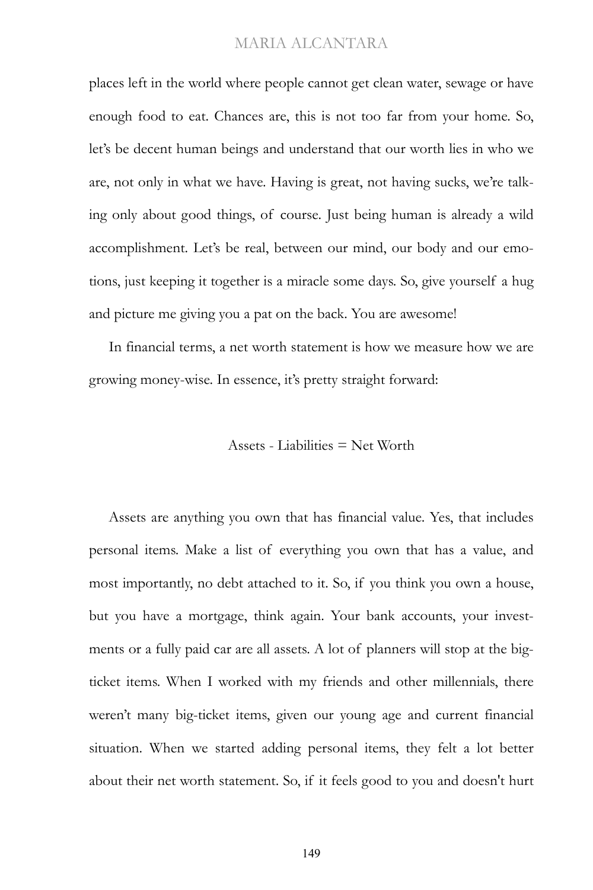places left in the world where people cannot get clean water, sewage or have enough food to eat. Chances are, this is not too far from your home. So, let's be decent human beings and understand that our worth lies in who we are, not only in what we have. Having is great, not having sucks, we're talking only about good things, of course. Just being human is already a wild accomplishment. Let's be real, between our mind, our body and our emotions, just keeping it together is a miracle some days. So, give yourself a hug and picture me giving you a pat on the back. You are awesome!

In financial terms, a net worth statement is how we measure how we are growing money-wise. In essence, it's pretty straight forward:

#### Assets - Liabilities = Net Worth

Assets are anything you own that has financial value. Yes, that includes personal items. Make a list of everything you own that has a value, and most importantly, no debt attached to it. So, if you think you own a house, but you have a mortgage, think again. Your bank accounts, your investments or a fully paid car are all assets. A lot of planners will stop at the bigticket items. When I worked with my friends and other millennials, there weren't many big-ticket items, given our young age and current financial situation. When we started adding personal items, they felt a lot better about their net worth statement. So, if it feels good to you and doesn't hurt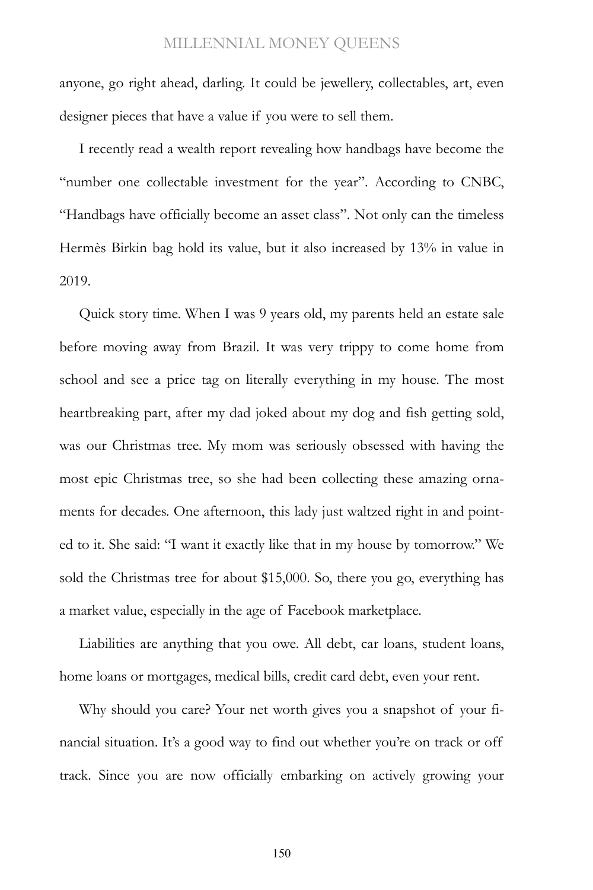anyone, go right ahead, darling. It could be jewellery, collectables, art, even designer pieces that have a value if you were to sell them.

I recently read a wealth report revealing how handbags have become the "number one collectable investment for the year". According to CNBC, "Handbags have officially become an asset class". Not only can the timeless Hermès Birkin bag hold its value, but it also increased by 13% in value in 2019.

Quick story time. When I was 9 years old, my parents held an estate sale before moving away from Brazil. It was very trippy to come home from school and see a price tag on literally everything in my house. The most heartbreaking part, after my dad joked about my dog and fish getting sold, was our Christmas tree. My mom was seriously obsessed with having the most epic Christmas tree, so she had been collecting these amazing ornaments for decades. One afternoon, this lady just waltzed right in and pointed to it. She said: "I want it exactly like that in my house by tomorrow." We sold the Christmas tree for about \$15,000. So, there you go, everything has a market value, especially in the age of Facebook marketplace.

Liabilities are anything that you owe. All debt, car loans, student loans, home loans or mortgages, medical bills, credit card debt, even your rent.

Why should you care? Your net worth gives you a snapshot of your financial situation. It's a good way to find out whether you're on track or off track. Since you are now officially embarking on actively growing your

150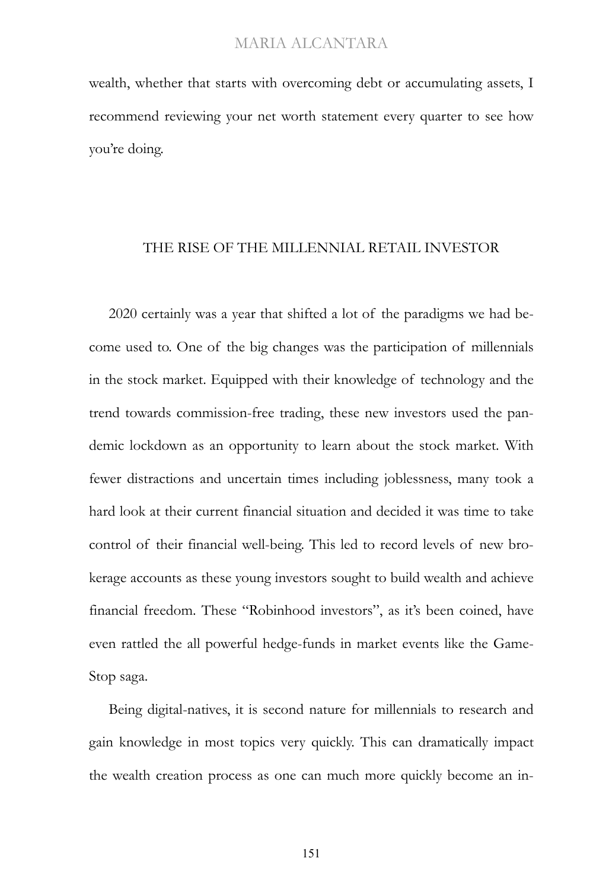wealth, whether that starts with overcoming debt or accumulating assets, I recommend reviewing your net worth statement every quarter to see how you're doing.

#### THE RISE OF THE MILLENNIAL RETAIL INVESTOR

2020 certainly was a year that shifted a lot of the paradigms we had become used to. One of the big changes was the participation of millennials in the stock market. Equipped with their knowledge of technology and the trend towards commission-free trading, these new investors used the pandemic lockdown as an opportunity to learn about the stock market. With fewer distractions and uncertain times including joblessness, many took a hard look at their current financial situation and decided it was time to take control of their financial well-being. This led to record levels of new brokerage accounts as these young investors sought to build wealth and achieve financial freedom. These "Robinhood investors", as it's been coined, have even rattled the all powerful hedge-funds in market events like the Game-Stop saga.

Being digital-natives, it is second nature for millennials to research and gain knowledge in most topics very quickly. This can dramatically impact the wealth creation process as one can much more quickly become an in-

151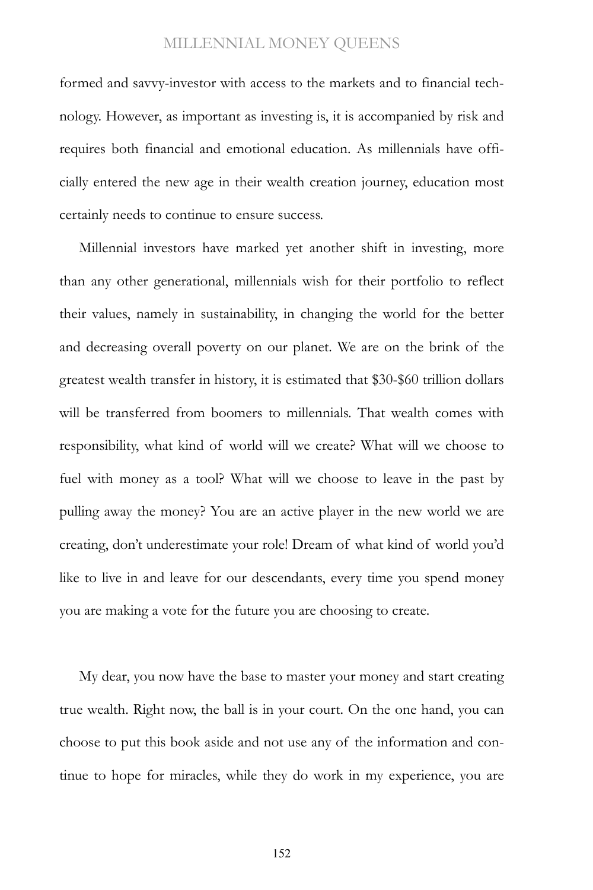formed and savvy-investor with access to the markets and to financial technology. However, as important as investing is, it is accompanied by risk and requires both financial and emotional education. As millennials have officially entered the new age in their wealth creation journey, education most certainly needs to continue to ensure success.

Millennial investors have marked yet another shift in investing, more than any other generational, millennials wish for their portfolio to reflect their values, namely in sustainability, in changing the world for the better and decreasing overall poverty on our planet. We are on the brink of the greatest wealth transfer in history, it is estimated that \$30-\$60 trillion dollars will be transferred from boomers to millennials. That wealth comes with responsibility, what kind of world will we create? What will we choose to fuel with money as a tool? What will we choose to leave in the past by pulling away the money? You are an active player in the new world we are creating, don't underestimate your role! Dream of what kind of world you'd like to live in and leave for our descendants, every time you spend money you are making a vote for the future you are choosing to create.

My dear, you now have the base to master your money and start creating true wealth. Right now, the ball is in your court. On the one hand, you can choose to put this book aside and not use any of the information and continue to hope for miracles, while they do work in my experience, you are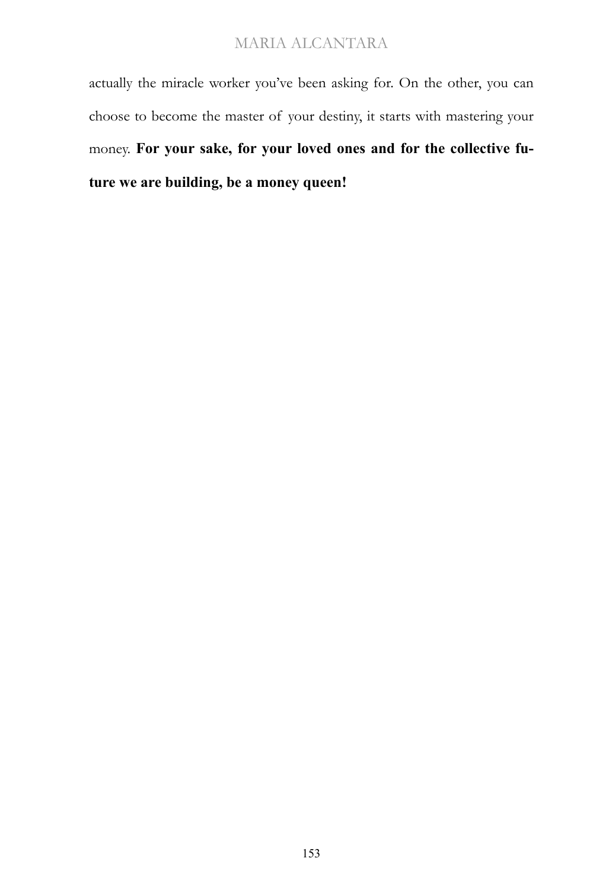actually the miracle worker you've been asking for. On the other, you can choose to become the master of your destiny, it starts with mastering your money. **For your sake, for your loved ones and for the collective future we are building, be a money queen!**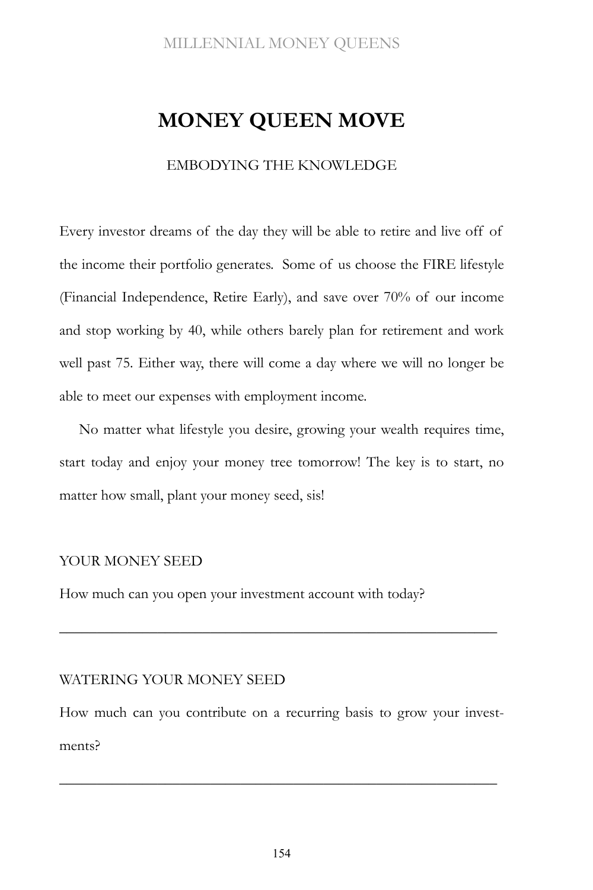# **MONEY QUEEN MOVE**

#### EMBODYING THE KNOWLEDGE

Every investor dreams of the day they will be able to retire and live off of the income their portfolio generates. Some of us choose the FIRE lifestyle (Financial Independence, Retire Early), and save over 70% of our income and stop working by 40, while others barely plan for retirement and work well past 75. Either way, there will come a day where we will no longer be able to meet our expenses with employment income.

No matter what lifestyle you desire, growing your wealth requires time, start today and enjoy your money tree tomorrow! The key is to start, no matter how small, plant your money seed, sis!

#### YOUR MONEY SEED

How much can you open your investment account with today?

#### WATERING YOUR MONEY SEED

How much can you contribute on a recurring basis to grow your investments?

\_\_\_\_\_\_\_\_\_\_\_\_\_\_\_\_\_\_\_\_\_\_\_\_\_\_\_\_\_\_\_\_\_\_\_\_\_\_\_\_\_\_\_\_\_\_\_\_\_\_\_\_\_\_\_\_\_\_

\_\_\_\_\_\_\_\_\_\_\_\_\_\_\_\_\_\_\_\_\_\_\_\_\_\_\_\_\_\_\_\_\_\_\_\_\_\_\_\_\_\_\_\_\_\_\_\_\_\_\_\_\_\_\_\_\_\_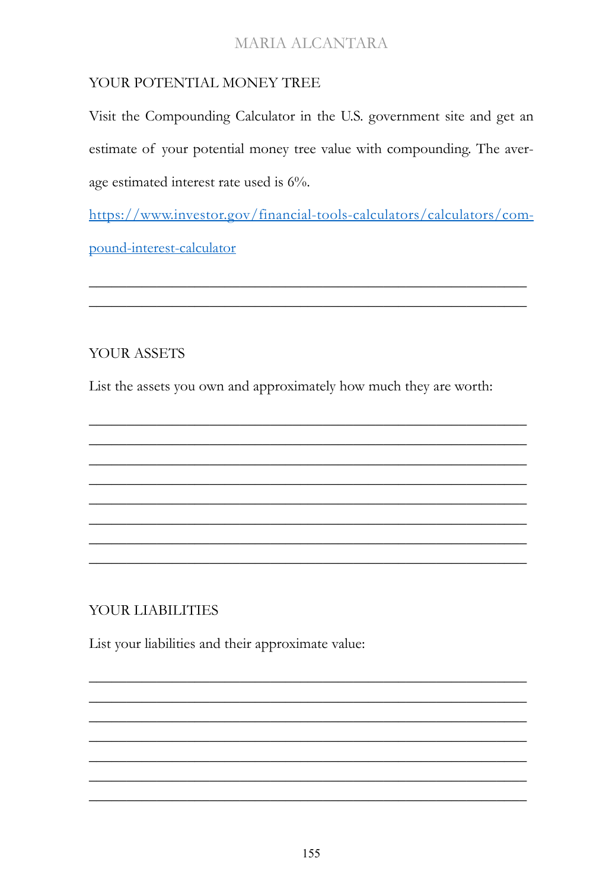## YOUR POTENTIAL MONEY TREE

Visit the Compounding Calculator in the U.S. government site and get an estimate of your potential money tree value with compounding. The average estimated interest rate used is 6%.

https://www.investor.gov/financial-tools-calculators/calculators/compound-interest-calculator

YOUR ASSETS

List the assets you own and approximately how much they are worth:

YOUR LIABILITIES

List your liabilities and their approximate value: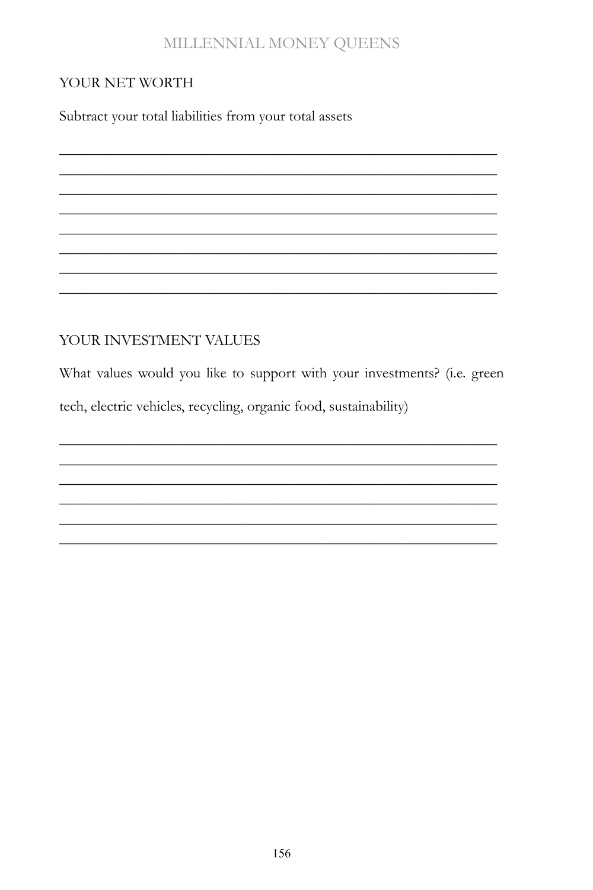### YOUR NET WORTH

Subtract your total liabilities from your total assets

## YOUR INVESTMENT VALUES

What values would you like to support with your investments? (i.e. green tech, electric vehicles, recycling, organic food, sustainability)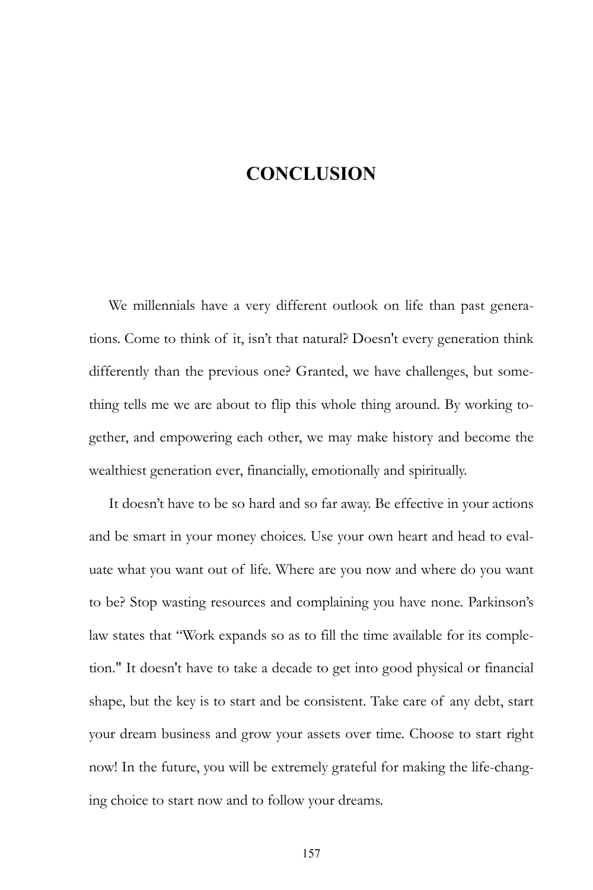# **CONCLUSION**

We millennials have a very different outlook on life than past generations. Come to think of it, isn't that natural? Doesn't every generation think differently than the previous one? Granted, we have challenges, but something tells me we are about to flip this whole thing around. By working together, and empowering each other, we may make history and become the wealthiest generation ever, financially, emotionally and spiritually.

It doesn't have to be so hard and so far away. Be effective in your actions and be smart in your money choices. Use your own heart and head to evaluate what you want out of life. Where are you now and where do you want to be? Stop wasting resources and complaining you have none. Parkinson's law states that "Work expands so as to fill the time available for its completion." It doesn't have to take a decade to get into good physical or financial shape, but the key is to start and be consistent. Take care of any debt, start your dream business and grow your assets over time. Choose to start right now! In the future, you will be extremely grateful for making the life-changing choice to start now and to follow your dreams.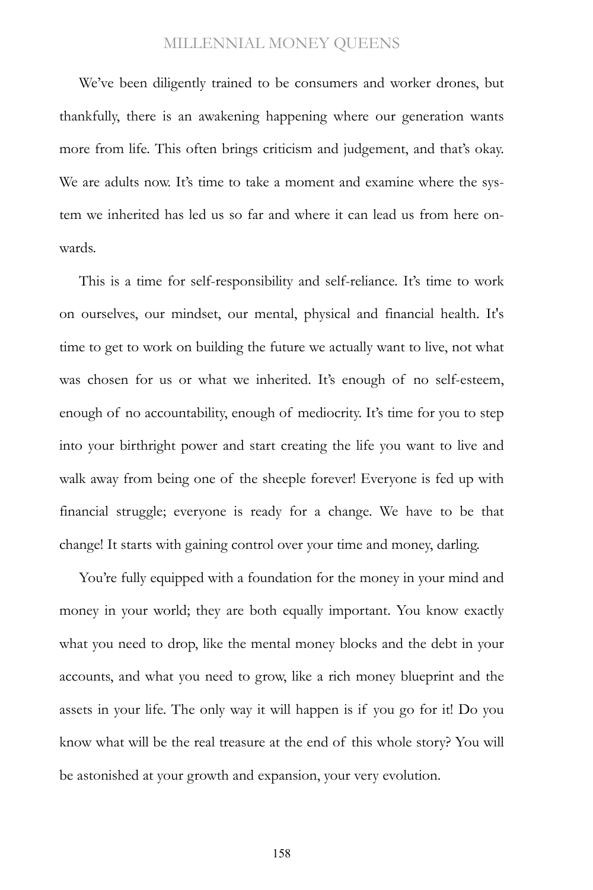We've been diligently trained to be consumers and worker drones, but thankfully, there is an awakening happening where our generation wants more from life. This often brings criticism and judgement, and that's okay. We are adults now. It's time to take a moment and examine where the system we inherited has led us so far and where it can lead us from here onwards.

This is a time for self-responsibility and self-reliance. It's time to work on ourselves, our mindset, our mental, physical and financial health. It's time to get to work on building the future we actually want to live, not what was chosen for us or what we inherited. It's enough of no self-esteem, enough of no accountability, enough of mediocrity. It's time for you to step into your birthright power and start creating the life you want to live and walk away from being one of the sheeple forever! Everyone is fed up with financial struggle; everyone is ready for a change. We have to be that change! It starts with gaining control over your time and money, darling.

You're fully equipped with a foundation for the money in your mind and money in your world; they are both equally important. You know exactly what you need to drop, like the mental money blocks and the debt in your accounts, and what you need to grow, like a rich money blueprint and the assets in your life. The only way it will happen is if you go for it! Do you know what will be the real treasure at the end of this whole story? You will be astonished at your growth and expansion, your very evolution.

158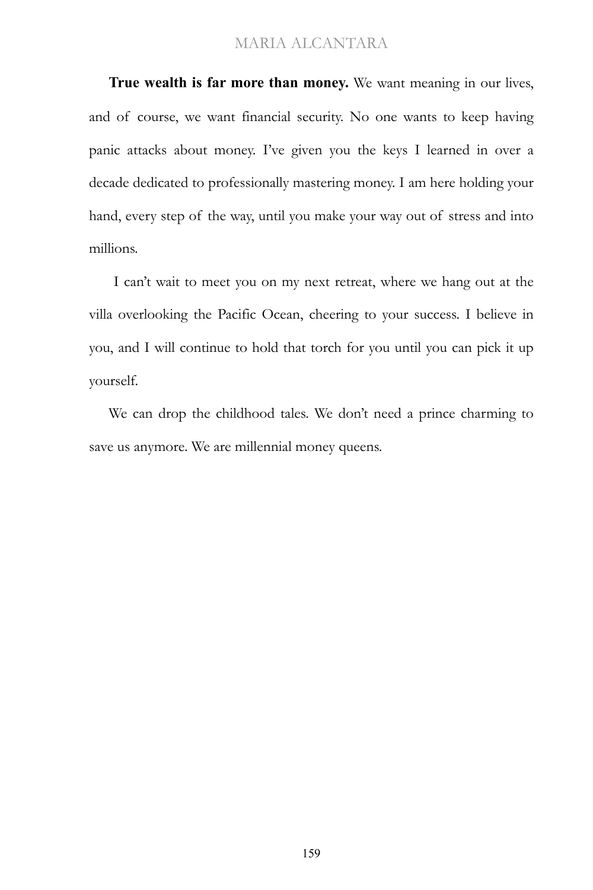**True wealth is far more than money.** We want meaning in our lives, and of course, we want financial security. No one wants to keep having panic attacks about money. I've given you the keys I learned in over a decade dedicated to professionally mastering money. I am here holding your hand, every step of the way, until you make your way out of stress and into millions.

I can't wait to meet you on my next retreat, where we hang out at the villa overlooking the Pacific Ocean, cheering to your success. I believe in you, and I will continue to hold that torch for you until you can pick it up yourself.

We can drop the childhood tales. We don't need a prince charming to save us anymore. We are millennial money queens.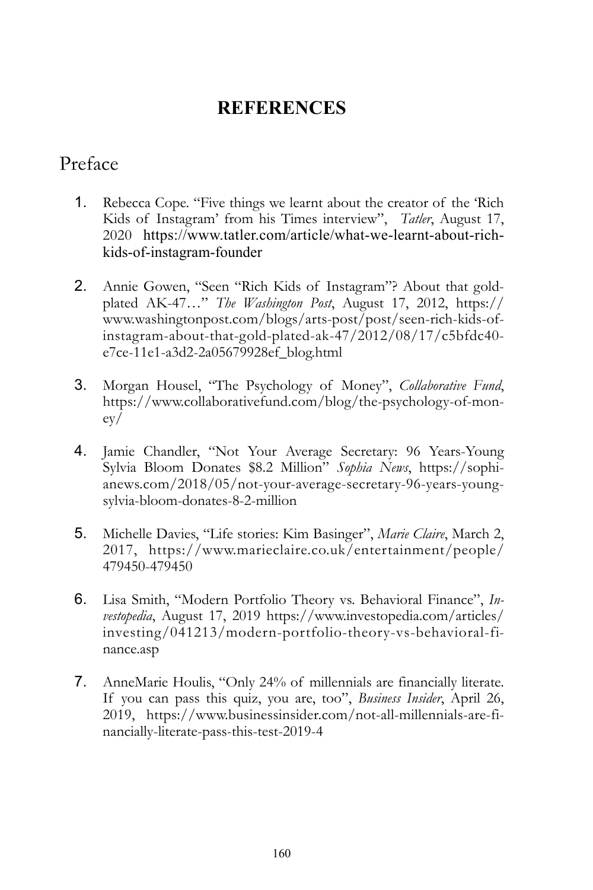# **REFERENCES**

## Preface

- 1. Rebecca Cope. "Five things we learnt about the creator of the 'Rich Kids of Instagram' from his Times interview", *Tatler*, August 17, 2020 https://www.tatler.com/article/what-we-learnt-about-richkids-of-instagram-founder
- 2. Annie Gowen, "Seen "Rich Kids of Instagram"? About that goldplated AK-47…" *The Washington Post*, August 17, 2012, https:// www.washingtonpost.com/blogs/arts-post/post/seen-rich-kids-ofinstagram-about-that-gold-plated-ak-47/2012/08/17/c5bfdc40 e7ce-11e1-a3d2-2a05679928ef\_blog.html
- 3. Morgan Housel, "The Psychology of Money", *Collaborative Fund*, https://www.collaborativefund.com/blog/the-psychology-of-money/
- 4. Jamie Chandler, "Not Your Average Secretary: 96 Years-Young Sylvia Bloom Donates \$8.2 Million" *Sophia News*, https://sophianews.com/2018/05/not-your-average-secretary-96-years-youngsylvia-bloom-donates-8-2-million
- 5. Michelle Davies, "Life stories: Kim Basinger", *Marie Claire*, March 2, 2017, https://www.marieclaire.co.uk/entertainment/people/ 479450-479450
- 6. Lisa Smith, "Modern Portfolio Theory vs. Behavioral Finance", *Investopedia*, August 17, 2019 https://www.investopedia.com/articles/ investing/041213/modern-portfolio-theory-vs-behavioral-finance.asp
- 7. AnneMarie Houlis, "Only 24% of millennials are financially literate. If you can pass this quiz, you are, too", *Business Insider*, April 26, 2019, https://www.businessinsider.com/not-all-millennials-are-financially-literate-pass-this-test-2019-4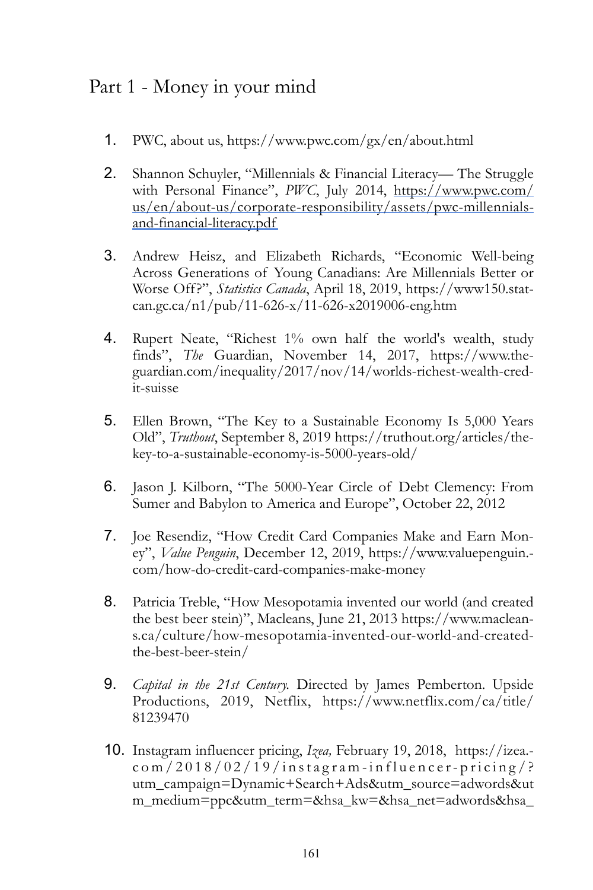## Part 1 - Money in your mind

- 1. PWC, about us, https://www.pwc.com/gx/en/about.html
- 2. Shannon Schuyler, "Millennials & Financial Literacy— The Struggle with Personal Finance", *PWC*, July 2014, https://www.pwc.com/ us/en/about-us/corporate-responsibility/assets/pwc-millennialsand-financial-literacy.pdf
- 3. Andrew Heisz, and Elizabeth Richards, "Economic Well-being Across Generations of Young Canadians: Are Millennials Better or Worse Off?", *Statistics Canada*, April 18, 2019, [https://www150.stat](https://www150.statcan.gc.ca/n1/pub/11-626-x/11-626-x2019006-eng.htm)[can.gc.ca/n1/pub/11-626-x/11-626-x2019006-eng.htm](https://www150.statcan.gc.ca/n1/pub/11-626-x/11-626-x2019006-eng.htm)
- 4. Rupert Neate, "Richest 1% own half the world's wealth, study finds", *The* Guardian, November 14, 2017, [https://www.the](https://www.theguardian.com/inequality/2017/nov/14/worlds-richest-wealth-credit-suisse)[guardian.com/inequality/2017/nov/14/worlds-richest-wealth-cred](https://www.theguardian.com/inequality/2017/nov/14/worlds-richest-wealth-credit-suisse)[it-suisse](https://www.theguardian.com/inequality/2017/nov/14/worlds-richest-wealth-credit-suisse)
- 5. Ellen Brown, "The Key to a Sustainable Economy Is 5,000 Years Old", *Truthout*, September 8, 2019 https://truthout.org/articles/thekey-to-a-sustainable-economy-is-5000-years-old/
- 6. Jason J. Kilborn, "The 5000-Year Circle of Debt Clemency: From Sumer and Babylon to America and Europe", October 22, 2012
- 7. Joe Resendiz, "How Credit Card Companies Make and Earn Money", *Value Penguin*, December 12, 2019, https://www.valuepenguin. com/how-do-credit-card-companies-make-money
- 8. Patricia Treble, "How Mesopotamia invented our world (and created the best beer stein)", Macleans, June 21, 2013 https://www.macleans.ca/culture/how-mesopotamia-invented-our-world-and-createdthe-best-beer-stein/
- 9. *Capital in the 21st Century.* Directed by James Pemberton. Upside Productions, 2019, Netflix, https://www.netflix.com/ca/title/ 81239470
- 10. Instagram influencer pricing, *Izea,* February 19, 2018, https://izea. com/2018/02/19/instagram-influencer-pricing/? utm\_campaign=Dynamic+Search+Ads&utm\_source=adwords&ut m\_medium=ppc&utm\_term=&hsa\_kw=&hsa\_net=adwords&hsa\_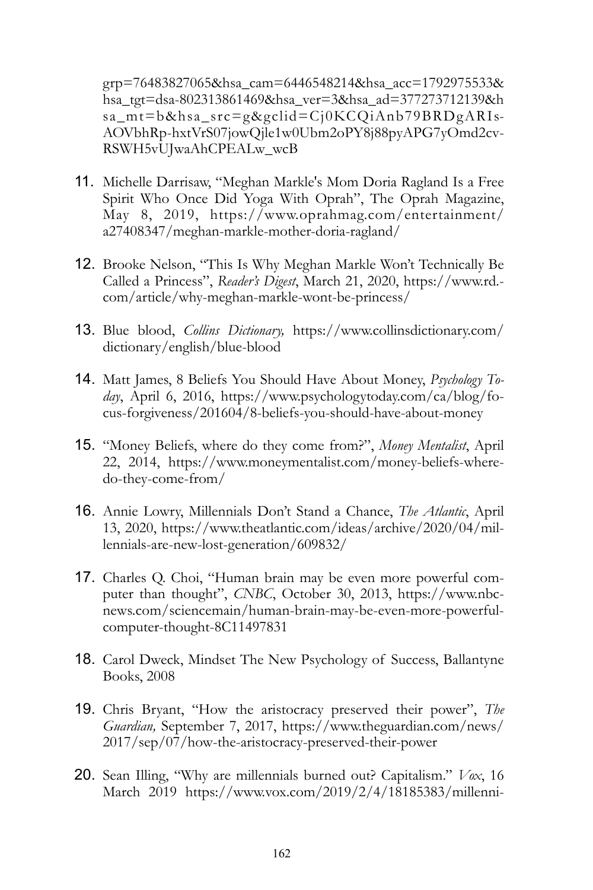grp=76483827065&hsa\_cam=6446548214&hsa\_acc=1792975533& hsa\_tgt=dsa-802313861469&hsa\_ver=3&hsa\_ad=377273712139&h sa\_mt=b&hsa\_src=g&gclid=Cj0KCQiAnb79BRDgARIs-AOVbhRp-hxtVrS07jowQjle1w0Ubm2oPY8j88pyAPG7yOmd2cv-RSWH5vUJwaAhCPEALw\_wcB

- 11. Michelle Darrisaw, "Meghan Markle's Mom Doria Ragland Is a Free Spirit Who Once Did Yoga With Oprah", The Oprah Magazine, May 8, 2019, https://www.oprahmag.com/entertainment/ a27408347/meghan-markle-mother-doria-ragland/
- 12. Brooke Nelson, "This Is Why Meghan Markle Won't Technically Be Called a Princess", *Reader's Digest*, March 21, 2020, https://www.rd. com/article/why-meghan-markle-wont-be-princess/
- 13. Blue blood, *Collins Dictionary,* https://www.collinsdictionary.com/ dictionary/english/blue-blood
- 14. Matt James, 8 Beliefs You Should Have About Money, *Psychology Today*, April 6, 2016, https://www.psychologytoday.com/ca/blog/focus-forgiveness/201604/8-beliefs-you-should-have-about-money
- 15. "Money Beliefs, where do they come from?", *Money Mentalist*, April 22, 2014, https://www.moneymentalist.com/money-beliefs-wheredo-they-come-from/
- 16. Annie Lowry, Millennials Don't Stand a Chance, *The Atlantic*, April 13, 2020, https://www.theatlantic.com/ideas/archive/2020/04/millennials-are-new-lost-generation/609832/
- 17. Charles Q. Choi, "Human brain may be even more powerful computer than thought", *CNBC*, October 30, 2013, https://www.nbcnews.com/sciencemain/human-brain-may-be-even-more-powerfulcomputer-thought-8C11497831
- 18. Carol Dweck, Mindset The New Psychology of Success, Ballantyne Books, 2008
- 19. Chris Bryant, "How the aristocracy preserved their power", *The Guardian,* September 7, 2017, https://www.theguardian.com/news/ 2017/sep/07/how-the-aristocracy-preserved-their-power
- 20. Sean Illing, "Why are millennials burned out? Capitalism." *Vox*, 16 March 2019 https://www.vox.com/2019/2/4/18185383/millenni-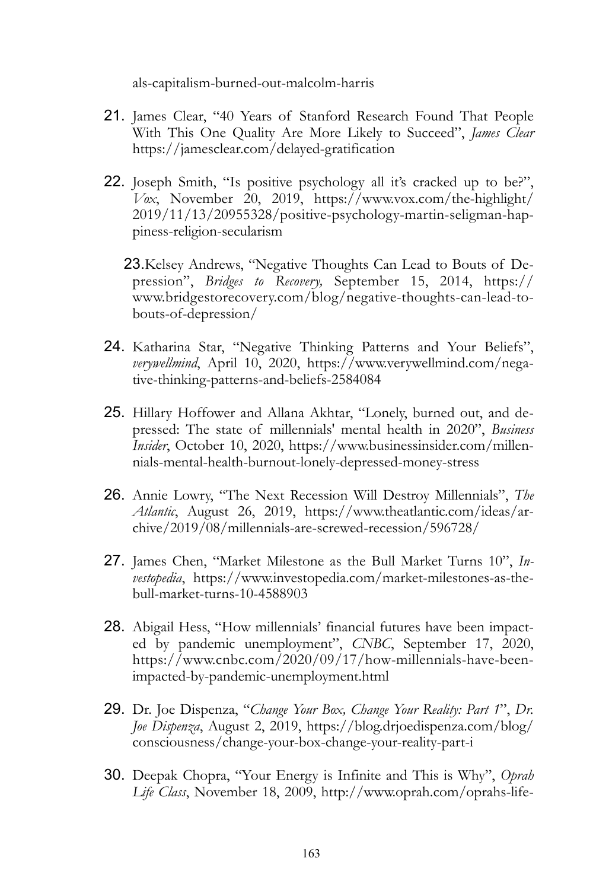als-capitalism-burned-out-malcolm-harris

- 21. James Clear, "40 Years of Stanford Research Found That People With This One Quality Are More Likely to Succeed", *James Clear*  https://jamesclear.com/delayed-gratification
- 22. Joseph Smith, "Is positive psychology all it's cracked up to be?", *Vox*, November 20, 2019, https://www.vox.com/the-highlight/ 2019/11/13/20955328/positive-psychology-martin-seligman-happiness-religion-secularism
	- 23.Kelsey Andrews, "Negative Thoughts Can Lead to Bouts of Depression", *Bridges to Recovery,* September 15, 2014, https:// www.bridgestorecovery.com/blog/negative-thoughts-can-lead-tobouts-of-depression/
- 24. Katharina Star, "Negative Thinking Patterns and Your Beliefs", *verywellmind*, April 10, 2020, https://www.verywellmind.com/negative-thinking-patterns-and-beliefs-2584084
- 25. Hillary Hoffower and Allana Akhtar, "Lonely, burned out, and depressed: The state of millennials' mental health in 2020", *Business Insider*, October 10, 2020, https://www.businessinsider.com/millennials-mental-health-burnout-lonely-depressed-money-stress
- 26. Annie Lowry, "The Next Recession Will Destroy Millennials", *The Atlantic*, August 26, 2019, https://www.theatlantic.com/ideas/archive/2019/08/millennials-are-screwed-recession/596728/
- 27. James Chen, "Market Milestone as the Bull Market Turns 10", *Investopedia*, https://www.investopedia.com/market-milestones-as-thebull-market-turns-10-4588903
- 28. Abigail Hess, "How millennials' financial futures have been impacted by pandemic unemployment", *CNBC*, September 17, 2020, https://www.cnbc.com/2020/09/17/how-millennials-have-beenimpacted-by-pandemic-unemployment.html
- 29. Dr. Joe Dispenza, "*Change Your Box, Change Your Reality: Part 1*", *Dr. Joe Dispenza*, August 2, 2019, https://blog.drjoedispenza.com/blog/ consciousness/change-your-box-change-your-reality-part-i
- 30. Deepak Chopra, "Your Energy is Infinite and This is Why", *Oprah Life Class*, November 18, 2009, http://www.oprah.com/oprahs-life-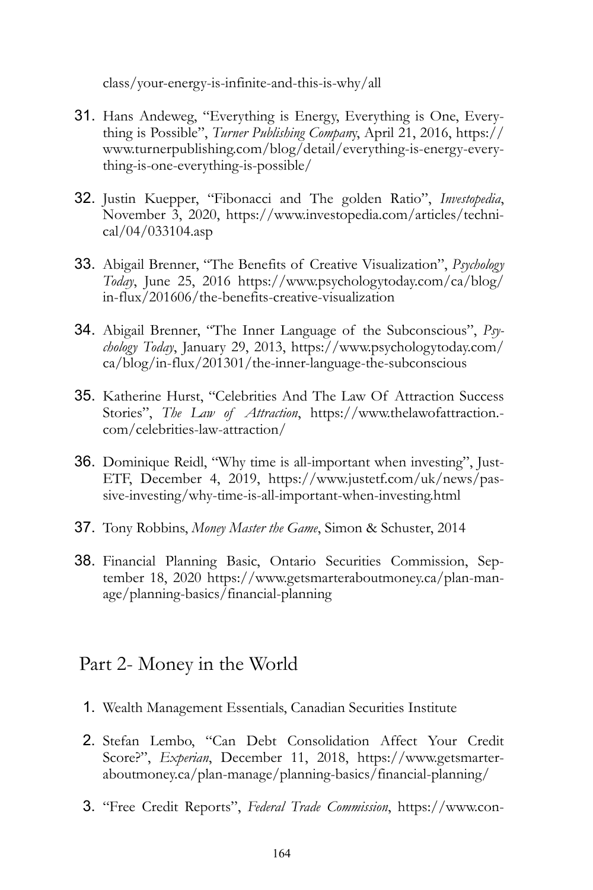class/your-energy-is-infinite-and-this-is-why/all

- 31. Hans Andeweg, "Everything is Energy, Everything is One, Everything is Possible", *Turner Publishing Compan*y, April 21, 2016, https:// www.turnerpublishing.com/blog/detail/everything-is-energy-everything-is-one-everything-is-possible/
- 32. Justin Kuepper, "Fibonacci and The golden Ratio", *Investopedia*, November 3, 2020, https://www.investopedia.com/articles/technical/04/033104.asp
- 33. Abigail Brenner, "The Benefits of Creative Visualization", *Psychology Today*, June 25, 2016 https://www.psychologytoday.com/ca/blog/ in-flux/201606/the-benefits-creative-visualization
- 34. Abigail Brenner, "The Inner Language of the Subconscious", *Psychology Today*, January 29, 2013, https://www.psychologytoday.com/ ca/blog/in-flux/201301/the-inner-language-the-subconscious
- 35. Katherine Hurst, "Celebrities And The Law Of Attraction Success Stories", *The Law of Attraction*, https://www.thelawofattraction. com/celebrities-law-attraction/
- 36. Dominique Reidl, "Why time is all-important when investing", Just-ETF, December 4, 2019, https://www.justetf.com/uk/news/passive-investing/why-time-is-all-important-when-investing.html
- 37. Tony Robbins, *Money Master the Game*, Simon & Schuster, 2014
- 38. Financial Planning Basic, Ontario Securities Commission, September 18, 2020 https://www.getsmarteraboutmoney.ca/plan-manage/planning-basics/financial-planning

## Part 2- Money in the World

- 1. Wealth Management Essentials, Canadian Securities Institute
- 2. Stefan Lembo, "Can Debt Consolidation Affect Your Credit Score?", *Experian*, December 11, 2018, https://www.getsmarteraboutmoney.ca/plan-manage/planning-basics/financial-planning/
- 3. "Free Credit Reports", *Federal Trade Commission*, https://www.con-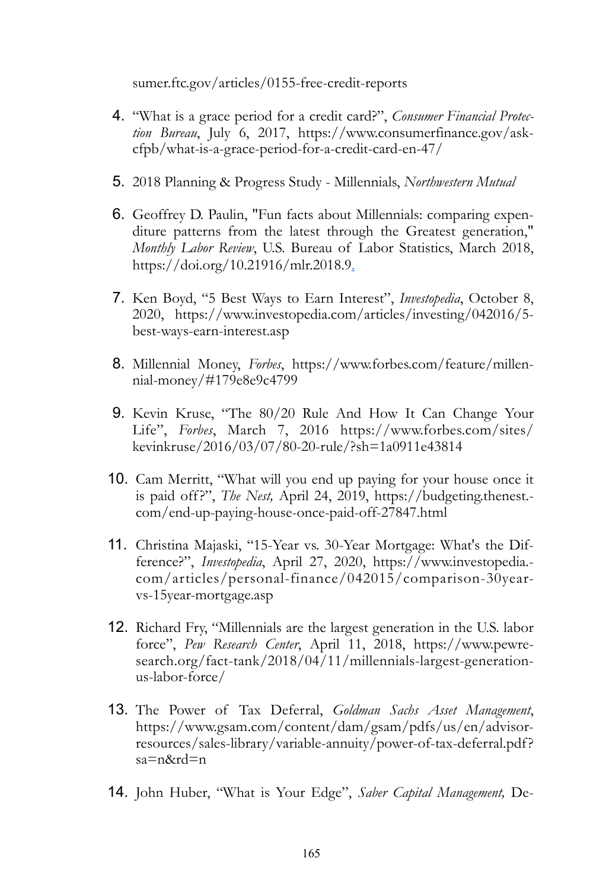sumer.ftc.gov/articles/0155-free-credit-reports

- 4. "What is a grace period for a credit card?", *Consumer Financial Protection Bureau*, July 6, 2017, https://www.consumerfinance.gov/askcfpb/what-is-a-grace-period-for-a-credit-card-en-47/
- 5. 2018 Planning & Progress Study Millennials, *Northwestern Mutual*
- 6. Geoffrey D. Paulin, "Fun facts about Millennials: comparing expenditure patterns from the latest through the Greatest generation," *Monthly Labor Review*, U.S. Bureau of Labor Statistics, March 2018, https://doi.org/10.21916/mlr.2018.9.
- 7. Ken Boyd, "5 Best Ways to Earn Interest", *Investopedia*, October 8, 2020, https://www.investopedia.com/articles/investing/042016/5 best-ways-earn-interest.asp
- 8. Millennial Money, *Forbes*, https://www.forbes.com/feature/millennial-money/#179e8e9c4799
- 9. Kevin Kruse, "The 80/20 Rule And How It Can Change Your Life", *Forbes*, March 7, 2016 https://www.forbes.com/sites/ kevinkruse/2016/03/07/80-20-rule/?sh=1a0911e43814
- 10. Cam Merritt, "What will you end up paying for your house once it is paid off?", *The Nest,* April 24, 2019, https://budgeting.thenest. com/end-up-paying-house-once-paid-off-27847.html
- 11. Christina Majaski, "15-Year vs. 30-Year Mortgage: What's the Difference?", *Investopedia*, April 27, 2020, https://www.investopedia. com/articles/personal-finance/042015/comparison-30yearvs-15year-mortgage.asp
- 12. Richard Fry, "Millennials are the largest generation in the U.S. labor force", *Pew Research Center*, April 11, 2018, https://www.pewresearch.org/fact-tank/2018/04/11/millennials-largest-generationus-labor-force/
- 13. The Power of Tax Deferral, *Goldman Sachs Asset Management*, https://www.gsam.com/content/dam/gsam/pdfs/us/en/advisorresources/sales-library/variable-annuity/power-of-tax-deferral.pdf? sa=n&rd=n
- 14. John Huber, "What is Your Edge", *Saber Capital Management,* De-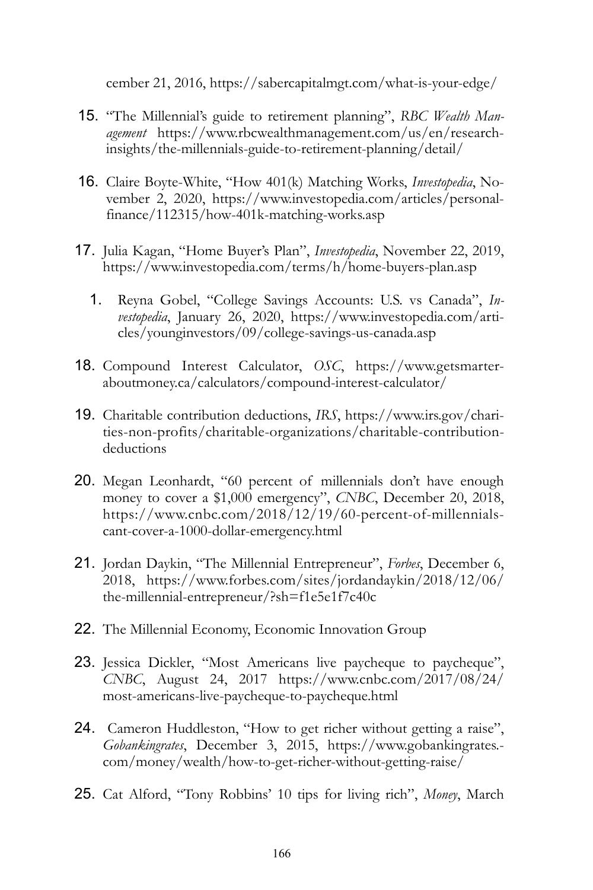cember 21, 2016, https://sabercapitalmgt.com/what-is-your-edge/

- 15. "The Millennial's guide to retirement planning", *RBC Wealth Management* https://www.rbcwealthmanagement.com/us/en/researchinsights/the-millennials-guide-to-retirement-planning/detail/
- 16. Claire Boyte-White, "How 401(k) Matching Works, *Investopedia*, November 2, 2020, https://www.investopedia.com/articles/personalfinance/112315/how-401k-matching-works.asp
- 17. Julia Kagan, "Home Buyer's Plan", *Investopedia*, November 22, 2019, https://www.investopedia.com/terms/h/home-buyers-plan.asp
	- 1. Reyna Gobel, "College Savings Accounts: U.S. vs Canada", *Investopedia*, January 26, 2020, https://www.investopedia.com/articles/younginvestors/09/college-savings-us-canada.asp
- 18. Compound Interest Calculator, *OSC*, https://www.getsmarteraboutmoney.ca/calculators/compound-interest-calculator/
- 19. Charitable contribution deductions, *IRS*, https://www.irs.gov/charities-non-profits/charitable-organizations/charitable-contributiondeductions
- 20. Megan Leonhardt, "60 percent of millennials don't have enough money to cover a \$1,000 emergency", *CNBC*, December 20, 2018, https://www.cnbc.com/2018/12/19/60-percent-of-millennialscant-cover-a-1000-dollar-emergency.html
- 21. Jordan Daykin, "The Millennial Entrepreneur", *Forbes*, December 6, 2018, https://www.forbes.com/sites/jordandaykin/2018/12/06/ the-millennial-entrepreneur/?sh=f1e5e1f7c40c
- 22. The Millennial Economy, Economic Innovation Group
- 23. Jessica Dickler, "Most Americans live paycheque to paycheque", *CNBC*, August 24, 2017 https://www.cnbc.com/2017/08/24/ most-americans-live-paycheque-to-paycheque.html
- 24. Cameron Huddleston, "How to get richer without getting a raise", *Gobankingrates*, December 3, 2015, https://www.gobankingrates. com/money/wealth/how-to-get-richer-without-getting-raise/
- 25. Cat Alford, "Tony Robbins' 10 tips for living rich", *Money*, March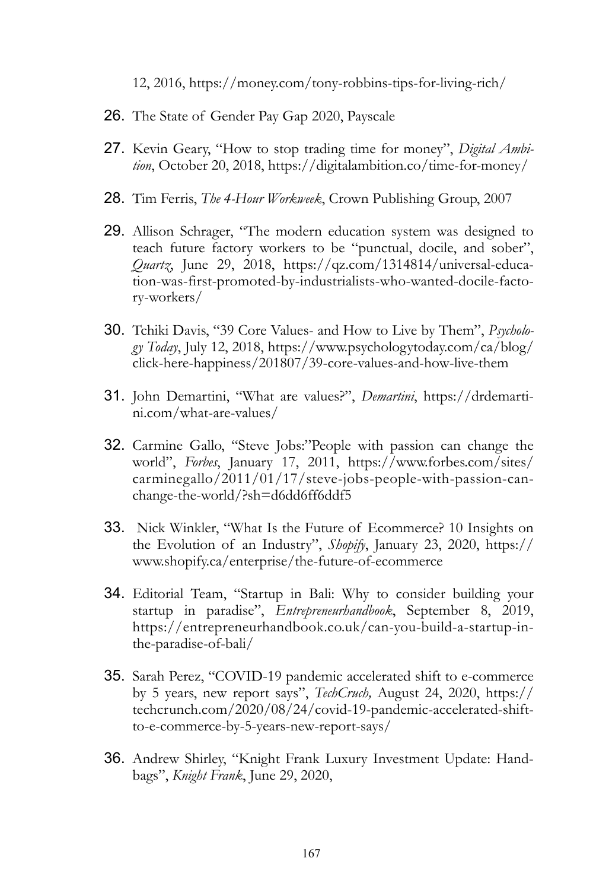12, 2016, https://money.com/tony-robbins-tips-for-living-rich/

- 26. The State of Gender Pay Gap 2020, Payscale
- 27. Kevin Geary, "How to stop trading time for money", *Digital Ambition*, October 20, 2018, https://digitalambition.co/time-for-money/
- 28. Tim Ferris, *The 4-Hour Workweek*, Crown Publishing Group, 2007
- 29. Allison Schrager, "The modern education system was designed to teach future factory workers to be "punctual, docile, and sober", *Quartz*, June 29, 2018, https://qz.com/1314814/universal-education-was-first-promoted-by-industrialists-who-wanted-docile-factory-workers/
- 30. Tchiki Davis, "39 Core Values- and How to Live by Them", *Psychology Today*, July 12, 2018, https://www.psychologytoday.com/ca/blog/ click-here-happiness/201807/39-core-values-and-how-live-them
- 31. John Demartini, "What are values?", *Demartini*, https://drdemartini.com/what-are-values/
- 32. Carmine Gallo, "Steve Jobs:"People with passion can change the world", *Forbes*, January 17, 2011, https://www.forbes.com/sites/ carminegallo/2011/01/17/steve-jobs-people-with-passion-canchange-the-world/?sh=d6dd6ff6ddf5
- 33. Nick Winkler, "What Is the Future of Ecommerce? 10 Insights on the Evolution of an Industry", *Shopify*, January 23, 2020, https:// www.shopify.ca/enterprise/the-future-of-ecommerce
- 34. Editorial Team, "Startup in Bali: Why to consider building your startup in paradise", *Entrepreneurhandbook*, September 8, 2019, https://entrepreneurhandbook.co.uk/can-you-build-a-startup-inthe-paradise-of-bali/
- 35. Sarah Perez, "COVID-19 pandemic accelerated shift to e-commerce by 5 years, new report says", *TechCruch,* August 24, 2020, https:// techcrunch.com/2020/08/24/covid-19-pandemic-accelerated-shiftto-e-commerce-by-5-years-new-report-says/
- 36. Andrew Shirley, "Knight Frank Luxury Investment Update: Handbags", *Knight Frank*, June 29, 2020,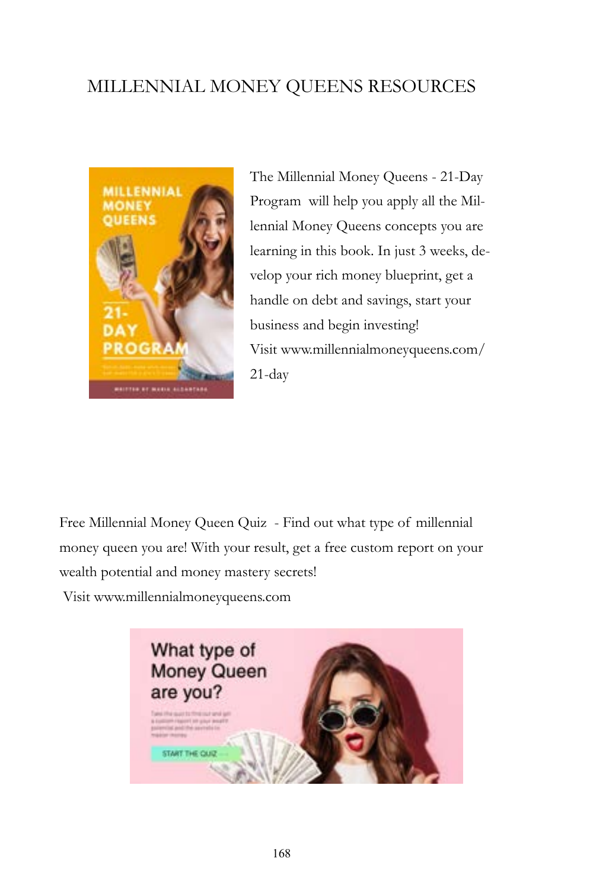## MILLENNIAL MONEY QUEENS RESOURCES



The Millennial Money Queens - 21-Day Program will help you apply all the Millennial Money Queens concepts you are learning in this book. In just 3 weeks, develop your rich money blueprint, get a handle on debt and savings, start your business and begin investing! Visit [www.millennialmoneyqueens.com/](http://www.millennialmoneyqueens.com/21-day) [21-day](http://www.millennialmoneyqueens.com/21-day)

Free Millennial Money Queen Quiz - Find out what type of millennial money queen you are! With your result, get a free custom report on your wealth potential and money mastery secrets!

Visit [www.millennialmoneyqueens.com](http://www.millennialmoneyqueens.com/)

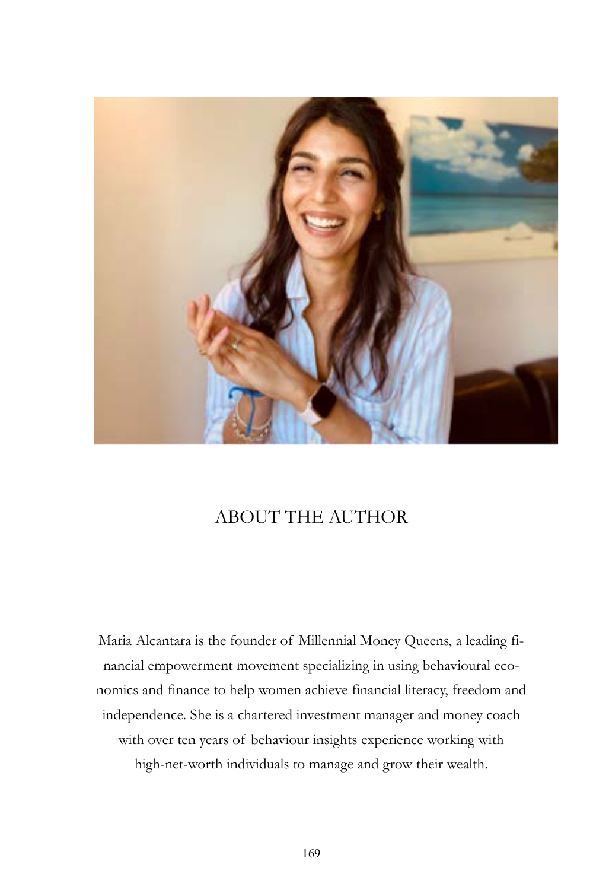

## ABOUT THE AUTHOR

Maria Alcantara is the founder of Millennial Money Queens, a leading financial empowerment movement specializing in using behavioural economics and finance to help women achieve financial literacy, freedom and independence. She is a chartered investment manager and money coach with over ten years of behaviour insights experience working with high-net-worth individuals to manage and grow their wealth.